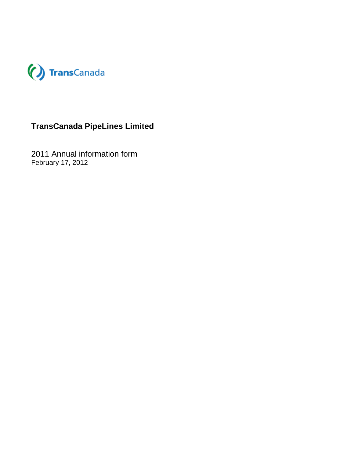

# **TransCanada PipeLines Limited**

2011 Annual information form February 17, 2012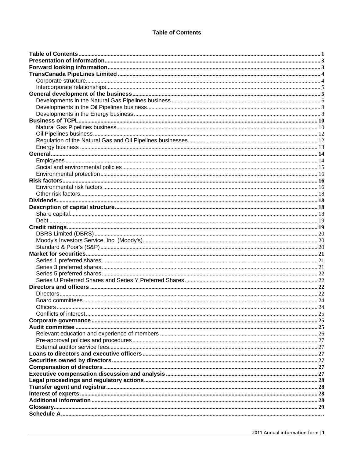# **Table of Contents**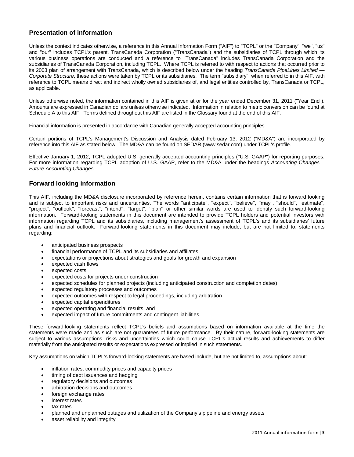# **Presentation of information**

Unless the context indicates otherwise, a reference in this Annual Information Form (''AIF'') to ''TCPL'' or the ''Company'', ''we'', ''us'' and ''our'' includes TCPL's parent, TransCanada Corporation (''TransCanada'') and the subsidiaries of TCPL through which its various business operations are conducted and a reference to ''TransCanada'' includes TransCanada Corporation and the subsidiaries of TransCanada Corporation, including TCPL. Where TCPL is referred to with respect to actions that occurred prior to its 2003 plan of arrangement with TransCanada, which is described below under the heading *TransCanada PipeLines Limited — Corporate Structure*, these actions were taken by TCPL or its subsidiaries. The term ''subsidiary'', when referred to in this AIF, with reference to TCPL means direct and indirect wholly owned subsidiaries of, and legal entities controlled by, TransCanada or TCPL, as applicable.

Unless otherwise noted, the information contained in this AIF is given at or for the year ended December 31, 2011 (''Year End''). Amounts are expressed in Canadian dollars unless otherwise indicated. Information in relation to metric conversion can be found at Schedule A to this AIF. Terms defined throughout this AIF are listed in the Glossary found at the end of this AIF.

Financial information is presented in accordance with Canadian generally accepted accounting principles.

Certain portions of TCPL's Management's Discussion and Analysis dated February 13, 2012 (''MD&A'') are incorporated by reference into this AIF as stated below. The MD&A can be found on SEDAR (www.sedar.com) under TCPL's profile.

Effective January 1, 2012, TCPL adopted U.S. generally accepted accounting principles (''U.S. GAAP'') for reporting purposes. For more information regarding TCPL adoption of U.S. GAAP, refer to the MD&A under the headings *Accounting Changes – Future Accounting Changes*.

# **Forward looking information**

This AIF, including the MD&A disclosure incorporated by reference herein, contains certain information that is forward looking and is subject to important risks and uncertainties. The words "anticipate", "expect", "believe", "may", "should", "estimate", ''project'', ''outlook'', ''forecast'', ''intend'', ''target'', ''plan'' or other similar words are used to identify such forward-looking information. Forward-looking statements in this document are intended to provide TCPL holders and potential investors with information regarding TCPL and its subsidiaries, including management's assessment of TCPL's and its subsidiaries' future plans and financial outlook. Forward-looking statements in this document may include, but are not limited to, statements regarding:

- anticipated business prospects
- financial performance of TCPL and its subsidiaries and affiliates
- expectations or projections about strategies and goals for growth and expansion
- expected cash flows
- expected costs
- expected costs for projects under construction
- expected schedules for planned projects (including anticipated construction and completion dates)
- expected regulatory processes and outcomes
- expected outcomes with respect to legal proceedings, including arbitration
- expected capital expenditures
- expected operating and financial results, and
- expected impact of future commitments and contingent liabilities.

These forward-looking statements reflect TCPL's beliefs and assumptions based on information available at the time the statements were made and as such are not guarantees of future performance. By their nature, forward-looking statements are subject to various assumptions, risks and uncertainties which could cause TCPL's actual results and achievements to differ materially from the anticipated results or expectations expressed or implied in such statements.

Key assumptions on which TCPL's forward-looking statements are based include, but are not limited to, assumptions about:

- inflation rates, commodity prices and capacity prices
- timing of debt issuances and hedging
- regulatory decisions and outcomes
- arbitration decisions and outcomes
- foreign exchange rates
- interest rates
- tax rates
- planned and unplanned outages and utilization of the Company's pipeline and energy assets
- asset reliability and integrity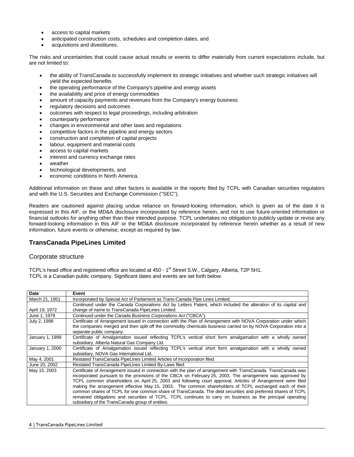- access to capital markets
- anticipated construction costs, schedules and completion dates, and
- acquisitions and divestitures.

The risks and uncertainties that could cause actual results or events to differ materially from current expectations include, but are not limited to:

- the ability of TransCanada to successfully implement its strategic initiatives and whether such strategic initiatives will yield the expected benefits
- the operating performance of the Company's pipeline and energy assets
- the availability and price of energy commodities
- amount of capacity payments and revenues from the Company's energy business
- regulatory decisions and outcomes
- outcomes with respect to legal proceedings, including arbitration
- counterparty performance
- changes in environmental and other laws and regulations
- competitive factors in the pipeline and energy sectors
- construction and completion of capital projects
- labour, equipment and material costs
- access to capital markets
- interest and currency exchange rates
- weather
- technological developments, and
- economic conditions in North America.

Additional information on these and other factors is available in the reports filed by TCPL with Canadian securities regulators and with the U.S. Securities and Exchange Commission (''SEC'').

Readers are cautioned against placing undue reliance on forward-looking information, which is given as of the date it is expressed in this AIF, or the MD&A disclosure incorporated by reference herein, and not to use future-oriented information or financial outlooks for anything other than their intended purpose. TCPL undertakes no obligation to publicly update or revise any forward-looking information in this AIF or the MD&A disclosure incorporated by reference herein whether as a result of new information, future events or otherwise, except as required by law.

# **TransCanada PipeLines Limited**

### Corporate structure

TCPL's head office and registered office are located at 450 - 1<sup>st</sup> Street S.W., Calgary, Alberta, T2P 5H1. TCPL is a Canadian public company. Significant dates and events are set forth below.

| Date            | Event                                                                                                           |  |  |
|-----------------|-----------------------------------------------------------------------------------------------------------------|--|--|
| March 21, 1951  | Incorporated by Special Act of Parliament as Trans-Canada Pipe Lines Limited.                                   |  |  |
|                 | Continued under the Canada Corporations Act by Letters Patent, which included the alteration of its capital and |  |  |
| April 19, 1972  | change of name to TransCanada PipeLines Limited.                                                                |  |  |
| June 1, 1979    | Continued under the Canada Business Corporations Act ("CBCA").                                                  |  |  |
| July 2, 1998    | Certificate of Arrangement issued in connection with the Plan of Arrangement with NOVA Corporation under which  |  |  |
|                 | the companies merged and then split off the commodity chemicals business carried on by NOVA Corporation into a  |  |  |
|                 | separate public company.                                                                                        |  |  |
| January 1, 1999 | Certificate of Amalgamation issued reflecting TCPL's vertical short form amalgamation with a wholly owned       |  |  |
|                 | subsidiary, Alberta Natural Gas Company Ltd.                                                                    |  |  |
| January 1, 2000 | Certificate of Amalgamation issued reflecting TCPL's vertical short form amalgamation with a wholly owned       |  |  |
|                 | subsidiary, NOVA Gas International Ltd.                                                                         |  |  |
| May 4, 2001     | Restated TransCanada PipeLines Limited Articles of Incorporation filed.                                         |  |  |
| June 20, 2002   | Restated TransCanada PipeLines Limited By-Laws filed.                                                           |  |  |
| May 15, 2003    | Certificate of Arrangement issued in connection with the plan of arrangement with TransCanada. TransCanada was  |  |  |
|                 | incorporated pursuant to the provisions of the CBCA on February 25, 2003. The arrangement was approved by       |  |  |
|                 | TCPL common shareholders on April 25, 2003 and following court approval, Articles of Arrangement were filed     |  |  |
|                 | making the arrangement effective May 15, 2003. The common shareholders of TCPL exchanged each of their          |  |  |
|                 | common shares of TCPL for one common share of TransCanada. The debt securities and preferred shares of TCPL     |  |  |
|                 | remained obligations and securities of TCPL. TCPL continues to carry on business as the principal operating     |  |  |
|                 | subsidiary of the TransCanada group of entities.                                                                |  |  |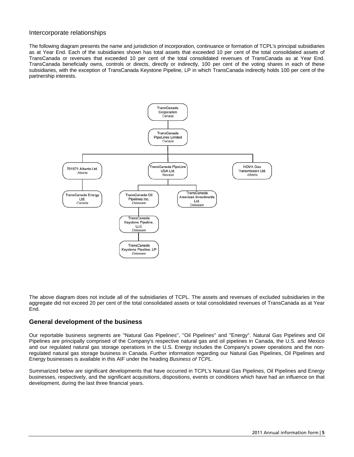### Intercorporate relationships

The following diagram presents the name and jurisdiction of incorporation, continuance or formation of TCPL's principal subsidiaries as at Year End. Each of the subsidiaries shown has total assets that exceeded 10 per cent of the total consolidated assets of TransCanada or revenues that exceeded 10 per cent of the total consolidated revenues of TransCanada as at Year End. TransCanada beneficially owns, controls or directs, directly or indirectly, 100 per cent of the voting shares in each of these subsidiaries, with the exception of TransCanada Keystone Pipeline, LP in which TransCanada indirectly holds 100 per cent of the partnership interests.



The above diagram does not include all of the subsidiaries of TCPL. The assets and revenues of excluded subsidiaries in the aggregate did not exceed 20 per cent of the total consolidated assets or total consolidated revenues of TransCanada as at Year End.

### **General development of the business**

Our reportable business segments are ''Natural Gas Pipelines'', ''Oil Pipelines'' and ''Energy''. Natural Gas Pipelines and Oil Pipelines are principally comprised of the Company's respective natural gas and oil pipelines in Canada, the U.S. and Mexico and our regulated natural gas storage operations in the U.S. Energy includes the Company's power operations and the nonregulated natural gas storage business in Canada. Further information regarding our Natural Gas Pipelines, Oil Pipelines and Energy businesses is available in this AIF under the heading *Business of TCPL*.

Summarized below are significant developments that have occurred in TCPL's Natural Gas Pipelines, Oil Pipelines and Energy businesses, respectively, and the significant acquisitions, dispositions, events or conditions which have had an influence on that development, during the last three financial years.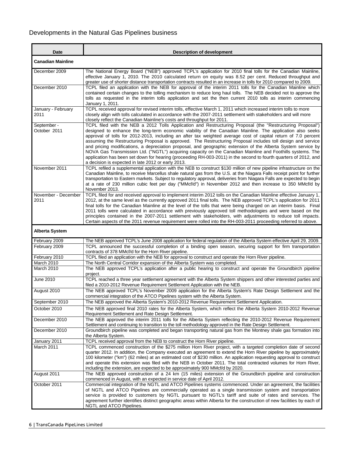# Developments in the Natural Gas Pipelines business

| Date                        | Description of development                                                                                                                                                                                                                                                                                                                                                                                                                                                                                                                                                                                                                                                                                                                                                                                                                                         |
|-----------------------------|--------------------------------------------------------------------------------------------------------------------------------------------------------------------------------------------------------------------------------------------------------------------------------------------------------------------------------------------------------------------------------------------------------------------------------------------------------------------------------------------------------------------------------------------------------------------------------------------------------------------------------------------------------------------------------------------------------------------------------------------------------------------------------------------------------------------------------------------------------------------|
| <b>Canadian Mainline</b>    |                                                                                                                                                                                                                                                                                                                                                                                                                                                                                                                                                                                                                                                                                                                                                                                                                                                                    |
| December 2009               | The National Energy Board ("NEB") approved TCPL's application for 2010 final tolls for the Canadian Mainline,<br>effective January 1, 2010. The 2010 calculated return on equity was 8.52 per cent. Reduced throughput and<br>greater use of shorter distance transportation contracts resulted in an increase in tolls for 2010 compared to 2009.                                                                                                                                                                                                                                                                                                                                                                                                                                                                                                                 |
| December 2010               | TCPL filed an application with the NEB for approval of the interim 2011 tolls for the Canadian Mainline which<br>contained certain changes to the tolling mechanism to reduce long haul tolls. The NEB decided not to approve the<br>tolls as requested in the interim tolls application and set the then current 2010 tolls as interim commencing<br>January 1, 2011.                                                                                                                                                                                                                                                                                                                                                                                                                                                                                             |
| January - February<br>2011  | TCPL received approval for revised interim tolls, effective March 1, 2011 which increased interim tolls to more<br>closely align with tolls calculated in accordance with the 2007-2011 settlement with stakeholders and will more<br>closely reflect the Canadian Mainline's costs and throughput for 2011.                                                                                                                                                                                                                                                                                                                                                                                                                                                                                                                                                       |
| September -<br>October 2011 | TCPL filed with the NEB a 2012 Tolls Application and Restructuring Proposal (the "Restructuring Proposal")<br>designed to enhance the long-term economic viability of the Canadian Mainline. The application also seeks<br>approval of tolls for 2012-2013, including an after tax weighted average cost of capital return of 7.0 percent<br>assuming the Restructuring Proposal is approved. The Restructuring Proposal includes toll design and service<br>and pricing modifications, a depreciation proposal, and geographic extension of the Alberta System service by<br>NOVA Gas Transmission Ltd. ("NGTL") acquiring capacity on the Canadian Mainline and Foothills systems. The<br>application has been set down for hearing (proceeding RH-003-2011) in the second to fourth quarters of 2012, and<br>a decision is expected in late 2012 or early 2013. |
| November 2011               | TCPL refiled a supplemental application with the NEB to construct \$130 million of new pipeline infrastructure on the<br>Canadian Mainline, to receive Marcellus shale natural gas from the U.S. at the Niagara Falls receipt point for further<br>transportation to Eastern markets. Subject to regulatory approval, deliveries from Niagara Falls are expected to begin<br>at a rate of 230 million cubic feet per day ("MMcf/d") in November 2012 and then increase to 350 MMcf/d by<br>November 2013.                                                                                                                                                                                                                                                                                                                                                          |
| November - December<br>2011 | TCPL filed for and received approval to implement interim 2012 tolls on the Canadian Mainline effective January 1,<br>2012, at the same level as the currently approved 2011 final tolls. The NEB approved TCPL's application for 2011<br>final tolls for the Canadian Mainline at the level of the tolls that were being charged on an interim basis. Final<br>2011 tolls were calculated in accordance with previously approved toll methodologies and were based on the<br>principles contained in the 2007-2011 settlement with stakeholders, with adjustments to reduce toll impacts.<br>Certain aspects of the 2011 revenue requirement were rolled into the RH-003-2011 proceeding referred to above.                                                                                                                                                       |
| <b>Alberta System</b>       |                                                                                                                                                                                                                                                                                                                                                                                                                                                                                                                                                                                                                                                                                                                                                                                                                                                                    |
| February 2009               | The NEB approved TCPL's June 2008 application for federal regulation of the Alberta System effective April 29, 2009.                                                                                                                                                                                                                                                                                                                                                                                                                                                                                                                                                                                                                                                                                                                                               |
| February 2009               | TCPL announced the successful completion of a binding open season, securing support for firm transportation<br>contracts of 378 MMcf/d for the Horn River pipeline.                                                                                                                                                                                                                                                                                                                                                                                                                                                                                                                                                                                                                                                                                                |
| February 2010               | TCPL filed an application with the NEB for approval to construct and operate the Horn River pipeline.                                                                                                                                                                                                                                                                                                                                                                                                                                                                                                                                                                                                                                                                                                                                                              |
| March 2010                  | The North Central Corridor expansion of the Alberta System was completed.                                                                                                                                                                                                                                                                                                                                                                                                                                                                                                                                                                                                                                                                                                                                                                                          |
| March 2010                  | The NEB approved TCPL's application after a public hearing to construct and operate the Groundbirch pipeline<br>project.                                                                                                                                                                                                                                                                                                                                                                                                                                                                                                                                                                                                                                                                                                                                           |
| June 2010                   | TCPL reached a three year settlement agreement with the Alberta System shippers and other interested parties and<br>filed a 2010-2012 Revenue Requirement Settlement Application with the NEB.                                                                                                                                                                                                                                                                                                                                                                                                                                                                                                                                                                                                                                                                     |
| August 2010                 | The NEB approved TCPL's November 2009 application for the Alberta System's Rate Design Settlement and the<br>commercial integration of the ATCO Pipelines system with the Alberta System.                                                                                                                                                                                                                                                                                                                                                                                                                                                                                                                                                                                                                                                                          |
| September 2010              | The NEB approved the Alberta System's 2010-2012 Revenue Requirement Settlement Application.                                                                                                                                                                                                                                                                                                                                                                                                                                                                                                                                                                                                                                                                                                                                                                        |
| October 2010                | The NEB approved final 2010 rates for the Alberta System, which reflect the Alberta System 2010-2012 Revenue<br>Requirement Settlement and Rate Design Settlement.                                                                                                                                                                                                                                                                                                                                                                                                                                                                                                                                                                                                                                                                                                 |
| December 2010               | The NEB approved the interim 2011 tolls for the Alberta System reflecting the 2010-2012 Revenue Requirement<br>Settlement and continuing to transition to the toll methodology approved in the Rate Design Settlement.                                                                                                                                                                                                                                                                                                                                                                                                                                                                                                                                                                                                                                             |
| December 2010               | Groundbirch pipeline was completed and began transporting natural gas from the Montney shale gas formation into<br>the Alberta System.                                                                                                                                                                                                                                                                                                                                                                                                                                                                                                                                                                                                                                                                                                                             |
| January 2011                | TCPL received approval from the NEB to construct the Horn River pipeline.                                                                                                                                                                                                                                                                                                                                                                                                                                                                                                                                                                                                                                                                                                                                                                                          |
| March 2011                  | TCPL commenced construction of the \$275 million Horn River project, with a targeted completion date of second<br>quarter 2012. In addition, the Company executed an agreement to extend the Horn River pipeline by approximately<br>100 kilometer ("km") (62 miles) at an estimated cost of \$230 million. An application requesting approval to construct<br>and operate this extension was filed with the NEB in October 2011. The total contracted volumes for Horn River,<br>including the extension, are expected to be approximately 900 MMcf/d by 2020.                                                                                                                                                                                                                                                                                                    |
| August 2011                 | The NEB approved construction of a 24 km (15 miles) extension of the Groundbirch pipeline and construction<br>commenced in August, with an expected in service date of April 2012.                                                                                                                                                                                                                                                                                                                                                                                                                                                                                                                                                                                                                                                                                 |
| October 2011                | Commercial integration of the NGTL and ATCO Pipelines systems commenced. Under an agreement, the facilities<br>of NGTL and ATCO Pipelines are commercially operated as a single transmission system and transportation<br>service is provided to customers by NGTL pursuant to NGTL's tariff and suite of rates and services. The<br>agreement further identifies distinct geographic areas within Alberta for the construction of new facilities by each of<br>NGTL and ATCO Pipelines.                                                                                                                                                                                                                                                                                                                                                                           |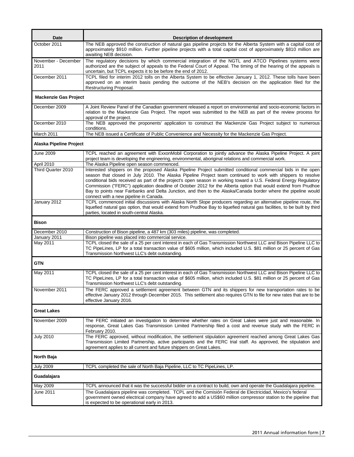| The NEB approved the construction of natural gas pipeline projects for the Alberta System with a capital cost of<br>October 2011<br>approximately \$910 million. Further pipeline projects with a total capital cost of approximately \$810 million are<br>awaiting NEB decision.<br>The regulatory decisions by which commercial integration of the NGTL and ATCO Pipelines systems were<br>November - December<br>2011<br>authorized are the subject of appeals to the Federal Court of Appeal. The timing of the hearing of the appeals is<br>uncertain, but TCPL expects it to be before the end of 2012.<br>TCPL filed for interim 2012 tolls on the Alberta System to be effective January 1, 2012. These tolls have been<br>December 2011<br>approved on an interim basis pending the outcome of the NEB's decision on the application filed for the<br>Restructuring Proposal.<br><b>Mackenzie Gas Project</b><br>A Joint Review Panel of the Canadian government released a report on environmental and socio-economic factors in<br>December 2009<br>relation to the Mackenzie Gas Project. The report was submitted to the NEB as part of the review process for<br>approval of the project.<br>The NEB approved the proponents' application to construct the Mackenzie Gas Project subject to numerous<br>December 2010<br>conditions.<br>March 2011<br>The NEB issued a Certificate of Public Convenience and Necessity for the Mackenzie Gas Project.<br>Alaska Pipeline Project<br>TCPL reached an agreement with ExxonMobil Corporation to jointly advance the Alaska Pipeline Project. A joint<br>June 2009<br>project team is developing the engineering, environmental, aboriginal relations and commercial work.<br>April 2010<br>The Alaska Pipeline open season commenced.<br>Third Quarter 2010<br>Interested shippers on the proposed Alaska Pipeline Project submitted conditional commercial bids in the open<br>season that closed in July 2010. The Alaska Pipeline Project team continued to work with shippers to resolve<br>conditional bids received as part of the project's open season in working toward a U.S. Federal Energy Regulatory<br>Commission ("FERC") application deadline of October 2012 for the Alberta option that would extend from Prudhoe<br>Bay to points near Fairbanks and Delta Junction, and then to the Alaska/Canada border where the pipeline would<br>connect with a new pipeline in Canada.<br>TCPL commenced initial discussions with Alaska North Slope producers regarding an alternative pipeline route, the<br>liquefied natural gas option, that would extend from Prudhoe Bay to liquefied natural gas facilities, to be built by third<br>parties, located in south-central Alaska.<br><b>Bison</b><br>December 2010<br>Construction of Bison pipeline, a 487 km (303 miles) pipeline, was completed.<br>January 2011<br>Bison pipeline was placed into commercial service.<br>May 2011<br>TCPL closed the sale of a 25 per cent interest in each of Gas Transmission Northwest LLC and Bison Pipeline LLC to<br>TC PipeLines, LP for a total transaction value of \$605 million, which included U.S. \$81 million or 25 percent of Gas<br>Transmission Northwest LLC's debt outstanding.<br><b>GTN</b><br>TCPL closed the sale of a 25 per cent interest in each of Gas Transmission Northwest LLC and Bison Pipeline LLC to<br>May 2011<br>TC PipeLines, LP for a total transaction value of \$605 million, which included U.S. \$81 million or 25 percent of Gas<br>Transmission Northwest LLC's debt outstanding.<br>November 2011<br>The FERC approved a settlement agreement between GTN and its shippers for new transportation rates to be<br>effective January 2012 through December 2015. This settlement also requires GTN to file for new rates that are to be<br>effective January 2016.<br><b>Great Lakes</b><br>The FERC initiated an investigation to determine whether rates on Great Lakes were just and reasonable. In<br>November 2009<br>response, Great Lakes Gas Transmission Limited Partnership filed a cost and revenue study with the FERC in<br>February 2010.<br><b>July 2010</b><br>The FERC approved, without modification, the settlement stipulation agreement reached among Great Lakes Gas<br>Transmission Limited Partnership, active participants and the FERC trial staff. As approved, the stipulation and<br>agreement applies to all current and future shippers on Great Lakes.<br>North Baja<br>TCPL completed the sale of North Baja Pipeline, LLC to TC PipeLines, LP.<br><b>July 2009</b><br>Guadalajara<br>May 2009<br>TCPL announced that it was the successful bidder on a contract to build, own and operate the Guadalajara pipeline.<br>The Guadalajara pipeline was completed. TCPL and the Comisión Federal de Electricidad, Mexico's federal<br>June 2011<br>government owned electrical company have agreed to add a US\$60 million compressor station to the pipeline that | Date         | <b>Description of development</b>            |
|------------------------------------------------------------------------------------------------------------------------------------------------------------------------------------------------------------------------------------------------------------------------------------------------------------------------------------------------------------------------------------------------------------------------------------------------------------------------------------------------------------------------------------------------------------------------------------------------------------------------------------------------------------------------------------------------------------------------------------------------------------------------------------------------------------------------------------------------------------------------------------------------------------------------------------------------------------------------------------------------------------------------------------------------------------------------------------------------------------------------------------------------------------------------------------------------------------------------------------------------------------------------------------------------------------------------------------------------------------------------------------------------------------------------------------------------------------------------------------------------------------------------------------------------------------------------------------------------------------------------------------------------------------------------------------------------------------------------------------------------------------------------------------------------------------------------------------------------------------------------------------------------------------------------------------------------------------------------------------------------------------------------------------------------------------------------------------------------------------------------------------------------------------------------------------------------------------------------------------------------------------------------------------------------------------------------------------------------------------------------------------------------------------------------------------------------------------------------------------------------------------------------------------------------------------------------------------------------------------------------------------------------------------------------------------------------------------------------------------------------------------------------------------------------------------------------------------------------------------------------------------------------------------------------------------------------------------------------------------------------------------------------------------------------------------------------------------------------------------------------------------------------------------------------------------------------------------------------------------------------------------------------------------------------------------------------------------------------------------------------------------------------------------------------------------------------------------------------------------------------------------------------------------------------------------------------------------------------------------------------------------------------------------------------------------------------------------------------------------------------------------------------------------------------------------------------------------------------------------------------------------------------------------------------------------------------------------------------------------------------------------------------------------------------------------------------------------------------------------------------------------------------------------------------------------------------------------------------------------------------------------------------------------------------------------------------------------------------------------------------------------------------------------------------------------------------------------------------------------------------------------------------------------------------------------------------------------------------------------------------------------------------------------------------------------------------------------------------------------------------------------------------------------------------------------------------------------------------------------------------------------------------------------------------------------------------------------------------------------------------------------|--------------|----------------------------------------------|
|                                                                                                                                                                                                                                                                                                                                                                                                                                                                                                                                                                                                                                                                                                                                                                                                                                                                                                                                                                                                                                                                                                                                                                                                                                                                                                                                                                                                                                                                                                                                                                                                                                                                                                                                                                                                                                                                                                                                                                                                                                                                                                                                                                                                                                                                                                                                                                                                                                                                                                                                                                                                                                                                                                                                                                                                                                                                                                                                                                                                                                                                                                                                                                                                                                                                                                                                                                                                                                                                                                                                                                                                                                                                                                                                                                                                                                                                                                                                                                                                                                                                                                                                                                                                                                                                                                                                                                                                                                                                                                                                                                                                                                                                                                                                                                                                                                                                                                                                                                                                            |              |                                              |
|                                                                                                                                                                                                                                                                                                                                                                                                                                                                                                                                                                                                                                                                                                                                                                                                                                                                                                                                                                                                                                                                                                                                                                                                                                                                                                                                                                                                                                                                                                                                                                                                                                                                                                                                                                                                                                                                                                                                                                                                                                                                                                                                                                                                                                                                                                                                                                                                                                                                                                                                                                                                                                                                                                                                                                                                                                                                                                                                                                                                                                                                                                                                                                                                                                                                                                                                                                                                                                                                                                                                                                                                                                                                                                                                                                                                                                                                                                                                                                                                                                                                                                                                                                                                                                                                                                                                                                                                                                                                                                                                                                                                                                                                                                                                                                                                                                                                                                                                                                                                            |              |                                              |
|                                                                                                                                                                                                                                                                                                                                                                                                                                                                                                                                                                                                                                                                                                                                                                                                                                                                                                                                                                                                                                                                                                                                                                                                                                                                                                                                                                                                                                                                                                                                                                                                                                                                                                                                                                                                                                                                                                                                                                                                                                                                                                                                                                                                                                                                                                                                                                                                                                                                                                                                                                                                                                                                                                                                                                                                                                                                                                                                                                                                                                                                                                                                                                                                                                                                                                                                                                                                                                                                                                                                                                                                                                                                                                                                                                                                                                                                                                                                                                                                                                                                                                                                                                                                                                                                                                                                                                                                                                                                                                                                                                                                                                                                                                                                                                                                                                                                                                                                                                                                            |              |                                              |
|                                                                                                                                                                                                                                                                                                                                                                                                                                                                                                                                                                                                                                                                                                                                                                                                                                                                                                                                                                                                                                                                                                                                                                                                                                                                                                                                                                                                                                                                                                                                                                                                                                                                                                                                                                                                                                                                                                                                                                                                                                                                                                                                                                                                                                                                                                                                                                                                                                                                                                                                                                                                                                                                                                                                                                                                                                                                                                                                                                                                                                                                                                                                                                                                                                                                                                                                                                                                                                                                                                                                                                                                                                                                                                                                                                                                                                                                                                                                                                                                                                                                                                                                                                                                                                                                                                                                                                                                                                                                                                                                                                                                                                                                                                                                                                                                                                                                                                                                                                                                            |              |                                              |
|                                                                                                                                                                                                                                                                                                                                                                                                                                                                                                                                                                                                                                                                                                                                                                                                                                                                                                                                                                                                                                                                                                                                                                                                                                                                                                                                                                                                                                                                                                                                                                                                                                                                                                                                                                                                                                                                                                                                                                                                                                                                                                                                                                                                                                                                                                                                                                                                                                                                                                                                                                                                                                                                                                                                                                                                                                                                                                                                                                                                                                                                                                                                                                                                                                                                                                                                                                                                                                                                                                                                                                                                                                                                                                                                                                                                                                                                                                                                                                                                                                                                                                                                                                                                                                                                                                                                                                                                                                                                                                                                                                                                                                                                                                                                                                                                                                                                                                                                                                                                            |              |                                              |
|                                                                                                                                                                                                                                                                                                                                                                                                                                                                                                                                                                                                                                                                                                                                                                                                                                                                                                                                                                                                                                                                                                                                                                                                                                                                                                                                                                                                                                                                                                                                                                                                                                                                                                                                                                                                                                                                                                                                                                                                                                                                                                                                                                                                                                                                                                                                                                                                                                                                                                                                                                                                                                                                                                                                                                                                                                                                                                                                                                                                                                                                                                                                                                                                                                                                                                                                                                                                                                                                                                                                                                                                                                                                                                                                                                                                                                                                                                                                                                                                                                                                                                                                                                                                                                                                                                                                                                                                                                                                                                                                                                                                                                                                                                                                                                                                                                                                                                                                                                                                            |              |                                              |
|                                                                                                                                                                                                                                                                                                                                                                                                                                                                                                                                                                                                                                                                                                                                                                                                                                                                                                                                                                                                                                                                                                                                                                                                                                                                                                                                                                                                                                                                                                                                                                                                                                                                                                                                                                                                                                                                                                                                                                                                                                                                                                                                                                                                                                                                                                                                                                                                                                                                                                                                                                                                                                                                                                                                                                                                                                                                                                                                                                                                                                                                                                                                                                                                                                                                                                                                                                                                                                                                                                                                                                                                                                                                                                                                                                                                                                                                                                                                                                                                                                                                                                                                                                                                                                                                                                                                                                                                                                                                                                                                                                                                                                                                                                                                                                                                                                                                                                                                                                                                            |              |                                              |
|                                                                                                                                                                                                                                                                                                                                                                                                                                                                                                                                                                                                                                                                                                                                                                                                                                                                                                                                                                                                                                                                                                                                                                                                                                                                                                                                                                                                                                                                                                                                                                                                                                                                                                                                                                                                                                                                                                                                                                                                                                                                                                                                                                                                                                                                                                                                                                                                                                                                                                                                                                                                                                                                                                                                                                                                                                                                                                                                                                                                                                                                                                                                                                                                                                                                                                                                                                                                                                                                                                                                                                                                                                                                                                                                                                                                                                                                                                                                                                                                                                                                                                                                                                                                                                                                                                                                                                                                                                                                                                                                                                                                                                                                                                                                                                                                                                                                                                                                                                                                            |              |                                              |
|                                                                                                                                                                                                                                                                                                                                                                                                                                                                                                                                                                                                                                                                                                                                                                                                                                                                                                                                                                                                                                                                                                                                                                                                                                                                                                                                                                                                                                                                                                                                                                                                                                                                                                                                                                                                                                                                                                                                                                                                                                                                                                                                                                                                                                                                                                                                                                                                                                                                                                                                                                                                                                                                                                                                                                                                                                                                                                                                                                                                                                                                                                                                                                                                                                                                                                                                                                                                                                                                                                                                                                                                                                                                                                                                                                                                                                                                                                                                                                                                                                                                                                                                                                                                                                                                                                                                                                                                                                                                                                                                                                                                                                                                                                                                                                                                                                                                                                                                                                                                            |              |                                              |
|                                                                                                                                                                                                                                                                                                                                                                                                                                                                                                                                                                                                                                                                                                                                                                                                                                                                                                                                                                                                                                                                                                                                                                                                                                                                                                                                                                                                                                                                                                                                                                                                                                                                                                                                                                                                                                                                                                                                                                                                                                                                                                                                                                                                                                                                                                                                                                                                                                                                                                                                                                                                                                                                                                                                                                                                                                                                                                                                                                                                                                                                                                                                                                                                                                                                                                                                                                                                                                                                                                                                                                                                                                                                                                                                                                                                                                                                                                                                                                                                                                                                                                                                                                                                                                                                                                                                                                                                                                                                                                                                                                                                                                                                                                                                                                                                                                                                                                                                                                                                            |              |                                              |
|                                                                                                                                                                                                                                                                                                                                                                                                                                                                                                                                                                                                                                                                                                                                                                                                                                                                                                                                                                                                                                                                                                                                                                                                                                                                                                                                                                                                                                                                                                                                                                                                                                                                                                                                                                                                                                                                                                                                                                                                                                                                                                                                                                                                                                                                                                                                                                                                                                                                                                                                                                                                                                                                                                                                                                                                                                                                                                                                                                                                                                                                                                                                                                                                                                                                                                                                                                                                                                                                                                                                                                                                                                                                                                                                                                                                                                                                                                                                                                                                                                                                                                                                                                                                                                                                                                                                                                                                                                                                                                                                                                                                                                                                                                                                                                                                                                                                                                                                                                                                            |              |                                              |
|                                                                                                                                                                                                                                                                                                                                                                                                                                                                                                                                                                                                                                                                                                                                                                                                                                                                                                                                                                                                                                                                                                                                                                                                                                                                                                                                                                                                                                                                                                                                                                                                                                                                                                                                                                                                                                                                                                                                                                                                                                                                                                                                                                                                                                                                                                                                                                                                                                                                                                                                                                                                                                                                                                                                                                                                                                                                                                                                                                                                                                                                                                                                                                                                                                                                                                                                                                                                                                                                                                                                                                                                                                                                                                                                                                                                                                                                                                                                                                                                                                                                                                                                                                                                                                                                                                                                                                                                                                                                                                                                                                                                                                                                                                                                                                                                                                                                                                                                                                                                            |              |                                              |
|                                                                                                                                                                                                                                                                                                                                                                                                                                                                                                                                                                                                                                                                                                                                                                                                                                                                                                                                                                                                                                                                                                                                                                                                                                                                                                                                                                                                                                                                                                                                                                                                                                                                                                                                                                                                                                                                                                                                                                                                                                                                                                                                                                                                                                                                                                                                                                                                                                                                                                                                                                                                                                                                                                                                                                                                                                                                                                                                                                                                                                                                                                                                                                                                                                                                                                                                                                                                                                                                                                                                                                                                                                                                                                                                                                                                                                                                                                                                                                                                                                                                                                                                                                                                                                                                                                                                                                                                                                                                                                                                                                                                                                                                                                                                                                                                                                                                                                                                                                                                            |              |                                              |
|                                                                                                                                                                                                                                                                                                                                                                                                                                                                                                                                                                                                                                                                                                                                                                                                                                                                                                                                                                                                                                                                                                                                                                                                                                                                                                                                                                                                                                                                                                                                                                                                                                                                                                                                                                                                                                                                                                                                                                                                                                                                                                                                                                                                                                                                                                                                                                                                                                                                                                                                                                                                                                                                                                                                                                                                                                                                                                                                                                                                                                                                                                                                                                                                                                                                                                                                                                                                                                                                                                                                                                                                                                                                                                                                                                                                                                                                                                                                                                                                                                                                                                                                                                                                                                                                                                                                                                                                                                                                                                                                                                                                                                                                                                                                                                                                                                                                                                                                                                                                            |              |                                              |
|                                                                                                                                                                                                                                                                                                                                                                                                                                                                                                                                                                                                                                                                                                                                                                                                                                                                                                                                                                                                                                                                                                                                                                                                                                                                                                                                                                                                                                                                                                                                                                                                                                                                                                                                                                                                                                                                                                                                                                                                                                                                                                                                                                                                                                                                                                                                                                                                                                                                                                                                                                                                                                                                                                                                                                                                                                                                                                                                                                                                                                                                                                                                                                                                                                                                                                                                                                                                                                                                                                                                                                                                                                                                                                                                                                                                                                                                                                                                                                                                                                                                                                                                                                                                                                                                                                                                                                                                                                                                                                                                                                                                                                                                                                                                                                                                                                                                                                                                                                                                            |              |                                              |
|                                                                                                                                                                                                                                                                                                                                                                                                                                                                                                                                                                                                                                                                                                                                                                                                                                                                                                                                                                                                                                                                                                                                                                                                                                                                                                                                                                                                                                                                                                                                                                                                                                                                                                                                                                                                                                                                                                                                                                                                                                                                                                                                                                                                                                                                                                                                                                                                                                                                                                                                                                                                                                                                                                                                                                                                                                                                                                                                                                                                                                                                                                                                                                                                                                                                                                                                                                                                                                                                                                                                                                                                                                                                                                                                                                                                                                                                                                                                                                                                                                                                                                                                                                                                                                                                                                                                                                                                                                                                                                                                                                                                                                                                                                                                                                                                                                                                                                                                                                                                            |              |                                              |
|                                                                                                                                                                                                                                                                                                                                                                                                                                                                                                                                                                                                                                                                                                                                                                                                                                                                                                                                                                                                                                                                                                                                                                                                                                                                                                                                                                                                                                                                                                                                                                                                                                                                                                                                                                                                                                                                                                                                                                                                                                                                                                                                                                                                                                                                                                                                                                                                                                                                                                                                                                                                                                                                                                                                                                                                                                                                                                                                                                                                                                                                                                                                                                                                                                                                                                                                                                                                                                                                                                                                                                                                                                                                                                                                                                                                                                                                                                                                                                                                                                                                                                                                                                                                                                                                                                                                                                                                                                                                                                                                                                                                                                                                                                                                                                                                                                                                                                                                                                                                            |              |                                              |
|                                                                                                                                                                                                                                                                                                                                                                                                                                                                                                                                                                                                                                                                                                                                                                                                                                                                                                                                                                                                                                                                                                                                                                                                                                                                                                                                                                                                                                                                                                                                                                                                                                                                                                                                                                                                                                                                                                                                                                                                                                                                                                                                                                                                                                                                                                                                                                                                                                                                                                                                                                                                                                                                                                                                                                                                                                                                                                                                                                                                                                                                                                                                                                                                                                                                                                                                                                                                                                                                                                                                                                                                                                                                                                                                                                                                                                                                                                                                                                                                                                                                                                                                                                                                                                                                                                                                                                                                                                                                                                                                                                                                                                                                                                                                                                                                                                                                                                                                                                                                            |              |                                              |
|                                                                                                                                                                                                                                                                                                                                                                                                                                                                                                                                                                                                                                                                                                                                                                                                                                                                                                                                                                                                                                                                                                                                                                                                                                                                                                                                                                                                                                                                                                                                                                                                                                                                                                                                                                                                                                                                                                                                                                                                                                                                                                                                                                                                                                                                                                                                                                                                                                                                                                                                                                                                                                                                                                                                                                                                                                                                                                                                                                                                                                                                                                                                                                                                                                                                                                                                                                                                                                                                                                                                                                                                                                                                                                                                                                                                                                                                                                                                                                                                                                                                                                                                                                                                                                                                                                                                                                                                                                                                                                                                                                                                                                                                                                                                                                                                                                                                                                                                                                                                            |              |                                              |
|                                                                                                                                                                                                                                                                                                                                                                                                                                                                                                                                                                                                                                                                                                                                                                                                                                                                                                                                                                                                                                                                                                                                                                                                                                                                                                                                                                                                                                                                                                                                                                                                                                                                                                                                                                                                                                                                                                                                                                                                                                                                                                                                                                                                                                                                                                                                                                                                                                                                                                                                                                                                                                                                                                                                                                                                                                                                                                                                                                                                                                                                                                                                                                                                                                                                                                                                                                                                                                                                                                                                                                                                                                                                                                                                                                                                                                                                                                                                                                                                                                                                                                                                                                                                                                                                                                                                                                                                                                                                                                                                                                                                                                                                                                                                                                                                                                                                                                                                                                                                            |              |                                              |
|                                                                                                                                                                                                                                                                                                                                                                                                                                                                                                                                                                                                                                                                                                                                                                                                                                                                                                                                                                                                                                                                                                                                                                                                                                                                                                                                                                                                                                                                                                                                                                                                                                                                                                                                                                                                                                                                                                                                                                                                                                                                                                                                                                                                                                                                                                                                                                                                                                                                                                                                                                                                                                                                                                                                                                                                                                                                                                                                                                                                                                                                                                                                                                                                                                                                                                                                                                                                                                                                                                                                                                                                                                                                                                                                                                                                                                                                                                                                                                                                                                                                                                                                                                                                                                                                                                                                                                                                                                                                                                                                                                                                                                                                                                                                                                                                                                                                                                                                                                                                            |              |                                              |
|                                                                                                                                                                                                                                                                                                                                                                                                                                                                                                                                                                                                                                                                                                                                                                                                                                                                                                                                                                                                                                                                                                                                                                                                                                                                                                                                                                                                                                                                                                                                                                                                                                                                                                                                                                                                                                                                                                                                                                                                                                                                                                                                                                                                                                                                                                                                                                                                                                                                                                                                                                                                                                                                                                                                                                                                                                                                                                                                                                                                                                                                                                                                                                                                                                                                                                                                                                                                                                                                                                                                                                                                                                                                                                                                                                                                                                                                                                                                                                                                                                                                                                                                                                                                                                                                                                                                                                                                                                                                                                                                                                                                                                                                                                                                                                                                                                                                                                                                                                                                            |              |                                              |
|                                                                                                                                                                                                                                                                                                                                                                                                                                                                                                                                                                                                                                                                                                                                                                                                                                                                                                                                                                                                                                                                                                                                                                                                                                                                                                                                                                                                                                                                                                                                                                                                                                                                                                                                                                                                                                                                                                                                                                                                                                                                                                                                                                                                                                                                                                                                                                                                                                                                                                                                                                                                                                                                                                                                                                                                                                                                                                                                                                                                                                                                                                                                                                                                                                                                                                                                                                                                                                                                                                                                                                                                                                                                                                                                                                                                                                                                                                                                                                                                                                                                                                                                                                                                                                                                                                                                                                                                                                                                                                                                                                                                                                                                                                                                                                                                                                                                                                                                                                                                            | January 2012 |                                              |
|                                                                                                                                                                                                                                                                                                                                                                                                                                                                                                                                                                                                                                                                                                                                                                                                                                                                                                                                                                                                                                                                                                                                                                                                                                                                                                                                                                                                                                                                                                                                                                                                                                                                                                                                                                                                                                                                                                                                                                                                                                                                                                                                                                                                                                                                                                                                                                                                                                                                                                                                                                                                                                                                                                                                                                                                                                                                                                                                                                                                                                                                                                                                                                                                                                                                                                                                                                                                                                                                                                                                                                                                                                                                                                                                                                                                                                                                                                                                                                                                                                                                                                                                                                                                                                                                                                                                                                                                                                                                                                                                                                                                                                                                                                                                                                                                                                                                                                                                                                                                            |              |                                              |
|                                                                                                                                                                                                                                                                                                                                                                                                                                                                                                                                                                                                                                                                                                                                                                                                                                                                                                                                                                                                                                                                                                                                                                                                                                                                                                                                                                                                                                                                                                                                                                                                                                                                                                                                                                                                                                                                                                                                                                                                                                                                                                                                                                                                                                                                                                                                                                                                                                                                                                                                                                                                                                                                                                                                                                                                                                                                                                                                                                                                                                                                                                                                                                                                                                                                                                                                                                                                                                                                                                                                                                                                                                                                                                                                                                                                                                                                                                                                                                                                                                                                                                                                                                                                                                                                                                                                                                                                                                                                                                                                                                                                                                                                                                                                                                                                                                                                                                                                                                                                            |              |                                              |
|                                                                                                                                                                                                                                                                                                                                                                                                                                                                                                                                                                                                                                                                                                                                                                                                                                                                                                                                                                                                                                                                                                                                                                                                                                                                                                                                                                                                                                                                                                                                                                                                                                                                                                                                                                                                                                                                                                                                                                                                                                                                                                                                                                                                                                                                                                                                                                                                                                                                                                                                                                                                                                                                                                                                                                                                                                                                                                                                                                                                                                                                                                                                                                                                                                                                                                                                                                                                                                                                                                                                                                                                                                                                                                                                                                                                                                                                                                                                                                                                                                                                                                                                                                                                                                                                                                                                                                                                                                                                                                                                                                                                                                                                                                                                                                                                                                                                                                                                                                                                            |              |                                              |
|                                                                                                                                                                                                                                                                                                                                                                                                                                                                                                                                                                                                                                                                                                                                                                                                                                                                                                                                                                                                                                                                                                                                                                                                                                                                                                                                                                                                                                                                                                                                                                                                                                                                                                                                                                                                                                                                                                                                                                                                                                                                                                                                                                                                                                                                                                                                                                                                                                                                                                                                                                                                                                                                                                                                                                                                                                                                                                                                                                                                                                                                                                                                                                                                                                                                                                                                                                                                                                                                                                                                                                                                                                                                                                                                                                                                                                                                                                                                                                                                                                                                                                                                                                                                                                                                                                                                                                                                                                                                                                                                                                                                                                                                                                                                                                                                                                                                                                                                                                                                            |              |                                              |
|                                                                                                                                                                                                                                                                                                                                                                                                                                                                                                                                                                                                                                                                                                                                                                                                                                                                                                                                                                                                                                                                                                                                                                                                                                                                                                                                                                                                                                                                                                                                                                                                                                                                                                                                                                                                                                                                                                                                                                                                                                                                                                                                                                                                                                                                                                                                                                                                                                                                                                                                                                                                                                                                                                                                                                                                                                                                                                                                                                                                                                                                                                                                                                                                                                                                                                                                                                                                                                                                                                                                                                                                                                                                                                                                                                                                                                                                                                                                                                                                                                                                                                                                                                                                                                                                                                                                                                                                                                                                                                                                                                                                                                                                                                                                                                                                                                                                                                                                                                                                            |              |                                              |
|                                                                                                                                                                                                                                                                                                                                                                                                                                                                                                                                                                                                                                                                                                                                                                                                                                                                                                                                                                                                                                                                                                                                                                                                                                                                                                                                                                                                                                                                                                                                                                                                                                                                                                                                                                                                                                                                                                                                                                                                                                                                                                                                                                                                                                                                                                                                                                                                                                                                                                                                                                                                                                                                                                                                                                                                                                                                                                                                                                                                                                                                                                                                                                                                                                                                                                                                                                                                                                                                                                                                                                                                                                                                                                                                                                                                                                                                                                                                                                                                                                                                                                                                                                                                                                                                                                                                                                                                                                                                                                                                                                                                                                                                                                                                                                                                                                                                                                                                                                                                            |              |                                              |
|                                                                                                                                                                                                                                                                                                                                                                                                                                                                                                                                                                                                                                                                                                                                                                                                                                                                                                                                                                                                                                                                                                                                                                                                                                                                                                                                                                                                                                                                                                                                                                                                                                                                                                                                                                                                                                                                                                                                                                                                                                                                                                                                                                                                                                                                                                                                                                                                                                                                                                                                                                                                                                                                                                                                                                                                                                                                                                                                                                                                                                                                                                                                                                                                                                                                                                                                                                                                                                                                                                                                                                                                                                                                                                                                                                                                                                                                                                                                                                                                                                                                                                                                                                                                                                                                                                                                                                                                                                                                                                                                                                                                                                                                                                                                                                                                                                                                                                                                                                                                            |              |                                              |
|                                                                                                                                                                                                                                                                                                                                                                                                                                                                                                                                                                                                                                                                                                                                                                                                                                                                                                                                                                                                                                                                                                                                                                                                                                                                                                                                                                                                                                                                                                                                                                                                                                                                                                                                                                                                                                                                                                                                                                                                                                                                                                                                                                                                                                                                                                                                                                                                                                                                                                                                                                                                                                                                                                                                                                                                                                                                                                                                                                                                                                                                                                                                                                                                                                                                                                                                                                                                                                                                                                                                                                                                                                                                                                                                                                                                                                                                                                                                                                                                                                                                                                                                                                                                                                                                                                                                                                                                                                                                                                                                                                                                                                                                                                                                                                                                                                                                                                                                                                                                            |              |                                              |
|                                                                                                                                                                                                                                                                                                                                                                                                                                                                                                                                                                                                                                                                                                                                                                                                                                                                                                                                                                                                                                                                                                                                                                                                                                                                                                                                                                                                                                                                                                                                                                                                                                                                                                                                                                                                                                                                                                                                                                                                                                                                                                                                                                                                                                                                                                                                                                                                                                                                                                                                                                                                                                                                                                                                                                                                                                                                                                                                                                                                                                                                                                                                                                                                                                                                                                                                                                                                                                                                                                                                                                                                                                                                                                                                                                                                                                                                                                                                                                                                                                                                                                                                                                                                                                                                                                                                                                                                                                                                                                                                                                                                                                                                                                                                                                                                                                                                                                                                                                                                            |              |                                              |
|                                                                                                                                                                                                                                                                                                                                                                                                                                                                                                                                                                                                                                                                                                                                                                                                                                                                                                                                                                                                                                                                                                                                                                                                                                                                                                                                                                                                                                                                                                                                                                                                                                                                                                                                                                                                                                                                                                                                                                                                                                                                                                                                                                                                                                                                                                                                                                                                                                                                                                                                                                                                                                                                                                                                                                                                                                                                                                                                                                                                                                                                                                                                                                                                                                                                                                                                                                                                                                                                                                                                                                                                                                                                                                                                                                                                                                                                                                                                                                                                                                                                                                                                                                                                                                                                                                                                                                                                                                                                                                                                                                                                                                                                                                                                                                                                                                                                                                                                                                                                            |              |                                              |
|                                                                                                                                                                                                                                                                                                                                                                                                                                                                                                                                                                                                                                                                                                                                                                                                                                                                                                                                                                                                                                                                                                                                                                                                                                                                                                                                                                                                                                                                                                                                                                                                                                                                                                                                                                                                                                                                                                                                                                                                                                                                                                                                                                                                                                                                                                                                                                                                                                                                                                                                                                                                                                                                                                                                                                                                                                                                                                                                                                                                                                                                                                                                                                                                                                                                                                                                                                                                                                                                                                                                                                                                                                                                                                                                                                                                                                                                                                                                                                                                                                                                                                                                                                                                                                                                                                                                                                                                                                                                                                                                                                                                                                                                                                                                                                                                                                                                                                                                                                                                            |              |                                              |
|                                                                                                                                                                                                                                                                                                                                                                                                                                                                                                                                                                                                                                                                                                                                                                                                                                                                                                                                                                                                                                                                                                                                                                                                                                                                                                                                                                                                                                                                                                                                                                                                                                                                                                                                                                                                                                                                                                                                                                                                                                                                                                                                                                                                                                                                                                                                                                                                                                                                                                                                                                                                                                                                                                                                                                                                                                                                                                                                                                                                                                                                                                                                                                                                                                                                                                                                                                                                                                                                                                                                                                                                                                                                                                                                                                                                                                                                                                                                                                                                                                                                                                                                                                                                                                                                                                                                                                                                                                                                                                                                                                                                                                                                                                                                                                                                                                                                                                                                                                                                            |              |                                              |
|                                                                                                                                                                                                                                                                                                                                                                                                                                                                                                                                                                                                                                                                                                                                                                                                                                                                                                                                                                                                                                                                                                                                                                                                                                                                                                                                                                                                                                                                                                                                                                                                                                                                                                                                                                                                                                                                                                                                                                                                                                                                                                                                                                                                                                                                                                                                                                                                                                                                                                                                                                                                                                                                                                                                                                                                                                                                                                                                                                                                                                                                                                                                                                                                                                                                                                                                                                                                                                                                                                                                                                                                                                                                                                                                                                                                                                                                                                                                                                                                                                                                                                                                                                                                                                                                                                                                                                                                                                                                                                                                                                                                                                                                                                                                                                                                                                                                                                                                                                                                            |              |                                              |
|                                                                                                                                                                                                                                                                                                                                                                                                                                                                                                                                                                                                                                                                                                                                                                                                                                                                                                                                                                                                                                                                                                                                                                                                                                                                                                                                                                                                                                                                                                                                                                                                                                                                                                                                                                                                                                                                                                                                                                                                                                                                                                                                                                                                                                                                                                                                                                                                                                                                                                                                                                                                                                                                                                                                                                                                                                                                                                                                                                                                                                                                                                                                                                                                                                                                                                                                                                                                                                                                                                                                                                                                                                                                                                                                                                                                                                                                                                                                                                                                                                                                                                                                                                                                                                                                                                                                                                                                                                                                                                                                                                                                                                                                                                                                                                                                                                                                                                                                                                                                            |              |                                              |
|                                                                                                                                                                                                                                                                                                                                                                                                                                                                                                                                                                                                                                                                                                                                                                                                                                                                                                                                                                                                                                                                                                                                                                                                                                                                                                                                                                                                                                                                                                                                                                                                                                                                                                                                                                                                                                                                                                                                                                                                                                                                                                                                                                                                                                                                                                                                                                                                                                                                                                                                                                                                                                                                                                                                                                                                                                                                                                                                                                                                                                                                                                                                                                                                                                                                                                                                                                                                                                                                                                                                                                                                                                                                                                                                                                                                                                                                                                                                                                                                                                                                                                                                                                                                                                                                                                                                                                                                                                                                                                                                                                                                                                                                                                                                                                                                                                                                                                                                                                                                            |              |                                              |
|                                                                                                                                                                                                                                                                                                                                                                                                                                                                                                                                                                                                                                                                                                                                                                                                                                                                                                                                                                                                                                                                                                                                                                                                                                                                                                                                                                                                                                                                                                                                                                                                                                                                                                                                                                                                                                                                                                                                                                                                                                                                                                                                                                                                                                                                                                                                                                                                                                                                                                                                                                                                                                                                                                                                                                                                                                                                                                                                                                                                                                                                                                                                                                                                                                                                                                                                                                                                                                                                                                                                                                                                                                                                                                                                                                                                                                                                                                                                                                                                                                                                                                                                                                                                                                                                                                                                                                                                                                                                                                                                                                                                                                                                                                                                                                                                                                                                                                                                                                                                            |              |                                              |
|                                                                                                                                                                                                                                                                                                                                                                                                                                                                                                                                                                                                                                                                                                                                                                                                                                                                                                                                                                                                                                                                                                                                                                                                                                                                                                                                                                                                                                                                                                                                                                                                                                                                                                                                                                                                                                                                                                                                                                                                                                                                                                                                                                                                                                                                                                                                                                                                                                                                                                                                                                                                                                                                                                                                                                                                                                                                                                                                                                                                                                                                                                                                                                                                                                                                                                                                                                                                                                                                                                                                                                                                                                                                                                                                                                                                                                                                                                                                                                                                                                                                                                                                                                                                                                                                                                                                                                                                                                                                                                                                                                                                                                                                                                                                                                                                                                                                                                                                                                                                            |              |                                              |
|                                                                                                                                                                                                                                                                                                                                                                                                                                                                                                                                                                                                                                                                                                                                                                                                                                                                                                                                                                                                                                                                                                                                                                                                                                                                                                                                                                                                                                                                                                                                                                                                                                                                                                                                                                                                                                                                                                                                                                                                                                                                                                                                                                                                                                                                                                                                                                                                                                                                                                                                                                                                                                                                                                                                                                                                                                                                                                                                                                                                                                                                                                                                                                                                                                                                                                                                                                                                                                                                                                                                                                                                                                                                                                                                                                                                                                                                                                                                                                                                                                                                                                                                                                                                                                                                                                                                                                                                                                                                                                                                                                                                                                                                                                                                                                                                                                                                                                                                                                                                            |              |                                              |
|                                                                                                                                                                                                                                                                                                                                                                                                                                                                                                                                                                                                                                                                                                                                                                                                                                                                                                                                                                                                                                                                                                                                                                                                                                                                                                                                                                                                                                                                                                                                                                                                                                                                                                                                                                                                                                                                                                                                                                                                                                                                                                                                                                                                                                                                                                                                                                                                                                                                                                                                                                                                                                                                                                                                                                                                                                                                                                                                                                                                                                                                                                                                                                                                                                                                                                                                                                                                                                                                                                                                                                                                                                                                                                                                                                                                                                                                                                                                                                                                                                                                                                                                                                                                                                                                                                                                                                                                                                                                                                                                                                                                                                                                                                                                                                                                                                                                                                                                                                                                            |              |                                              |
|                                                                                                                                                                                                                                                                                                                                                                                                                                                                                                                                                                                                                                                                                                                                                                                                                                                                                                                                                                                                                                                                                                                                                                                                                                                                                                                                                                                                                                                                                                                                                                                                                                                                                                                                                                                                                                                                                                                                                                                                                                                                                                                                                                                                                                                                                                                                                                                                                                                                                                                                                                                                                                                                                                                                                                                                                                                                                                                                                                                                                                                                                                                                                                                                                                                                                                                                                                                                                                                                                                                                                                                                                                                                                                                                                                                                                                                                                                                                                                                                                                                                                                                                                                                                                                                                                                                                                                                                                                                                                                                                                                                                                                                                                                                                                                                                                                                                                                                                                                                                            |              |                                              |
|                                                                                                                                                                                                                                                                                                                                                                                                                                                                                                                                                                                                                                                                                                                                                                                                                                                                                                                                                                                                                                                                                                                                                                                                                                                                                                                                                                                                                                                                                                                                                                                                                                                                                                                                                                                                                                                                                                                                                                                                                                                                                                                                                                                                                                                                                                                                                                                                                                                                                                                                                                                                                                                                                                                                                                                                                                                                                                                                                                                                                                                                                                                                                                                                                                                                                                                                                                                                                                                                                                                                                                                                                                                                                                                                                                                                                                                                                                                                                                                                                                                                                                                                                                                                                                                                                                                                                                                                                                                                                                                                                                                                                                                                                                                                                                                                                                                                                                                                                                                                            |              |                                              |
|                                                                                                                                                                                                                                                                                                                                                                                                                                                                                                                                                                                                                                                                                                                                                                                                                                                                                                                                                                                                                                                                                                                                                                                                                                                                                                                                                                                                                                                                                                                                                                                                                                                                                                                                                                                                                                                                                                                                                                                                                                                                                                                                                                                                                                                                                                                                                                                                                                                                                                                                                                                                                                                                                                                                                                                                                                                                                                                                                                                                                                                                                                                                                                                                                                                                                                                                                                                                                                                                                                                                                                                                                                                                                                                                                                                                                                                                                                                                                                                                                                                                                                                                                                                                                                                                                                                                                                                                                                                                                                                                                                                                                                                                                                                                                                                                                                                                                                                                                                                                            |              |                                              |
|                                                                                                                                                                                                                                                                                                                                                                                                                                                                                                                                                                                                                                                                                                                                                                                                                                                                                                                                                                                                                                                                                                                                                                                                                                                                                                                                                                                                                                                                                                                                                                                                                                                                                                                                                                                                                                                                                                                                                                                                                                                                                                                                                                                                                                                                                                                                                                                                                                                                                                                                                                                                                                                                                                                                                                                                                                                                                                                                                                                                                                                                                                                                                                                                                                                                                                                                                                                                                                                                                                                                                                                                                                                                                                                                                                                                                                                                                                                                                                                                                                                                                                                                                                                                                                                                                                                                                                                                                                                                                                                                                                                                                                                                                                                                                                                                                                                                                                                                                                                                            |              |                                              |
|                                                                                                                                                                                                                                                                                                                                                                                                                                                                                                                                                                                                                                                                                                                                                                                                                                                                                                                                                                                                                                                                                                                                                                                                                                                                                                                                                                                                                                                                                                                                                                                                                                                                                                                                                                                                                                                                                                                                                                                                                                                                                                                                                                                                                                                                                                                                                                                                                                                                                                                                                                                                                                                                                                                                                                                                                                                                                                                                                                                                                                                                                                                                                                                                                                                                                                                                                                                                                                                                                                                                                                                                                                                                                                                                                                                                                                                                                                                                                                                                                                                                                                                                                                                                                                                                                                                                                                                                                                                                                                                                                                                                                                                                                                                                                                                                                                                                                                                                                                                                            |              |                                              |
|                                                                                                                                                                                                                                                                                                                                                                                                                                                                                                                                                                                                                                                                                                                                                                                                                                                                                                                                                                                                                                                                                                                                                                                                                                                                                                                                                                                                                                                                                                                                                                                                                                                                                                                                                                                                                                                                                                                                                                                                                                                                                                                                                                                                                                                                                                                                                                                                                                                                                                                                                                                                                                                                                                                                                                                                                                                                                                                                                                                                                                                                                                                                                                                                                                                                                                                                                                                                                                                                                                                                                                                                                                                                                                                                                                                                                                                                                                                                                                                                                                                                                                                                                                                                                                                                                                                                                                                                                                                                                                                                                                                                                                                                                                                                                                                                                                                                                                                                                                                                            |              |                                              |
|                                                                                                                                                                                                                                                                                                                                                                                                                                                                                                                                                                                                                                                                                                                                                                                                                                                                                                                                                                                                                                                                                                                                                                                                                                                                                                                                                                                                                                                                                                                                                                                                                                                                                                                                                                                                                                                                                                                                                                                                                                                                                                                                                                                                                                                                                                                                                                                                                                                                                                                                                                                                                                                                                                                                                                                                                                                                                                                                                                                                                                                                                                                                                                                                                                                                                                                                                                                                                                                                                                                                                                                                                                                                                                                                                                                                                                                                                                                                                                                                                                                                                                                                                                                                                                                                                                                                                                                                                                                                                                                                                                                                                                                                                                                                                                                                                                                                                                                                                                                                            |              | is expected to be operational early in 2013. |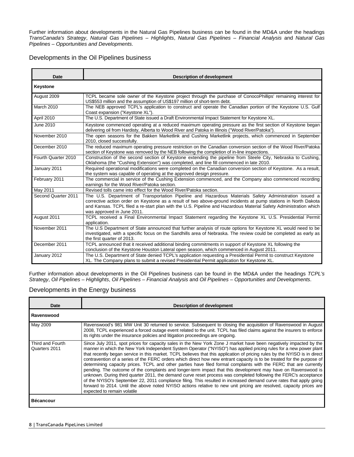Further information about developments in the Natural Gas Pipelines business can be found in the MD&A under the headings *TransCanada's Strategy*, *Natural Gas Pipelines – Highlights*, *Natural Gas Pipelines – Financial Analysis* and *Natural Gas Pipelines – Opportunities and Developments*.

Developments in the Oil Pipelines business

| Date                | <b>Description of development</b>                                                                                                                                                                                                                                                                                                                                         |  |
|---------------------|---------------------------------------------------------------------------------------------------------------------------------------------------------------------------------------------------------------------------------------------------------------------------------------------------------------------------------------------------------------------------|--|
| Keystone            |                                                                                                                                                                                                                                                                                                                                                                           |  |
| August 2009         | TCPL became sole owner of the Keystone project through the purchase of ConocoPhillips' remaining interest for<br>US\$553 million and the assumption of US\$197 million of short-term debt.                                                                                                                                                                                |  |
| March 2010          | The NEB approved TCPL's application to construct and operate the Canadian portion of the Keystone U.S. Gulf<br>Coast expansion ("Keystone XL").                                                                                                                                                                                                                           |  |
| April 2010          | The U.S. Department of State issued a Draft Environmental Impact Statement for Keystone XL.                                                                                                                                                                                                                                                                               |  |
| June 2010           | Keystone commenced operating at a reduced maximum operating pressure as the first section of Keystone began<br>delivering oil from Hardisty, Alberta to Wood River and Patoka in Illinois ("Wood River/Patoka").                                                                                                                                                          |  |
| November 2010       | The open seasons for the Bakken Marketlink and Cushing Marketlink projects, which commenced in September<br>2010, closed successfully.                                                                                                                                                                                                                                    |  |
| December 2010       | The reduced maximum operating pressure restriction on the Canadian conversion section of the Wood River/Patoka<br>section of Keystone was removed by the NEB following the completion of in-line inspections.                                                                                                                                                             |  |
| Fourth Quarter 2010 | Construction of the second section of Keystone extending the pipeline from Steele City, Nebraska to Cushing,<br>Oklahoma (the "Cushing Extension") was completed, and line fill commenced in late 2010.                                                                                                                                                                   |  |
| January 2011        | Required operational modifications were completed on the Canadian conversion section of Keystone. As a result,<br>the system was capable of operating at the approved design pressure.                                                                                                                                                                                    |  |
| February 2011       | The commercial in service of the Cushing Extension commenced, and the Company also commenced recording<br>earnings for the Wood River/Patoka section.                                                                                                                                                                                                                     |  |
| May 2011            | Revised tolls came into effect for the Wood River/Patoka section.                                                                                                                                                                                                                                                                                                         |  |
| Second Quarter 2011 | The U.S. Department of Transportation Pipeline and Hazardous Materials Safety Administration issued a<br>corrective action order on Keystone as a result of two above-ground incidents at pump stations in North Dakota<br>and Kansas. TCPL filed a re-start plan with the U.S. Pipeline and Hazardous Material Safety Administration which<br>was approved in June 2011. |  |
| August 2011         | TCPL received a Final Environmental Impact Statement regarding the Keystone XL U.S. Presidential Permit<br>application.                                                                                                                                                                                                                                                   |  |
| November 2011       | The U.S Department of State announced that further analysis of route options for Keystone XL would need to be<br>investigated, with a specific focus on the Sandhills area of Nebraska. The review could be completed as early as<br>the first quarter of 2013.                                                                                                           |  |
| December 2011       | TCPL announced that it received additional binding commitments in support of Keystone XL following the<br>conclusion of the Keystone Houston Lateral open season, which commenced in August 2011.                                                                                                                                                                         |  |
| January 2012        | The U.S. Department of State denied TCPL's application requesting a Presidential Permit to construct Keystone<br>XL. The Company plans to submit a revised Presidential Permit application for Keystone XL.                                                                                                                                                               |  |

Further information about developments in the Oil Pipelines business can be found in the MD&A under the headings *TCPL's Strategy*, *Oil Pipelines – Highlights*, *Oil Pipelines – Financial Analysis* and *Oil Pipelines – Opportunities and Developments*.

# Developments in the Energy business

| Date                              | <b>Description of development</b>                                                                                                                                                                                                                                                                                                                                                                                                                                                                                                                                                                                                                                                                                                                                                                                                                                                                                                                                                                                                                                                                                                       |
|-----------------------------------|-----------------------------------------------------------------------------------------------------------------------------------------------------------------------------------------------------------------------------------------------------------------------------------------------------------------------------------------------------------------------------------------------------------------------------------------------------------------------------------------------------------------------------------------------------------------------------------------------------------------------------------------------------------------------------------------------------------------------------------------------------------------------------------------------------------------------------------------------------------------------------------------------------------------------------------------------------------------------------------------------------------------------------------------------------------------------------------------------------------------------------------------|
| Ravenswood                        |                                                                                                                                                                                                                                                                                                                                                                                                                                                                                                                                                                                                                                                                                                                                                                                                                                                                                                                                                                                                                                                                                                                                         |
| May 2009                          | Ravenswood's 981 MW Unit 30 returned to service. Subsequent to closing the acquisition of Ravenswood in August<br>2008. TCPL experienced a forced outage event related to the unit. TCPL has filed claims against the insurers to enforce<br>its rights under the insurance policies and litigation proceedings are ongoing.                                                                                                                                                                                                                                                                                                                                                                                                                                                                                                                                                                                                                                                                                                                                                                                                            |
| Third and Fourth<br>Quarters 2011 | Since July 2011, spot prices for capacity sales in the New York Zone J market have been negatively impacted by the<br>manner in which the New York Independent System Operator ("NYISO") has applied pricing rules for a new power plant<br>that recently began service in this market. TCPL believes that this application of pricing rules by the NYISO is in direct<br>contravention of a series of the FERC orders which direct how new entrant capacity is to be treated for the purpose of<br>determining capacity prices. TCPL and other parties have filed formal complaints with the FERC that are currently<br>pending. The outcome of the complaints and longer-term impact that this development may have on Ravenswood is<br>unknown. During third quarter 2011, the demand curve reset process was completed following the FERC's acceptance<br>of the NYISO's September 22, 2011 compliance filing. This resulted in increased demand curve rates that apply going<br>forward to 2014. Until the above noted NYISO actions relative to new unit pricing are resolved, capacity prices are<br>expected to remain volatile |
| <b>Bécancour</b>                  |                                                                                                                                                                                                                                                                                                                                                                                                                                                                                                                                                                                                                                                                                                                                                                                                                                                                                                                                                                                                                                                                                                                                         |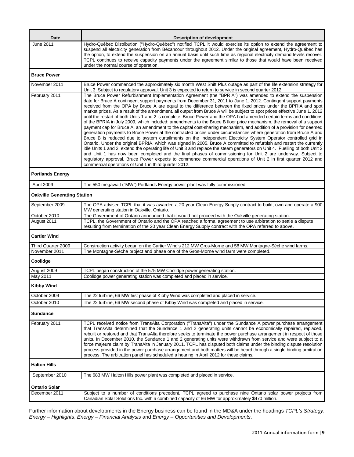| Date                               | <b>Description of development</b>                                                                                                                                                                                                                                                                                                                                                                                                                                                                                                                                                                                                                                                                                                                                                                                                                                                                                                                                                                                                                                                                                                                                                                                                                                                                                                                                                                                                                                                                                                                                                                                                                |
|------------------------------------|--------------------------------------------------------------------------------------------------------------------------------------------------------------------------------------------------------------------------------------------------------------------------------------------------------------------------------------------------------------------------------------------------------------------------------------------------------------------------------------------------------------------------------------------------------------------------------------------------------------------------------------------------------------------------------------------------------------------------------------------------------------------------------------------------------------------------------------------------------------------------------------------------------------------------------------------------------------------------------------------------------------------------------------------------------------------------------------------------------------------------------------------------------------------------------------------------------------------------------------------------------------------------------------------------------------------------------------------------------------------------------------------------------------------------------------------------------------------------------------------------------------------------------------------------------------------------------------------------------------------------------------------------|
| June 2011                          | Hydro-Québec Distribution ("Hydro-Québec") notified TCPL it would exercise its option to extend the agreement to<br>suspend all electricity generation from Bécancour throughout 2012. Under the original agreement, Hydro-Québec has<br>the option, to extend the suspension on an annual basis until such time as regional electricity demand levels recover.<br>TCPL continues to receive capacity payments under the agreement similar to those that would have been received<br>under the normal course of operation.                                                                                                                                                                                                                                                                                                                                                                                                                                                                                                                                                                                                                                                                                                                                                                                                                                                                                                                                                                                                                                                                                                                       |
| <b>Bruce Power</b>                 |                                                                                                                                                                                                                                                                                                                                                                                                                                                                                                                                                                                                                                                                                                                                                                                                                                                                                                                                                                                                                                                                                                                                                                                                                                                                                                                                                                                                                                                                                                                                                                                                                                                  |
| November 2011                      | Bruce Power commenced the approximately six month West Shift Plus outage as part of the life extension strategy for<br>Unit 3. Subject to regulatory approval, Unit 3 is expected to return to service in second quarter 2012.                                                                                                                                                                                                                                                                                                                                                                                                                                                                                                                                                                                                                                                                                                                                                                                                                                                                                                                                                                                                                                                                                                                                                                                                                                                                                                                                                                                                                   |
| February 2011                      | The Bruce Power Refurbishment Implementation Agreement (the "BPRIA") was amended to extend the suspension<br>date for Bruce A contingent support payments from December 31, 2011 to June 1, 2012. Contingent support payments<br>received from the OPA by Bruce A are equal to the difference between the fixed prices under the BPRIA and spot<br>market prices. As a result of the amendment, all output from Bruce A will be subject to spot prices effective June 1, 2012<br>until the restart of both Units 1 and 2 is complete. Bruce Power and the OPA had amended certain terms and conditions<br>of the BPRIA in July 2009, which included: amendments to the Bruce B floor price mechanism, the removal of a support<br>payment cap for Bruce A, an amendment to the capital cost-sharing mechanism, and addition of a provision for deemed<br>generation payments to Bruce Power at the contracted prices under circumstances where generation from Bruce A and<br>Bruce B is reduced due to system curtailments on the Independent Electricity System Operator controlled grid in<br>Ontario. Under the original BPRIA, which was signed in 2005, Bruce A committed to refurbish and restart the currently<br>idle Units 1 and 2, extend the operating life of Unit 3 and replace the steam generators on Unit 4. Fuelling of both Unit 2<br>and Unit 1 has now been completed and the final phases of commissioning for Unit 2 are underway. Subject to<br>regulatory approval, Bruce Power expects to commence commercial operations of Unit 2 in first quarter 2012 and<br>commercial operations of Unit 1 in third quarter 2012. |
| <b>Portlands Energy</b>            |                                                                                                                                                                                                                                                                                                                                                                                                                                                                                                                                                                                                                                                                                                                                                                                                                                                                                                                                                                                                                                                                                                                                                                                                                                                                                                                                                                                                                                                                                                                                                                                                                                                  |
| April 2009                         | The 550 megawatt ("MW") Portlands Energy power plant was fully commissioned.                                                                                                                                                                                                                                                                                                                                                                                                                                                                                                                                                                                                                                                                                                                                                                                                                                                                                                                                                                                                                                                                                                                                                                                                                                                                                                                                                                                                                                                                                                                                                                     |
| <b>Oakville Generating Station</b> |                                                                                                                                                                                                                                                                                                                                                                                                                                                                                                                                                                                                                                                                                                                                                                                                                                                                                                                                                                                                                                                                                                                                                                                                                                                                                                                                                                                                                                                                                                                                                                                                                                                  |
| September 2009                     | The OPA advised TCPL that it was awarded a 20 year Clean Energy Supply contract to build, own and operate a 900<br>MW generating station in Oakville, Ontario.                                                                                                                                                                                                                                                                                                                                                                                                                                                                                                                                                                                                                                                                                                                                                                                                                                                                                                                                                                                                                                                                                                                                                                                                                                                                                                                                                                                                                                                                                   |
| October 2010                       | The Government of Ontario announced that it would not proceed with the Oakville generating station.                                                                                                                                                                                                                                                                                                                                                                                                                                                                                                                                                                                                                                                                                                                                                                                                                                                                                                                                                                                                                                                                                                                                                                                                                                                                                                                                                                                                                                                                                                                                              |
| August 2011                        | TCPL, the Government of Ontario and the OPA reached a formal agreement to use arbitration to settle a dispute<br>resulting from termination of the 20 year Clean Energy Supply contract with the OPA referred to above.                                                                                                                                                                                                                                                                                                                                                                                                                                                                                                                                                                                                                                                                                                                                                                                                                                                                                                                                                                                                                                                                                                                                                                                                                                                                                                                                                                                                                          |
| <b>Cartier Wind</b>                |                                                                                                                                                                                                                                                                                                                                                                                                                                                                                                                                                                                                                                                                                                                                                                                                                                                                                                                                                                                                                                                                                                                                                                                                                                                                                                                                                                                                                                                                                                                                                                                                                                                  |
| Third Quarter 2009                 | Construction activity began on the Cartier Wind's 212 MW Gros-Morne and 58 MW Montagne-Sèche wind farms.                                                                                                                                                                                                                                                                                                                                                                                                                                                                                                                                                                                                                                                                                                                                                                                                                                                                                                                                                                                                                                                                                                                                                                                                                                                                                                                                                                                                                                                                                                                                         |
| November 2011                      | The Montagne-Sèche project and phase one of the Gros-Morne wind farm were completed.                                                                                                                                                                                                                                                                                                                                                                                                                                                                                                                                                                                                                                                                                                                                                                                                                                                                                                                                                                                                                                                                                                                                                                                                                                                                                                                                                                                                                                                                                                                                                             |
| Coolidge                           |                                                                                                                                                                                                                                                                                                                                                                                                                                                                                                                                                                                                                                                                                                                                                                                                                                                                                                                                                                                                                                                                                                                                                                                                                                                                                                                                                                                                                                                                                                                                                                                                                                                  |
| August 2009                        | TCPL began construction of the 575 MW Coolidge power generating station.                                                                                                                                                                                                                                                                                                                                                                                                                                                                                                                                                                                                                                                                                                                                                                                                                                                                                                                                                                                                                                                                                                                                                                                                                                                                                                                                                                                                                                                                                                                                                                         |
| May 2011                           | Coolidge power generating station was completed and placed in service.                                                                                                                                                                                                                                                                                                                                                                                                                                                                                                                                                                                                                                                                                                                                                                                                                                                                                                                                                                                                                                                                                                                                                                                                                                                                                                                                                                                                                                                                                                                                                                           |
| <b>Kibby Wind</b>                  |                                                                                                                                                                                                                                                                                                                                                                                                                                                                                                                                                                                                                                                                                                                                                                                                                                                                                                                                                                                                                                                                                                                                                                                                                                                                                                                                                                                                                                                                                                                                                                                                                                                  |
| October 2009                       | The 22 turbine, 66 MW first phase of Kibby Wind was completed and placed in service.                                                                                                                                                                                                                                                                                                                                                                                                                                                                                                                                                                                                                                                                                                                                                                                                                                                                                                                                                                                                                                                                                                                                                                                                                                                                                                                                                                                                                                                                                                                                                             |
| October 2010                       | The 22 turbine, 66 MW second phase of Kibby Wind was completed and placed in service.                                                                                                                                                                                                                                                                                                                                                                                                                                                                                                                                                                                                                                                                                                                                                                                                                                                                                                                                                                                                                                                                                                                                                                                                                                                                                                                                                                                                                                                                                                                                                            |
| <b>Sundance</b>                    |                                                                                                                                                                                                                                                                                                                                                                                                                                                                                                                                                                                                                                                                                                                                                                                                                                                                                                                                                                                                                                                                                                                                                                                                                                                                                                                                                                                                                                                                                                                                                                                                                                                  |
| February 2011                      | TCPL received notice from TransAlta Corporation ("TransAlta") under the Sundance A power purchase arrangement<br>that TransAlta determined that the Sundance 1 and 2 generating units cannot be economically repaired, replaced,<br>rebuilt or restored and that TransAlta therefore seeks to terminate the power purchase arrangement in respect of those<br>units. In December 2010, the Sundance 1 and 2 generating units were withdrawn from service and were subject to a<br>force majeure claim by TransAlta in January 2011. TCPL has disputed both claims under the binding dispute resolution<br>process provided in the power purchase arrangement and both matters will be heard through a single binding arbitration<br>process. The arbitration panel has scheduled a hearing in April 2012 for these claims.                                                                                                                                                                                                                                                                                                                                                                                                                                                                                                                                                                                                                                                                                                                                                                                                                       |
| <b>Halton Hills</b>                |                                                                                                                                                                                                                                                                                                                                                                                                                                                                                                                                                                                                                                                                                                                                                                                                                                                                                                                                                                                                                                                                                                                                                                                                                                                                                                                                                                                                                                                                                                                                                                                                                                                  |
| September 2010                     | The 683 MW Halton Hills power plant was completed and placed in service.                                                                                                                                                                                                                                                                                                                                                                                                                                                                                                                                                                                                                                                                                                                                                                                                                                                                                                                                                                                                                                                                                                                                                                                                                                                                                                                                                                                                                                                                                                                                                                         |
| <b>Ontario Solar</b>               |                                                                                                                                                                                                                                                                                                                                                                                                                                                                                                                                                                                                                                                                                                                                                                                                                                                                                                                                                                                                                                                                                                                                                                                                                                                                                                                                                                                                                                                                                                                                                                                                                                                  |
| December 2011                      | Subject to a number of conditions precedent, TCPL agreed to purchase nine Ontario solar power projects from                                                                                                                                                                                                                                                                                                                                                                                                                                                                                                                                                                                                                                                                                                                                                                                                                                                                                                                                                                                                                                                                                                                                                                                                                                                                                                                                                                                                                                                                                                                                      |
|                                    | Canadian Solar Solutions Inc. with a combined capacity of 86 MW for approximately \$470 million.                                                                                                                                                                                                                                                                                                                                                                                                                                                                                                                                                                                                                                                                                                                                                                                                                                                                                                                                                                                                                                                                                                                                                                                                                                                                                                                                                                                                                                                                                                                                                 |

Further information about developments in the Energy business can be found in the MD&A under the headings *TCPL's Strategy*, *Energy – Highlights*, *Energy – Financial Analysis* and *Energy – Opportunities and Developments*.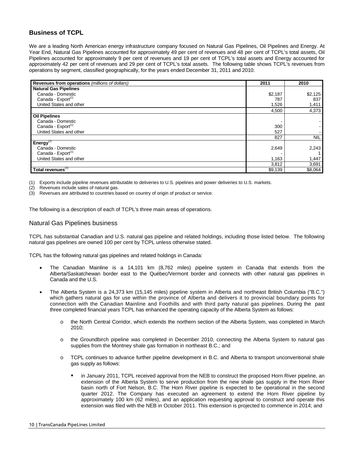# **Business of TCPL**

We are a leading North American energy infrastructure company focused on Natural Gas Pipelines, Oil Pipelines and Energy. At Year End, Natural Gas Pipelines accounted for approximately 49 per cent of revenues and 48 per cent of TCPL's total assets, Oil Pipelines accounted for approximately 9 per cent of revenues and 19 per cent of TCPL's total assets and Energy accounted for approximately 42 per cent of revenues and 29 per cent of TCPL's total assets. The following table shows TCPL's revenues from operations by segment, classified geographically, for the years ended December 31, 2011 and 2010.

| Revenues from operations (millions of dollars) | 2011    | 2010       |
|------------------------------------------------|---------|------------|
| <b>Natural Gas Pipelines</b>                   |         |            |
| Canada - Domestic                              | \$2,187 | \$2,125    |
| Canada - Export <sup>(1)</sup>                 | 787     | 837        |
| United States and other                        | 1,526   | 1,411      |
|                                                | 4,500   | 4,373      |
| <b>Oil Pipelines</b>                           |         |            |
| Canada - Domestic                              |         |            |
| Canada - Export <sup>(1)</sup>                 | 300     |            |
| United States and other                        | 527     |            |
|                                                | 827     | <b>NIL</b> |
| Energy $^{(2)}$                                |         |            |
| Canada - Domestic                              |         | 2,243      |
| Canada - Export <sup>(1)</sup>                 |         |            |
| United States and other                        | 1,163   | 1,447      |
|                                                | 3,812   | 3,691      |
| Total revenues <sup>(3)</sup>                  | \$9,139 | \$8,064    |

(1) Exports include pipeline revenues attributable to deliveries to U.S. pipelines and power deliveries to U.S. markets.

(2) Revenues include sales of natural gas.

(3) Revenues are attributed to countries based on country of origin of product or service.

The following is a description of each of TCPL's three main areas of operations.

### Natural Gas Pipelines business

TCPL has substantial Canadian and U.S. natural gas pipeline and related holdings, including those listed below. The following natural gas pipelines are owned 100 per cent by TCPL unless otherwise stated.

TCPL has the following natural gas pipelines and related holdings in Canada:

- The Canadian Mainline is a 14,101 km (8,762 miles) pipeline system in Canada that extends from the Alberta/Saskatchewan border east to the Québec/Vermont border and connects with other natural gas pipelines in Canada and the U.S.
- The Alberta System is a 24,373 km (15,145 miles) pipeline system in Alberta and northeast British Columbia (''B.C.'') which gathers natural gas for use within the province of Alberta and delivers it to provincial boundary points for connection with the Canadian Mainline and Foothills and with third party natural gas pipelines. During the past three completed financial years TCPL has enhanced the operating capacity of the Alberta System as follows:
	- o the North Central Corridor, which extends the northern section of the Alberta System, was completed in March 2010;
	- o the Groundbirch pipeline was completed in December 2010, connecting the Alberta System to natural gas supplies from the Montney shale gas formation in northeast B.C.; and
	- TCPL continues to advance further pipeline development in B.C. and Alberta to transport unconventional shale gas supply as follows:
		- in January 2011, TCPL received approval from the NEB to construct the proposed Horn River pipeline, an extension of the Alberta System to serve production from the new shale gas supply in the Horn River basin north of Fort Nelson, B.C. The Horn River pipeline is expected to be operational in the second quarter 2012. The Company has executed an agreement to extend the Horn River pipeline by approximately 100 km (62 miles), and an application requesting approval to construct and operate this extension was filed with the NEB in October 2011. This extension is projected to commence in 2014; and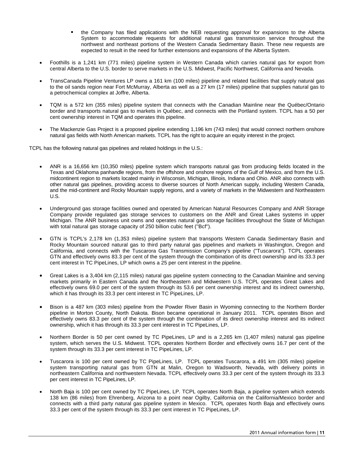- the Company has filed applications with the NEB requesting approval for expansions to the Alberta System to accommodate requests for additional natural gas transmission service throughout the northwest and northeast portions of the Western Canada Sedimentary Basin. These new requests are expected to result in the need for further extensions and expansions of the Alberta System.
- Foothills is a 1,241 km (771 miles) pipeline system in Western Canada which carries natural gas for export from central Alberta to the U.S. border to serve markets in the U.S. Midwest, Pacific Northwest, California and Nevada.
- TransCanada Pipeline Ventures LP owns a 161 km (100 miles) pipeline and related facilities that supply natural gas to the oil sands region near Fort McMurray, Alberta as well as a 27 km (17 miles) pipeline that supplies natural gas to a petrochemical complex at Joffre, Alberta.
- TQM is a 572 km (355 miles) pipeline system that connects with the Canadian Mainline near the Québec/Ontario border and transports natural gas to markets in Québec, and connects with the Portland system. TCPL has a 50 per cent ownership interest in TQM and operates this pipeline.
- The Mackenzie Gas Project is a proposed pipeline extending 1,196 km (743 miles) that would connect northern onshore natural gas fields with North American markets. TCPL has the right to acquire an equity interest in the project.

TCPL has the following natural gas pipelines and related holdings in the U.S.:

- ANR is a 16,656 km (10,350 miles) pipeline system which transports natural gas from producing fields located in the Texas and Oklahoma panhandle regions, from the offshore and onshore regions of the Gulf of Mexico, and from the U.S. midcontinent region to markets located mainly in Wisconsin, Michigan, Illinois, Indiana and Ohio. ANR also connects with other natural gas pipelines, providing access to diverse sources of North American supply, including Western Canada, and the mid-continent and Rocky Mountain supply regions, and a variety of markets in the Midwestern and Northeastern U.S.
- Underground gas storage facilities owned and operated by American Natural Resources Company and ANR Storage Company provide regulated gas storage services to customers on the ANR and Great Lakes systems in upper Michigan. The ANR business unit owns and operates natural gas storage facilities throughout the State of Michigan with total natural gas storage capacity of 250 billion cubic feet (''Bcf'').
- GTN is TCPL's 2,178 km (1,353 miles) pipeline system that transports Western Canada Sedimentary Basin and Rocky Mountain sourced natural gas to third party natural gas pipelines and markets in Washington, Oregon and California, and connects with the Tuscarora Gas Transmission Company's pipeline ("Tuscarora"). TCPL operates GTN and effectively owns 83.3 per cent of the system through the combination of its direct ownership and its 33.3 per cent interest in TC PipeLines, LP which owns a 25 per cent interest in the pipeline.
- Great Lakes is a 3,404 km (2,115 miles) natural gas pipeline system connecting to the Canadian Mainline and serving markets primarily in Eastern Canada and the Northeastern and Midwestern U.S. TCPL operates Great Lakes and effectively owns 69.0 per cent of the system through its 53.6 per cent ownership interest and its indirect ownership, which it has through its 33.3 per cent interest in TC PipeLines, LP.
- Bison is a 487 km (303 miles) pipeline from the Powder River Basin in Wyoming connecting to the Northern Border pipeline in Morton County, North Dakota. Bison became operational in January 2011. TCPL operates Bison and effectively owns 83.3 per cent of the system through the combination of its direct ownership interest and its indirect ownership, which it has through its 33.3 per cent interest in TC PipeLines, LP.
- Northern Border is 50 per cent owned by TC PipeLines, LP and is a 2,265 km (1,407 miles) natural gas pipeline system, which serves the U.S. Midwest. TCPL operates Northern Border and effectively owns 16.7 per cent of the system through its 33.3 per cent interest in TC PipeLines, LP.
- Tuscarora is 100 per cent owned by TC PipeLines, LP. TCPL operates Tuscarora, a 491 km (305 miles) pipeline system transporting natural gas from GTN at Malin, Oregon to Wadsworth, Nevada, with delivery points in northeastern California and northwestern Nevada. TCPL effectively owns 33.3 per cent of the system through its 33.3 per cent interest in TC PipeLines, LP.
- North Baja is 100 per cent owned by TC PipeLines, LP. TCPL operates North Baja, a pipeline system which extends 138 km (86 miles) from Ehrenberg, Arizona to a point near Ogilby, California on the California/Mexico border and connects with a third party natural gas pipeline system in Mexico. TCPL operates North Baja and effectively owns 33.3 per cent of the system through its 33.3 per cent interest in TC PipeLines, LP.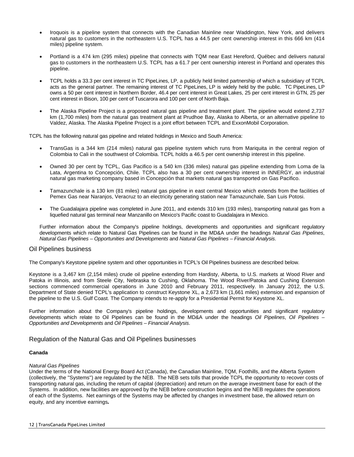- Iroquois is a pipeline system that connects with the Canadian Mainline near Waddington, New York, and delivers natural gas to customers in the northeastern U.S. TCPL has a 44.5 per cent ownership interest in this 666 km (414 miles) pipeline system.
- Portland is a 474 km (295 miles) pipeline that connects with TQM near East Hereford, Québec and delivers natural gas to customers in the northeastern U.S. TCPL has a 61.7 per cent ownership interest in Portland and operates this pipeline.
- TCPL holds a 33.3 per cent interest in TC PipeLines, LP, a publicly held limited partnership of which a subsidiary of TCPL acts as the general partner. The remaining interest of TC PipeLines, LP is widely held by the public. TC PipeLines, LP owns a 50 per cent interest in Northern Border, 46.4 per cent interest in Great Lakes, 25 per cent interest in GTN, 25 per cent interest in Bison, 100 per cent of Tuscarora and 100 per cent of North Baja.
- The Alaska Pipeline Project is a proposed natural gas pipeline and treatment plant. The pipeline would extend 2,737 km (1,700 miles) from the natural gas treatment plant at Prudhoe Bay, Alaska to Alberta, or an alternative pipeline to Valdez, Alaska. The Alaska Pipeline Project is a joint effort between TCPL and ExxonMobil Corporation.

TCPL has the following natural gas pipeline and related holdings in Mexico and South America:

- TransGas is a 344 km (214 miles) natural gas pipeline system which runs from Mariquita in the central region of Colombia to Cali in the southwest of Colombia. TCPL holds a 46.5 per cent ownership interest in this pipeline.
- Owned 30 per cent by TCPL, Gas Pacifico is a 540 km (336 miles) natural gas pipeline extending from Loma de la Lata, Argentina to Concepción, Chile. TCPL also has a 30 per cent ownership interest in INNERGY, an industrial natural gas marketing company based in Concepción that markets natural gas transported on Gas Pacifico.
- Tamazunchale is a 130 km (81 miles) natural gas pipeline in east central Mexico which extends from the facilities of Pemex Gas near Naranjos, Veracruz to an electricity generating station near Tamazunchale, San Luis Potosi.
- The Guadalajara pipeline was completed in June 2011, and extends 310 km (193 miles), transporting natural gas from a liquefied natural gas terminal near Manzanillo on Mexico's Pacific coast to Guadalajara in Mexico.

Further information about the Company's pipeline holdings, developments and opportunities and significant regulatory developments which relate to Natural Gas Pipelines can be found in the MD&A under the headings *Natural Gas Pipelines*, *Natural Gas Pipelines – Opportunities and Developments* and *Natural Gas Pipelines – Financial Analysis*.

### Oil Pipelines business

The Company's Keystone pipeline system and other opportunities in TCPL's Oil Pipelines business are described below.

Keystone is a 3,467 km (2,154 miles) crude oil pipeline extending from Hardisty, Alberta, to U.S. markets at Wood River and Patoka in Illinois, and from Steele City, Nebraska to Cushing, Oklahoma. The Wood River/Patoka and Cushing Extension sections commenced commercial operations in June 2010 and February 2011, respectively. In January 2012, the U.S. Department of State denied TCPL's application to construct Keystone XL, a 2,673 km (1,661 miles) extension and expansion of the pipeline to the U.S. Gulf Coast. The Company intends to re-apply for a Presidential Permit for Keystone XL.

Further information about the Company's pipeline holdings, developments and opportunities and significant regulatory developments which relate to Oil Pipelines can be found in the MD&A under the headings *Oil Pipelines*, *Oil Pipelines – Opportunities and Developments* and *Oil Pipelines – Financial Analysis*.

Regulation of the Natural Gas and Oil Pipelines businesses

### **Canada**

#### *Natural Gas Pipelines*

Under the terms of the National Energy Board Act (Canada), the Canadian Mainline, TQM, Foothills, and the Alberta System (collectively, the ''Systems'') are regulated by the NEB. The NEB sets tolls that provide TCPL the opportunity to recover costs of transporting natural gas, including the return of capital (depreciation) and return on the average investment base for each of the Systems. In addition, new facilities are approved by the NEB before construction begins and the NEB regulates the operations of each of the Systems. Net earnings of the Systems may be affected by changes in investment base, the allowed return on equity, and any incentive earnings*.*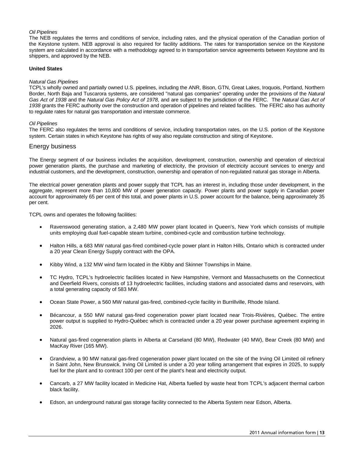### *Oil Pipelines*

The NEB regulates the terms and conditions of service, including rates, and the physical operation of the Canadian portion of the Keystone system. NEB approval is also required for facility additions. The rates for transportation service on the Keystone system are calculated in accordance with a methodology agreed to in transportation service agreements between Keystone and its shippers, and approved by the NEB.

#### **United States**

#### *Natural Gas Pipelines*

TCPL's wholly owned and partially owned U.S. pipelines, including the ANR, Bison, GTN, Great Lakes, Iroquois, Portland, Northern Border, North Baja and Tuscarora systems, are considered ''natural gas companies'' operating under the provisions of the *Natural Gas Act of 1938* and the *Natural Gas Policy Act of 1978*, and are subject to the jurisdiction of the FERC. The *Natural Gas Act of 1938* grants the FERC authority over the construction and operation of pipelines and related facilities. The FERC also has authority to regulate rates for natural gas transportation and interstate commerce.

### *Oil Pipelines*

The FERC also regulates the terms and conditions of service, including transportation rates, on the U.S. portion of the Keystone system. Certain states in which Keystone has rights of way also regulate construction and siting of Keystone.

### Energy business

The Energy segment of our business includes the acquisition, development, construction, ownership and operation of electrical power generation plants, the purchase and marketing of electricity, the provision of electricity account services to energy and industrial customers, and the development, construction, ownership and operation of non-regulated natural gas storage in Alberta.

The electrical power generation plants and power supply that TCPL has an interest in, including those under development, in the aggregate, represent more than 10,800 MW of power generation capacity. Power plants and power supply in Canadian power account for approximately 65 per cent of this total, and power plants in U.S. power account for the balance, being approximately 35 per cent.

TCPL owns and operates the following facilities:

- Ravenswood generating station, a 2,480 MW power plant located in Queen's, New York which consists of multiple units employing dual fuel-capable steam turbine, combined-cycle and combustion turbine technology.
- Halton Hills, a 683 MW natural gas-fired combined-cycle power plant in Halton Hills, Ontario which is contracted under a 20 year Clean Energy Supply contract with the OPA.
- Kibby Wind, a 132 MW wind farm located in the Kibby and Skinner Townships in Maine.
- TC Hydro, TCPL's hydroelectric facilities located in New Hampshire, Vermont and Massachusetts on the Connecticut and Deerfield Rivers, consists of 13 hydroelectric facilities, including stations and associated dams and reservoirs, with a total generating capacity of 583 MW.
- Ocean State Power, a 560 MW natural gas-fired, combined-cycle facility in Burrillville, Rhode Island.
- Bécancour, a 550 MW natural gas-fired cogeneration power plant located near Trois-Rivières, Québec. The entire power output is supplied to Hydro-Québec which is contracted under a 20 year power purchase agreement expiring in 2026.
- Natural gas-fired cogeneration plants in Alberta at Carseland (80 MW), Redwater (40 MW), Bear Creek (80 MW) and MacKay River (165 MW).
- Grandview, a 90 MW natural gas-fired cogeneration power plant located on the site of the Irving Oil Limited oil refinery in Saint John, New Brunswick. Irving Oil Limited is under a 20 year tolling arrangement that expires in 2025, to supply fuel for the plant and to contract 100 per cent of the plant's heat and electricity output.
- Cancarb, a 27 MW facility located in Medicine Hat, Alberta fuelled by waste heat from TCPL's adjacent thermal carbon black facility.
- Edson, an underground natural gas storage facility connected to the Alberta System near Edson, Alberta.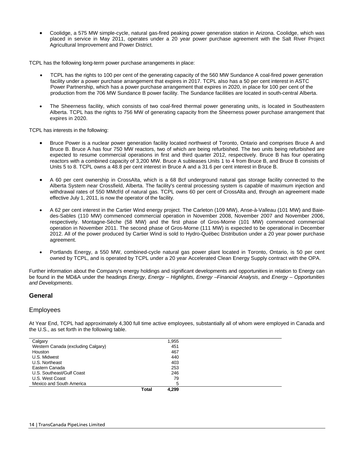• Coolidge, a 575 MW simple-cycle, natural gas-fired peaking power generation station in Arizona. Coolidge, which was placed in service in May 2011, operates under a 20 year power purchase agreement with the Salt River Project Agricultural Improvement and Power District.

TCPL has the following long-term power purchase arrangements in place:

- TCPL has the rights to 100 per cent of the generating capacity of the 560 MW Sundance A coal-fired power generation facility under a power purchase arrangement that expires in 2017. TCPL also has a 50 per cent interest in ASTC Power Partnership, which has a power purchase arrangement that expires in 2020, in place for 100 per cent of the production from the 706 MW Sundance B power facility. The Sundance facilities are located in south-central Alberta.
- The Sheerness facility, which consists of two coal-fired thermal power generating units, is located in Southeastern Alberta. TCPL has the rights to 756 MW of generating capacity from the Sheerness power purchase arrangement that expires in 2020.

TCPL has interests in the following:

- Bruce Power is a nuclear power generation facility located northwest of Toronto, Ontario and comprises Bruce A and Bruce B. Bruce A has four 750 MW reactors, two of which are being refurbished. The two units being refurbished are expected to resume commercial operations in first and third quarter 2012, respectively. Bruce B has four operating reactors with a combined capacity of 3,200 MW. Bruce A subleases Units 1 to 4 from Bruce B, and Bruce B consists of Units 5 to 8. TCPL owns a 48.8 per cent interest in Bruce A and a 31.6 per cent interest in Bruce B.
- A 60 per cent ownership in CrossAlta, which is a 68 Bcf underground natural gas storage facility connected to the Alberta System near Crossfield, Alberta. The facility's central processing system is capable of maximum injection and withdrawal rates of 550 MMcf/d of natural gas. TCPL owns 60 per cent of CrossAlta and, through an agreement made effective July 1, 2011, is now the operator of the facility.
- A 62 per cent interest in the Cartier Wind energy project. The Carleton (109 MW), Anse-à-Valleau (101 MW) and Baiedes-Sables (110 MW) commenced commercial operation in November 2008, November 2007 and November 2006, respectively. Montagne-Sèche (58 MW) and the first phase of Gros-Morne (101 MW) commenced commercial operation in November 2011. The second phase of Gros-Morne (111 MW) is expected to be operational in December 2012. All of the power produced by Cartier Wind is sold to Hydro-Québec Distribution under a 20 year power purchase agreement.
- Portlands Energy, a 550 MW, combined-cycle natural gas power plant located in Toronto, Ontario, is 50 per cent owned by TCPL, and is operated by TCPL under a 20 year Accelerated Clean Energy Supply contract with the OPA.

Further information about the Company's energy holdings and significant developments and opportunities in relation to Energy can be found in the MD&A under the headings *Energy*, *Energy – Highlights*, *Energy –Financial Analysis*, and *Energy – Opportunities and Developments*.

### **General**

### Employees

At Year End, TCPL had approximately 4,300 full time active employees, substantially all of whom were employed in Canada and the U.S., as set forth in the following table.

| Calgary                            | 1,955          |  |
|------------------------------------|----------------|--|
| Western Canada (excluding Calgary) | 451            |  |
| Houston                            | 467            |  |
| U.S. Midwest                       | 440            |  |
| U.S. Northeast                     | 403            |  |
| Eastern Canada                     | 253            |  |
| U.S. Southeast/Gulf Coast          | 246            |  |
| U.S. West Coast                    | 79             |  |
| Mexico and South America           | 5              |  |
|                                    | Total<br>4,299 |  |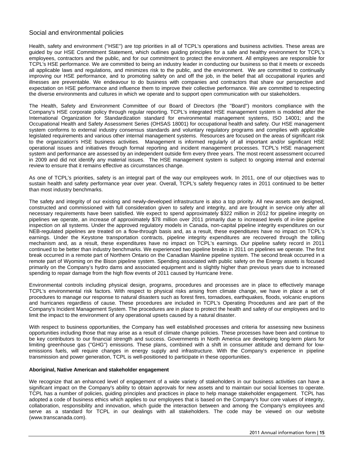# Social and environmental policies

Health, safety and environment (''HSE'') are top priorities in all of TCPL's operations and business activities. These areas are guided by our HSE Commitment Statement, which outlines guiding principles for a safe and healthy environment for TCPL's employees, contractors and the public, and for our commitment to protect the environment. All employees are responsible for TCPL's HSE performance. We are committed to being an industry leader in conducting our business so that it meets or exceeds all applicable laws and regulations, and minimizes risk to the public, and the environment. We are committed to continually improving our HSE performance, and to promoting safety on and off the job, in the belief that all occupational injuries and illnesses are preventable. We endeavour to do business with companies and contractors that share our perspective and expectation on HSE performance and influence them to improve their collective performance. We are committed to respecting the diverse environments and cultures in which we operate and to support open communication with our stakeholders.

The Health, Safety and Environment Committee of our Board of Directors (the ''Board'') monitors compliance with the Company's HSE corporate policy through regular reporting. TCPL's integrated HSE management system is modeled after the International Organization for Standardization standard for environmental management systems, ISO 14001; and the Occupational Health and Safety Assessment Series (OHSAS 18001) for occupational health and safety. Our HSE management system conforms to external industry consensus standards and voluntary regulatory programs and complies with applicable legislated requirements and various other internal management systems. Resources are focused on the areas of significant risk to the organization's HSE business activities. Management is informed regularly of all important and/or significant HSE operational issues and initiatives through formal reporting and incident management processes. TCPL's HSE management system and performance are assessed by an independent outside firm every three years. The most recent assessment occurred in 2009 and did not identify any material issues. The HSE management system is subject to ongoing internal and external review to ensure that it remains effective as circumstances change.

As one of TCPL's priorities, safety is an integral part of the way our employees work. In 2011, one of our objectives was to sustain health and safety performance year over year. Overall, TCPL's safety frequency rates in 2011 continued to be better than most industry benchmarks.

The safety and integrity of our existing and newly-developed infrastructure is also a top priority. All new assets are designed, constructed and commissioned with full consideration given to safety and integrity, and are brought in service only after all necessary requirements have been satisfied. We expect to spend approximately \$322 million in 2012 for pipeline integrity on pipelines we operate, an increase of approximately \$78 million over 2011 primarily due to increased levels of in-line pipeline inspection on all systems. Under the approved regulatory models in Canada, non-capital pipeline integrity expenditures on our NEB-regulated pipelines are treated on a flow-through basis and, as a result, these expenditures have no impact on TCPL's earnings. Under the Keystone transportation contracts, pipeline integrity expenditures are recovered through the tolling mechanism and, as a result, these expenditures have no impact on TCPL's earnings. Our pipeline safety record in 2011 continued to be better than industry benchmarks. We experienced two pipeline breaks in 2011 on pipelines we operate. The first break occurred in a remote part of Northern Ontario on the Canadian Mainline pipeline system. The second break occurred in a remote part of Wyoming on the Bison pipeline system. Spending associated with public safety on the Energy assets is focused primarily on the Company's hydro dams and associated equipment and is slightly higher than previous years due to increased spending to repair damage from the high flow events of 2011 caused by Hurricane Irene.

Environmental controls including physical design, programs, procedures and processes are in place to effectively manage TCPL's environmental risk factors. With respect to physical risks arising from climate change, we have in place a set of procedures to manage our response to natural disasters such as forest fires, tornadoes, earthquakes, floods, volcanic eruptions and hurricanes regardless of cause. These procedures are included in TCPL's Operating Procedures and are part of the Company's Incident Management System. The procedures are in place to protect the health and safety of our employees and to limit the impact to the environment of any operational upsets caused by a natural disaster.

With respect to business opportunities, the Company has well established processes and criteria for assessing new business opportunities including those that may arise as a result of climate change policies. These processes have been and continue to be key contributors to our financial strength and success. Governments in North America are developing long-term plans for limiting greenhouse gas (''GHG'') emissions. These plans, combined with a shift in consumer attitude and demand for lowemissions fuels, will require changes in energy supply and infrastructure. With the Company's experience in pipeline transmission and power generation, TCPL is well-positioned to participate in these opportunities.

#### **Aboriginal, Native American and stakeholder engagement**

We recognize that an enhanced level of engagement of a wide variety of stakeholders in our business activities can have a significant impact on the Company's ability to obtain approvals for new assets and to maintain our social licenses to operate. TCPL has a number of policies, guiding principles and practices in place to help manage stakeholder engagement. TCPL has adopted a code of business ethics which applies to our employees that is based on the Company's four core values of integrity, collaboration, responsibility and innovation, which guide the interaction between and among the Company's employees and serve as a standard for TCPL in our dealings with all stakeholders. The code may be viewed on our website (www.transcanada.com).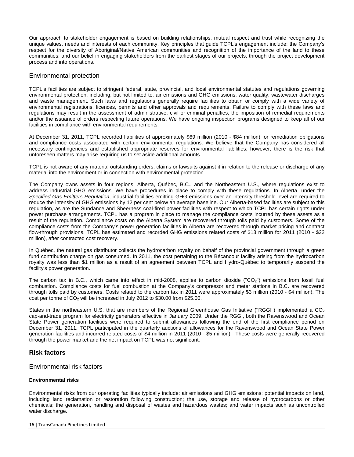Our approach to stakeholder engagement is based on building relationships, mutual respect and trust while recognizing the unique values, needs and interests of each community. Key principles that guide TCPL's engagement include: the Company's respect for the diversity of Aboriginal/Native American communities and recognition of the importance of the land to these communities; and our belief in engaging stakeholders from the earliest stages of our projects, through the project development process and into operations.

### Environmental protection

TCPL's facilities are subject to stringent federal, state, provincial, and local environmental statutes and regulations governing environmental protection, including, but not limited to, air emissions and GHG emissions, water quality, wastewater discharges and waste management. Such laws and regulations generally require facilities to obtain or comply with a wide variety of environmental registrations, licences, permits and other approvals and requirements. Failure to comply with these laws and regulations may result in the assessment of administrative, civil or criminal penalties, the imposition of remedial requirements and/or the issuance of orders respecting future operations. We have ongoing inspection programs designed to keep all of our facilities in compliance with environmental requirements.

At December 31, 2011, TCPL recorded liabilities of approximately \$69 million (2010 - \$84 million) for remediation obligations and compliance costs associated with certain environmental regulations. We believe that the Company has considered all necessary contingencies and established appropriate reserves for environmental liabilities; however, there is the risk that unforeseen matters may arise requiring us to set aside additional amounts.

TCPL is not aware of any material outstanding orders, claims or lawsuits against it in relation to the release or discharge of any material into the environment or in connection with environmental protection.

The Company owns assets in four regions, Alberta, Québec, B.C., and the Northeastern U.S., where regulations exist to address industrial GHG emissions. We have procedures in place to comply with these regulations. In Alberta, under the *Specified Gas Emitters Regulation*, industrial facilities emitting GHG emissions over an intensity threshold level are required to reduce the intensity of GHG emissions by 12 per cent below an average baseline. Our Alberta-based facilities are subject to this regulation, as are the Sundance and Sheerness coal-fired power facilities with respect to which TCPL has certain rights under power purchase arrangements. TCPL has a program in place to manage the compliance costs incurred by these assets as a result of the regulation. Compliance costs on the Alberta System are recovered through tolls paid by customers. Some of the compliance costs from the Company's power generation facilities in Alberta are recovered through market pricing and contract flow-through provisions. TCPL has estimated and recorded GHG emissions related costs of \$13 million for 2011 (2010 - \$22 million), after contracted cost recovery.

In Québec, the natural gas distributor collects the hydrocarbon royalty on behalf of the provincial government through a green fund contribution charge on gas consumed. In 2011, the cost pertaining to the Bécancour facility arising from the hydrocarbon royalty was less than \$1 million as a result of an agreement between TCPL and Hydro-Québec to temporarily suspend the facility's power generation.

The carbon tax in B.C., which came into effect in mid-2008, applies to carbon dioxide ("CO<sub>2</sub>") emissions from fossil fuel combustion. Compliance costs for fuel combustion at the Company's compressor and meter stations in B.C. are recovered through tolls paid by customers. Costs related to the carbon tax in 2011 were approximately \$3 million (2010 - \$4 million). The cost per tonne of  $CO<sub>2</sub>$  will be increased in July 2012 to \$30.00 from \$25.00.

States in the northeastern U.S. that are members of the Regional Greenhouse Gas Initiative ("RGGI") implemented a  $CO<sub>2</sub>$ cap-and-trade program for electricity generators effective in January 2009. Under the RGGI, both the Ravenswood and Ocean State Power generation facilities were required to submit allowances following the end of the first compliance period on December 31, 2011. TCPL participated in the quarterly auctions of allowances for the Ravenswood and Ocean State Power generation facilities and incurred related costs of \$4 million in 2011 (2010 - \$5 million). These costs were generally recovered through the power market and the net impact on TCPL was not significant.

# **Risk factors**

### Environmental risk factors

### **Environmental risks**

Environmental risks from our operating facilities typically include: air emissions and GHG emissions; potential impacts on land, including land reclamation or restoration following construction; the use, storage and release of hydrocarbons or other chemicals; the generation, handling and disposal of wastes and hazardous wastes; and water impacts such as uncontrolled water discharge.

#### 16 | TransCanada PipeLines Limited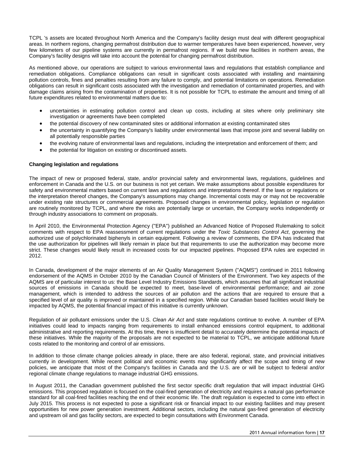TCPL 's assets are located throughout North America and the Company's facility design must deal with different geographical areas. In northern regions, changing permafrost distribution due to warmer temperatures have been experienced, however, very few kilometers of our pipeline systems are currently in permafrost regions. If we build new facilities in northern areas, the Company's facility designs will take into account the potential for changing permafrost distribution.

As mentioned above, our operations are subject to various environmental laws and regulations that establish compliance and remediation obligations. Compliance obligations can result in significant costs associated with installing and maintaining pollution controls, fines and penalties resulting from any failure to comply, and potential limitations on operations. Remediation obligations can result in significant costs associated with the investigation and remediation of contaminated properties, and with damage claims arising from the contamination of properties. It is not possible for TCPL to estimate the amount and timing of all future expenditures related to environmental matters due to:

- uncertainties in estimating pollution control and clean up costs, including at sites where only preliminary site investigation or agreements have been completed
- the potential discovery of new contaminated sites or additional information at existing contaminated sites
- the uncertainty in quantifying the Company's liability under environmental laws that impose joint and several liability on all potentially responsible parties
- the evolving nature of environmental laws and regulations, including the interpretation and enforcement of them; and
- the potential for litigation on existing or discontinued assets.

#### **Changing legislation and regulations**

The impact of new or proposed federal, state, and/or provincial safety and environmental laws, regulations, guidelines and enforcement in Canada and the U.S. on our business is not yet certain. We make assumptions about possible expenditures for safety and environmental matters based on current laws and regulations and interpretations thereof. If the laws or regulations or the interpretation thereof changes, the Company's assumptions may change. Incremental costs may or may not be recoverable under existing rate structures or commercial agreements. Proposed changes in environmental policy, legislation or regulation are routinely monitored by TCPL, and where the risks are potentially large or uncertain, the Company works independently or through industry associations to comment on proposals.

In April 2010, the Environmental Protection Agency ("EPA") published an Advanced Notice of Proposed Rulemaking to solicit comments with respect to EPA reassessment of current regulations under the *Toxic Substances Control Act*, governing the authorized use of polychlorinated biphenyls in certain equipment. Following a review of comments, the EPA has indicated that the use authorization for pipelines will likely remain in place but that requirements to use the authorization may become more strict. These changes would likely result in increased costs for our impacted pipelines. Proposed EPA rules are expected in 2012.

In Canada, development of the major elements of an Air Quality Management System (''AQMS'') continued in 2011 following endorsement of the AQMS in October 2010 by the Canadian Council of Ministers of the Environment. Two key aspects of the AQMS are of particular interest to us: the Base Level Industry Emissions Standards, which assumes that all significant industrial sources of emissions in Canada should be expected to meet, base-level of environmental performance; and air zone management, which is intended to address the sources of air pollution and the actions that are required to ensure that a specified level of air quality is improved or maintained in a specified region. While our Canadian based facilities would likely be impacted by AQMS, the potential financial impact of this initiative is currently unknown.

Regulation of air pollutant emissions under the U.S. *Clean Air Act* and state regulations continue to evolve. A number of EPA initiatives could lead to impacts ranging from requirements to install enhanced emissions control equipment, to additional administrative and reporting requirements. At this time, there is insufficient detail to accurately determine the potential impacts of these initiatives. While the majority of the proposals are not expected to be material to TCPL, we anticipate additional future costs related to the monitoring and control of air emissions.

In addition to those climate change policies already in place, there are also federal, regional, state, and provincial initiatives currently in development. While recent political and economic events may significantly affect the scope and timing of new policies, we anticipate that most of the Company's facilities in Canada and the U.S. are or will be subject to federal and/or regional climate change regulations to manage industrial GHG emissions.

In August 2011, the Canadian government published the first sector specific draft regulation that will impact industrial GHG emissions. This proposed regulation is focused on the coal-fired generation of electricity and requires a natural gas performance standard for all coal-fired facilities reaching the end of their economic life. The draft regulation is expected to come into effect in July 2015. This process is not expected to pose a significant risk or financial impact to our existing facilities and may present opportunities for new power generation investment. Additional sectors, including the natural gas-fired generation of electricity and upstream oil and gas facility sectors, are expected to begin consultations with Environment Canada.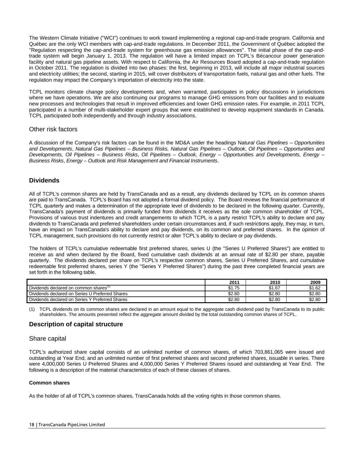The Western Climate Initiative (''WCI'') continues to work toward implementing a regional cap-and-trade program. California and Québec are the only WCI members with cap-and-trade regulations. In December 2011, the Government of Québec adopted the ''Regulation respecting the cap-and-trade system for greenhouse gas emission allowances''. The initial phase of the cap-andtrade system will begin January 1, 2013. The regulation will have a limited impact on TCPL's Bécancour power generation facility and natural gas pipeline assets. With respect to California, the Air Resources Board adopted a cap-and-trade regulation in October 2011. The regulation is divided into two phases: the first, beginning in 2013, will include all major industrial sources and electricity utilities; the second, starting in 2015, will cover distributors of transportation fuels, natural gas and other fuels. The regulation may impact the Company's importation of electricity into the state.

TCPL monitors climate change policy developments and, when warranted, participates in policy discussions in jurisdictions where we have operations. We are also continuing our programs to manage GHG emissions from our facilities and to evaluate new processes and technologies that result in improved efficiencies and lower GHG emission rates. For example, in 2011 TCPL participated in a number of multi-stakeholder expert groups that were established to develop equipment standards in Canada. TCPL participated both independently and through industry associations.

### Other risk factors

A discussion of the Company's risk factors can be found in the MD&A under the headings N*atural Gas Pipelines – Opportunities and Developments*, *Natural Gas Pipelines – Business Risks, Natural Gas Pipelines – Outlook*, *Oil Pipelines – Opportunities and Developments, Oil Pipelines – Business Risks*, *Oil Pipelines – Outlook, Energy – Opportunities and Developments, Energy – Business Risks*, *Energy – Outloo*k and *Risk Management and Financial Instruments*.

### **Dividends**

All of TCPL's common shares are held by TransCanada and as a result, any dividends declared by TCPL on its common shares are paid to TransCanada. TCPL's Board has not adopted a formal dividend policy. The Board reviews the financial performance of TCPL quarterly and makes a determination of the appropriate level of dividends to be declared in the following quarter. Currently, TransCanada's payment of dividends is primarily funded from dividends it receives as the sole common shareholder of TCPL. Provisions of various trust indentures and credit arrangements to which TCPL is a party restrict TCPL's ability to declare and pay dividends to TransCanada and preferred shareholders under certain circumstances and, if such restrictions apply, they may, in turn, have an impact on TransCanada's ability to declare and pay dividends, on its common and preferred shares. In the opinion of TCPL management, such provisions do not currently restrict or alter TCPL's ability to declare or pay dividends.

The holders of TCPL's cumulative redeemable first preferred shares, series U (the ''Series U Preferred Shares'') are entitled to receive as and when declared by the Board, fixed cumulative cash dividends at an annual rate of \$2.80 per share, payable quarterly. The dividends declared per share on TCPL's respective common shares, Series U Preferred Shares, and cumulative redeemable first preferred shares, series Y (the ''Series Y Preferred Shares'') during the past three completed financial years are set forth in the following table.

|                                                 | 2011   | 2010   | 2009   |
|-------------------------------------------------|--------|--------|--------|
| Dividends declared on common shares"            | \$1.75 | \$1.67 | \$1.62 |
| Dividends declared on Series U Preferred Shares | \$2.80 | \$2.80 | \$2.80 |
| Dividends declared on Series Y Preferred Shares | \$2.80 | \$2.80 | \$2.80 |

(1) TCPL dividends on its common shares are declared in an amount equal to the aggregate cash dividend paid by TransCanada to its public shareholders. The amounts presented reflect the aggregate amount divided by the total outstanding common shares of TCPL.

### **Description of capital structure**

### Share capital

TCPL's authorized share capital consists of an unlimited number of common shares, of which 703,861,065 were issued and outstanding at Year End, and an unlimited number of first preferred shares and second preferred shares, issuable in series. There were 4,000,000 Series U Preferred Shares and 4,000,000 Series Y Preferred Shares issued and outstanding at Year End. The following is a description of the material characteristics of each of these classes of shares.

#### **Common shares**

As the holder of all of TCPL's common shares, TransCanada holds all the voting rights in those common shares.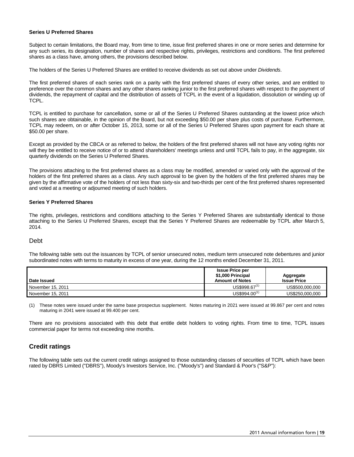### **Series U Preferred Shares**

Subject to certain limitations, the Board may, from time to time, issue first preferred shares in one or more series and determine for any such series, its designation, number of shares and respective rights, privileges, restrictions and conditions. The first preferred shares as a class have, among others, the provisions described below.

The holders of the Series U Preferred Shares are entitled to receive dividends as set out above under *Dividends*.

The first preferred shares of each series rank on a parity with the first preferred shares of every other series, and are entitled to preference over the common shares and any other shares ranking junior to the first preferred shares with respect to the payment of dividends, the repayment of capital and the distribution of assets of TCPL in the event of a liquidation, dissolution or winding up of TCPL.

TCPL is entitled to purchase for cancellation, some or all of the Series U Preferred Shares outstanding at the lowest price which such shares are obtainable, in the opinion of the Board, but not exceeding \$50.00 per share plus costs of purchase. Furthermore, TCPL may redeem, on or after October 15, 2013, some or all of the Series U Preferred Shares upon payment for each share at \$50.00 per share.

Except as provided by the CBCA or as referred to below, the holders of the first preferred shares will not have any voting rights nor will they be entitled to receive notice of or to attend shareholders' meetings unless and until TCPL fails to pay, in the aggregate, six quarterly dividends on the Series U Preferred Shares.

The provisions attaching to the first preferred shares as a class may be modified, amended or varied only with the approval of the holders of the first preferred shares as a class. Any such approval to be given by the holders of the first preferred shares may be given by the affirmative vote of the holders of not less than sixty-six and two-thirds per cent of the first preferred shares represented and voted at a meeting or adjourned meeting of such holders.

### **Series Y Preferred Shares**

The rights, privileges, restrictions and conditions attaching to the Series Y Preferred Shares are substantially identical to those attaching to the Series U Preferred Shares, except that the Series Y Preferred Shares are redeemable by TCPL after March 5, 2014.

### Debt

The following table sets out the issuances by TCPL of senior unsecured notes, medium term unsecured note debentures and junior subordinated notes with terms to maturity in excess of one year, during the 12 months ended December 31, 2011.

| Date Issued       | <b>Issue Price per</b><br>\$1,000 Principal<br><b>Amount of Notes</b> | Aggregate<br><b>Issue Price</b> |
|-------------------|-----------------------------------------------------------------------|---------------------------------|
| November 15, 2011 | $\mathsf{USS998.67}^\text{\tiny{(1)}}$                                | US\$500.000.000                 |
| November 15, 2011 | ${\sf US\$994.00^{(1)}}$                                              | US\$250.000.000                 |

(1) These notes were issued under the same base prospectus supplement. Notes maturing in 2021 were issued at 99.867 per cent and notes maturing in 2041 were issued at 99.400 per cent.

There are no provisions associated with this debt that entitle debt holders to voting rights. From time to time, TCPL issues commercial paper for terms not exceeding nine months.

# **Credit ratings**

The following table sets out the current credit ratings assigned to those outstanding classes of securities of TCPL which have been rated by DBRS Limited (''DBRS''), Moody's Investors Service, Inc. (''Moody's'') and Standard & Poor's (''S&P''):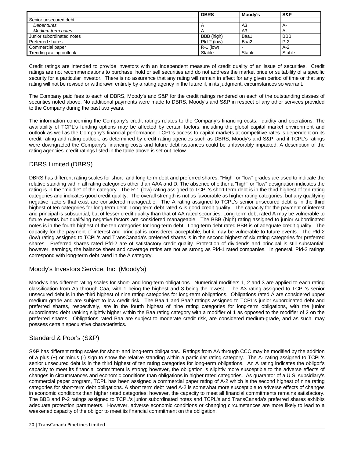|                           | <b>DBRS</b> | Moody's | S&P        |
|---------------------------|-------------|---------|------------|
| Senior unsecured debt     |             |         |            |
| Debentures                |             | A3      | $A-$       |
| Medium-term notes         |             | A3      | $A-$       |
| Junior subordinated notes | BBB (high)  | Baa1    | <b>BBB</b> |
| <b>Preferred shares</b>   | Pfd-2 (low) | Baa2    | $P-2$      |
| Commercial paper          | $R-1$ (low) |         | $A-2$      |
| Trending /rating outlook  | Stable      | Stable  | Stable     |

Credit ratings are intended to provide investors with an independent measure of credit quality of an issue of securities. Credit ratings are not recommendations to purchase, hold or sell securities and do not address the market price or suitability of a specific security for a particular investor. There is no assurance that any rating will remain in effect for any given period of time or that any rating will not be revised or withdrawn entirely by a rating agency in the future if, in its judgment, circumstances so warrant.

The Company paid fees to each of DBRS, Moody's and S&P for the credit ratings rendered on each of the outstanding classes of securities noted above. No additional payments were made to DBRS, Moody's and S&P in respect of any other services provided to the Company during the past two years.

The information concerning the Company's credit ratings relates to the Company's financing costs, liquidity and operations. The availability of TCPL's funding options may be affected by certain factors, including the global capital market environment and outlook as well as the Company's financial performance. TCPL's access to capital markets at competitive rates is dependent on its credit rating and rating outlook, as determined by credit rating agencies such as DBRS, Moody's and S&P, and if TCPL's ratings were downgraded the Company's financing costs and future debt issuances could be unfavorably impacted. A description of the rating agencies' credit ratings listed in the table above is set out below.

# DBRS Limited (DBRS)

DBRS has different rating scales for short- and long-term debt and preferred shares. ''High'' or ''low'' grades are used to indicate the relative standing within all rating categories other than AAA and D. The absence of either a ''high'' or ''low'' designation indicates the rating is in the ''middle'' of the category. The R-1 (low) rating assigned to TCPL's short-term debt is in the third highest of ten rating categories and indicates good credit quality. The overall strength is not as favourable as higher rating categories, but any qualifying negative factors that exist are considered manageable. The A rating assigned to TCPL's senior unsecured debt is in the third highest of ten categories for long-term debt. Long-term debt rated A is good credit quality. The capacity for the payment of interest and principal is substantial, but of lesser credit quality than that of AA rated securities. Long-term debt rated A may be vulnerable to future events but qualifying negative factors are considered manageable. The BBB (high) rating assigned to junior subordinated notes is in the fourth highest of the ten categories for long-term debt. Long-term debt rated BBB is of adequate credit quality. The capacity for the payment of interest and principal is considered acceptable, but it may be vulnerable to future events. The Pfd-2 (low) rating assigned to TCPL's and TransCanada's preferred shares is in the second highest of six rating categories for preferred shares. Preferred shares rated Pfd-2 are of satisfactory credit quality. Protection of dividends and principal is still substantial; however, earnings, the balance sheet and coverage ratios are not as strong as Pfd-1 rated companies. In general, Pfd-2 ratings correspond with long-term debt rated in the A category.

# Moody's Investors Service, Inc. (Moody's)

Moody's has different rating scales for short- and long-term obligations. Numerical modifiers 1, 2 and 3 are applied to each rating classification from Aa through Caa, with 1 being the highest and 3 being the lowest. The A3 rating assigned to TCPL's senior unsecured debt is in the third highest of nine rating categories for long-term obligations. Obligations rated A are considered upper medium grade and are subject to low credit risk. The Baa 1 and Baa2 ratings assigned to TCPL's junior subordinated debt and preferred shares, respectively, are in the fourth highest of nine rating categories for long-term obligations, with the junior subordinated debt ranking slightly higher within the Baa rating category with a modifier of 1 as opposed to the modifier of 2 on the preferred shares. Obligations rated Baa are subject to moderate credit risk, are considered medium-grade, and as such, may possess certain speculative characteristics.

# Standard & Poor's (S&P)

S&P has different rating scales for short- and long-term obligations. Ratings from AA through CCC may be modified by the addition of a plus (+) or minus (-) sign to show the relative standing within a particular rating category. The A- rating assigned to TCPL's senior unsecured debt is in the third highest of ten rating categories for long-term obligations. An A rating indicates the obligor's capacity to meet its financial commitment is strong; however, the obligation is slightly more susceptible to the adverse effects of changes in circumstances and economic conditions than obligations in higher rated categories. As guarantor of a U.S. subsidiary's commercial paper program, TCPL has been assigned a commercial paper rating of A-2 which is the second highest of nine rating categories for short-term debt obligations. A short term debt rated A-2 is somewhat more susceptible to adverse effects of changes in economic conditions than higher rated categories; however, the capacity to meet all financial commitments remains satisfactory. The BBB and P-2 ratings assigned to TCPL's junior subordinated notes and TCPL's and TransCanada's preferred shares exhibits adequate protection parameters. However, adverse economic conditions or changing circumstances are more likely to lead to a weakened capacity of the obligor to meet its financial commitment on the obligation.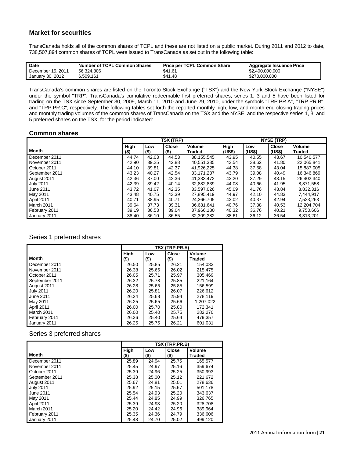# **Market for securities**

TransCanada holds all of the common shares of TCPL and these are not listed on a public market. During 2011 and 2012 to date, 738,507,894 common shares of TCPL were issued to TransCanada as set out in the following table:

| <b>Date</b>       | <b>Number of TCPL Common Shares</b> | <b>Price per TCPL Common Share</b> | <b>Aggregate Issuance Price</b> |
|-------------------|-------------------------------------|------------------------------------|---------------------------------|
| December 15, 2011 | 56.324.806                          | \$41.61                            | \$2,400,000,000                 |
| January 30, 2012  | 6.509.161                           | \$41.48                            | \$270,000,000                   |

TransCanada's common shares are listed on the Toronto Stock Exchange (''TSX'') and the New York Stock Exchange (''NYSE'') under the symbol ''TRP''. TransCanada's cumulative redeemable first preferred shares, series 1, 3 and 5 have been listed for trading on the TSX since September 30, 2009, March 11, 2010 and June 29, 2010, under the symbols ''TRP.PR.A'', ''TRP.PR.B'', and ''TRP.PR.C'', respectively. The following tables set forth the reported monthly high, low, and month-end closing trading prices and monthly trading volumes of the common shares of TransCanada on the TSX and the NYSE, and the respective series 1, 3, and 5 preferred shares on the TSX, for the period indicated:

### **Common shares**

|                  | TSX (TRP) |         |              | NYSE (TRP)    |        |        |              |               |
|------------------|-----------|---------|--------------|---------------|--------|--------|--------------|---------------|
|                  | High      | Low     | <b>Close</b> | <b>Volume</b> | High   | Low    | <b>Close</b> | <b>Volume</b> |
| Month            | $($ \$)   | $($ \$) | $($ \$)      | <b>Traded</b> | (US\$) | (US\$) | (US\$)       | <b>Traded</b> |
| December 2011    | 44.74     | 42.03   | 44.53        | 38,155,545    | 43.95  | 40.55  | 43.67        | 10,540,577    |
| November 2011    | 42.90     | 39.25   | 42.88        | 40,551,335    | 42.54  | 38.62  | 41.80        | 22,065,841    |
| October 2011     | 44.10     | 39.81   | 42.37        | 41,926,225    | 44.38  | 37.58  | 43.04        | 15,887,005    |
| September 2011   | 43.23     | 40.27   | 42.54        | 33,171,287    | 43.79  | 39.08  | 40.49        | 16,346,869    |
| August 2011      | 42.36     | 37.00   | 42.36        | 41,333,472    | 43.20  | 37.29  | 43.15        | 26,402,340    |
| <b>July 2011</b> | 42.39     | 39.42   | 40.14        | 32,882,839    | 44.08  | 40.66  | 41.95        | 8,871,558     |
| June 2011        | 43.72     | 41.07   | 42.35        | 33,597,026    | 45.09  | 41.76  | 43.84        | 8,832,316     |
| May 2011         | 43.48     | 40.75   | 43.39        | 27.895.419    | 44.97  | 42.10  | 44.83        | 7,444,917     |
| April 2011       | 40.71     | 38.95   | 40.71        | 24,366,705    | 43.02  | 40.37  | 42.94        | 7,523,263     |
| March 2011       | 39.64     | 37.73   | 39.31        | 36,681,641    | 40.76  | 37.88  | 40.53        | 12,204,704    |
| February 2011    | 39.19     | 36.53   | 39.04        | 37,966,180    | 40.32  | 36.76  | 40.21        | 9,750,606     |
| January 2011     | 38.40     | 36.10   | 36.55        | 32,309,382    | 38.61  | 36.12  | 36.54        | 8,313,201     |

### Series 1 preferred shares

|                  | TSX (TRP.PR.A) |             |                      |                         |  |  |
|------------------|----------------|-------------|----------------------|-------------------------|--|--|
| <b>Month</b>     | High<br>(\$)   | Low<br>(\$) | <b>Close</b><br>(\$) | Volume<br><b>Traded</b> |  |  |
| December 2011    | 26.50          | 25.85       | 26.21                | 154,033                 |  |  |
| November 2011    | 26.38          | 25.66       | 26.02                | 215,475                 |  |  |
| October 2011     | 26.05          | 25.71       | 25.97                | 305,469                 |  |  |
| September 2011   | 26.32          | 25.78       | 25.85                | 221.164                 |  |  |
| August 2011      | 26.28          | 25.65       | 25.85                | 156,599                 |  |  |
| <b>July 2011</b> | 26.20          | 25.81       | 26.07                | 226.612                 |  |  |
| June 2011        | 26.24          | 25.68       | 25.94                | 278,119                 |  |  |
| May 2011         | 26.25          | 25.65       | 25.66                | 1,207,022               |  |  |
| April 2011       | 26.00          | 25.70       | 25.80                | 172.341                 |  |  |
| March 2011       | 26.00          | 25.40       | 25.75                | 282,270                 |  |  |
| February 2011    | 26.36          | 25.40       | 25.64                | 479,357                 |  |  |
| January 2011     | 26.25          | 25.75       | 26.21                | 601.031                 |  |  |

### Series 3 preferred shares

|                  | TSX (TRP.PR.B) |               |       |         |  |  |
|------------------|----------------|---------------|-------|---------|--|--|
|                  | <b>High</b>    | <b>Volume</b> |       |         |  |  |
| <b>Month</b>     | (\$)           | (\$)          | (\$)  | Traded  |  |  |
| December 2011    | 25.89          | 24.94         | 25.75 | 165,577 |  |  |
| November 2011    | 25.45          | 24.97         | 25.16 | 359,674 |  |  |
| October 2011     | 25.39          | 24.96         | 25.25 | 350.993 |  |  |
| September 2011   | 25.38          | 25.00         | 25.12 | 221,672 |  |  |
| August 2011      | 25.67          | 24.81         | 25.01 | 278,636 |  |  |
| <b>July 2011</b> | 25.92          | 25.15         | 25.67 | 501,178 |  |  |
| June 2011        | 25.54          | 24.93         | 25.20 | 343.637 |  |  |
| May 2011         | 25.44          | 24.85         | 24.99 | 326,765 |  |  |
| April 2011       | 25.39          | 24.93         | 25.20 | 328,708 |  |  |
| March 2011       | 25.20          | 24.42         | 24.96 | 389,964 |  |  |
| February 2011    | 25.35          | 24.36         | 24.79 | 336,606 |  |  |
| January 2011     | 25.48          | 24.70         | 25.02 | 499.120 |  |  |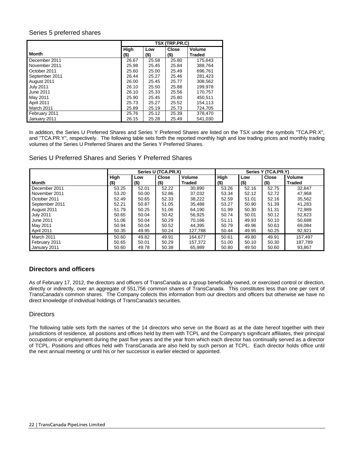# Series 5 preferred shares

|                  | TSX (TRP.PR.C) |       |       |               |  |  |
|------------------|----------------|-------|-------|---------------|--|--|
| <b>Month</b>     | High           | Low   | Close | Volume        |  |  |
|                  | (\$)           | (\$)  | (\$)  | <b>Traded</b> |  |  |
| December 2011    | 26.67          | 25.58 | 25.80 | 175,643       |  |  |
| November 2011    | 25.98          | 25.45 | 25.84 | 388.764       |  |  |
| October 2011     | 25.60          | 25.00 | 25.49 | 696.761       |  |  |
| September 2011   | 26.44          | 25.27 | 25.46 | 281.423       |  |  |
| August 2011      | 26.00          | 25.45 | 25.77 | 308,562       |  |  |
| <b>July 2011</b> | 26.10          | 25.50 | 25.88 | 199,978       |  |  |
| June 2011        | 26.10          | 25.33 | 25.56 | 170.757       |  |  |
| May 2011         | 25.90          | 25.45 | 25.80 | 450.511       |  |  |
| April 2011       | 25.73          | 25.27 | 25.52 | 154,113       |  |  |
| March 2011       | 25.89          | 25.19 | 25.73 | 724,705       |  |  |
| February 2011    | 25.76          | 25.12 | 25.39 | 378,470       |  |  |
| January 2011     | 26.15          | 25.28 | 25.49 | 541,030       |  |  |

In addition, the Series U Preferred Shares and Series Y Preferred Shares are listed on the TSX under the symbols "TCA.PR.X", and ''TCA.PR.Y'', respectively. The following table sets forth the reported monthly high and low trading prices and monthly trading volumes of the Series U Preferred Shares and the Series Y Preferred Shares.

# Series U Preferred Shares and Series Y Preferred Shares

|                  |         | Series U (TCA.PR.X) |              |               | Series Y (TCA.PR.Y) |         |              |               |
|------------------|---------|---------------------|--------------|---------------|---------------------|---------|--------------|---------------|
|                  | High    | Low                 | <b>Close</b> | <b>Volume</b> | <b>High</b>         | Low     | <b>Close</b> | <b>Volume</b> |
| Month            | $($ \$) | $($ \$)             | $($ \$)      | Traded        | $($ \$)             | $($ \$) | $($ \$)      | Traded        |
| December 2011    | 53.25   | 52.01               | 52.22        | 30.890        | 53.26               | 52.16   | 52.75        | 32,847        |
| November 2011    | 53.20   | 50.00               | 52.86        | 37,032        | 53.34               | 52.12   | 52.72        | 47,968        |
| October 2011     | 52.49   | 50.65               | 52.33        | 38,222        | 52.59               | 51.01   | 52.16        | 35,562        |
| September 2011   | 52.21   | 50.87               | 51.05        | 35,488        | 53.27               | 50.90   | 51.39        | 41,283        |
| August 2011      | 51.79   | 50.25               | 51.06        | 64,190        | 51.99               | 50.30   | 51.31        | 72,989        |
| <b>July 2011</b> | 50.65   | 50.04               | 50.42        | 56,925        | 50.74               | 50.01   | 50.12        | 52,823        |
| June 2011        | 51.06   | 50.04               | 50.29        | 70,166        | 51.11               | 49.93   | 50.10        | 50,688        |
| May 2011         | 50.94   | 50.04               | 50.52        | 44.395        | 50.79               | 49.96   | 50.63        | 69,084        |
| April 2011       | 50.35   | 49.95               | 50.24        | 127,788       | 50.44               | 49.95   | 50.25        | 92,921        |
| March 2011       | 50.60   | 49.82               | 49.91        | 164.677       | 50.61               | 49.80   | 49.91        | 157.497       |
| February 2011    | 50.65   | 50.01               | 50.29        | 157,372       | 51.00               | 50.10   | 50.30        | 187,789       |
| January 2011     | 50.60   | 49.78               | 50.38        | 65.989        | 50.80               | 49.50   | 50.60        | 93,867        |

# **Directors and officers**

As of February 17, 2012, the directors and officers of TransCanada as a group beneficially owned, or exercised control or direction, directly or indirectly, over an aggregate of 551,756 common shares of TransCanada. This constitutes less than one per cent of TransCanada's common shares. The Company collects this information from our directors and officers but otherwise we have no direct knowledge of individual holdings of TransCanada's securities.

# **Directors**

The following table sets forth the names of the 14 directors who serve on the Board as at the date hereof together with their jurisdictions of residence, all positions and offices held by them with TCPL and the Company's significant affiliates, their principal occupations or employment during the past five years and the year from which each director has continually served as a director of TCPL. Positions and offices held with TransCanada are also held by such person at TCPL. Each director holds office until the next annual meeting or until his or her successor is earlier elected or appointed.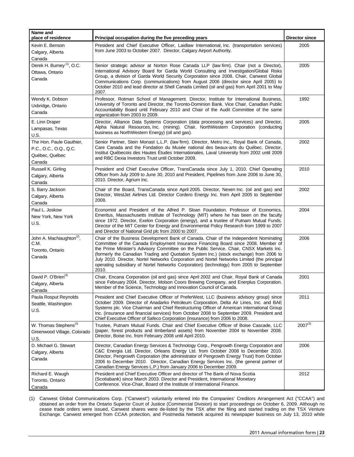| Name and<br>place of residence                                                 | Principal occupation during the five preceding years                                                                                                                                                                                                                                                                                                                                                                                                                                                                                                                  | Director since |
|--------------------------------------------------------------------------------|-----------------------------------------------------------------------------------------------------------------------------------------------------------------------------------------------------------------------------------------------------------------------------------------------------------------------------------------------------------------------------------------------------------------------------------------------------------------------------------------------------------------------------------------------------------------------|----------------|
| Kevin E. Benson<br>Calgary, Alberta<br>Canada                                  | President and Chief Executive Officer, Laidlaw International, Inc. (transportation services)<br>from June 2003 to October 2007. Director, Calgary Airport Authority.                                                                                                                                                                                                                                                                                                                                                                                                  | 2005           |
| Derek H. Burney <sup>(1)</sup> , O.C.<br>Ottawa, Ontario<br>Canada             | Senior strategic advisor at Norton Rose Canada LLP (law firm). Chair (not a Director),<br>International Advisory Board for Garda World Consulting and Investigation/Global Risks<br>Group, a division of Garda World Security Corporation since 2008. Chair, Canwest Global<br>Communications Corp. (communications) from August 2006 (director since April 2005) to<br>October 2010 and lead director at Shell Canada Limited (oil and gas) from April 2001 to May<br>2007.                                                                                          | 2005           |
| Wendy K. Dobson<br>Uxbridge, Ontario<br>Canada                                 | Professor, Rotman School of Management. Director, Institute for International Business,<br>University of Toronto and Director, the Toronto-Dominion Bank. Vice Chair, Canadian Public<br>Accountability Board until February 2010 and Chair of the Audit Committee of the same<br>organization from 2003 to 2009.                                                                                                                                                                                                                                                     | 1992           |
| E. Linn Draper<br>Lampasas, Texas<br>U.S.                                      | Director, Alliance Data Systems Corporation (data processing and services) and Director,<br>Alpha Natural Resources, Inc. (mining). Chair, NorthWestern Corporation (conducting<br>business as NorthWestern Energy) (oil and gas).                                                                                                                                                                                                                                                                                                                                    | 2005           |
| The Hon. Paule Gauthier,<br>P.C., O.C., O.Q., Q.C.<br>Québec, Québec<br>Canada | Senior Partner, Stein Monast L.L.P. (law firm). Director, Metro Inc., Royal Bank of Canada,<br>Care Canada and the Fondation du Musée national des beaux-arts du Québec. Director,<br>Institut Québecois des Hautes Études Internationales, Laval University from 2002 until 2009<br>and RBC Dexia Investors Trust until October 2009.                                                                                                                                                                                                                                | 2002           |
| Russell K. Girling<br>Calgary, Alberta<br>Canada                               | President and Chief Executive Officer, TransCanada since July 1, 2010. Chief Operating<br>Officer from July 2009 to June 30, 2010 and President, Pipelines from June 2006 to June 30,<br>2010. Director, Agrium Inc.                                                                                                                                                                                                                                                                                                                                                  | 2010           |
| S. Barry Jackson<br>Calgary, Alberta<br>Canada                                 | Chair of the Board, TransCanada since April 2005. Director, Nexen Inc. (oil and gas) and<br>Director, WestJet Airlines Ltd. Director Cordero Energy Inc. from April 2005 to September<br>2008.                                                                                                                                                                                                                                                                                                                                                                        | 2002           |
| Paul L. Joskow<br>New York, New York<br>U.S.                                   | Economist and President of the Alfred P. Sloan Foundation. Professor of Economics,<br>Emeritus, Massachusetts Institute of Technology (MIT) where he has been on the faculty<br>since 1972. Director, Exelon Corporation (energy), and a trustee of Putnam Mutual Funds.<br>Director of the MIT Center for Energy and Environmental Policy Research from 1999 to 2007<br>and Director of National Grid plc from 2000 to 2007.                                                                                                                                         | 2004           |
| John A. MacNaughton <sup>(2)</sup> ,<br>C.M.<br>Toronto, Ontario<br>Canada     | Chair of the Business Development Bank of Canada. Chair of the Independent Nominating<br>Committee of the Canada Employment Insurance Financing Board since 2008. Member of<br>the Prime Minister's Advisory Committee on the Public Service. Chair, CNSX Markets Inc.<br>(formerly the Canadian Trading and Quotation System Inc.) (stock exchange) from 2006 to<br>July 2010. Director, Nortel Networks Corporation and Nortel Networks Limited (the principal<br>operating subsidiary of Nortel Networks Corporation) (technology) from 2005 to September<br>2010. | 2006           |
| David P. O'Brien <sup>(4)</sup><br>Calgary, Alberta<br>Canada                  | Chair, Encana Corporation (oil and gas) since April 2002 and Chair, Royal Bank of Canada<br>since February 2004. Director, Molson Coors Brewing Company, and Enerplus Corporation.<br>Member of the Science, Technology and Innovation Council of Canada.                                                                                                                                                                                                                                                                                                             | 2001           |
| Paula Rosput Reynolds<br>Seattle, Washington<br>U.S.                           | President and Chief Executive Officer of PreferWest, LLC (business advisory group) since<br>October 2009. Director of Anadarko Petroleum Corporation, Delta Air Lines, Inc. and BAE<br>Systems plc. Vice Chairman and Chief Restructuring Officer of American International Group<br>Inc. (insurance and financial services) from October 2008 to September 2009. President and<br>Chief Executive Officer of Safeco Corporation (insurance) from 2006 to 2008.                                                                                                       | 2011           |
| W. Thomas Stephens <sup>(3)</sup><br>Greenwood Village, Colorado<br>U.S.       | Trustee, Putnam Mutual Funds. Chair and Chief Executive Officer of Boise Cascade, LLC<br>(paper, forest products and timberland assets) from November 2004 to November 2008.<br>Director, Boise Inc. from February 2008 until April 2010.                                                                                                                                                                                                                                                                                                                             | $2007^{(3)}$   |
| D. Michael G. Stewart<br>Calgary, Alberta<br>Canada                            | Director, Canadian Energy Services & Technology Corp., Pengrowth Energy Corporation and<br>C&C Energia Ltd. Director, Orleans Energy Ltd. from October 2008 to December 2010.<br>Director, Pengrowth Corporation (the administrator of Pengrowth Energy Trust) from October<br>2006 to December 2010. Director, Canadian Energy Services Inc. (the general partner of<br>Canadian Energy Services L.P.) from January 2006 to December 2009.                                                                                                                           | 2006           |
| Richard E. Waugh<br>Toronto, Ontario<br>Canada                                 | President and Chief Executive Officer and director of The Bank of Nova Scotia<br>(Scotiabank) since March 2003. Director and President, International Monetary<br>Conference. Vice-Chair, Board of the Institute of International Finance.                                                                                                                                                                                                                                                                                                                            | 2012           |

(1) Canwest Global Communications Corp. (''Canwest'') voluntarily entered into the Companies' Creditors Arrangement Act (''CCAA'') and obtained an order from the Ontario Superior Court of Justice (Commercial Division) to start proceedings on October 6, 2009. Although no cease trade orders were issued, Canwest shares were de-listed by the TSX after the filing and started trading on the TSX Venture Exchange. Canwest emerged from CCAA protection, and Postmedia Network acquired its newspaper business on July 13, 2010 while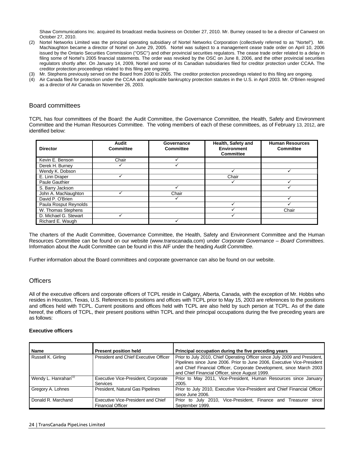Shaw Communications Inc. acquired its broadcast media business on October 27, 2010. Mr. Burney ceased to be a director of Canwest on October 27, 2010.

- (2) Nortel Networks Limited was the principal operating subsidiary of Nortel Networks Corporation (collectively referred to as "Nortel"). Mr. MacNaughton became a director of Nortel on June 29, 2005. Nortel was subject to a management cease trade order on April 10, 2006 issued by the Ontario Securities Commission (''OSC'') and other provincial securities regulators. The cease trade order related to a delay in filing some of Nortel's 2005 financial statements. The order was revoked by the OSC on June 8, 2006, and the other provincial securities regulators shortly after. On January 14, 2009, Nortel and some of its Canadian subsidiaries filed for creditor protection under CCAA. The creditor protection proceedings related to this filing are ongoing.
- (3) Mr. Stephens previously served on the Board from 2000 to 2005. The creditor protection proceedings related to this filing are ongoing.
- (4) Air Canada filed for protection under the CCAA and applicable bankruptcy protection statutes in the U.S. in April 2003. Mr. O'Brien resigned as a director of Air Canada on November 26, 2003.

### Board committees

TCPL has four committees of the Board: the Audit Committee, the Governance Committee, the Health, Safety and Environment Committee and the Human Resources Committee. The voting members of each of these committees, as of February 13, 2012, are identified below:

| <b>Director</b>       | Audit<br><b>Committee</b> | Governance<br><b>Committee</b> | Health, Safety and<br><b>Environment</b><br><b>Committee</b> | <b>Human Resources</b><br><b>Committee</b> |
|-----------------------|---------------------------|--------------------------------|--------------------------------------------------------------|--------------------------------------------|
| Kevin E. Benson       | Chair                     |                                |                                                              |                                            |
| Derek H. Burney       |                           |                                |                                                              |                                            |
| Wendy K. Dobson       |                           |                                |                                                              |                                            |
| E. Linn Draper        | ✓                         |                                | Chair                                                        |                                            |
| Paule Gauthier        |                           |                                |                                                              |                                            |
| S. Barry Jackson      |                           |                                |                                                              |                                            |
| John A. MacNaughton   |                           | Chair                          |                                                              |                                            |
| David P. O'Brien      |                           |                                |                                                              |                                            |
| Paula Rosput Reynolds |                           |                                |                                                              |                                            |
| W. Thomas Stephens    |                           |                                |                                                              | Chair                                      |
| D. Michael G. Stewart |                           |                                |                                                              |                                            |
| Richard E. Waugh      |                           |                                |                                                              |                                            |

The charters of the Audit Committee, Governance Committee, the Health, Safety and Environment Committee and the Human Resources Committee can be found on our website (www.transcanada.com) under *Corporate Governance – Board Committees*. Information about the Audit Committee can be found in this AIF under the heading *Audit Committee*.

Further information about the Board committees and corporate governance can also be found on our website.

### **Officers**

All of the executive officers and corporate officers of TCPL reside in Calgary, Alberta, Canada, with the exception of Mr. Hobbs who resides in Houston, Texas, U.S. References to positions and offices with TCPL prior to May 15, 2003 are references to the positions and offices held with TCPL. Current positions and offices held with TCPL are also held by such person at TCPL. As of the date hereof, the officers of TCPL, their present positions within TCPL and their principal occupations during the five preceding years are as follows:

### **Executive officers**

| <b>Name</b>                      | <b>Present position held</b>                                   | Principal occupation during the five preceding years                                                                                                                                                                                                                             |
|----------------------------------|----------------------------------------------------------------|----------------------------------------------------------------------------------------------------------------------------------------------------------------------------------------------------------------------------------------------------------------------------------|
| Russell K. Girling               | President and Chief Executive Officer                          | Prior to July 2010, Chief Operating Officer since July 2009 and President,<br>Pipelines since June 2006. Prior to June 2006, Executive Vice-President<br>and Chief Financial Officer, Corporate Development, since March 2003<br>and Chief Financial Officer, since August 1999. |
| Wendy L. Hanrahan <sup>(1)</sup> | Executive Vice-President, Corporate<br><b>Services</b>         | Prior to May 2011, Vice-President, Human Resources since January<br>2005.                                                                                                                                                                                                        |
| Gregory A. Lohnes                | President, Natural Gas Pipelines                               | Prior to July 2010, Executive Vice-President and Chief Financial Officer<br>since June 2006.                                                                                                                                                                                     |
| Donald R. Marchand               | Executive Vice-President and Chief<br><b>Financial Officer</b> | Prior to July 2010, Vice-President, Finance and Treasurer since<br>September 1999.                                                                                                                                                                                               |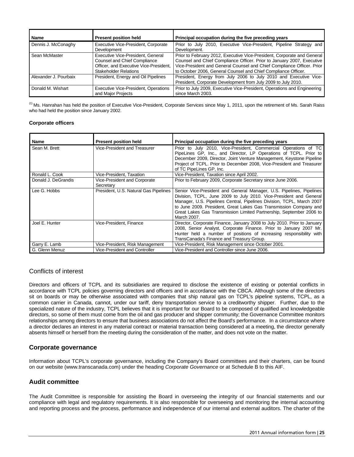| Name                  | <b>Present position held</b>                                                                                                                       | Principal occupation during the five preceding years                                                                                                                                                                                                                                          |
|-----------------------|----------------------------------------------------------------------------------------------------------------------------------------------------|-----------------------------------------------------------------------------------------------------------------------------------------------------------------------------------------------------------------------------------------------------------------------------------------------|
| Dennis J. McConaghy   | Executive Vice-President, Corporate<br>Development                                                                                                 | Prior to July 2010, Executive Vice-President, Pipeline Strategy and<br>Development.                                                                                                                                                                                                           |
| Sean McMaster         | Executive Vice-President, General<br><b>Counsel and Chief Compliance</b><br>Officer, and Executive Vice-President,<br><b>Stakeholder Relations</b> | Prior to February 2012, Executive Vice-President, Corporate and General<br>Counsel and Chief Compliance Officer. Prior to January 2007, Executive<br>Vice-President and General Counsel and Chief Compliance Officer. Prior<br>to October 2006, General Counsel and Chief Compliance Officer. |
| Alexander J. Pourbaix | President, Energy and Oil Pipelines                                                                                                                | President, Energy from July 2006 to July 2010 and Executive Vice-<br>President, Corporate Development from July 2009 to July 2010.                                                                                                                                                            |
| Donald M. Wishart     | Executive Vice-President, Operations<br>and Major Projects                                                                                         | Prior to July 2009, Executive Vice-President, Operations and Engineering<br>since March 2003.                                                                                                                                                                                                 |

<sup>(1)</sup> Ms. Hanrahan has held the position of Executive Vice-President, Corporate Services since May 1, 2011, upon the retirement of Ms. Sarah Raiss who had held the position since January 2002.

### **Corporate officers**

| Name                | <b>Present position held</b>              | Principal occupation during the five preceding years                                                                                                                                                                                                                                                                                                                           |
|---------------------|-------------------------------------------|--------------------------------------------------------------------------------------------------------------------------------------------------------------------------------------------------------------------------------------------------------------------------------------------------------------------------------------------------------------------------------|
| Sean M. Brett       | Vice-President and Treasurer              | Prior to July 2010, Vice-President, Commercial Operations of TC<br>PipeLines GP, Inc., and Director, LP Operations of TCPL. Prior to<br>December 2009, Director, Joint Venture Management, Keystone Pipeline<br>Project of TCPL. Prior to December 2008, Vice-President and Treasurer<br>of TC PipeLines GP, Inc.                                                              |
| Ronald L. Cook      | Vice-President, Taxation                  | Vice-President, Taxation since April 2002.                                                                                                                                                                                                                                                                                                                                     |
| Donald J. DeGrandis | Vice-President and Corporate<br>Secretary | Prior to February 2009, Corporate Secretary since June 2006.                                                                                                                                                                                                                                                                                                                   |
| Lee G. Hobbs        | President, U.S. Natural Gas Pipelines     | Senior Vice-President and General Manager, U.S. Pipelines, Pipelines<br>Division, TCPL, June 2009 to July 2010. Vice-President and General<br>Manager, U.S. Pipelines Central, Pipelines Division, TCPL, March 2007<br>to June 2009. President, Great Lakes Gas Transmission Company and<br>Great Lakes Gas Transmission Limited Partnership, September 2006 to<br>March 2007. |
| Joel E. Hunter      | Vice-President, Finance                   | Director, Corporate Finance, January 2008 to July 2010. Prior to January<br>2008, Senior Analyst, Corporate Finance. Prior to January 2007 Mr.<br>Hunter held a number of positions of increasing responsibility with<br>TransCanada's Finance and Treasury Group.                                                                                                             |
| Garry E. Lamb       | Vice-President, Risk Management           | Vice-President, Risk Management since October 2001.                                                                                                                                                                                                                                                                                                                            |
| G. Glenn Menuz      | Vice-President and Controller             | Vice-President and Controller since June 2006.                                                                                                                                                                                                                                                                                                                                 |

# Conflicts of interest

Directors and officers of TCPL and its subsidiaries are required to disclose the existence of existing or potential conflicts in accordance with TCPL policies governing directors and officers and in accordance with the CBCA. Although some of the directors sit on boards or may be otherwise associated with companies that ship natural gas on TCPL's pipeline systems, TCPL, as a common carrier in Canada, cannot, under our tariff, deny transportation service to a creditworthy shipper. Further, due to the specialized nature of the industry, TCPL believes that it is important for our Board to be composed of qualified and knowledgeable directors, so some of them must come from the oil and gas producer and shipper community; the Governance Committee monitors relationships among directors to ensure that business associations do not affect the Board's performance. In a circumstance where a director declares an interest in any material contract or material transaction being considered at a meeting, the director generally absents himself or herself from the meeting during the consideration of the matter, and does not vote on the matter.

# **Corporate governance**

Information about TCPL's corporate governance, including the Company's Board committees and their charters, can be found on our website (www.transcanada.com) under the heading *Corporate Governance* or at Schedule B to this AIF.

# **Audit committee**

The Audit Committee is responsible for assisting the Board in overseeing the integrity of our financial statements and our compliance with legal and regulatory requirements. It is also responsible for overseeing and monitoring the internal accounting and reporting process and the process, performance and independence of our internal and external auditors. The charter of the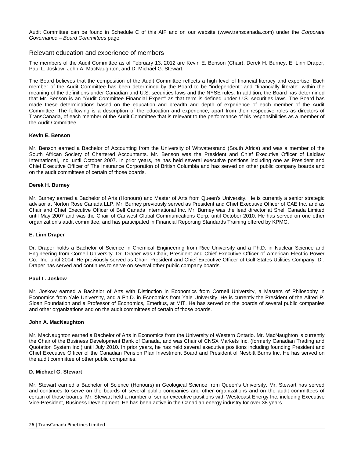Audit Committee can be found in Schedule C of this AIF and on our website (www.transcanada.com) under the *Corporate Governance – Board Committees* page.

### Relevant education and experience of members

The members of the Audit Committee as of February 13, 2012 are Kevin E. Benson (Chair), Derek H. Burney, E. Linn Draper, Paul L. Joskow, John A. MacNaughton, and D. Michael G. Stewart.

The Board believes that the composition of the Audit Committee reflects a high level of financial literacy and expertise. Each member of the Audit Committee has been determined by the Board to be ''independent'' and ''financially literate'' within the meaning of the definitions under Canadian and U.S. securities laws and the NYSE rules. In addition, the Board has determined that Mr. Benson is an ''Audit Committee Financial Expert'' as that term is defined under U.S. securities laws. The Board has made these determinations based on the education and breadth and depth of experience of each member of the Audit Committee. The following is a description of the education and experience, apart from their respective roles as directors of TransCanada, of each member of the Audit Committee that is relevant to the performance of his responsibilities as a member of the Audit Committee.

#### **Kevin E. Benson**

Mr. Benson earned a Bachelor of Accounting from the University of Witwatersrand (South Africa) and was a member of the South African Society of Chartered Accountants. Mr. Benson was the President and Chief Executive Officer of Laidlaw International, Inc. until October 2007. In prior years, he has held several executive positions including one as President and Chief Executive Officer of The Insurance Corporation of British Columbia and has served on other public company boards and on the audit committees of certain of those boards.

#### **Derek H. Burney**

Mr. Burney earned a Bachelor of Arts (Honours) and Master of Arts from Queen's University. He is currently a senior strategic advisor at Norton Rose Canada LLP. Mr. Burney previously served as President and Chief Executive Officer of CAE Inc. and as Chair and Chief Executive Officer of Bell Canada International Inc. Mr. Burney was the lead director at Shell Canada Limited until May 2007 and was the Chair of Canwest Global Communications Corp. until October 2010. He has served on one other organization's audit committee, and has participated in Financial Reporting Standards Training offered by KPMG.

#### **E. Linn Draper**

Dr. Draper holds a Bachelor of Science in Chemical Engineering from Rice University and a Ph.D. in Nuclear Science and Engineering from Cornell University. Dr. Draper was Chair, President and Chief Executive Officer of American Electric Power Co., Inc. until 2004. He previously served as Chair, President and Chief Executive Officer of Gulf States Utilities Company. Dr. Draper has served and continues to serve on several other public company boards.

#### **Paul L. Joskow**

Mr. Joskow earned a Bachelor of Arts with Distinction in Economics from Cornell University, a Masters of Philosophy in Economics from Yale University, and a Ph.D. in Economics from Yale University. He is currently the President of the Alfred P. Sloan Foundation and a Professor of Economics, Emeritus, at MIT. He has served on the boards of several public companies and other organizations and on the audit committees of certain of those boards.

#### **John A. MacNaughton**

Mr. MacNaughton earned a Bachelor of Arts in Economics from the University of Western Ontario. Mr. MacNaughton is currently the Chair of the Business Development Bank of Canada, and was Chair of CNSX Markets Inc. (formerly Canadian Trading and Quotation System Inc.) until July 2010. In prior years, he has held several executive positions including founding President and Chief Executive Officer of the Canadian Pension Plan Investment Board and President of Nesbitt Burns Inc. He has served on the audit committee of other public companies.

#### **D. Michael G. Stewart**

Mr. Stewart earned a Bachelor of Science (Honours) in Geological Science from Queen's University. Mr. Stewart has served and continues to serve on the boards of several public companies and other organizations and on the audit committees of certain of those boards. Mr. Stewart held a number of senior executive positions with Westcoast Energy Inc. including Executive Vice-President, Business Development. He has been active in the Canadian energy industry for over 38 years.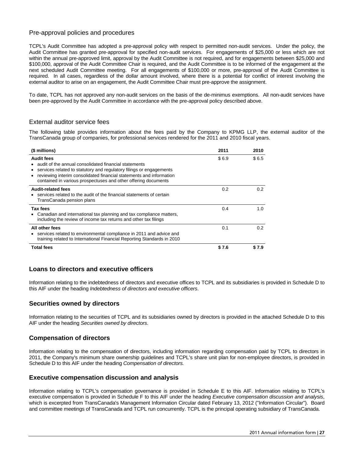# Pre-approval policies and procedures

TCPL's Audit Committee has adopted a pre-approval policy with respect to permitted non-audit services. Under the policy, the Audit Committee has granted pre-approval for specified non-audit services. For engagements of \$25,000 or less which are not within the annual pre-approved limit, approval by the Audit Committee is not required, and for engagements between \$25,000 and \$100,000, approval of the Audit Committee Chair is required, and the Audit Committee is to be informed of the engagement at the next scheduled Audit Committee meeting. For all engagements of \$100,000 or more, pre-approval of the Audit Committee is required. In all cases, regardless of the dollar amount involved, where there is a potential for conflict of interest involving the external auditor to arise on an engagement, the Audit Committee Chair must pre-approve the assignment.

To date, TCPL has not approved any non-audit services on the basis of the de-minimus exemptions. All non-audit services have been pre-approved by the Audit Committee in accordance with the pre-approval policy described above.

### External auditor service fees

The following table provides information about the fees paid by the Company to KPMG LLP, the external auditor of the TransCanada group of companies, for professional services rendered for the 2011 and 2010 fiscal years.

| (\$ millions)                                                                                                                                                                                                                                                                                | 2011  | 2010  |
|----------------------------------------------------------------------------------------------------------------------------------------------------------------------------------------------------------------------------------------------------------------------------------------------|-------|-------|
| <b>Audit fees</b><br>• audit of the annual consolidated financial statements<br>services related to statutory and regulatory filings or engagements<br>reviewing interim consolidated financial statements and information<br>contained in various prospectuses and other offering documents | \$6.9 | \$6.5 |
| <b>Audit-related fees</b><br>• services related to the audit of the financial statements of certain<br>TransCanada pension plans                                                                                                                                                             | 0.2   | 0.2   |
| Tax fees<br>• Canadian and international tax planning and tax compliance matters,<br>including the review of income tax returns and other tax filings                                                                                                                                        | 0.4   | 1.0   |
| All other fees<br>• services related to environmental compliance in 2011 and advice and<br>training related to International Financial Reporting Standards in 2010                                                                                                                           | 0.1   | 0.2   |
| <b>Total fees</b>                                                                                                                                                                                                                                                                            | \$7.6 | S 7.9 |

# **Loans to directors and executive officers**

Information relating to the indebtedness of directors and executive offices to TCPL and its subsidiaries is provided in Schedule D to this AIF under the heading *Indebtedness of directors and executive officers*.

# **Securities owned by directors**

Information relating to the securities of TCPL and its subsidiaries owned by directors is provided in the attached Schedule D to this AIF under the heading *Securities owned by directors*.

# **Compensation of directors**

Information relating to the compensation of directors, including information regarding compensation paid by TCPL to directors in 2011, the Company's minimum share ownership guidelines and TCPL's share unit plan for non-employee directors, is provided in Schedule D to this AIF under the heading *Compensation of directors.*

# **Executive compensation discussion and analysis**

Information relating to TCPL's compensation governance is provided in Schedule E to this AIF. Information relating to TCPL's executive compensation is provided in Schedule F to this AIF under the heading *Executive compensation discussion and analysis*, which is excerpted from TransCanada's Management Information Circular dated February 13, 2012 ("Information Circular"). Board and committee meetings of TransCanada and TCPL run concurrently. TCPL is the principal operating subsidiary of TransCanada.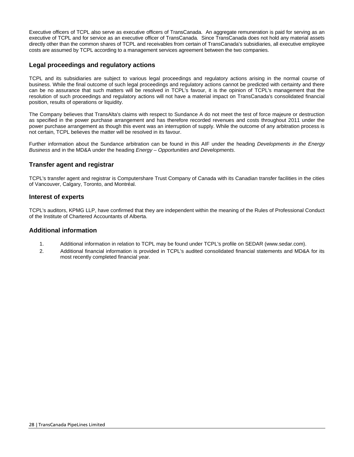Executive officers of TCPL also serve as executive officers of TransCanada. An aggregate remuneration is paid for serving as an executive of TCPL and for service as an executive officer of TransCanada. Since TransCanada does not hold any material assets directly other than the common shares of TCPL and receivables from certain of TransCanada's subsidiaries, all executive employee costs are assumed by TCPL according to a management services agreement between the two companies.

# **Legal proceedings and regulatory actions**

TCPL and its subsidiaries are subject to various legal proceedings and regulatory actions arising in the normal course of business. While the final outcome of such legal proceedings and regulatory actions cannot be predicted with certainty and there can be no assurance that such matters will be resolved in TCPL's favour, it is the opinion of TCPL's management that the resolution of such proceedings and regulatory actions will not have a material impact on TransCanada's consolidated financial position, results of operations or liquidity.

The Company believes that TransAlta's claims with respect to Sundance A do not meet the test of force majeure or destruction as specified in the power purchase arrangement and has therefore recorded revenues and costs throughout 2011 under the power purchase arrangement as though this event was an interruption of supply. While the outcome of any arbitration process is not certain, TCPL believes the matter will be resolved in its favour.

Further information about the Sundance arbitration can be found in this AIF under the heading *Developments in the Energy Business* and in the MD&A under the heading *Energy – Opportunities and Developments*.

# **Transfer agent and registrar**

TCPL's transfer agent and registrar is Computershare Trust Company of Canada with its Canadian transfer facilities in the cities of Vancouver, Calgary, Toronto, and Montréal.

### **Interest of experts**

TCPL's auditors, KPMG LLP, have confirmed that they are independent within the meaning of the Rules of Professional Conduct of the Institute of Chartered Accountants of Alberta.

### **Additional information**

- 1. Additional information in relation to TCPL may be found under TCPL's profile on SEDAR (www.sedar.com).
- 2. Additional financial information is provided in TCPL's audited consolidated financial statements and MD&A for its most recently completed financial year.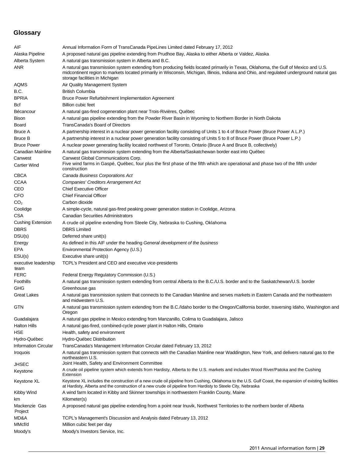# **Glossary**

| AIF                          | Annual Information Form of TransCanada PipeLines Limited dated February 17, 2012                                                                                                                                                                                                                                    |
|------------------------------|---------------------------------------------------------------------------------------------------------------------------------------------------------------------------------------------------------------------------------------------------------------------------------------------------------------------|
| Alaska Pipeline              | A proposed natural gas pipeline extending from Prudhoe Bay, Alaska to either Alberta or Valdez, Alaska                                                                                                                                                                                                              |
| Alberta System               | A natural gas transmission system in Alberta and B.C.                                                                                                                                                                                                                                                               |
| ANR                          | A natural gas transmission system extending from producing fields located primarily in Texas, Oklahoma, the Gulf of Mexico and U.S.<br>midcontinent region to markets located primarily in Wisconsin, Michigan, Illinois, Indiana and Ohio, and regulated underground natural gas<br>storage facilities in Michigan |
| AQMS                         | Air Quality Management System                                                                                                                                                                                                                                                                                       |
| B.C.                         | <b>British Columbia</b>                                                                                                                                                                                                                                                                                             |
| <b>BPRIA</b>                 | Bruce Power Refurbishment Implementation Agreement                                                                                                                                                                                                                                                                  |
| Bcf                          | <b>Billion cubic feet</b>                                                                                                                                                                                                                                                                                           |
| Bécancour                    | A natural gas-fired cogeneration plant near Trois-Rivières, Québec                                                                                                                                                                                                                                                  |
| Bison                        | A natural gas pipeline extending from the Powder River Basin in Wyoming to Northern Border in North Dakota                                                                                                                                                                                                          |
| Board                        | <b>TransCanada's Board of Directors</b>                                                                                                                                                                                                                                                                             |
| Bruce A                      | A partnership interest in a nuclear power generation facility consisting of Units 1 to 4 of Bruce Power (Bruce Power A L.P.)                                                                                                                                                                                        |
| Bruce B                      | A partnership interest in a nuclear power generation facility consisting of Units 5 to 8 of Bruce Power (Bruce Power L.P.)                                                                                                                                                                                          |
| <b>Bruce Power</b>           | A nuclear power generating facility located northwest of Toronto, Ontario (Bruce A and Bruce B, collectively)                                                                                                                                                                                                       |
| Canadian Mainline            | A natural gas transmission system extending from the Alberta/Saskatchewan border east into Québec                                                                                                                                                                                                                   |
| Canwest                      | Canwest Global Communications Corp.                                                                                                                                                                                                                                                                                 |
| <b>Cartier Wind</b>          | Five wind farms in Gaspé, Québec, four plus the first phase of the fifth which are operational and phase two of the fifth under<br>construction                                                                                                                                                                     |
| CBCA                         | Canada Business Corporations Act                                                                                                                                                                                                                                                                                    |
| CCAA                         | Companies' Creditors Arrangement Act                                                                                                                                                                                                                                                                                |
| CEO                          | <b>Chief Executive Officer</b>                                                                                                                                                                                                                                                                                      |
| CFO                          | <b>Chief Financial Officer</b>                                                                                                                                                                                                                                                                                      |
| CO <sub>2</sub>              | Carbon dioxide                                                                                                                                                                                                                                                                                                      |
| Coolidge                     | A simple-cycle, natural gas-fired peaking power generation station in Coolidge, Arizona                                                                                                                                                                                                                             |
| CSA                          | <b>Canadian Securities Administrators</b>                                                                                                                                                                                                                                                                           |
| Cushing Extension            | A crude oil pipeline extending from Steele City, Nebraska to Cushing, Oklahoma                                                                                                                                                                                                                                      |
| <b>DBRS</b>                  | <b>DBRS</b> Limited                                                                                                                                                                                                                                                                                                 |
| DSU(s)                       | Deferred share unit(s)                                                                                                                                                                                                                                                                                              |
| Energy                       | As defined in this AIF under the heading General development of the business                                                                                                                                                                                                                                        |
| EPA                          | Environmental Protection Agency (U.S.)                                                                                                                                                                                                                                                                              |
| ESU(s)                       | Executive share unit(s)                                                                                                                                                                                                                                                                                             |
| executive leadership<br>team | TCPL's President and CEO and executive vice-presidents                                                                                                                                                                                                                                                              |
| FERC                         | Federal Energy Regulatory Commission (U.S.)                                                                                                                                                                                                                                                                         |
| Foothills                    | A natural gas transmission system extending from central Alberta to the B.C./U.S. border and to the Saskatchewan/U.S. border                                                                                                                                                                                        |
| GHG                          | Greenhouse gas                                                                                                                                                                                                                                                                                                      |
| Great Lakes                  | A natural gas transmission system that connects to the Canadian Mainline and serves markets in Eastern Canada and the northeastern<br>and midwestern U.S.                                                                                                                                                           |
| <b>GTN</b>                   | A natural gas transmission system extending from the B.C./Idaho border to the Oregon/California border, traversing Idaho, Washington and<br>Oregon                                                                                                                                                                  |
| Guadalajara                  | A natural gas pipeline in Mexico extending from Manzanillo, Colima to Guadalajara, Jalisco                                                                                                                                                                                                                          |
| Halton Hills                 | A natural gas-fired, combined-cycle power plant in Halton Hills, Ontario                                                                                                                                                                                                                                            |
| HSE                          | Health, safety and environment                                                                                                                                                                                                                                                                                      |
| Hydro-Québec                 | Hydro-Québec Distribution                                                                                                                                                                                                                                                                                           |
| <b>Information Circular</b>  | TransCanada's Management Information Circular dated February 13, 2012                                                                                                                                                                                                                                               |
| <b>Iroquois</b>              | A natural gas transmission system that connects with the Canadian Mainline near Waddington, New York, and delivers natural gas to the<br>northeastern U.S.                                                                                                                                                          |
| JHSEC                        | Joint Health, Safety and Environment Committee                                                                                                                                                                                                                                                                      |
| Keystone                     | A crude oil pipeline system which extends from Hardisty, Alberta to the U.S. markets and includes Wood River/Patoka and the Cushing<br>Extension                                                                                                                                                                    |
| Keystone XL                  | Keystone XL includes the construction of a new crude oil pipeline from Cushing, Oklahoma to the U.S. Gulf Coast, the expansion of existing facilities<br>at Hardisty, Alberta and the construction of a new crude oil pipeline from Hardisty to Steele City, Nebraska                                               |
| Kibby Wind                   | A wind farm located in Kibby and Skinner townships in northwestern Franklin County, Maine                                                                                                                                                                                                                           |
| km                           | Kilometer(s)                                                                                                                                                                                                                                                                                                        |
| Mackenzie Gas<br>Project     | A proposed natural gas pipeline extending from a point near Inuvik, Northwest Territories to the northern border of Alberta                                                                                                                                                                                         |
| MD&A                         | TCPL's Management's Discussion and Analysis dated February 13, 2012                                                                                                                                                                                                                                                 |
| MMcf/d                       | Million cubic feet per day                                                                                                                                                                                                                                                                                          |
| Moody's                      | Moody's Investors Service, Inc.                                                                                                                                                                                                                                                                                     |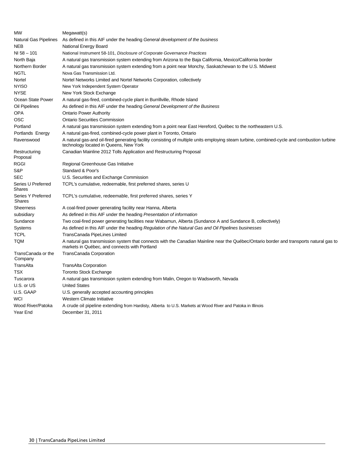| <b>MW</b>                           | Megawatt(s)                                                                                                                                                                              |
|-------------------------------------|------------------------------------------------------------------------------------------------------------------------------------------------------------------------------------------|
| Natural Gas Pipelines               | As defined in this AIF under the heading General development of the business                                                                                                             |
| NEB                                 | National Energy Board                                                                                                                                                                    |
| NI 58 - 101                         | National Instrument 58-101, Disclosure of Corporate Governance Practices                                                                                                                 |
| North Baja                          | A natural gas transmission system extending from Arizona to the Baja California, Mexico/California border                                                                                |
| Northern Border                     | A natural gas transmission system extending from a point near Monchy, Saskatchewan to the U.S. Midwest                                                                                   |
| NGTL                                | Nova Gas Transmission Ltd.                                                                                                                                                               |
| Nortel                              | Nortel Networks Limited and Nortel Networks Corporation, collectively                                                                                                                    |
| <b>NYISO</b>                        | New York Independent System Operator                                                                                                                                                     |
| <b>NYSE</b>                         | New York Stock Exchange                                                                                                                                                                  |
| Ocean State Power                   | A natural gas-fired, combined-cycle plant in Burrillville, Rhode Island                                                                                                                  |
| Oil Pipelines                       | As defined in this AIF under the heading General Development of the Business                                                                                                             |
| OPA                                 | <b>Ontario Power Authority</b>                                                                                                                                                           |
| OSC                                 | <b>Ontario Securities Commission</b>                                                                                                                                                     |
| Portland                            | A natural gas transmission system extending from a point near East Hereford, Québec to the northeastern U.S.                                                                             |
| Portlands Energy                    | A natural gas-fired, combined-cycle power plant in Toronto, Ontario                                                                                                                      |
| Ravenswood                          | A natural gas-and oil-fired generating facility consisting of multiple units employing steam turbine, combined-cycle and combustion turbine<br>technology located in Queens, New York    |
| Restructuring<br>Proposal           | Canadian Mainline 2012 Tolls Application and Restructuring Proposal                                                                                                                      |
| RGGI                                | Regional Greenhouse Gas Initiative                                                                                                                                                       |
| S&P                                 | Standard & Poor's                                                                                                                                                                        |
| SEC                                 | U.S. Securities and Exchange Commission                                                                                                                                                  |
| Series U Preferred<br>Shares        | TCPL's cumulative, redeemable, first preferred shares, series U                                                                                                                          |
| Series Y Preferred<br><b>Shares</b> | TCPL's cumulative, redeemable, first preferred shares, series Y                                                                                                                          |
| Sheerness                           | A coal-fired power generating facility near Hanna, Alberta                                                                                                                               |
| subsidiary                          | As defined in this AIF under the heading Presentation of information                                                                                                                     |
| Sundance                            | Two coal-fired power generating facilities near Wabamun, Alberta (Sundance A and Sundance B, collectively)                                                                               |
| Systems                             | As defined in this AIF under the heading Regulation of the Natural Gas and Oil Pipelines businesses                                                                                      |
| TCPL                                | TransCanada PipeLines Limited                                                                                                                                                            |
| TQM                                 | A natural gas transmission system that connects with the Canadian Mainline near the Québec/Ontario border and transports natural gas to<br>markets in Québec, and connects with Portland |
| TransCanada or the<br>Company       | <b>TransCanada Corporation</b>                                                                                                                                                           |
| TransAlta                           | <b>TransAlta Corporation</b>                                                                                                                                                             |
| TSX                                 | <b>Toronto Stock Exchange</b>                                                                                                                                                            |
| Tuscarora                           | A natural gas transmission system extending from Malin, Oregon to Wadsworth, Nevada                                                                                                      |
| U.S. or US                          | <b>United States</b>                                                                                                                                                                     |
| U.S. GAAP                           | U.S. generally accepted accounting principles                                                                                                                                            |
| WCI                                 | Western Climate Initiative                                                                                                                                                               |
| Wood River/Patoka<br>Year End       | A crude oil pipeline extending from Hardisty, Alberta to U.S. Markets at Wood River and Patoka in Illinois<br>December 31, 2011                                                          |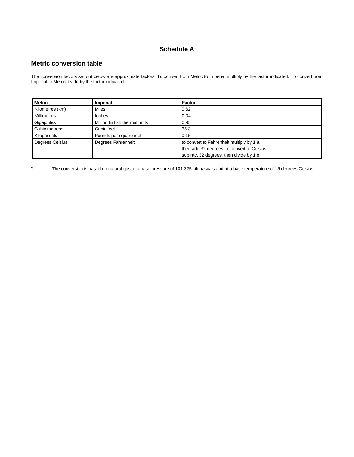# **Schedule A**

# **Metric conversion table**

The conversion factors set out below are approximate factors. To convert from Metric to Imperial multiply by the factor indicated. To convert from Imperial to Metric divide by the factor indicated.

| <b>Metric</b>      | <b>Imperial</b>               | Factor                                     |
|--------------------|-------------------------------|--------------------------------------------|
| Kilometres (km)    | Miles                         | 0.62                                       |
| <b>Millimetres</b> | <b>Inches</b>                 | 0.04                                       |
| Gigajoules         | Million British thermal units | 0.95                                       |
| Cubic metres*      | Cubic feet                    | 35.3                                       |
| Kilopascals        | Pounds per square inch        | 0.15                                       |
| Degrees Celsius    | Degrees Fahrenheit            | to convert to Fahrenheit multiply by 1.8.  |
|                    |                               | then add 32 degrees; to convert to Celsius |
|                    |                               | subtract 32 degrees, then divide by 1.8    |

\* The conversion is based on natural gas at a base pressure of 101.325 kilopascals and at a base temperature of 15 degrees Celsius.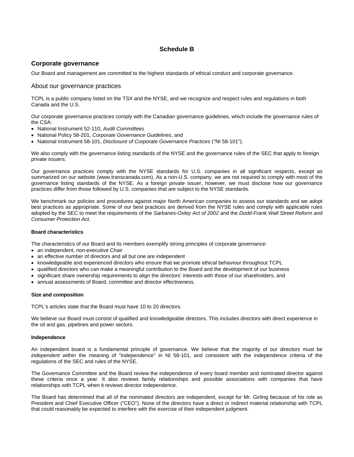# **Schedule B**

### **Corporate governance**

Our Board and management are committed to the highest standards of ethical conduct and corporate governance.

### About our governance practices

TCPL is a public company listed on the TSX and the NYSE, and we recognize and respect rules and regulations in both Canada and the U.S.

Our corporate governance practices comply with the Canadian governance guidelines, which include the governance rules of the CSA:

- National Instrument 52-110, *Audit Committees*
- National Policy 58-201, *Corporate Governance Guidelines*, and
- National Instrument 58-101, *Disclosure of Corporate Governance Practices* ("NI 58-101").

We also comply with the governance listing standards of the NYSE and the governance rules of the SEC that apply to foreign private issuers.

Our governance practices comply with the NYSE standards for U.S. companies in all significant respects, except as summarized on our website (www.transcanada.com). As a non-U.S. company, we are not required to comply with most of the governance listing standards of the NYSE. As a foreign private issuer, however, we must disclose how our governance practices differ from those followed by U.S. companies that are subject to the NYSE standards.

We benchmark our policies and procedures against major North American companies to assess our standards and we adopt best practices as appropriate. Some of our best practices are derived from the NYSE rules and comply with applicable rules adopted by the SEC to meet the requirements of the *Sarbanes-Oxley Act of 2002* and the *Dodd-Frank Wall Street Reform and Consumer Protection Act.*

### **Board characteristics**

The characteristics of our Board and its members exemplify strong principles of corporate governance:

- an independent, non-executive Chair
- an effective number of directors and all but one are independent
- knowledgeable and experienced directors who ensure that we promote ethical behaviour throughout TCPL
- qualified directors who can make a meaningful contribution to the Board and the development of our business
- significant share ownership requirements to align the directors' interests with those of our shareholders, and
- annual assessments of Board, committee and director effectiveness.

#### **Size and composition**

TCPL's articles state that the Board must have 10 to 20 directors.

We believe our Board must consist of qualified and knowledgeable directors. This includes directors with direct experience in the oil and gas, pipelines and power sectors.

#### **Independence**

An independent board is a fundamental principle of governance. We believe that the majority of our directors must be *independent* within the meaning of "independence'' in NI 58-101, and consistent with the independence criteria of the regulations of the SEC and rules of the NYSE.

The Governance Committee and the Board review the independence of every board member and nominated director against these criteria once a year. It also reviews family relationships and possible associations with companies that have relationships with TCPL when it reviews director independence.

The Board has determined that all of the nominated directors are independent, except for Mr. Girling because of his role as President and Chief Executive Officer ("CEO"). None of the directors have a direct or indirect material relationship with TCPL that could reasonably be expected to interfere with the exercise of their independent judgment.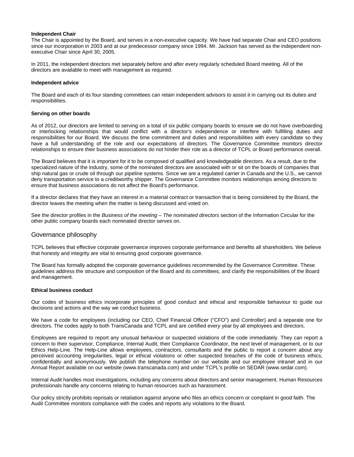#### **Independent Chair**

The Chair is appointed by the Board, and serves in a non-executive capacity. We have had separate Chair and CEO positions since our incorporation in 2003 and at our predecessor company since 1994. Mr. Jackson has served as the independent nonexecutive Chair since April 30, 2005.

In 2011, the independent directors met separately before and after every regularly scheduled Board meeting. All of the directors are available to meet with management as required.

#### **Independent advice**

The Board and each of its four standing committees can retain independent advisors to assist it in carrying out its duties and responsibilities.

#### **Serving on other boards**

As of 2012, our directors are limited to serving on a total of six public company boards to ensure we do not have overboarding or interlocking relationships that would conflict with a director's independence or interfere with fulfilling duties and responsibilities for our Board. We discuss the time commitment and duties and responsibilities with every candidate so they have a full understanding of the role and our expectations of directors. The Governance Committee monitors director relationships to ensure their business associations do not hinder their role as a director of TCPL or Board performance overall.

The Board believes that it is important for it to be composed of qualified and knowledgeable directors. As a result, due to the specialized nature of the industry, some of the nominated directors are associated with or sit on the boards of companies that ship natural gas or crude oil through our pipeline systems. Since we are a regulated carrier in Canada and the U.S., we cannot deny transportation service to a creditworthy shipper. The Governance Committee monitors relationships among directors to ensure that business associations do not affect the Board's performance.

If a director declares that they have an interest in a material contract or transaction that is being considered by the Board, the director leaves the meeting when the matter is being discussed and voted on.

See the director profiles in the *Business of the meeting – The nominated directors* section of the Information Circular for the other public company boards each nominated director serves on.

### Governance philosophy

TCPL believes that effective corporate governance improves corporate performance and benefits all shareholders. We believe that honesty and integrity are vital to ensuring good corporate governance.

The Board has formally adopted the corporate governance guidelines recommended by the Governance Committee. These guidelines address the structure and composition of the Board and its committees, and clarify the responsibilities of the Board and management.

#### **Ethical business conduct**

Our codes of business ethics incorporate principles of good conduct and ethical and responsible behaviour to guide our decisions and actions and the way we conduct business.

We have a code for employees (including our CEO, Chief Financial Officer ("CFO") and Controller) and a separate one for directors. The codes apply to both TransCanada and TCPL and are certified every year by all employees and directors.

Employees are required to report any unusual behaviour or suspected violations of the code immediately. They can report a concern to their supervisor, Compliance, Internal Audit, their Compliance Coordinator, the next level of management, or to our Ethics Help-Line. The Help-Line allows employees, contractors, consultants and the public to report a concern about any perceived accounting irregularities, legal or ethical violations or other suspected breaches of the code of business ethics, confidentially and anonymously. We publish the telephone number on our website and our employee intranet and in our Annual Report available on our website (www.transcanada.com) and under TCPL's profile on SEDAR (www.sedar.com).

Internal Audit handles most investigations, including any concerns about directors and senior management. Human Resources professionals handle any concerns relating to human resources such as harassment.

Our policy strictly prohibits reprisals or retaliation against anyone who files an ethics concern or complaint in good faith. The Audit Committee monitors compliance with the codes and reports any violations to the Board.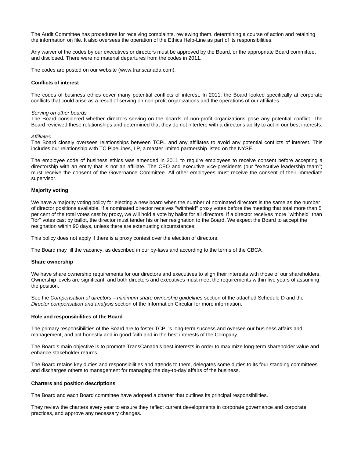The Audit Committee has procedures for receiving complaints, reviewing them, determining a course of action and retaining the information on file. It also oversees the operation of the Ethics Help-Line as part of its responsibilities.

Any waiver of the codes by our executives or directors must be approved by the Board, or the appropriate Board committee, and disclosed. There were no material departures from the codes in 2011.

The codes are posted on our website (www.transcanada.com).

#### **Conflicts of interest**

The codes of business ethics cover many potential conflicts of interest. In 2011, the Board looked specifically at corporate conflicts that could arise as a result of serving on non-profit organizations and the operations of our affiliates.

#### *Serving on other boards*

The Board considered whether directors serving on the boards of non-profit organizations pose any potential conflict. The Board reviewed these relationships and determined that they do not interfere with a director's ability to act in our best interests.

#### *Affiliates*

The Board closely oversees relationships between TCPL and any affiliates to avoid any potential conflicts of interest. This includes our relationship with TC PipeLines, LP, a master limited partnership listed on the NYSE.

The employee code of business ethics was amended in 2011 to require employees to receive consent before accepting a directorship with an entity that is not an affiliate. The CEO and executive vice-presidents (our ''executive leadership team'') must receive the consent of the Governance Committee. All other employees must receive the consent of their immediate supervisor.

#### **Majority voting**

We have a majority voting policy for electing a new board when the number of nominated directors is the same as the number of director positions available. If a nominated director receives "withheld'' proxy votes before the meeting that total more than 5 per cent of the total votes cast by proxy, we will hold a vote by ballot for all directors. If a director receives more "withheld'' than "for'' votes cast by ballot, the director must tender his or her resignation to the Board. We expect the Board to accept the resignation within 90 days, unless there are extenuating circumstances.

This policy does not apply if there is a proxy contest over the election of directors.

The Board may fill the vacancy, as described in our by-laws and according to the terms of the CBCA*.* 

#### **Share ownership**

We have share ownership requirements for our directors and executives to align their interests with those of our shareholders. Ownership levels are significant, and both directors and executives must meet the requirements within five years of assuming the position.

See the *Compensation of directors – minimum share ownership guidelines* section of the attached Schedule D and the *Director compensation and analysis* section of the Information Circular for more information.

#### **Role and responsibilities of the Board**

The primary responsibilities of the Board are to foster TCPL's long-term success and oversee our business affairs and management, and act honestly and in good faith and in the best interests of the Company.

The Board's main objective is to promote TransCanada's best interests in order to maximize long-term shareholder value and enhance stakeholder returns.

The Board retains key duties and responsibilities and attends to them, delegates some duties to its four standing committees and discharges others to management for managing the day-to-day affairs of the business.

#### **Charters and position descriptions**

The Board and each Board committee have adopted a charter that outlines its principal responsibilities.

They review the charters every year to ensure they reflect current developments in corporate governance and corporate practices, and approve any necessary changes.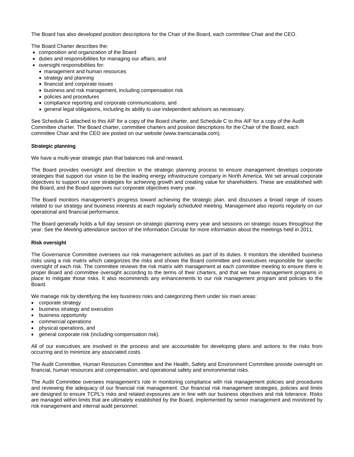The Board has also developed position descriptions for the Chair of the Board, each committee Chair and the CEO.

The Board Charter describes the:

- composition and organization of the Board
- duties and responsibilities for managing our affairs, and
- oversight responsibilities for:
	- management and human resources
	- strategy and planning
	- financial and corporate issues
	- business and risk management, including compensation risk
	- policies and procedures
	- compliance reporting and corporate communications, and
	- general legal obligations, including its ability to use independent advisors as necessary.

See Schedule G attached to this AIF for a copy of the Board charter, and Schedule C to this AIF for a copy of the Audit Committee charter. The Board charter, committee charters and position descriptions for the Chair of the Board, each committee Chair and the CEO are posted on our website (www.transcanada.com).

#### **Strategic planning**

We have a multi-year strategic plan that balances risk and reward.

The Board provides oversight and direction in the strategic planning process to ensure management develops corporate strategies that support our vision to be the leading energy infrastructure company in North America. We set annual corporate objectives to support our core strategies for achieving growth and creating value for shareholders. These are established with the Board, and the Board approves our corporate objectives every year.

The Board monitors management's progress toward achieving the strategic plan, and discusses a broad range of issues related to our strategy and business interests at each regularly scheduled meeting. Management also reports regularly on our operational and financial performance.

The Board generally holds a full day session on strategic planning every year and sessions on strategic issues throughout the year. See the *Meeting attendance* section of the Information Circular for more information about the meetings held in 2011.

#### **Risk oversight**

The Governance Committee oversees our risk management activities as part of its duties. It monitors the identified business risks using a risk matrix which categorizes the risks and shows the Board committee and executives responsible for specific oversight of each risk. The committee reviews the risk matrix with management at each committee meeting to ensure there is proper Board and committee oversight according to the terms of their charters, and that we have management programs in place to mitigate those risks. It also recommends any enhancements to our risk management program and policies to the Board.

We manage risk by identifying the key business risks and categorizing them under six main areas:

- corporate strategy
- business strategy and execution
- business opportunity
- commercial operations
- physical operations, and
- general corporate risk (including compensation risk).

All of our executives are involved in the process and are accountable for developing plans and actions to the risks from occurring and to minimize any associated costs.

The Audit Committee, Human Resources Committee and the Health, Safety and Environment Committee provide oversight on financial, human resources and compensation, and operational safety and environmental risks.

The Audit Committee oversees management's role in monitoring compliance with risk management policies and procedures and reviewing the adequacy of our financial risk management. Our financial risk management strategies, policies and limits are designed to ensure TCPL's risks and related exposures are in line with our business objectives and risk tolerance. Risks are managed within limits that are ultimately established by the Board, implemented by senior management and monitored by risk management and internal audit personnel.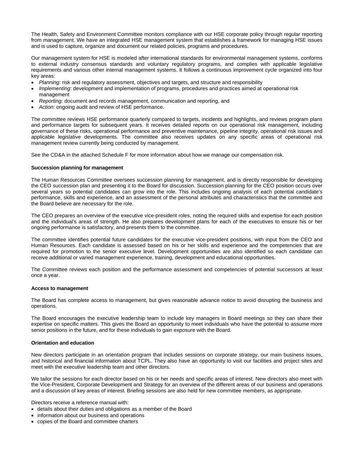The Health, Safety and Environment Committee monitors compliance with our HSE corporate policy through regular reporting from management. We have an integrated HSE management system that establishes a framework for managing HSE issues and is used to capture, organize and document our related policies, programs and procedures.

Our management system for HSE is modeled after international standards for environmental management systems, conforms to external industry consensus standards and voluntary regulatory programs, and complies with applicable legislative requirements and various other internal management systems. It follows a continuous improvement cycle organized into four key areas:

- *Planning:* risk and regulatory assessment, objectives and targets, and structure and responsibility
- *Implementing*: development and implementation of programs, procedures and practices aimed at operational risk management
- *Reporting:* document and records management, communication and reporting, and
- Action: ongoing audit and review of HSE performance.

The committee reviews HSE performance quarterly compared to targets, incidents and highlights, and reviews program plans and performance targets for subsequent years. It receives detailed reports on our operational risk management, including governance of these risks, operational performance and preventive maintenance, pipeline integrity, operational risk issues and applicable legislative developments. The committee also receives updates on any specific areas of operational risk management review currently being conducted by management.

See the CD&A in the attached Schedule F for more information about how we manage our compensation risk.

#### **Succession planning for management**

The Human Resources Committee oversees succession planning for management, and is directly responsible for developing the CEO succession plan and presenting it to the Board for discussion. Succession planning for the CEO position occurs over several years so potential candidates can grow into the role. This includes ongoing analysis of each potential candidate's performance, skills and experience, and an assessment of the personal attributes and characteristics that the committee and the Board believe are necessary for the role.

The CEO prepares an overview of the executive vice-president roles, noting the required skills and expertise for each position and the individual's areas of strength. He also prepares development plans for each of the executives to ensure his or her ongoing performance is satisfactory, and presents them to the committee.

The committee identifies potential future candidates for the executive vice-president positions, with input from the CEO and Human Resources. Each candidate is assessed based on his or her skills and experience and the competencies that are required for promotion to the senior executive level. Development opportunities are also identified so each candidate can receive additional or varied management experience, training, development and educational opportunities.

The Committee reviews each position and the performance assessment and competencies of potential successors at least once a year.

#### **Access to management**

The Board has complete access to management, but gives reasonable advance notice to avoid disrupting the business and operations.

The Board encourages the executive leadership team to include key managers in Board meetings so they can share their expertise on specific matters. This gives the Board an opportunity to meet individuals who have the potential to assume more senior positions in the future, and for these individuals to gain exposure with the Board.

#### **Orientation and education**

New directors participate in an orientation program that includes sessions on corporate strategy, our main business issues, and historical and financial information about TCPL. They also have an opportunity to visit our facilities and project sites and meet with the executive leadership team and other directors.

We tailor the sessions for each director based on his or her needs and specific areas of interest. New directors also meet with the Vice-President, Corporate Development and Strategy for an overview of the different areas of our business and operations and a discussion of key areas of interest. Briefing sessions are also held for new committee members, as appropriate.

Directors receive a reference manual with:

- details about their duties and obligations as a member of the Board
- information about our business and operations
- copies of the Board and committee charters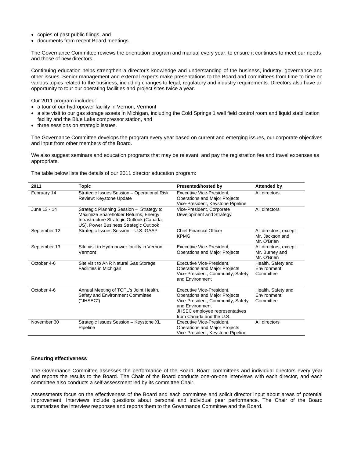- copies of past public filings, and
- documents from recent Board meetings.

The Governance Committee reviews the orientation program and manual every year, to ensure it continues to meet our needs and those of new directors.

Continuing education helps strengthen a director's knowledge and understanding of the business, industry, governance and other issues. Senior management and external experts make presentations to the Board and committees from time to time on various topics related to the business, including changes to legal, regulatory and industry requirements. Directors also have an opportunity to tour our operating facilities and project sites twice a year.

Our 2011 program included:

- a tour of our hydropower facility in Vernon, Vermont
- a site visit to our gas storage assets in Michigan, including the Cold Springs 1 well field control room and liquid stabilization facility and the Blue Lake compressor station, and
- three sessions on strategic issues.

The Governance Committee develops the program every year based on current and emerging issues, our corporate objectives and input from other members of the Board.

We also suggest seminars and education programs that may be relevant, and pay the registration fee and travel expenses as appropriate.

The table below lists the details of our 2011 director education program:

| 2011         | Topic                                                                                                                                                                  | <b>Presented/hosted by</b>                                                                                                                                                              |                                                         |  |  |
|--------------|------------------------------------------------------------------------------------------------------------------------------------------------------------------------|-----------------------------------------------------------------------------------------------------------------------------------------------------------------------------------------|---------------------------------------------------------|--|--|
| February 14  | Strategic Issues Session - Operational Risk<br>Review: Keystone Update                                                                                                 | Executive Vice-President,<br><b>Operations and Major Projects</b><br>Vice-President, Keystone Pipeline                                                                                  | All directors                                           |  |  |
| June 13 - 14 | Strategic Planning Session - Strategy to<br>Maximize Shareholder Returns, Energy<br>Infrastructure Strategic Outlook (Canada,<br>US), Power Business Strategic Outlook | Vice-President, Corporate<br>Development and Strategy                                                                                                                                   | All directors                                           |  |  |
| September 12 | Strategic Issues Session - U.S. GAAP                                                                                                                                   | <b>Chief Financial Officer</b><br><b>KPMG</b>                                                                                                                                           | All directors, except<br>Mr. Jackson and<br>Mr. O'Brien |  |  |
| September 13 | Site visit to Hydropower facility in Vernon,<br>Vermont                                                                                                                | Executive Vice-President.<br>Operations and Major Projects                                                                                                                              | All directors, except<br>Mr. Burney and<br>Mr. O'Brien  |  |  |
| October 4-6  | Site visit to ANR Natural Gas Storage<br>Facilities in Michigan                                                                                                        | Executive Vice-President.<br>Operations and Major Projects<br>Vice-President, Community, Safety<br>and Environment                                                                      | Health, Safety and<br>Environment<br>Committee          |  |  |
| October 4-6  | Annual Meeting of TCPL's Joint Health,<br>Safety and Environment Committee<br>("JHSEC")                                                                                | Executive Vice-President,<br><b>Operations and Major Projects</b><br>Vice-President, Community, Safety<br>and Environment<br>JHSEC employee representatives<br>from Canada and the U.S. | Health, Safety and<br>Environment<br>Committee          |  |  |
| November 30  | Strategic Issues Session - Keystone XL<br>Pipeline                                                                                                                     | Executive Vice-President,<br>Operations and Major Projects<br>Vice-President, Keystone Pipeline                                                                                         | All directors                                           |  |  |

#### **Ensuring effectiveness**

The Governance Committee assesses the performance of the Board, Board committees and individual directors every year and reports the results to the Board. The Chair of the Board conducts one-on-one interviews with each director, and each committee also conducts a self-assessment led by its committee Chair.

Assessments focus on the effectiveness of the Board and each committee and solicit director input about areas of potential improvement. Interviews include questions about personal and individual peer performance. The Chair of the Board summarizes the interview responses and reports them to the Governance Committee and the Board.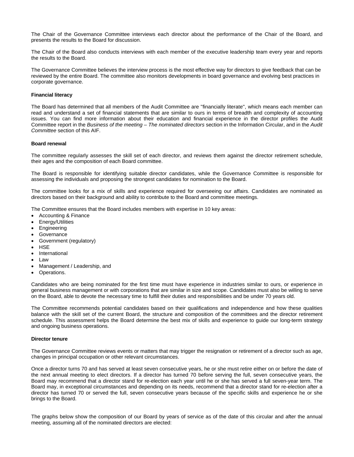The Chair of the Governance Committee interviews each director about the performance of the Chair of the Board, and presents the results to the Board for discussion.

The Chair of the Board also conducts interviews with each member of the executive leadership team every year and reports the results to the Board.

The Governance Committee believes the interview process is the most effective way for directors to give feedback that can be reviewed by the entire Board. The committee also monitors developments in board governance and evolving best practices in corporate governance.

#### **Financial literacy**

The Board has determined that all members of the Audit Committee are ''financially literate'', which means each member can read and understand a set of financial statements that are similar to ours in terms of breadth and complexity of accounting issues. You can find more information about their education and financial experience in the director profiles the Audit Committee report in the *Business of the meeting – The nominated directors* section in the Information Circular, and in the *Audit Committee* section of this AIF.

#### **Board renewal**

The committee regularly assesses the skill set of each director, and reviews them against the director retirement schedule, their ages and the composition of each Board committee.

The Board is responsible for identifying suitable director candidates, while the Governance Committee is responsible for assessing the individuals and proposing the strongest candidates for nomination to the Board.

The committee looks for a mix of skills and experience required for overseeing our affairs. Candidates are nominated as directors based on their background and ability to contribute to the Board and committee meetings.

The Committee ensures that the Board includes members with expertise in 10 key areas:

- Accounting & Finance
- Energy/Utilities
- **Engineering**
- **Governance**
- Government (regulatory)
- **HSE**
- **International**
- Law
- Management / Leadership, and
- Operations.

Candidates who are being nominated for the first time must have experience in industries similar to ours, or experience in general business management or with corporations that are similar in size and scope. Candidates must also be willing to serve on the Board, able to devote the necessary time to fulfill their duties and responsibilities and be under 70 years old.

The Committee recommends potential candidates based on their qualifications and independence and how these qualities balance with the skill set of the current Board, the structure and composition of the committees and the director retirement schedule. This assessment helps the Board determine the best mix of skills and experience to guide our long-term strategy and ongoing business operations.

#### **Director tenure**

The Governance Committee reviews events or matters that may trigger the resignation or retirement of a director such as age, changes in principal occupation or other relevant circumstances.

Once a director turns 70 and has served at least seven consecutive years, he or she must retire either on or before the date of the next annual meeting to elect directors. If a director has turned 70 before serving the full, seven consecutive years, the Board may recommend that a director stand for re-election each year until he or she has served a full seven-year term. The Board may, in exceptional circumstances and depending on its needs, recommend that a director stand for re-election after a director has turned 70 or served the full, seven consecutive years because of the specific skills and experience he or she brings to the Board.

The graphs below show the composition of our Board by years of service as of the date of this circular and after the annual meeting, assuming all of the nominated directors are elected: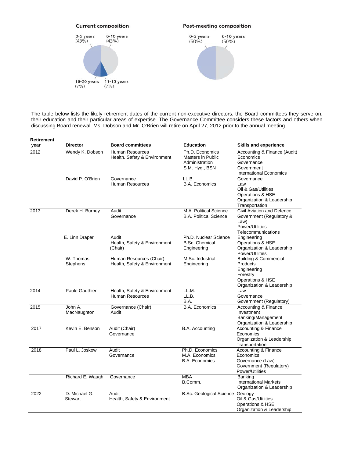

The table below lists the likely retirement dates of the current non-executive directors, the Board committees they serve on, their education and their particular areas of expertise. The Governance Committee considers these factors and others when discussing Board renewal. Ms. Dobson and Mr. O'Brien will retire on April 27, 2012 prior to the annual meeting.

| <b>Retirement</b> |                          |                                                         |                                                                                 |                                                                                                                          |
|-------------------|--------------------------|---------------------------------------------------------|---------------------------------------------------------------------------------|--------------------------------------------------------------------------------------------------------------------------|
| year              | <b>Director</b>          | <b>Board committees</b>                                 | <b>Education</b>                                                                | <b>Skills and experience</b>                                                                                             |
| 2012              | Wendy K. Dobson          | <b>Human Resources</b><br>Health, Safety & Environment  | Ph.D. Economics<br><b>Masters in Public</b><br>Administration<br>S.M. Hyg., BSN | Accounting & Finance (Audit)<br>Economics<br>Governance<br>Government<br>International Economics                         |
|                   | David P. O'Brien         | Governance<br><b>Human Resources</b>                    | LL.B.<br><b>B.A. Economics</b>                                                  | Governance<br>Law<br>Oil & Gas/Utilities<br>Operations & HSE<br>Organization & Leadership<br>Transportation              |
| 2013              | Derek H. Burney          | Audit<br>Governance                                     | M.A. Political Science<br><b>B.A. Political Science</b>                         | Civil Aviation and Defence<br>Government (Regulatory &<br>Law)<br>Power/Utilities<br>Telecommunications                  |
|                   | E. Linn Draper           | Audit<br>Health, Safety & Environment<br>(Chair)        | Ph.D. Nuclear Science<br><b>B.Sc. Chemical</b><br>Engineering                   | Engineering<br>Operations & HSE<br>Organization & Leadership<br>Power/Utilities                                          |
|                   | W. Thomas<br>Stephens    | Human Resources (Chair)<br>Health, Safety & Environment | M.Sc. Industrial<br>Engineering                                                 | <b>Building &amp; Commercial</b><br>Products<br>Engineering<br>Forestry<br>Operations & HSE<br>Organization & Leadership |
| 2014              | Paule Gauthier           | Health, Safety & Environment<br>Human Resources         | LL.M.<br>LL.B.<br>B.A.                                                          | Law<br>Governance<br>Government (Regulatory)                                                                             |
| 2015              | John A.<br>MacNaughton   | Governance (Chair)<br>Audit                             | <b>B.A. Economics</b>                                                           | Accounting & Finance<br>Investment<br>Banking/Management<br>Organization & Leadership                                    |
| 2017              | Kevin E. Benson          | Audit (Chair)<br>Governance                             | <b>B.A.</b> Accounting                                                          | <b>Accounting &amp; Finance</b><br>Economics<br>Organization & Leadership<br>Transportation                              |
| 2018              | Paul L. Joskow           | Audit<br>Governance                                     | Ph.D. Economics<br>M.A. Economics<br><b>B.A. Economics</b>                      | <b>Accounting &amp; Finance</b><br>Economics<br>Governance (Law)<br>Government (Regulatory)<br>Power/Utilities           |
|                   | Richard E. Waugh         | Governance                                              | <b>MBA</b><br>B.Comm.                                                           | Banking<br><b>International Markets</b><br>Organization & Leadership                                                     |
| 2022              | D. Michael G.<br>Stewart | Audit<br>Health, Safety & Environment                   | <b>B.Sc. Geological Science Geology</b>                                         | Oil & Gas/Utilities<br>Operations & HSE<br>Organization & Leadership                                                     |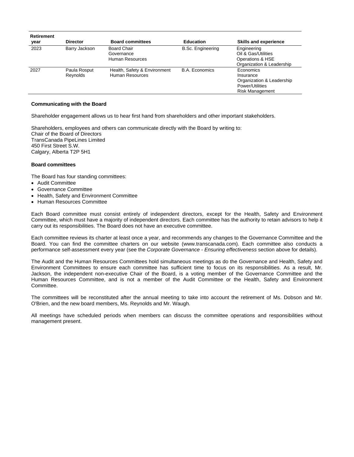| <b>Retirement</b><br>year | <b>Director</b>          | <b>Board committees</b>                         | <b>Education</b>         | <b>Skills and experience</b>                                                                     |
|---------------------------|--------------------------|-------------------------------------------------|--------------------------|--------------------------------------------------------------------------------------------------|
| 2023                      | Barry Jackson            | Board Chair<br>Governance<br>Human Resources    | <b>B.Sc. Engineering</b> | Engineering<br>Oil & Gas/Utilities<br>Operations & HSE<br>Organization & Leadership              |
| 2027                      | Paula Rosput<br>Reynolds | Health, Safety & Environment<br>Human Resources | <b>B.A.</b> Economics    | Economics<br>Insurance<br>Organization & Leadership<br>Power/Utilities<br><b>Risk Management</b> |

#### **Communicating with the Board**

Shareholder engagement allows us to hear first hand from shareholders and other important stakeholders.

Shareholders, employees and others can communicate directly with the Board by writing to: Chair of the Board of Directors TransCanada PipeLines Limited 450 First Street S.W. Calgary, Alberta T2P 5H1

#### **Board committees**

The Board has four standing committees:

- Audit Committee
- Governance Committee
- Health, Safety and Environment Committee
- Human Resources Committee

Each Board committee must consist entirely of independent directors, except for the Health, Safety and Environment Committee, which must have a majority of independent directors. Each committee has the authority to retain advisors to help it carry out its responsibilities. The Board does not have an executive committee.

Each committee reviews its charter at least once a year, and recommends any changes to the Governance Committee and the Board. You can find the committee charters on our website (www.transcanada.com). Each committee also conducts a performance self-assessment every year (see the *Corporate Governance - Ensuring effectiveness* section above for details).

The Audit and the Human Resources Committees hold simultaneous meetings as do the Governance and Health, Safety and Environment Committees to ensure each committee has sufficient time to focus on its responsibilities. As a result, Mr. Jackson, the independent non-executive Chair of the Board, is a voting member of the Governance Committee and the Human Resources Committee, and is not a member of the Audit Committee or the Health, Safety and Environment Committee.

The committees will be reconstituted after the annual meeting to take into account the retirement of Ms. Dobson and Mr. O'Brien, and the new board members, Ms. Reynolds and Mr. Waugh.

All meetings have scheduled periods when members can discuss the committee operations and responsibilities without management present.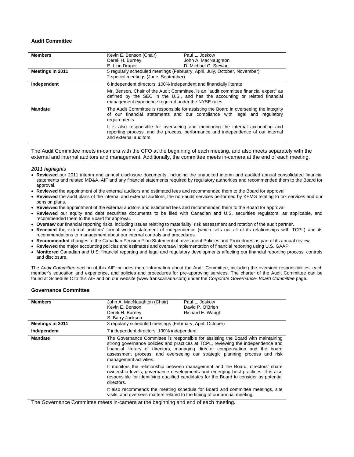#### **Audit Committee**

| <b>Members</b><br>Meetings in 2011 | Kevin E. Benson (Chair)<br>Derek H. Burney<br>E. Linn Draper                                                                                                                                                                 | Paul L. Joskow<br>John A. MacNaughton<br>D. Michael G. Stewart<br>5 regularly scheduled meetings (February, April, July, October, November)                          |  |  |  |
|------------------------------------|------------------------------------------------------------------------------------------------------------------------------------------------------------------------------------------------------------------------------|----------------------------------------------------------------------------------------------------------------------------------------------------------------------|--|--|--|
|                                    | 2 special meetings (June, September)                                                                                                                                                                                         |                                                                                                                                                                      |  |  |  |
| Independent                        | 6 independent directors, 100% independent and financially literate                                                                                                                                                           |                                                                                                                                                                      |  |  |  |
|                                    | Mr. Benson, Chair of the Audit Committee, is an "audit committee financial expert" as<br>defined by the SEC in the U.S., and has the accounting or related financial<br>management experience required under the NYSE rules. |                                                                                                                                                                      |  |  |  |
| <b>Mandate</b>                     | requirements.                                                                                                                                                                                                                | The Audit Committee is responsible for assisting the Board in overseeing the integrity<br>of our financial statements and our compliance with legal and regulatory   |  |  |  |
|                                    | and external auditors.                                                                                                                                                                                                       | It is also responsible for overseeing and monitoring the internal accounting and<br>reporting process, and the process, performance and independence of our internal |  |  |  |

The Audit Committee meets in-camera with the CFO at the beginning of each meeting, and also meets separately with the external and internal auditors and management. Additionally, the committee meets in-camera at the end of each meeting.

*2011 highlights* 

- **Reviewed** our 2011 interim and annual disclosure documents, including the unaudited interim and audited annual consolidated financial statements and related MD&A, AIF and any financial statements required by regulatory authorities and recommended them to the Board for approval.
- **Reviewed** the appointment of the external auditors and estimated fees and recommended them to the Board for approval.
- **Reviewed** the audit plans of the internal and external auditors, the non-audit services performed by KPMG relating to tax services and our pension plans.
- **Reviewed** the appointment of the external auditors and estimated fees and recommended them to the Board for approval.
- **Reviewed** our equity and debt securities documents to be filed with Canadian and U.S. securities regulators, as applicable, and recommended them to the Board for approval.
- **Oversaw** our financial reporting risks, including issues relating to materiality, risk assessment and rotation of the audit partner.
- **Received** the external auditors' formal written statement of independence (which sets out all of its relationships with TCPL) and its recommendations to management about our internal controls and procedures.
- **Recommended** changes to the Canadian Pension Plan Statement of Investment Policies and Procedures as part of its annual review.
- **Reviewed** the major accounting policies and estimates and oversaw implementation of financial reporting using U.S. GAAP.
- **Monitored** Canadian and U.S. financial reporting and legal and regulatory developments affecting our financial reporting process, controls and disclosure.

The *Audit Committee* section of this AIF includes more information about the Audit Committee, including the oversight responsibilities, each member's education and experience, and policies and procedures for pre-approving services. The charter of the Audit Committee can be found at Schedule C to this AIF and on our website (www.transcanada.com) under the *Corporate Governance- Board Committee* page.

#### **Governance Committee**

| <b>Members</b>   | John A. MacNaughton (Chair)<br>Kevin E. Benson<br>Derek H. Burney<br>S. Barry Jackson                                                                                                                                                                                                                                                                         | Paul L. Joskow<br>David P. O'Brien<br>Richard E. Waugh                         |  |  |
|------------------|---------------------------------------------------------------------------------------------------------------------------------------------------------------------------------------------------------------------------------------------------------------------------------------------------------------------------------------------------------------|--------------------------------------------------------------------------------|--|--|
| Meetings in 2011 | 3 regularly scheduled meetings (February, April, October)                                                                                                                                                                                                                                                                                                     |                                                                                |  |  |
| Independent      | 7 independent directors, 100% independent                                                                                                                                                                                                                                                                                                                     |                                                                                |  |  |
| <b>Mandate</b>   | The Governance Committee is responsible for assisting the Board with maintaining<br>strong governance policies and practices at TCPL, reviewing the independence and<br>financial literary of directors, managing director compensation and the board<br>assessment process, and overseeing our strategic planning process and risk<br>management activities. |                                                                                |  |  |
|                  | It monitors the relationship between management and the Board, directors' share<br>ownership levels, governance developments and emerging best practices. It is also<br>responsible for identifying qualified candidates for the Board to consider as potential                                                                                               |                                                                                |  |  |
|                  | visits, and oversees matters related to the timing of our annual meeting.                                                                                                                                                                                                                                                                                     | It also recommends the meeting schedule for Board and committee meetings, site |  |  |

The Governance Committee meets in-camera at the beginning and end of each meeting.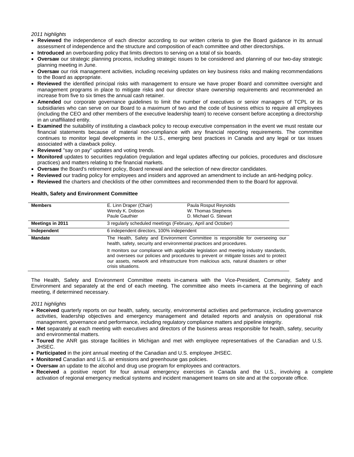#### *2011 highlights*

- **Reviewed** the independence of each director according to our written criteria to give the Board guidance in its annual assessment of independence and the structure and composition of each committee and other directorships.
- **Introduced** an overboarding policy that limits directors to serving on a total of six boards.
- **Oversaw** our strategic planning process, including strategic issues to be considered and planning of our two-day strategic planning meeting in June.
- **Oversaw** our risk management activities, including receiving updates on key business risks and making recommendations to the Board as appropriate.
- **Reviewed** the identified principal risks with management to ensure we have proper Board and committee oversight and management programs in place to mitigate risks and our director share ownership requirements and recommended an increase from five to six times the annual cash retainer.
- **Amended** our corporate governance guidelines to limit the number of executives or senior managers of TCPL or its subsidiaries who can serve on our Board to a maximum of two and the code of business ethics to require all employees (including the CEO and other members of the executive leadership team) to receive consent before accepting a directorship in an unaffiliated entity.
- **Examined** the suitability of instituting a clawback policy to recoup executive compensation in the event we must restate our financial statements because of material non-compliance with any financial reporting requirements. The committee continues to monitor legal developments in the U.S., emerging best practices in Canada and any legal or tax issues associated with a clawback policy.
- **Reviewed** ''say on pay'' updates and voting trends.
- **Monitored** updates to securities regulation (regulation and legal updates affecting our policies, procedures and disclosure practices) and matters relating to the financial markets.
- **Oversaw** the Board's retirement policy, Board renewal and the selection of new director candidates.
- **Reviewed** our trading policy for employees and insiders and approved an amendment to include an anti-hedging policy.
- **Reviewed** the charters and checklists of the other committees and recommended them to the Board for approval.

| <b>Members</b>   | E. Linn Draper (Chair)<br>Wendy K. Dobson<br>Paule Gauthier                                                                                                                                                                                                                                     | Paula Rosput Reynolds<br>W. Thomas Stephens<br>D. Michael G. Stewart |  |  |  |  |
|------------------|-------------------------------------------------------------------------------------------------------------------------------------------------------------------------------------------------------------------------------------------------------------------------------------------------|----------------------------------------------------------------------|--|--|--|--|
| Meetings in 2011 |                                                                                                                                                                                                                                                                                                 | 3 regularly scheduled meetings (February, April and October)         |  |  |  |  |
| Independent      | 6 independent directors, 100% independent                                                                                                                                                                                                                                                       |                                                                      |  |  |  |  |
| <b>Mandate</b>   | The Health, Safety and Environment Committee is responsible for overseeing our<br>health, safety, security and environmental practices and procedures.                                                                                                                                          |                                                                      |  |  |  |  |
|                  | It monitors our compliance with applicable legislation and meeting industry standards,<br>and oversees our policies and procedures to prevent or mitigate losses and to protect<br>our assets, network and infrastructure from malicious acts, natural disasters or other<br>crisis situations. |                                                                      |  |  |  |  |

#### **Health, Safety and Environment Committee**

The Health, Safety and Environment Committee meets in-camera with the Vice-President, Community, Safety and Environment and separately at the end of each meeting. The committee also meets in-camera at the beginning of each meeting, if determined necessary.

#### *2011 highlights*

- **Received** quarterly reports on our health, safety, security, environmental activities and performance, including governance activities, leadership objectives and emergency management and detailed reports and analysis on operational risk management, governance and performance, including regulatory compliance matters and pipeline integrity.
- **Met** separately at each meeting with executives and directors of the business areas responsible for health, safety, security and environmental matters.
- **Toured** the ANR gas storage facilities in Michigan and met with employee representatives of the Canadian and U.S. JHSEC.
- **Participated** in the joint annual meeting of the Canadian and U.S. employee JHSEC.
- **Monitored** Canadian and U.S. air emissions and greenhouse gas policies.
- **Oversaw** an update to the alcohol and drug use program for employees and contractors.
- **Received** a positive report for four annual emergency exercises in Canada and the U.S., involving a complete activation of regional emergency medical systems and incident management teams on site and at the corporate office.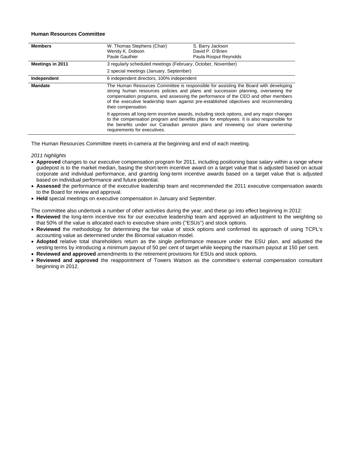#### **Human Resources Committee**

| <b>Members</b>   | W. Thomas Stephens (Chair)<br>Wendy K. Dobson<br>Paule Gauthier                                                                                                                                                                                                                                                                                                               | S. Barry Jackson<br>David P. O'Brien<br>Paula Rosput Reynolds                                                                                                                                                                                                             |  |  |
|------------------|-------------------------------------------------------------------------------------------------------------------------------------------------------------------------------------------------------------------------------------------------------------------------------------------------------------------------------------------------------------------------------|---------------------------------------------------------------------------------------------------------------------------------------------------------------------------------------------------------------------------------------------------------------------------|--|--|
| Meetings in 2011 | 3 regularly scheduled meetings (February, October, November)                                                                                                                                                                                                                                                                                                                  |                                                                                                                                                                                                                                                                           |  |  |
|                  | 2 special meetings (January, September)                                                                                                                                                                                                                                                                                                                                       |                                                                                                                                                                                                                                                                           |  |  |
| Independent      | 6 independent directors, 100% independent                                                                                                                                                                                                                                                                                                                                     |                                                                                                                                                                                                                                                                           |  |  |
| <b>Mandate</b>   | The Human Resources Committee is responsible for assisting the Board with developing<br>strong human resources policies and plans and succession planning, overseeing the<br>compensation programs, and assessing the performance of the CEO and other members<br>of the executive leadership team against pre-established objectives and recommending<br>their compensation. |                                                                                                                                                                                                                                                                           |  |  |
|                  | requirements for executives.                                                                                                                                                                                                                                                                                                                                                  | It approves all long-term incentive awards, including stock options, and any major changes<br>to the compensation program and benefits plans for employees. It is also responsible for<br>the benefits under our Canadian pension plans and reviewing our share ownership |  |  |

The Human Resources Committee meets in-camera at the beginning and end of each meeting.

*2011 highlights* 

- **Approved** changes to our executive compensation program for 2011, including positioning base salary within a range where guidepost is to the market median, basing the short-term incentive award on a target value that is adjusted based on actual corporate and individual performance, and granting long-term incentive awards based on a target value that is adjusted based on individual performance and future potential.
- **Assessed** the performance of the executive leadership team and recommended the 2011 executive compensation awards to the Board for review and approval.
- **Held** special meetings on executive compensation in January and September.

The committee also undertook a number of other activities during the year, and these go into effect beginning in 2012:

- **Reviewed** the long-term incentive mix for our executive leadership team and approved an adjustment to the weighting so that 50% of the value is allocated each to executive share units (''ESUs'') and stock options.
- **Reviewed** the methodology for determining the fair value of stock options and confirmed its approach of using TCPL's accounting value as determined under the Binomial valuation model.
- **Adopted** relative total shareholders return as the single performance measure under the ESU plan, and adjusted the vesting terms by introducing a minimum payout of 50 per cent of target while keeping the maximum payout at 150 per cent.
- **Reviewed and approved** amendments to the retirement provisions for ESUs and stock options.
- **Reviewed and approved** the reappointment of Towers Watson as the committee's external compensation consultant beginning in 2012.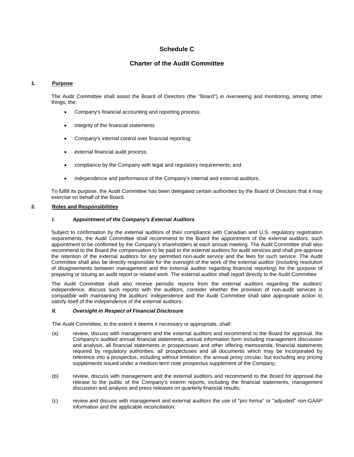# **Schedule C**

# **Charter of the Audit Committee**

### **1. Purpose**

The Audit Committee shall assist the Board of Directors (the ''Board'') in overseeing and monitoring, among other things, the:

- Company's financial accounting and reporting process;
- integrity of the financial statements
- Company's internal control over financial reporting;
- external financial audit process;
- compliance by the Company with legal and regulatory requirements; and
- independence and performance of the Company's internal and external auditors.

To fulfill its purpose, the Audit Committee has been delegated certain authorities by the Board of Directors that it may exercise on behalf of the Board.

### **2. Roles and Responsibilities**

#### *I. Appointment of the Company's External Auditors*

Subject to confirmation by the external auditors of their compliance with Canadian and U.S. regulatory registration requirements, the Audit Committee shall recommend to the Board the appointment of the external auditors, such appointment to be confirmed by the Company's shareholders at each annual meeting. The Audit Committee shall also recommend to the Board the compensation to be paid to the external auditors for audit services and shall pre-approve the retention of the external auditors for any permitted non-audit service and the fees for such service. The Audit Committee shall also be directly responsible for the oversight of the work of the external auditor (including resolution of disagreements between management and the external auditor regarding financial reporting) for the purpose of preparing or issuing an audit report or related work. The external auditor shall report directly to the Audit Committee

The Audit Committee shall also receive periodic reports from the external auditors regarding the auditors' independence, discuss such reports with the auditors, consider whether the provision of non-audit services is compatible with maintaining the auditors' independence and the Audit Committee shall take appropriate action to satisfy itself of the independence of the external auditors.

#### *II. Oversight in Respect of Financial Disclosure*

The Audit Committee, to the extent it deems it necessary or appropriate, shall:

- (a) review, discuss with management and the external auditors and recommend to the Board for approval, the Company's audited annual financial statements, annual information form including management discussion and analysis, all financial statements in prospectuses and other offering memoranda, financial statements required by regulatory authorities, all prospectuses and all documents which may be incorporated by reference into a prospectus, including without limitation, the annual proxy circular, but excluding any pricing supplements issued under a medium term note prospectus supplement of the Company;
- (b) review, discuss with management and the external auditors and recommend to the Board for approval the release to the public of the Company's interim reports, including the financial statements, management discussion and analysis and press releases on quarterly financial results;
- (c) review and discuss with management and external auditors the use of ''pro forma'' or ''adjusted'' non-GAAP information and the applicable reconciliation;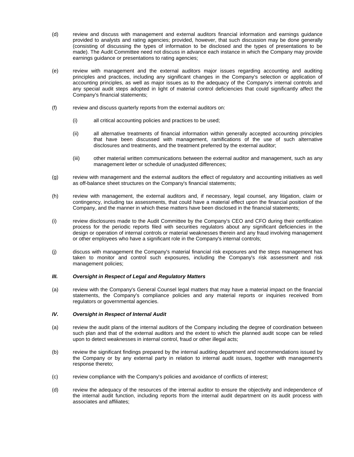- (d) review and discuss with management and external auditors financial information and earnings guidance provided to analysts and rating agencies; provided, however, that such discussion may be done generally (consisting of discussing the types of information to be disclosed and the types of presentations to be made). The Audit Committee need not discuss in advance each instance in which the Company may provide earnings guidance or presentations to rating agencies;
- (e) review with management and the external auditors major issues regarding accounting and auditing principles and practices, including any significant changes in the Company's selection or application of accounting principles, as well as major issues as to the adequacy of the Company's internal controls and any special audit steps adopted in light of material control deficiencies that could significantly affect the Company's financial statements;
- (f) review and discuss quarterly reports from the external auditors on:
	- (i) all critical accounting policies and practices to be used;
	- (ii) all alternative treatments of financial information within generally accepted accounting principles that have been discussed with management, ramifications of the use of such alternative disclosures and treatments, and the treatment preferred by the external auditor;
	- (iii) other material written communications between the external auditor and management, such as any management letter or schedule of unadjusted differences;
- (g) review with management and the external auditors the effect of regulatory and accounting initiatives as well as off-balance sheet structures on the Company's financial statements;
- (h) review with management, the external auditors and, if necessary, legal counsel, any litigation, claim or contingency, including tax assessments, that could have a material effect upon the financial position of the Company, and the manner in which these matters have been disclosed in the financial statements;
- (i) review disclosures made to the Audit Committee by the Company's CEO and CFO during their certification process for the periodic reports filed with securities regulators about any significant deficiencies in the design or operation of internal controls or material weaknesses therein and any fraud involving management or other employees who have a significant role in the Company's internal controls;
- (j) discuss with management the Company's material financial risk exposures and the steps management has taken to monitor and control such exposures, including the Company's risk assessment and risk management policies;

### *III. Oversight in Respect of Legal and Regulatory Matters*

(a) review with the Company's General Counsel legal matters that may have a material impact on the financial statements, the Company's compliance policies and any material reports or inquiries received from regulators or governmental agencies.

### *IV. Oversight in Respect of Internal Audit*

- (a) review the audit plans of the internal auditors of the Company including the degree of coordination between such plan and that of the external auditors and the extent to which the planned audit scope can be relied upon to detect weaknesses in internal control, fraud or other illegal acts;
- (b) review the significant findings prepared by the internal auditing department and recommendations issued by the Company or by any external party in relation to internal audit issues, together with management's response thereto;
- (c) review compliance with the Company's policies and avoidance of conflicts of interest;
- (d) review the adequacy of the resources of the internal auditor to ensure the objectivity and independence of the internal audit function, including reports from the internal audit department on its audit process with associates and affiliates;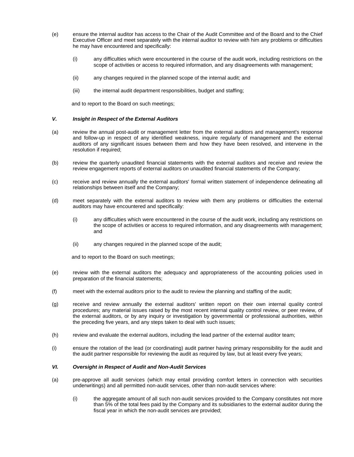- (e) ensure the internal auditor has access to the Chair of the Audit Committee and of the Board and to the Chief Executive Officer and meet separately with the internal auditor to review with him any problems or difficulties he may have encountered and specifically:
	- (i) any difficulties which were encountered in the course of the audit work, including restrictions on the scope of activities or access to required information, and any disagreements with management;
	- (ii) any changes required in the planned scope of the internal audit; and
	- (iii) the internal audit department responsibilities, budget and staffing;

and to report to the Board on such meetings;

### *V. Insight in Respect of the External Auditors*

- (a) review the annual post-audit or management letter from the external auditors and management's response and follow-up in respect of any identified weakness, inquire regularly of management and the external auditors of any significant issues between them and how they have been resolved, and intervene in the resolution if required;
- (b) review the quarterly unaudited financial statements with the external auditors and receive and review the review engagement reports of external auditors on unaudited financial statements of the Company;
- (c) receive and review annually the external auditors' formal written statement of independence delineating all relationships between itself and the Company;
- (d) meet separately with the external auditors to review with them any problems or difficulties the external auditors may have encountered and specifically:
	- (i) any difficulties which were encountered in the course of the audit work, including any restrictions on the scope of activities or access to required information, and any disagreements with management; and
	- (ii) any changes required in the planned scope of the audit;

and to report to the Board on such meetings;

- (e) review with the external auditors the adequacy and appropriateness of the accounting policies used in preparation of the financial statements;
- (f) meet with the external auditors prior to the audit to review the planning and staffing of the audit;
- (g) receive and review annually the external auditors' written report on their own internal quality control procedures; any material issues raised by the most recent internal quality control review, or peer review, of the external auditors, or by any inquiry or investigation by governmental or professional authorities, within the preceding five years, and any steps taken to deal with such issues;
- (h) review and evaluate the external auditors, including the lead partner of the external auditor team;
- (i) ensure the rotation of the lead (or coordinating) audit partner having primary responsibility for the audit and the audit partner responsible for reviewing the audit as required by law, but at least every five years;

#### *VI. Oversight in Respect of Audit and Non-Audit Services*

- (a) pre-approve all audit services (which may entail providing comfort letters in connection with securities underwritings) and all permitted non-audit services, other than non-audit services where:
	- (i) the aggregate amount of all such non-audit services provided to the Company constitutes not more than 5% of the total fees paid by the Company and its subsidiaries to the external auditor during the fiscal year in which the non-audit services are provided;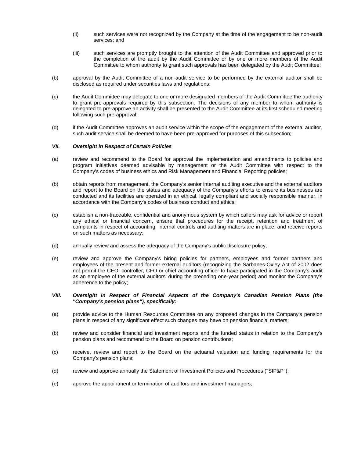- (ii) such services were not recognized by the Company at the time of the engagement to be non-audit services; and
- (iii) such services are promptly brought to the attention of the Audit Committee and approved prior to the completion of the audit by the Audit Committee or by one or more members of the Audit Committee to whom authority to grant such approvals has been delegated by the Audit Committee;
- (b) approval by the Audit Committee of a non-audit service to be performed by the external auditor shall be disclosed as required under securities laws and regulations;
- (c) the Audit Committee may delegate to one or more designated members of the Audit Committee the authority to grant pre-approvals required by this subsection. The decisions of any member to whom authority is delegated to pre-approve an activity shall be presented to the Audit Committee at its first scheduled meeting following such pre-approval;
- (d) if the Audit Committee approves an audit service within the scope of the engagement of the external auditor, such audit service shall be deemed to have been pre-approved for purposes of this subsection;

#### *VII. Oversight in Respect of Certain Policies*

- (a) review and recommend to the Board for approval the implementation and amendments to policies and program initiatives deemed advisable by management or the Audit Committee with respect to the Company's codes of business ethics and Risk Management and Financial Reporting policies;
- (b) obtain reports from management, the Company's senior internal auditing executive and the external auditors and report to the Board on the status and adequacy of the Company's efforts to ensure its businesses are conducted and its facilities are operated in an ethical, legally compliant and socially responsible manner, in accordance with the Company's codes of business conduct and ethics;
- (c) establish a non-traceable, confidential and anonymous system by which callers may ask for advice or report any ethical or financial concern, ensure that procedures for the receipt, retention and treatment of complaints in respect of accounting, internal controls and auditing matters are in place, and receive reports on such matters as necessary;
- (d) annually review and assess the adequacy of the Company's public disclosure policy;
- (e) review and approve the Company's hiring policies for partners, employees and former partners and employees of the present and former external auditors (recognizing the Sarbanes-Oxley Act of 2002 does not permit the CEO, controller, CFO or chief accounting officer to have participated in the Company's audit as an employee of the external auditors' during the preceding one-year period) and monitor the Company's adherence to the policy;

#### *VIII. Oversight in Respect of Financial Aspects of the Company's Canadian Pension Plans (the ''Company's pension plans''), specifically:*

- (a) provide advice to the Human Resources Committee on any proposed changes in the Company's pension plans in respect of any significant effect such changes may have on pension financial matters;
- (b) review and consider financial and investment reports and the funded status in relation to the Company's pension plans and recommend to the Board on pension contributions;
- (c) receive, review and report to the Board on the actuarial valuation and funding requirements for the Company's pension plans;
- (d) review and approve annually the Statement of Investment Policies and Procedures ("SIP&P");
- (e) approve the appointment or termination of auditors and investment managers;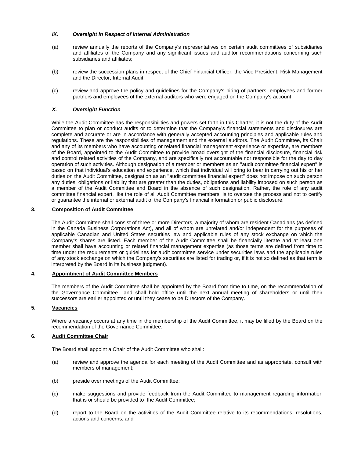### *IX. Oversight in Respect of Internal Administration*

- (a) review annually the reports of the Company's representatives on certain audit committees of subsidiaries and affiliates of the Company and any significant issues and auditor recommendations concerning such subsidiaries and affiliates;
- (b) review the succession plans in respect of the Chief Financial Officer, the Vice President, Risk Management and the Director, Internal Audit;
- (c) review and approve the policy and guidelines for the Company's hiring of partners, employees and former partners and employees of the external auditors who were engaged on the Company's account;

### *X. Oversight Function*

While the Audit Committee has the responsibilities and powers set forth in this Charter, it is not the duty of the Audit Committee to plan or conduct audits or to determine that the Company's financial statements and disclosures are complete and accurate or are in accordance with generally accepted accounting principles and applicable rules and regulations. These are the responsibilities of management and the external auditors. The Audit Committee, its Chair and any of its members who have accounting or related financial management experience or expertise, are members of the Board, appointed to the Audit Committee to provide broad oversight of the financial disclosure, financial risk and control related activities of the Company, and are specifically not accountable nor responsible for the day to day operation of such activities. Although designation of a member or members as an ''audit committee financial expert'' is based on that individual's education and experience, which that individual will bring to bear in carrying out his or her duties on the Audit Committee, designation as an ''audit committee financial expert'' does not impose on such person any duties, obligations or liability that are greater than the duties, obligations and liability imposed on such person as a member of the Audit Committee and Board in the absence of such designation. Rather, the role of any audit committee financial expert, like the role of all Audit Committee members, is to oversee the process and not to certify or guarantee the internal or external audit of the Company's financial information or public disclosure.

### **3. Composition of Audit Committee**

The Audit Committee shall consist of three or more Directors, a majority of whom are resident Canadians (as defined in the Canada Business Corporations Act), and all of whom are unrelated and/or independent for the purposes of applicable Canadian and United States securities law and applicable rules of any stock exchange on which the Company's shares are listed. Each member of the Audit Committee shall be financially literate and at least one member shall have accounting or related financial management expertise (as those terms are defined from time to time under the requirements or guidelines for audit committee service under securities laws and the applicable rules of any stock exchange on which the Company's securities are listed for trading or, if it is not so defined as that term is interpreted by the Board in its business judgment).

#### **4. Appointment of Audit Committee Members**

The members of the Audit Committee shall be appointed by the Board from time to time, on the recommendation of the Governance Committee and shall hold office until the next annual meeting of shareholders or until their successors are earlier appointed or until they cease to be Directors of the Company.

#### **5. Vacancies**

Where a vacancy occurs at any time in the membership of the Audit Committee, it may be filled by the Board on the recommendation of the Governance Committee.

### **6. Audit Committee Chair**

The Board shall appoint a Chair of the Audit Committee who shall:

- (a) review and approve the agenda for each meeting of the Audit Committee and as appropriate, consult with members of management;
- (b) preside over meetings of the Audit Committee;
- (c) make suggestions and provide feedback from the Audit Committee to management regarding information that is or should be provided to the Audit Committee;
- (d) report to the Board on the activities of the Audit Committee relative to its recommendations, resolutions, actions and concerns; and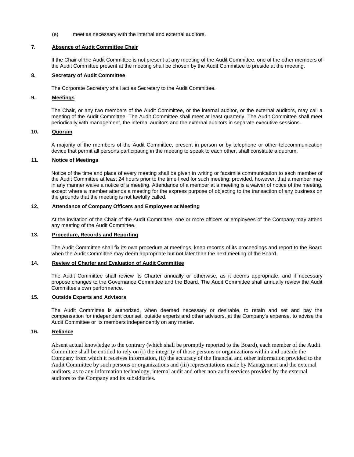(e) meet as necessary with the internal and external auditors.

#### **7. Absence of Audit Committee Chair**

If the Chair of the Audit Committee is not present at any meeting of the Audit Committee, one of the other members of the Audit Committee present at the meeting shall be chosen by the Audit Committee to preside at the meeting.

#### **8. Secretary of Audit Committee**

The Corporate Secretary shall act as Secretary to the Audit Committee.

#### **9. Meetings**

The Chair, or any two members of the Audit Committee, or the internal auditor, or the external auditors, may call a meeting of the Audit Committee. The Audit Committee shall meet at least quarterly. The Audit Committee shall meet periodically with management, the internal auditors and the external auditors in separate executive sessions.

#### **10. Quorum**

A majority of the members of the Audit Committee, present in person or by telephone or other telecommunication device that permit all persons participating in the meeting to speak to each other, shall constitute a quorum.

### **11. Notice of Meetings**

Notice of the time and place of every meeting shall be given in writing or facsimile communication to each member of the Audit Committee at least 24 hours prior to the time fixed for such meeting; provided, however, that a member may in any manner waive a notice of a meeting. Attendance of a member at a meeting is a waiver of notice of the meeting, except where a member attends a meeting for the express purpose of objecting to the transaction of any business on the grounds that the meeting is not lawfully called.

### **12. Attendance of Company Officers and Employees at Meeting**

At the invitation of the Chair of the Audit Committee, one or more officers or employees of the Company may attend any meeting of the Audit Committee.

### **13. Procedure, Records and Reporting**

The Audit Committee shall fix its own procedure at meetings, keep records of its proceedings and report to the Board when the Audit Committee may deem appropriate but not later than the next meeting of the Board.

### **14. Review of Charter and Evaluation of Audit Committee**

The Audit Committee shall review its Charter annually or otherwise, as it deems appropriate, and if necessary propose changes to the Governance Committee and the Board. The Audit Committee shall annually review the Audit Committee's own performance.

### **15. Outside Experts and Advisors**

The Audit Committee is authorized, when deemed necessary or desirable, to retain and set and pay the compensation for independent counsel, outside experts and other advisors, at the Company's expense, to advise the Audit Committee or its members independently on any matter.

### **16. Reliance**

Absent actual knowledge to the contrary (which shall be promptly reported to the Board), each member of the Audit Committee shall be entitled to rely on (i) the integrity of those persons or organizations within and outside the Company from which it receives information, (ii) the accuracy of the financial and other information provided to the Audit Committee by such persons or organizations and (iii) representations made by Management and the external auditors, as to any information technology, internal audit and other non-audit services provided by the external auditors to the Company and its subsidiaries.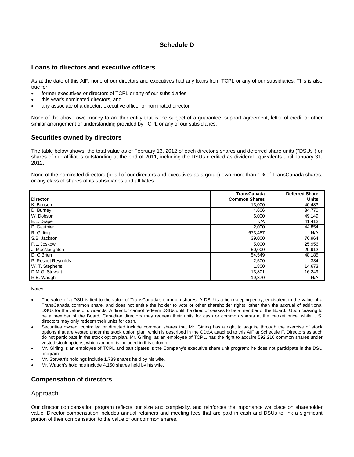## **Schedule D**

## **Loans to directors and executive officers**

As at the date of this AIF, none of our directors and executives had any loans from TCPL or any of our subsidiaries. This is also true for:

- former executives or directors of TCPL or any of our subsidiaries
- this year's nominated directors, and
- any associate of a director, executive officer or nominated director.

None of the above owe money to another entity that is the subject of a guarantee, support agreement, letter of credit or other similar arrangement or understanding provided by TCPL or any of our subsidiaries.

## **Securities owned by directors**

The table below shows: the total value as of February 13, 2012 of each director's shares and deferred share units (''DSUs") or shares of our affiliates outstanding at the end of 2011, including the DSUs credited as dividend equivalents until January 31, 2012.

None of the nominated directors (or all of our directors and executives as a group) own more than 1% of TransCanada shares, or any class of shares of its subsidiaries and affiliates.

|                    | <b>TransCanada</b>   | <b>Deferred Share</b> |
|--------------------|----------------------|-----------------------|
| <b>Director</b>    | <b>Common Shares</b> | <b>Units</b>          |
| K. Benson          | 13,000               | 40,483                |
| D. Burney          | 4,606                | 34,770                |
| W. Dobson          | 6,000                | 49,149                |
| E.L. Draper        | N/A                  | 41,413                |
| P. Gauthier        | 2,000                | 44,854                |
| R. Girling         | 673,487              | N/A                   |
| S.B. Jackson       | 39,000               | 76,964                |
| P.L. Joskow        | 5,000                | 25,956                |
| J. MacNaughton     | 50,000               | 29,912                |
| D. O'Brien         | 54,549               | 48,185                |
| P. Rosput Reynolds | 2,500                | 334                   |
| W. T. Stephens     | 1,800                | 14,673                |
| D.M.G. Stewart     | 13,801               | 16,249                |
| R.E. Waugh         | 19,370               | N/A                   |

Notes

- The value of a DSU is tied to the value of TransCanada's common shares. A DSU is a bookkeeping entry, equivalent to the value of a TransCanada common share, and does not entitle the holder to vote or other shareholder rights, other than the accrual of additional DSUs for the value of dividends. A director cannot redeem DSUs until the director ceases to be a member of the Board. Upon ceasing to be a member of the Board, Canadian directors may redeem their units for cash or common shares at the market price, while U.S. directors may only redeem their units for cash.
- Securities owned, controlled or directed include common shares that Mr. Girling has a right to acquire through the exercise of stock options that are vested under the stock option plan, which is described in the CD&A attached to this AIF at Schedule F. Directors as such do not participate in the stock option plan. Mr. Girling, as an employee of TCPL, has the right to acquire 592,210 common shares under vested stock options, which amount is included in this column.
- Mr. Girling is an employee of TCPL and participates is the Company's executive share unit program; he does not participate in the DSU program.
- Mr. Stewart's holdings include 1,789 shares held by his wife.
- Mr. Waugh's holdings include 4,150 shares held by his wife.

# **Compensation of directors**

### Approach

Our director compensation program reflects our size and complexity, and reinforces the importance we place on shareholder value. Director compensation includes annual retainers and meeting fees that are paid in cash and DSUs to link a significant portion of their compensation to the value of our common shares.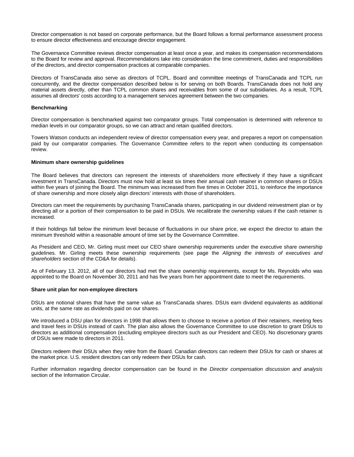Director compensation is not based on corporate performance, but the Board follows a formal performance assessment process to ensure director effectiveness and encourage director engagement.

The Governance Committee reviews director compensation at least once a year, and makes its compensation recommendations to the Board for review and approval. Recommendations take into consideration the time commitment, duties and responsibilities of the directors, and director compensation practices at comparable companies.

Directors of TransCanada also serve as directors of TCPL. Board and committee meetings of TransCanada and TCPL run concurrently, and the director compensation described below is for serving on both Boards. TransCanada does not hold any material assets directly, other than TCPL common shares and receivables from some of our subsidiaries. As a result, TCPL assumes all directors' costs according to a management services agreement between the two companies.

#### **Benchmarking**

Director compensation is benchmarked against two comparator groups. Total compensation is determined with reference to median levels in our comparator groups, so we can attract and retain qualified directors.

Towers Watson conducts an independent review of director compensation every year, and prepares a report on compensation paid by our comparator companies. The Governance Committee refers to the report when conducting its compensation review.

#### **Minimum share ownership guidelines**

The Board believes that directors can represent the interests of shareholders more effectively if they have a significant investment in TransCanada. Directors must now hold at least six times their annual cash retainer in common shares or DSUs within five years of joining the Board. The minimum was increased from five times in October 2011, to reinforce the importance of share ownership and more closely align directors' interests with those of shareholders.

Directors can meet the requirements by purchasing TransCanada shares, participating in our dividend reinvestment plan or by directing all or a portion of their compensation to be paid in DSUs. We recalibrate the ownership values if the cash retainer is increased.

If their holdings fall below the minimum level because of fluctuations in our share price, we expect the director to attain the minimum threshold within a reasonable amount of time set by the Governance Committee.

As President and CEO, Mr. Girling must meet our CEO share ownership requirements under the executive share ownership guidelines. Mr. Girling meets these ownership requirements (see page the *Aligning the interests of executives and shareholders* section of the CD&A for details).

As of February 13, 2012, all of our directors had met the share ownership requirements, except for Ms. Reynolds who was appointed to the Board on November 30, 2011 and has five years from her appointment date to meet the requirements.

#### **Share unit plan for non-employee directors**

DSUs are notional shares that have the same value as TransCanada shares. DSUs earn dividend equivalents as additional units, at the same rate as dividends paid on our shares.

We introduced a DSU plan for directors in 1998 that allows them to choose to receive a portion of their retainers, meeting fees and travel fees in DSUs instead of cash. The plan also allows the Governance Committee to use discretion to grant DSUs to directors as additional compensation (excluding employee directors such as our President and CEO). No discretionary grants of DSUs were made to directors in 2011.

Directors redeem their DSUs when they retire from the Board. Canadian directors can redeem their DSUs for cash or shares at the market price. U.S. resident directors can only redeem their DSUs for cash.

Further information regarding director compensation can be found in the *Director compensation discussion and analysis*  section of the Information Circular.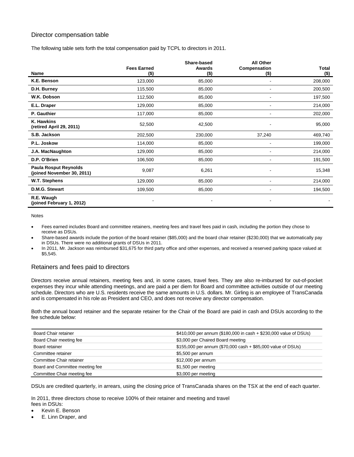## Director compensation table

The following table sets forth the total compensation paid by TCPL to directors in 2011.

|                                                            |                            | Share-based       | <b>All Other</b>         |                  |
|------------------------------------------------------------|----------------------------|-------------------|--------------------------|------------------|
| Name                                                       | <b>Fees Earned</b><br>(\$) | Awards<br>$($ \$) | Compensation<br>$($ \$)  | Total<br>$($ \$) |
| K.E. Benson                                                | 123,000                    | 85,000            |                          | 208,000          |
| D.H. Burney                                                | 115,500                    | 85,000            |                          | 200,500          |
| W.K. Dobson                                                | 112,500                    | 85,000            | ۰                        | 197,500          |
| E.L. Draper                                                | 129,000                    | 85,000            |                          | 214,000          |
| P. Gauthier                                                | 117,000                    | 85,000            |                          | 202,000          |
| K. Hawkins<br>(retired April 29, 2011)                     | 52,500                     | 42,500            | ۰                        | 95,000           |
| S.B. Jackson                                               | 202,500                    | 230,000           | 37,240                   | 469,740          |
| P.L. Joskow                                                | 114,000                    | 85,000            |                          | 199,000          |
| J.A. MacNaughton                                           | 129,000                    | 85,000            | $\overline{\phantom{a}}$ | 214,000          |
| D.P. O'Brien                                               | 106,500                    | 85,000            | $\blacksquare$           | 191,500          |
| <b>Paula Rosput Reynolds</b><br>(joined November 30, 2011) | 9,087                      | 6,261             |                          | 15,348           |
| W.T. Stephens                                              | 129,000                    | 85,000            |                          | 214,000          |
| D.M.G. Stewart                                             | 109,500                    | 85,000            | $\overline{\phantom{a}}$ | 194,500          |
| R.E. Waugh<br>(joined February 1, 2012)                    |                            |                   |                          |                  |

Notes

- Fees earned includes Board and committee retainers, meeting fees and travel fees paid in cash, including the portion they chose to receive as DSUs.
- Share-based awards include the portion of the board retainer (\$85,000) and the board chair retainer (\$230,000) that we automatically pay in DSUs. There were no additional grants of DSUs in 2011.
- In 2011, Mr. Jackson was reimbursed \$31,675 for third party office and other expenses, and received a reserved parking space valued at \$5,545.

## Retainers and fees paid to directors

Directors receive annual retainers, meeting fees and, in some cases, travel fees. They are also re-imbursed for out-of-pocket expenses they incur while attending meetings, and are paid a per diem for Board and committee activities outside of our meeting schedule. Directors who are U.S. residents receive the same amounts in U.S. dollars. Mr. Girling is an employee of TransCanada and is compensated in his role as President and CEO, and does not receive any director compensation.

Both the annual board retainer and the separate retainer for the Chair of the Board are paid in cash and DSUs according to the fee schedule below:

| Board Chair retainer            | \$410,000 per annum (\$180,000 in cash + \$230,000 value of DSUs) |
|---------------------------------|-------------------------------------------------------------------|
| Board Chair meeting fee         | \$3,000 per Chaired Board meeting                                 |
| Board retainer                  | \$155,000 per annum (\$70,000 cash + \$85,000 value of DSUs)      |
| Committee retainer              | \$5,500 per annum                                                 |
| Committee Chair retainer        | \$12,000 per annum                                                |
| Board and Committee meeting fee | \$1,500 per meeting                                               |
| Committee Chair meeting fee     | \$3,000 per meeting                                               |

DSUs are credited quarterly, in arrears, using the closing price of TransCanada shares on the TSX at the end of each quarter.

In 2011, three directors chose to receive 100% of their retainer and meeting and travel fees in DSUs:

- Kevin E. Benson
- E. Linn Draper, and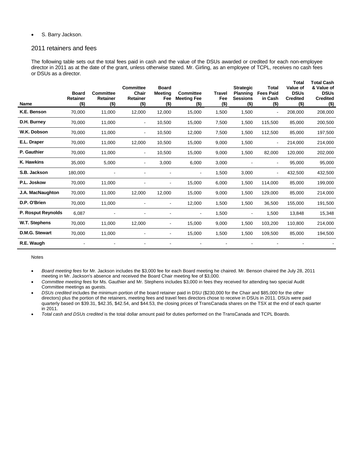### S. Barry Jackson.

### 2011 retainers and fees

The following table sets out the total fees paid in cash and the value of the DSUs awarded or credited for each non-employee director in 2011 as at the date of the grant, unless otherwise stated. Mr. Girling, as an employee of TCPL, receives no cash fees or DSUs as a director.

| <b>Name</b>             | <b>Board</b><br><b>Retainer</b><br>$($ \$) | Committee<br><b>Retainer</b><br>$($ \$) | <b>Committee</b><br>Chair<br><b>Retainer</b><br>$($ \$) | <b>Board</b><br><b>Meeting</b><br>Fee<br>$($ \$) | <b>Committee</b><br><b>Meeting Fee</b><br>$($ \$) | <b>Travel</b><br>Fee<br>$($ \$) | <b>Strategic</b><br><b>Planning</b><br><b>Sessions</b><br>$($ \$) | <b>Total</b><br><b>Fees Paid</b><br>in Cash<br>$($ \$) | <b>Total</b><br>Value of<br><b>DSUs</b><br><b>Credited</b><br>$($ \$) | <b>Total Cash</b><br>& Value of<br><b>DSUs</b><br><b>Credited</b><br>$($ \$) |
|-------------------------|--------------------------------------------|-----------------------------------------|---------------------------------------------------------|--------------------------------------------------|---------------------------------------------------|---------------------------------|-------------------------------------------------------------------|--------------------------------------------------------|-----------------------------------------------------------------------|------------------------------------------------------------------------------|
| K.E. Benson             | 70,000                                     | 11,000                                  | 12,000                                                  | 12,000                                           | 15,000                                            | 1,500                           | 1,500                                                             |                                                        | 208,000                                                               | 208,000                                                                      |
| D.H. Burney             | 70,000                                     | 11,000                                  | ۰                                                       | 10,500                                           | 15,000                                            | 7,500                           | 1,500                                                             | 115,500                                                | 85,000                                                                | 200,500                                                                      |
| W.K. Dobson             | 70,000                                     | 11,000                                  |                                                         | 10,500                                           | 12,000                                            | 7,500                           | 1,500                                                             | 112,500                                                | 85,000                                                                | 197,500                                                                      |
| E.L. Draper             | 70,000                                     | 11,000                                  | 12,000                                                  | 10,500                                           | 15,000                                            | 9,000                           | 1,500                                                             | ۰                                                      | 214,000                                                               | 214,000                                                                      |
| P. Gauthier             | 70,000                                     | 11,000                                  | -                                                       | 10,500                                           | 15,000                                            | 9,000                           | 1,500                                                             | 82,000                                                 | 120,000                                                               | 202,000                                                                      |
| <b>K. Hawkins</b>       | 35,000                                     | 5,000                                   | ۰                                                       | 3,000                                            | 6,000                                             | 3,000                           |                                                                   | $\blacksquare$                                         | 95,000                                                                | 95,000                                                                       |
| S.B. Jackson            | 180,000                                    |                                         |                                                         |                                                  |                                                   | 1,500                           | 3,000                                                             | $\blacksquare$                                         | 432,500                                                               | 432,500                                                                      |
| P.L. Joskow             | 70,000                                     | 11,000                                  |                                                         |                                                  | 15,000                                            | 6,000                           | 1,500                                                             | 114,000                                                | 85,000                                                                | 199,000                                                                      |
| <b>J.A. MacNaughton</b> | 70,000                                     | 11,000                                  | 12,000                                                  | 12,000                                           | 15,000                                            | 9,000                           | 1,500                                                             | 129,000                                                | 85,000                                                                | 214,000                                                                      |
| D.P. O'Brien            | 70,000                                     | 11,000                                  |                                                         |                                                  | 12,000                                            | 1,500                           | 1,500                                                             | 36,500                                                 | 155,000                                                               | 191,500                                                                      |
| P. Rosput Reynolds      | 6,087                                      |                                         |                                                         |                                                  |                                                   | 1,500                           |                                                                   | 1,500                                                  | 13,848                                                                | 15,348                                                                       |
| W.T. Stephens           | 70,000                                     | 11,000                                  | 12,000                                                  |                                                  | 15,000                                            | 9,000                           | 1,500                                                             | 103,200                                                | 110,800                                                               | 214,000                                                                      |
| D.M.G. Stewart          | 70,000                                     | 11,000                                  |                                                         |                                                  | 15,000                                            | 1,500                           | 1,500                                                             | 109,500                                                | 85,000                                                                | 194,500                                                                      |
| R.E. Waugh              |                                            |                                         |                                                         |                                                  |                                                   |                                 |                                                                   |                                                        |                                                                       |                                                                              |

Notes

• *Board meeting fees* for Mr. Jackson includes the \$3,000 fee for each Board meeting he chaired. Mr. Benson chaired the July 28, 2011 meeting in Mr. Jackson's absence and received the Board Chair meeting fee of \$3,000.

• *Committee meeting fees* for Ms. Gauthier and Mr. Stephens includes \$3,000 in fees they received for attending two special Audit Committee meetings as guests.

• *DSUs credited* includes the minimum portion of the board retainer paid in DSU (\$230,000 for the Chair and \$85,000 for the other directors) plus the portion of the retainers, meeting fees and travel fees directors chose to receive in DSUs in 2011. DSUs were paid quarterly based on \$39.31, \$42.35, \$42.54, and \$44.53, the closing prices of TransCanada shares on the TSX at the end of each quarter in 2011.

• *Total cash and DSUs credited* is the total dollar amount paid for duties performed on the TransCanada and TCPL Boards.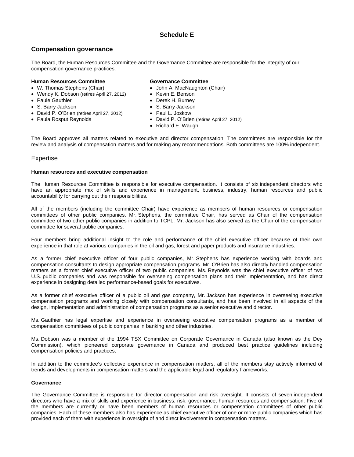# **Schedule E**

# **Compensation governance**

The Board, the Human Resources Committee and the Governance Committee are responsible for the integrity of our compensation governance practices.

#### **Human Resources Committee**

- W. Thomas Stephens (Chair)
- Wendy K. Dobson (retires April 27, 2012)
- Paule Gauthier
- S. Barry Jackson
- David P. O'Brien (retires April 27, 2012)
- Paula Rosput Reynolds

#### **Governance Committee**

- John A. MacNaughton (Chair)
- Kevin E. Benson
- Derek H. Burney
- S. Barry Jackson
- Paul L. Joskow
- David P. O'Brien (retires April 27, 2012)
- Richard E. Waugh

The Board approves all matters related to executive and director compensation. The committees are responsible for the review and analysis of compensation matters and for making any recommendations. Both committees are 100% independent.

### Expertise

#### **Human resources and executive compensation**

The Human Resources Committee is responsible for executive compensation. It consists of six independent directors who have an appropriate mix of skills and experience in management, business, industry, human resources and public accountability for carrying out their responsibilities.

All of the members (including the committee Chair) have experience as members of human resources or compensation committees of other public companies. Mr. Stephens, the committee Chair, has served as Chair of the compensation committee of two other public companies in addition to TCPL. Mr. Jackson has also served as the Chair of the compensation committee for several public companies.

Four members bring additional insight to the role and performance of the chief executive officer because of their own experience in that role at various companies in the oil and gas, forest and paper products and insurance industries.

As a former chief executive officer of four public companies, Mr. Stephens has experience working with boards and compensation consultants to design appropriate compensation programs. Mr. O'Brien has also directly handled compensation matters as a former chief executive officer of two public companies. Ms. Reynolds was the chief executive officer of two U.S. public companies and was responsible for overseeing compensation plans and their implementation, and has direct experience in designing detailed performance-based goals for executives.

As a former chief executive officer of a public oil and gas company, Mr. Jackson has experience in overseeing executive compensation programs and working closely with compensation consultants, and has been involved in all aspects of the design, implementation and administration of compensation programs as a senior executive and director.

Ms. Gauthier has legal expertise and experience in overseeing executive compensation programs as a member of compensation committees of public companies in banking and other industries.

Ms. Dobson was a member of the 1994 TSX Committee on Corporate Governance in Canada (also known as the Dey Commission), which pioneered corporate governance in Canada and produced best practice guidelines including compensation policies and practices.

In addition to the committee's collective experience in compensation matters, all of the members stay actively informed of trends and developments in compensation matters and the applicable legal and regulatory frameworks.

#### **Governance**

The Governance Committee is responsible for director compensation and risk oversight. It consists of seven independent directors who have a mix of skills and experience in business, risk, governance, human resources and compensation. Five of the members are currently or have been members of human resources or compensation committees of other public companies. Each of these members also has experience as chief executive officer of one or more public companies which has provided each of them with experience in oversight of and direct involvement in compensation matters.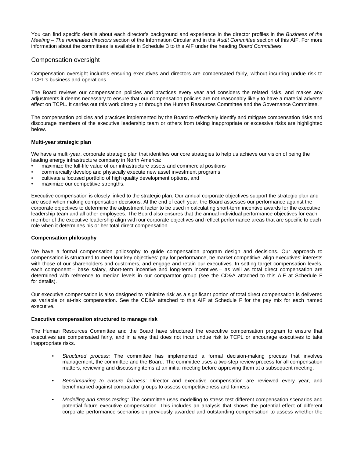You can find specific details about each director's background and experience in the director profiles in the *Business of the Meeting – The nominated directors* section of the Information Circular and in the *Audit Committee* section of this AIF. For more information about the committees is available in Schedule B to this AIF under the heading *Board Committees.* 

### Compensation oversight

Compensation oversight includes ensuring executives and directors are compensated fairly, without incurring undue risk to TCPL's business and operations.

The Board reviews our compensation policies and practices every year and considers the related risks, and makes any adjustments it deems necessary to ensure that our compensation policies are not reasonably likely to have a material adverse effect on TCPL. It carries out this work directly or through the Human Resources Committee and the Governance Committee.

The compensation policies and practices implemented by the Board to effectively identify and mitigate compensation risks and discourage members of the executive leadership team or others from taking inappropriate or excessive risks are highlighted below.

#### **Multi-year strategic plan**

We have a multi-year, corporate strategic plan that identifies our core strategies to help us achieve our vision of being the leading energy infrastructure company in North America:

- maximize the full-life value of our infrastructure assets and commercial positions
- commercially develop and physically execute new asset investment programs
- cultivate a focused portfolio of high quality development options, and
- maximize our competitive strengths.

Executive compensation is closely linked to the strategic plan. Our annual corporate objectives support the strategic plan and are used when making compensation decisions. At the end of each year, the Board assesses our performance against the corporate objectives to determine the adjustment factor to be used in calculating short-term incentive awards for the executive leadership team and all other employees. The Board also ensures that the annual individual performance objectives for each member of the executive leadership align with our corporate objectives and reflect performance areas that are specific to each role when it determines his or her total direct compensation.

#### **Compensation philosophy**

We have a formal compensation philosophy to guide compensation program design and decisions. Our approach to compensation is structured to meet four key objectives: pay for performance, be market competitive, align executives' interests with those of our shareholders and customers, and engage and retain our executives. In setting target compensation levels, each component – base salary, short-term incentive and long-term incentives – as well as total direct compensation are determined with reference to median levels in our comparator group (see the CD&A attached to this AIF at Schedule F for details).

Our executive compensation is also designed to minimize risk as a significant portion of total direct compensation is delivered as variable or at-risk compensation. See the CD&A attached to this AIF at Schedule F for the pay mix for each named executive.

#### **Executive compensation structured to manage risk**

The Human Resources Committee and the Board have structured the executive compensation program to ensure that executives are compensated fairly, and in a way that does not incur undue risk to TCPL or encourage executives to take inappropriate risks.

- *Structured process:* The committee has implemented a formal decision-making process that involves management, the committee and the Board. The committee uses a two-step review process for all compensation matters, reviewing and discussing items at an initial meeting before approving them at a subsequent meeting.
- *Benchmarking to ensure fairness:* Director and executive compensation are reviewed every year, and benchmarked against comparator groups to assess competitiveness and fairness.
- *Modelling and stress testing:* The committee uses modelling to stress test different compensation scenarios and potential future executive compensation. This includes an analysis that shows the potential effect of different corporate performance scenarios on previously awarded and outstanding compensation to assess whether the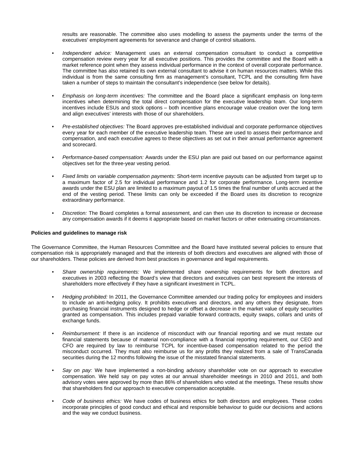results are reasonable. The committee also uses modelling to assess the payments under the terms of the executives' employment agreements for severance and change of control situations.

- *Independent advice:* Management uses an external compensation consultant to conduct a competitive compensation review every year for all executive positions. This provides the committee and the Board with a market reference point when they assess individual performance in the context of overall corporate performance. The committee has also retained its own external consultant to advise it on human resources matters. While this individual is from the same consulting firm as management's consultant, TCPL and the consulting firm have taken a number of steps to maintain the consultant's independence (see below for details).
- *Emphasis on long-term incentives:* The committee and the Board place a significant emphasis on long-term incentives when determining the total direct compensation for the executive leadership team. Our long-term incentives include ESUs and stock options – both incentive plans encourage value creation over the long term and align executives' interests with those of our shareholders.
- *Pre-established objectives:* The Board approves pre-established individual and corporate performance objectives every year for each member of the executive leadership team. These are used to assess their performance and compensation, and each executive agrees to these objectives as set out in their annual performance agreement and scorecard.
- *Performance-based compensation:* Awards under the ESU plan are paid out based on our performance against objectives set for the three-year vesting period.
- *Fixed limits on variable compensation payments:* Short-term incentive payouts can be adjusted from target up to a maximum factor of 2.5 for individual performance and 1.2 for corporate performance. Long-term incentive awards under the ESU plan are limited to a maximum payout of 1.5 times the final number of units accrued at the end of the vesting period. These limits can only be exceeded if the Board uses its discretion to recognize extraordinary performance.
- *Discretion:* The Board completes a formal assessment, and can then use its discretion to increase or decrease any compensation awards if it deems it appropriate based on market factors or other extenuating circumstances.

#### **Policies and guidelines to manage risk**

The Governance Committee, the Human Resources Committee and the Board have instituted several policies to ensure that compensation risk is appropriately managed and that the interests of both directors and executives are aligned with those of our shareholders. These policies are derived from best practices in governance and legal requirements.

- *Share ownership requirements:* We implemented share ownership requirements for both directors and executives in 2003 reflecting the Board's view that directors and executives can best represent the interests of shareholders more effectively if they have a significant investment in TCPL.
- *Hedging prohibited:* In 2011, the Governance Committee amended our trading policy for employees and insiders to include an anti-hedging policy. It prohibits executives and directors, and any others they designate, from purchasing financial instruments designed to hedge or offset a decrease in the market value of equity securities granted as compensation. This includes prepaid variable forward contracts, equity swaps, collars and units of exchange funds.
- *Reimbursement:* If there is an incidence of misconduct with our financial reporting and we must restate our financial statements because of material non-compliance with a financial reporting requirement, our CEO and CFO are required by law to reimburse TCPL for incentive-based compensation related to the period the misconduct occurred. They must also reimburse us for any profits they realized from a sale of TransCanada securities during the 12 months following the issue of the misstated financial statements.
- *Say on pay:* We have implemented a non-binding advisory shareholder vote on our approach to executive compensation. We held say on pay votes at our annual shareholder meetings in 2010 and 2011, and both advisory votes were approved by more than 86% of shareholders who voted at the meetings. These results show that shareholders find our approach to executive compensation acceptable.
- *Code of business ethics:* We have codes of business ethics for both directors and employees. These codes incorporate principles of good conduct and ethical and responsible behaviour to guide our decisions and actions and the way we conduct business.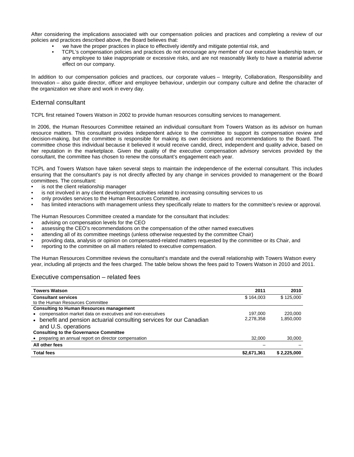After considering the implications associated with our compensation policies and practices and completing a review of our policies and practices described above, the Board believes that:

- we have the proper practices in place to effectively identify and mitigate potential risk, and
- TCPL's compensation policies and practices do not encourage any member of our executive leadership team, or any employee to take inappropriate or excessive risks, and are not reasonably likely to have a material adverse effect on our company.

In addition to our compensation policies and practices, our corporate values – Integrity, Collaboration, Responsibility and Innovation – also guide director, officer and employee behaviour, underpin our company culture and define the character of the organization we share and work in every day.

### External consultant

TCPL first retained Towers Watson in 2002 to provide human resources consulting services to management.

In 2006, the Human Resources Committee retained an individual consultant from Towers Watson as its advisor on human resource matters. This consultant provides independent advice to the committee to support its compensation review and decision-making, but the committee is responsible for making its own decisions and recommendations to the Board. The committee chose this individual because it believed it would receive candid, direct, independent and quality advice, based on her reputation in the marketplace. Given the quality of the executive compensation advisory services provided by the consultant, the committee has chosen to renew the consultant's engagement each year.

TCPL and Towers Watson have taken several steps to maintain the independence of the external consultant. This includes ensuring that the consultant's pay is not directly affected by any change in services provided to management or the Board committees. The consultant:

- is not the client relationship manager
- is not involved in any client development activities related to increasing consulting services to us
- only provides services to the Human Resources Committee, and
- has limited interactions with management unless they specifically relate to matters for the committee's review or approval.

The Human Resources Committee created a mandate for the consultant that includes:

- advising on compensation levels for the CEO
- assessing the CEO's recommendations on the compensation of the other named executives
- attending all of its committee meetings (unless otherwise requested by the committee Chair)
- providing data, analysis or opinion on compensated-related matters requested by the committee or its Chair, and
- reporting to the committee on all matters related to executive compensation.

The Human Resources Committee reviews the consultant's mandate and the overall relationship with Towers Watson every year, including all projects and the fees charged. The table below shows the fees paid to Towers Watson in 2010 and 2011.

### Executive compensation – related fees

| <b>Towers Watson</b>                                                 | 2011        | 2010        |
|----------------------------------------------------------------------|-------------|-------------|
| <b>Consultant services</b>                                           | \$164,003   | \$125,000   |
| to the Human Resources Committee                                     |             |             |
| <b>Consulting to Human Resources management</b>                      |             |             |
| • compensation market data on executives and non-executives          | 197.000     | 220,000     |
| • benefit and pension actuarial consulting services for our Canadian | 2.278.358   | 1.850.000   |
| and U.S. operations                                                  |             |             |
| <b>Consulting to the Governance Committee</b>                        |             |             |
| • preparing an annual report on director compensation                | 32,000      | 30,000      |
| All other fees                                                       |             |             |
| <b>Total fees</b>                                                    | \$2,671,361 | \$2.225.000 |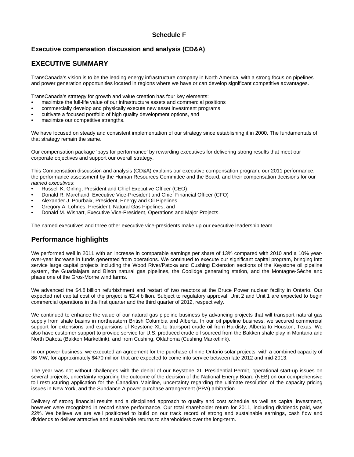## **Schedule F**

# **Executive compensation discussion and analysis (CD&A)**

# **EXECUTIVE SUMMARY**

TransCanada's vision is to be the leading energy infrastructure company in North America, with a strong focus on pipelines and power generation opportunities located in regions where we have or can develop significant competitive advantages.

TransCanada's strategy for growth and value creation has four key elements:

- maximize the full-life value of our infrastructure assets and commercial positions
- commercially develop and physically execute new asset investment programs
- cultivate a focused portfolio of high quality development options, and
- maximize our competitive strengths.

We have focused on steady and consistent implementation of our strategy since establishing it in 2000. The fundamentals of that strategy remain the same.

Our compensation package 'pays for performance' by rewarding executives for delivering strong results that meet our corporate objectives and support our overall strategy.

This Compensation discussion and analysis (CD&A) explains our executive compensation program, our 2011 performance, the performance assessment by the Human Resources Committee and the Board, and their compensation decisions for our *named executives*:

- Russell K. Girling, President and Chief Executive Officer (CEO)
- Donald R. Marchand, Executive Vice-President and Chief Financial Officer (CFO)
- Alexander J. Pourbaix, President, Energy and Oil Pipelines
- Gregory A. Lohnes, President, Natural Gas Pipelines, and
- Donald M. Wishart, Executive Vice-President, Operations and Major Projects.

The named executives and three other executive vice-presidents make up our executive leadership team.

# **Performance highlights**

We performed well in 2011 with an increase in comparable earnings per share of 13% compared with 2010 and a 10% yearover-year increase in funds generated from operations. We continued to execute our significant capital program, bringing into service large capital projects including the Wood River/Patoka and Cushing Extension sections of the Keystone oil pipeline system, the Guadalajara and Bison natural gas pipelines, the Coolidge generating station, and the Montagne-Sèche and phase one of the Gros-Morne wind farms.

We advanced the \$4.8 billion refurbishment and restart of two reactors at the Bruce Power nuclear facility in Ontario. Our expected net capital cost of the project is \$2.4 billion. Subject to regulatory approval, Unit 2 and Unit 1 are expected to begin commercial operations in the first quarter and the third quarter of 2012, respectively.

We continued to enhance the value of our natural gas pipeline business by advancing projects that will transport natural gas supply from shale basins in northeastern British Columbia and Alberta. In our oil pipeline business, we secured commercial support for extensions and expansions of Keystone XL to transport crude oil from Hardisty, Alberta to Houston, Texas. We also have customer support to provide service for U.S. produced crude oil sourced from the Bakken shale play in Montana and North Dakota (Bakken Marketlink), and from Cushing, Oklahoma (Cushing Marketlink).

In our power business, we executed an agreement for the purchase of nine Ontario solar projects, with a combined capacity of 86 MW, for approximately \$470 million that are expected to come into service between late 2012 and mid-2013.

The year was not without challenges with the denial of our Keystone XL Presidential Permit, operational start-up issues on several projects, uncertainty regarding the outcome of the decision of the National Energy Board (NEB) on our comprehensive toll restructuring application for the Canadian Mainline, uncertainty regarding the ultimate resolution of the capacity pricing issues in New York, and the Sundance A power purchase arrangement (PPA) arbitration.

Delivery of strong financial results and a disciplined approach to quality and cost schedule as well as capital investment, however were recognized in record share performance. Our total shareholder return for 2011, including dividends paid, was 22%. We believe we are well positioned to build on our track record of strong and sustainable earnings, cash flow and dividends to deliver attractive and sustainable returns to shareholders over the long-term.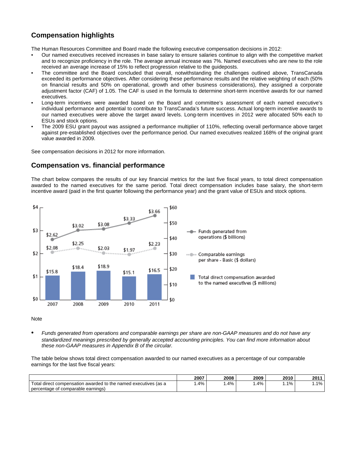# **Compensation highlights**

The Human Resources Committee and Board made the following executive compensation decisions in 2012:

- Our named executives received increases in base salary to ensure salaries continue to align with the competitive market and to recognize proficiency in the role. The average annual increase was 7%. Named executives who are new to the role received an average increase of 15% to reflect progression relative to the guideposts.
- The committee and the Board concluded that overall, notwithstanding the challenges outlined above, TransCanada exceeded its performance objectives. After considering these performance results and the relative weighting of each (50% on financial results and 50% on operational, growth and other business considerations), they assigned a corporate adjustment factor (CAF) of 1.05. The CAF is used in the formula to determine short-term incentive awards for our named executives.
- Long-term incentives were awarded based on the Board and committee's assessment of each named executive's individual performance and potential to contribute to TransCanada's future success. Actual long-term incentive awards to our named executives were above the target award levels. Long-term incentives in 2012 were allocated 50% each to ESUs and stock options.
- The 2009 ESU grant payout was assigned a performance multiplier of 110%, reflecting overall performance above target against pre-established objectives over the performance period. Our named executives realized 168% of the original grant value awarded in 2009.

See compensation decisions in 2012 for more information.

# **Compensation vs. financial performance**

The chart below compares the results of our key financial metrics for the last five fiscal years, to total direct compensation awarded to the named executives for the same period. Total direct compensation includes base salary, the short-term incentive award (paid in the first quarter following the performance year) and the grant value of ESUs and stock options.



**Note** 

• *Funds generated from operations and comparable earnings per share are non-GAAP measures and do not have any standardized meanings prescribed by generally accepted accounting principles. You can find more information about these non-GAAP measures in Appendix B of the circular.* 

The table below shows total direct compensation awarded to our named executives as a percentage of our comparable earnings for the last five fiscal years:

|                                                                 | 2007   | 2008 | 2009   | 2010 | 201'   |
|-----------------------------------------------------------------|--------|------|--------|------|--------|
| Total direct compensation awarded to the named executives (as a | $.4\%$ | .4%  | $.4\%$ | 1%   | $.1\%$ |
| percentage of comparable earnings)                              |        |      |        |      |        |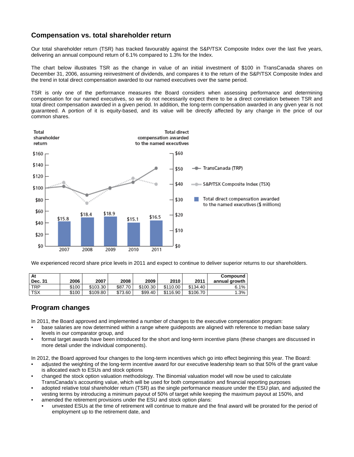# **Compensation vs. total shareholder return**

Our total shareholder return (TSR) has tracked favourably against the S&P/TSX Composite Index over the last five years, delivering an annual compound return of 6.1% compared to 1.3% for the Index.

The chart below illustrates TSR as the change in value of an initial investment of \$100 in TransCanada shares on December 31, 2006, assuming reinvestment of dividends, and compares it to the return of the S&P/TSX Composite Index and the trend in total direct compensation awarded to our named executives over the same period.

TSR is only one of the performance measures the Board considers when assessing performance and determining compensation for our named executives, so we do not necessarily expect there to be a direct correlation between TSR and total direct compensation awarded in a given period. In addition, the long-term compensation awarded in any given year is not guaranteed. A portion of it is equity-based, and its value will be directly affected by any change in the price of our common shares.



We experienced record share price levels in 2011 and expect to continue to deliver superior returns to our shareholders.

| At             |       |          |         |          |          |          | Compound      |
|----------------|-------|----------|---------|----------|----------|----------|---------------|
| <b>Dec. 31</b> | 2006  | 2007     | 2008    | 2009     | 2010     | 2011     | annual growth |
| i TRP          | \$100 | \$103.30 | \$87.70 | \$100.30 | \$110.00 | \$134.40 | 6.1%          |
| <b>TSX</b>     | \$100 | \$109.80 | \$73.60 | \$99.40  | \$116.90 | \$106.70 | 1.3%          |

# **Program changes**

In 2011, the Board approved and implemented a number of changes to the executive compensation program:

- base salaries are now determined within a range where guideposts are aligned with reference to median base salary levels in our comparator group, and
- formal target awards have been introduced for the short and long-term incentive plans (these changes are discussed in more detail under the individual components).

In 2012, the Board approved four changes to the long-term incentives which go into effect beginning this year. The Board:

- adjusted the weighting of the long-term incentive award for our executive leadership team so that 50% of the grant value is allocated each to ESUs and stock options
- changed the stock option valuation methodology. The Binomial valuation model will now be used to calculate TransCanada's accounting value, which will be used for both compensation and financial reporting purposes
- adopted relative total shareholder return (TSR) as the single performance measure under the ESU plan, and adjusted the vesting terms by introducing a minimum payout of 50% of target while keeping the maximum payout at 150%, and
- amended the retirement provisions under the ESU and stock option plans:
	- unvested ESUs at the time of retirement will continue to mature and the final award will be prorated for the period of employment up to the retirement date, and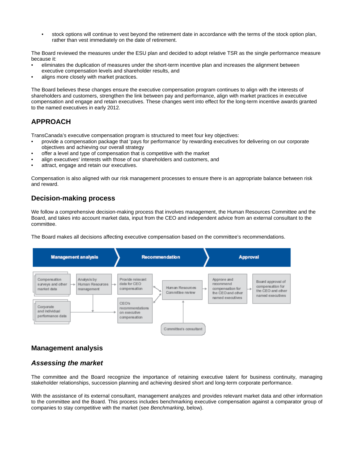• stock options will continue to vest beyond the retirement date in accordance with the terms of the stock option plan, rather than vest immediately on the date of retirement.

The Board reviewed the measures under the ESU plan and decided to adopt relative TSR as the single performance measure because it:

- eliminates the duplication of measures under the short-term incentive plan and increases the alignment between executive compensation levels and shareholder results, and
- aligns more closely with market practices.

The Board believes these changes ensure the executive compensation program continues to align with the interests of shareholders and customers, strengthen the link between pay and performance, align with market practices in executive compensation and engage and retain executives. These changes went into effect for the long-term incentive awards granted to the named executives in early 2012.

# **APPROACH**

TransCanada's executive compensation program is structured to meet four key objectives:

- provide a compensation package that 'pays for performance' by rewarding executives for delivering on our corporate objectives and achieving our overall strategy
- offer a level and type of compensation that is competitive with the market
- align executives' interests with those of our shareholders and customers, and
- attract, engage and retain our executives.

Compensation is also aligned with our risk management processes to ensure there is an appropriate balance between risk and reward.

# **Decision-making process**

We follow a comprehensive decision-making process that involves management, the Human Resources Committee and the Board, and takes into account market data, input from the CEO and independent advice from an external consultant to the committee.

The Board makes all decisions affecting executive compensation based on the committee's recommendations.



# **Management analysis**

## *Assessing the market*

The committee and the Board recognize the importance of retaining executive talent for business continuity, managing stakeholder relationships, succession planning and achieving desired short and long-term corporate performance.

With the assistance of its external consultant, management analyzes and provides relevant market data and other information to the committee and the Board. This process includes benchmarking executive compensation against a comparator group of companies to stay competitive with the market (see *Benchmarking*, below).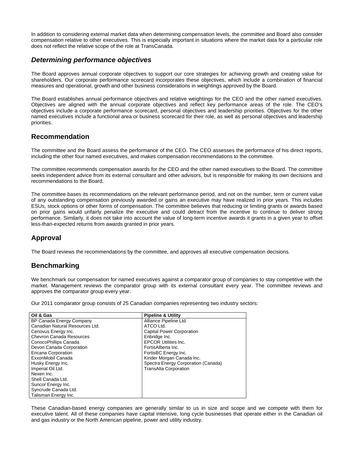In addition to considering external market data when determining compensation levels, the committee and Board also consider compensation relative to other executives. This is especially important in situations where the market data for a particular role does not reflect the relative scope of the role at TransCanada.

# *Determining performance objectives*

The Board approves annual corporate objectives to support our core strategies for achieving growth and creating value for shareholders. Our corporate performance scorecard incorporates these objectives, which include a combination of financial measures and operational, growth and other business considerations in weightings approved by the Board.

The Board establishes annual performance objectives and relative weightings for the CEO and the other named executives. Objectives are aligned with the annual corporate objectives and reflect key performance areas of the role. The CEO's objectives include a corporate performance scorecard, personal objectives and leadership priorities. Objectives for the other named executives include a functional area or business scorecard for their role, as well as personal objectives and leadership priorities.

# **Recommendation**

The committee and the Board assess the performance of the CEO. The CEO assesses the performance of his direct reports, including the other four named executives, and makes compensation recommendations to the committee.

The committee recommends compensation awards for the CEO and the other named executives to the Board. The committee seeks independent advice from its external consultant and other advisors, but is responsible for making its own decisions and recommendations to the Board.

The committee bases its recommendations on the relevant performance period, and not on the number, term or current value of any outstanding compensation previously awarded or gains an executive may have realized in prior years. This includes ESUs, stock options or other forms of compensation. The committee believes that reducing or limiting grants or awards based on prior gains would unfairly penalize the executive and could detract from the incentive to continue to deliver strong performance. Similarly, it does not take into account the value of long-term incentive awards it grants in a given year to offset less-than-expected returns from awards granted in prior years.

# **Approval**

The Board reviews the recommendations by the committee, and approves all executive compensation decisions.

# **Benchmarking**

We benchmark our compensation for named executives against a comparator group of companies to stay competitive with the market. Management reviews the comparator group with its external consultant every year. The committee reviews and approves the comparator group every year.

Our 2011 comparator group consists of 25 Canadian companies representing two industry sectors:

| Oil & Gas                       | <b>Pipeline &amp; Utility</b>       |
|---------------------------------|-------------------------------------|
| BP Canada Energy Company        | Alliance Pipeline Ltd.              |
| Canadian Natural Resources Ltd. | ATCO Ltd.                           |
| Cenovus Energy Inc.             | <b>Capital Power Corporation</b>    |
| Chevron Canada Resources        | Enbridge Inc.                       |
| ConocoPhillips Canada           | <b>EPCOR Utilities Inc.</b>         |
| Devon Canada Corporation        | FortisAlberta Inc.                  |
| <b>Encana Corporation</b>       | FortisBC Energy Inc.                |
| ExxonMobil Canada               | Kinder Morgan Canada Inc.           |
| Husky Energy Inc.               | Spectra Energy Corporation (Canada) |
| Imperial Oil Ltd.               | <b>TransAlta Corporation</b>        |
| Nexen Inc.                      |                                     |
| Shell Canada Ltd.               |                                     |
| Suncor Energy Inc.              |                                     |
| Syncrude Canada Ltd.            |                                     |
| Talisman Energy Inc.            |                                     |

These Canadian-based energy companies are generally similar to us in size and scope and we compete with them for executive talent. All of these companies have capital intensive, long cycle businesses that operate either in the Canadian oil and gas industry or the North American pipeline, power and utility industry.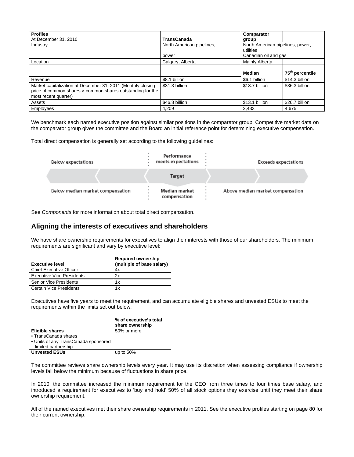| <b>Profiles</b><br>At December 31, 2010                                                                                                           | <b>TransCanada</b>                 | Comparator<br>group                                                   |                             |
|---------------------------------------------------------------------------------------------------------------------------------------------------|------------------------------------|-----------------------------------------------------------------------|-----------------------------|
| Industry                                                                                                                                          | North American pipelines,<br>power | North American pipelines, power,<br>utilities<br>Canadian oil and gas |                             |
| Location                                                                                                                                          | Calgary, Alberta                   | Mainly Alberta                                                        |                             |
|                                                                                                                                                   |                                    | Median                                                                | 75 <sup>th</sup> percentile |
| Revenue                                                                                                                                           | \$8.1 billion                      | \$6.1 billion                                                         | \$14.3 billion              |
| Market capitalization at December 31, 2011 (Monthly closing<br>price of common shares x common shares outstanding for the<br>most recent quarter) | \$31.3 billion                     | \$18.7 billion                                                        | \$36.3 billion              |
| Assets                                                                                                                                            | \$46.8 billion                     | \$13.1 billion                                                        | \$26.7 billion              |
| Employees                                                                                                                                         | 4.209                              | 2.433                                                                 | 4.675                       |

We benchmark each named executive position against similar positions in the comparator group. Competitive market data on the comparator group gives the committee and the Board an initial reference point for determining executive compensation.

Total direct compensation is generally set according to the following guidelines:



See *Components* for more information about total direct compensation.

## **Aligning the interests of executives and shareholders**

We have share ownership requirements for executives to align their interests with those of our shareholders. The minimum requirements are significant and vary by executive level:

| <b>Executive level</b>           | <b>Required ownership</b><br>(multiple of base salary) |
|----------------------------------|--------------------------------------------------------|
| <b>Chief Executive Officer</b>   | 4x                                                     |
| <b>Executive Vice Presidents</b> | 2x                                                     |
| <b>Senior Vice Presidents</b>    | 1x                                                     |
| Certain Vice Presidents          | 1x                                                     |

Executives have five years to meet the requirement, and can accumulate eligible shares and unvested ESUs to meet the requirements within the limits set out below:

| % of executive's total<br>share ownership |
|-------------------------------------------|
| 50% or more                               |
|                                           |
|                                           |
|                                           |
| up to $50\%$                              |
|                                           |

The committee reviews share ownership levels every year. It may use its discretion when assessing compliance if ownership levels fall below the minimum because of fluctuations in share price.

In 2010, the committee increased the minimum requirement for the CEO from three times to four times base salary, and introduced a requirement for executives to 'buy and hold' 50% of all stock options they exercise until they meet their share ownership requirement.

All of the named executives met their share ownership requirements in 2011. See the executive profiles starting on page 80 for their current ownership.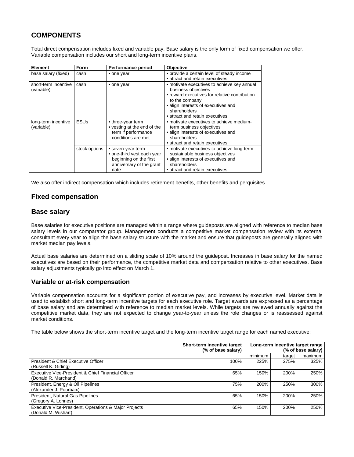# **COMPONENTS**

Total direct compensation includes fixed and variable pay. Base salary is the only form of fixed compensation we offer. Variable compensation includes our short and long-term incentive plans.

| <b>Element</b>                     | <b>Form</b>   | <b>Performance period</b>                                                                                     | Objective                                                                                                                                                                                                                       |
|------------------------------------|---------------|---------------------------------------------------------------------------------------------------------------|---------------------------------------------------------------------------------------------------------------------------------------------------------------------------------------------------------------------------------|
| base salary (fixed)                | cash          | • one year                                                                                                    | • provide a certain level of steady income<br>• attract and retain executives                                                                                                                                                   |
| short-term incentive<br>(variable) | cash          | • one year                                                                                                    | • motivate executives to achieve key annual<br>business objectives<br>• reward executives for relative contribution<br>to the company<br>• align interests of executives and<br>shareholders<br>• attract and retain executives |
| long-term incentive<br>(variable)  | <b>ESUs</b>   | • three-year term<br>• vesting at the end of the<br>term if performance<br>conditions are met                 | • motivate executives to achieve medium-<br>term business objectives<br>• align interests of executives and<br>shareholders<br>• attract and retain executives                                                                  |
|                                    | stock options | • seven-year term<br>• one-third vest each year<br>beginning on the first<br>anniversary of the grant<br>date | • motivate executives to achieve long-term<br>sustainable business objectives<br>· align interests of executives and<br>shareholders<br>• attract and retain executives                                                         |

We also offer indirect compensation which includes retirement benefits, other benefits and perquisites.

# **Fixed compensation**

# **Base salary**

Base salaries for executive positions are managed within a range where guideposts are aligned with reference to median base salary levels in our comparator group. Management conducts a competitive market compensation review with its external consultant every year to align the base salary structure with the market and ensure that guideposts are generally aligned with market median pay levels.

Actual base salaries are determined on a sliding scale of 10% around the guidepost. Increases in base salary for the named executives are based on their performance, the competitive market data and compensation relative to other executives. Base salary adjustments typically go into effect on March 1.

## **Variable or at-risk compensation**

Variable compensation accounts for a significant portion of executive pay, and increases by executive level. Market data is used to establish short and long-term incentive targets for each executive role. Target awards are expressed as a percentage of base salary and are determined with reference to median market levels. While targets are reviewed annually against the competitive market data, they are not expected to change year-to-year unless the role changes or is reassessed against market conditions.

The table below shows the short-term incentive target and the long-term incentive target range for each named executive:

|                                                                              | Short-term incentive target<br>(% of base salary) |         | Long-term incentive target range | (% of base salary) |
|------------------------------------------------------------------------------|---------------------------------------------------|---------|----------------------------------|--------------------|
|                                                                              |                                                   | minimum | target                           | maximum            |
| President & Chief Executive Officer<br>(Russell K. Girling)                  | 100%                                              | 225%    | 275%                             | 325%               |
| Executive Vice-President & Chief Financial Officer<br>(Donald R. Marchand)   | 65%                                               | 150%    | 200%                             | 250%               |
| President, Energy & Oil Pipelines<br>(Alexander J. Pourbaix)                 | 75%                                               | 200%    | 250%                             | 300%               |
| President, Natural Gas Pipelines<br>(Gregory A. Lohnes)                      | 65%                                               | 150%    | 200%                             | 250%               |
| Executive Vice-President, Operations & Major Projects<br>(Donald M. Wishart) | 65%                                               | 150%    | 200%                             | 250%               |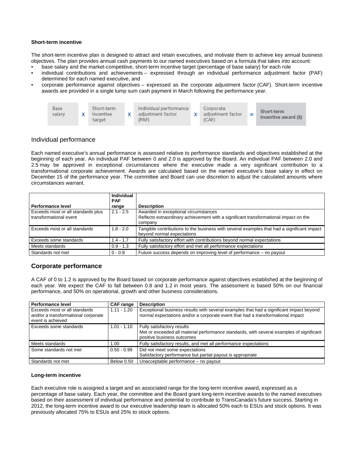#### **Short-term incentive**

The short-term incentive plan is designed to attract and retain executives, and motivate them to achieve key annual business objectives. The plan provides annual cash payments to our named executives based on a formula that takes into account:

- base salary and the market-competitive, short-term incentive target (percentage of base salary) for each role
- individual contributions and achievements expressed through an individual performance adjustment factor (PAF) determined for each named executive, and
- corporate performance against objectives expressed as the corporate adjustment factor (CAF). Short-term incentive awards are provided in a single lump sum cash payment in March following the performance year.



## Individual performance

Each named executive's annual performance is assessed relative to performance standards and objectives established at the beginning of each year. An individual PAF between 0 and 2.0 is approved by the Board. An individual PAF between 2.0 and 2.5 may be approved in exceptional circumstances where the executive made a very significant contribution to a transformational corporate achievement. Awards are calculated based on the named executive's base salary in effect on December 15 of the performance year. The committee and Board can use discretion to adjust the calculated amounts where circumstances warrant.

|                                                              | Individual<br><b>PAF</b> |                                                                                                                                         |
|--------------------------------------------------------------|--------------------------|-----------------------------------------------------------------------------------------------------------------------------------------|
| Performance level                                            | range                    | <b>Description</b>                                                                                                                      |
| Exceeds most or all standards plus<br>transformational event | $2.1 - 2.5$              | Awarded in exceptional circumstances<br>Reflects extraordinary achievement with a significant transformational impact on the<br>company |
| Exceeds most or all standards                                | $1.8 - 2.0$              | Tangible contributions to the business with several examples that had a significant impact<br>beyond normal expectations                |
| Exceeds some standards                                       | $1.4 - 1.7$              | Fully satisfactory effort with contributions beyond normal expectations                                                                 |
| Meets standards                                              | $0.9 - 1.3$              | Fully satisfactory effort and met all performance expectations                                                                          |
| Standards not met                                            | $0 - 0.8$                | Future success depends on improving level of performance – no payout                                                                    |

## **Corporate performance**

A CAF of 0 to 1.2 is approved by the Board based on corporate performance against objectives established at the beginning of each year. We expect the CAF to fall between 0.8 and 1.2 in most years. The assessment is based 50% on our financial performance, and 50% on operational, growth and other business considerations.

| Performance level                                                                         | <b>CAF</b> range | <b>Description</b>                                                                                                                                                         |
|-------------------------------------------------------------------------------------------|------------------|----------------------------------------------------------------------------------------------------------------------------------------------------------------------------|
| Exceeds most or all standards<br>and/or a transformational corporate<br>event is achieved | $1.11 - 1.20$    | Exceptional business results with several examples that had a significant impact beyond<br>normal expectations and/or a corporate event that had a transformational impact |
| Exceeds some standards                                                                    | $1.01 - 1.10$    | Fully satisfactory results<br>Met or exceeded all material performance standards, with several examples of significant<br>positive business outcomes                       |
| Meets standards                                                                           | 00. ا            | Fully satisfactory results, and met all performance expectations                                                                                                           |
| Some standards not met                                                                    | $0.50 - 0.99$    | Did not meet some expectations<br>Satisfactory performance but partial payout is appropriate                                                                               |
| Standards not met                                                                         | Below 0.50       | Unacceptable performance – no payout                                                                                                                                       |

#### **Long-term incentive**

Each executive role is assigned a target and an associated range for the long-term incentive award, expressed as a percentage of base salary. Each year, the committee and the Board grant long-term incentive awards to the named executives based on their assessment of individual performance and potential to contribute to TransCanada's future success. Starting in 2012, the long-term incentive award to our executive leadership team is allocated 50% each to ESUs and stock options. It was previously allocated 75% to ESUs and 25% to stock options.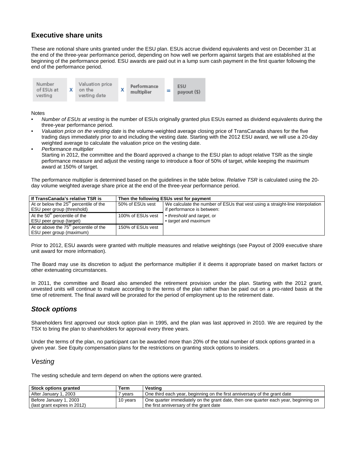# **Executive share units**

These are notional share units granted under the ESU plan. ESUs accrue dividend equivalents and vest on December 31 at the end of the three-year performance period, depending on how well we perform against targets that are established at the beginning of the performance period. ESU awards are paid out in a lump sum cash payment in the first quarter following the end of the performance period.



#### Notes

- *Number of ESUs at vesting* is the number of ESUs originally granted plus ESUs earned as dividend equivalents during the three-year performance period.
- *Valuation price on the vesting date* is the volume-weighted average closing price of TransCanada shares for the five trading days immediately prior to and including the vesting date. Starting with the 2012 ESU award, we will use a 20-day weighted average to calculate the valuation price on the vesting date.
- *Performance multiplier*

Starting in 2012, the committee and the Board approved a change to the ESU plan to adopt relative TSR as the single performance measure and adjust the vesting range to introduce a floor of 50% of target, while keeping the maximum award at 150% of target.

The performance multiplier is determined based on the guidelines in the table below. *Relative TSR* is calculated using the 20 day volume weighted average share price at the end of the three-year performance period.

| If TransCanada's relative TSR is                   |                   | Then the following ESUs vest for payment                                      |
|----------------------------------------------------|-------------------|-------------------------------------------------------------------------------|
| At or below the $25m$ percentile of the            | 50% of ESUs vest  | We calculate the number of ESUs that vest using a straight-line interpolation |
| ESU peer group (threshold)                         |                   | if performance is between:                                                    |
| At the 50 <sup>th</sup> percentile of the          | 100% of ESUs vest | • threshold and target, or                                                    |
| ESU peer group (target)                            |                   | • target and maximum                                                          |
| At or above the 75 <sup>th</sup> percentile of the | 150% of ESUs vest |                                                                               |
| ESU peer group (maximum)                           |                   |                                                                               |

Prior to 2012, ESU awards were granted with multiple measures and relative weightings (see Payout of 2009 executive share unit award for more information).

The Board may use its discretion to adjust the performance multiplier if it deems it appropriate based on market factors or other extenuating circumstances.

In 2011, the committee and Board also amended the retirement provision under the plan. Starting with the 2012 grant, unvested units will continue to mature according to the terms of the plan rather than be paid out on a pro-rated basis at the time of retirement. The final award will be prorated for the period of employment up to the retirement date.

# *Stock options*

Shareholders first approved our stock option plan in 1995, and the plan was last approved in 2010. We are required by the TSX to bring the plan to shareholders for approval every three years.

Under the terms of the plan, no participant can be awarded more than 20% of the total number of stock options granted in a given year. See Equity compensation plans for the restrictions on granting stock options to insiders.

## *Vesting*

The vesting schedule and term depend on when the options were granted.

| Stock options granted        | Term     | Vestina                                                                             |
|------------------------------|----------|-------------------------------------------------------------------------------------|
| After January 1, 2003        | vears    | One third each year, beginning on the first anniversary of the grant date           |
| Before January 1, 2003       | 10 vears | One quarter immediately on the grant date, then one quarter each year, beginning on |
| (last grant expires in 2012) |          | I the first anniversary of the grant date                                           |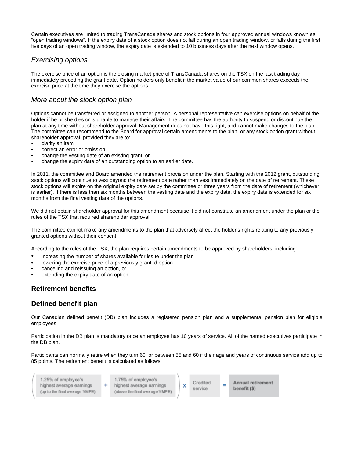Certain executives are limited to trading TransCanada shares and stock options in four approved annual windows known as "open trading windows". If the expiry date of a stock option does not fall during an open trading window, or falls during the first five days of an open trading window, the expiry date is extended to 10 business days after the next window opens.

# *Exercising options*

The exercise price of an option is the closing market price of TransCanada shares on the TSX on the last trading day immediately preceding the grant date. Option holders only benefit if the market value of our common shares exceeds the exercise price at the time they exercise the options.

# *More about the stock option plan*

Options cannot be transferred or assigned to another person. A personal representative can exercise options on behalf of the holder if he or she dies or is unable to manage their affairs. The committee has the authority to suspend or discontinue the plan at any time without shareholder approval. Management does not have this right, and cannot make changes to the plan. The committee can recommend to the Board for approval certain amendments to the plan, or any stock option grant without shareholder approval, provided they are to:

- clarify an item
- correct an error or omission
- change the vesting date of an existing grant, or
- change the expiry date of an outstanding option to an earlier date.

In 2011, the committee and Board amended the retirement provision under the plan. Starting with the 2012 grant, outstanding stock options will continue to vest beyond the retirement date rather than vest immediately on the date of retirement. These stock options will expire on the original expiry date set by the committee or three years from the date of retirement (whichever is earlier). If there is less than six months between the vesting date and the expiry date, the expiry date is extended for six months from the final vesting date of the options.

We did not obtain shareholder approval for this amendment because it did not constitute an amendment under the plan or the rules of the TSX that required shareholder approval.

The committee cannot make any amendments to the plan that adversely affect the holder's rights relating to any previously granted options without their consent.

According to the rules of the TSX, the plan requires certain amendments to be approved by shareholders, including:

- increasing the number of shares available for issue under the plan
- lowering the exercise price of a previously granted option
- canceling and reissuing an option, or
- extending the expiry date of an option.

# **Retirement benefits**

# **Defined benefit plan**

Our Canadian defined benefit (DB) plan includes a registered pension plan and a supplemental pension plan for eligible employees.

Participation in the DB plan is mandatory once an employee has 10 years of service. All of the named executives participate in the DB plan.

Participants can normally retire when they turn 60, or between 55 and 60 if their age and years of continuous service add up to 85 points. The retirement benefit is calculated as follows:

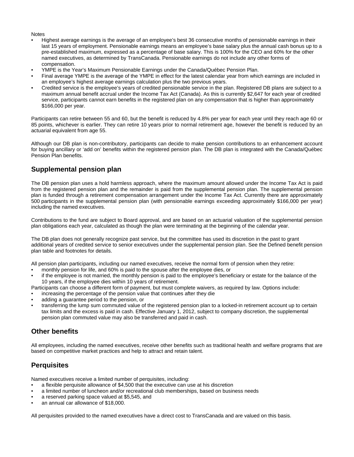#### **Notes**

- Highest average earnings is the average of an employee's best 36 consecutive months of pensionable earnings in their last 15 years of employment. Pensionable earnings means an employee's base salary plus the annual cash bonus up to a pre-established maximum, expressed as a percentage of base salary. This is 100% for the CEO and 60% for the other named executives, as determined by TransCanada. Pensionable earnings do not include any other forms of compensation.
- YMPE is the Year's Maximum Pensionable Earnings under the Canada/Québec Pension Plan.
- Final average YMPE is the average of the YMPE in effect for the latest calendar year from which earnings are included in an employee's highest average earnings calculation plus the two previous years.
- Credited service is the employee's years of credited pensionable service in the plan. Registered DB plans are subject to a maximum annual benefit accrual under the Income Tax Act (Canada). As this is currently \$2,647 for each year of credited service, participants cannot earn benefits in the registered plan on any compensation that is higher than approximately \$166,000 per year.

Participants can retire between 55 and 60, but the benefit is reduced by 4.8% per year for each year until they reach age 60 or 85 points, whichever is earlier. They can retire 10 years prior to normal retirement age, however the benefit is reduced by an actuarial equivalent from age 55.

Although our DB plan is non-contributory, participants can decide to make pension contributions to an enhancement account for buying ancillary or 'add on' benefits within the registered pension plan. The DB plan is integrated with the Canada/Québec Pension Plan benefits.

# **Supplemental pension plan**

The DB pension plan uses a hold harmless approach, where the maximum amount allowed under the Income Tax Act is paid from the registered pension plan and the remainder is paid from the supplemental pension plan. The supplemental pension plan is funded through a retirement compensation arrangement under the Income Tax Act. Currently there are approximately 500 participants in the supplemental pension plan (with pensionable earnings exceeding approximately \$166,000 per year) including the named executives.

Contributions to the fund are subject to Board approval, and are based on an actuarial valuation of the supplemental pension plan obligations each year, calculated as though the plan were terminating at the beginning of the calendar year.

The DB plan does not generally recognize past service, but the committee has used its discretion in the past to grant additional years of credited service to senior executives under the supplemental pension plan. See the Defined benefit pension plan table and footnotes for details.

All pension plan participants, including our named executives, receive the normal form of pension when they retire:

- monthly pension for life, and 60% is paid to the spouse after the employee dies, or
- if the employee is not married, the monthly pension is paid to the employee's beneficiary or estate for the balance of the 10 years, if the employee dies within 10 years of retirement.

Participants can choose a different form of payment, but must complete waivers, as required by law. Options include:

- increasing the percentage of the pension value that continues after they die
- adding a guarantee period to the pension, or
- transferring the lump sum commuted value of the registered pension plan to a locked-in retirement account up to certain tax limits and the excess is paid in cash. Effective January 1, 2012, subject to company discretion, the supplemental pension plan commuted value may also be transferred and paid in cash.

# **Other benefits**

All employees, including the named executives, receive other benefits such as traditional health and welfare programs that are based on competitive market practices and help to attract and retain talent.

# **Perquisites**

Named executives receive a limited number of perquisites, including:

- a flexible perquisite allowance of \$4,500 that the executive can use at his discretion
- a limited number of luncheon and/or recreational club memberships, based on business needs
- a reserved parking space valued at \$5,545, and
- an annual car allowance of \$18,000.

All perquisites provided to the named executives have a direct cost to TransCanada and are valued on this basis.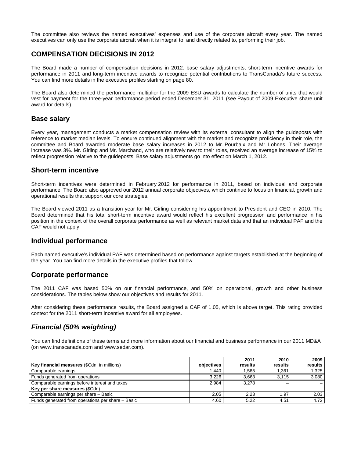The committee also reviews the named executives' expenses and use of the corporate aircraft every year. The named executives can only use the corporate aircraft when it is integral to, and directly related to, performing their job.

# **COMPENSATION DECISIONS IN 2012**

The Board made a number of compensation decisions in 2012: base salary adjustments, short-term incentive awards for performance in 2011 and long-term incentive awards to recognize potential contributions to TransCanada's future success. You can find more details in the executive profiles starting on page 80.

The Board also determined the performance multiplier for the 2009 ESU awards to calculate the number of units that would vest for payment for the three-year performance period ended December 31, 2011 (see Payout of 2009 Executive share unit award for details).

## **Base salary**

Every year, management conducts a market compensation review with its external consultant to align the guideposts with reference to market median levels. To ensure continued alignment with the market and recognize proficiency in their role, the committee and Board awarded moderate base salary increases in 2012 to Mr. Pourbaix and Mr. Lohnes. Their average increase was 3%. Mr. Girling and Mr. Marchand, who are relatively new to their roles, received an average increase of 15% to reflect progression relative to the guideposts. Base salary adjustments go into effect on March 1, 2012.

## **Short-term incentive**

Short-term incentives were determined in February 2012 for performance in 2011, based on individual and corporate performance. The Board also approved our 2012 annual corporate objectives, which continue to focus on financial, growth and operational results that support our core strategies.

The Board viewed 2011 as a transition year for Mr. Girling considering his appointment to President and CEO in 2010. The Board determined that his total short-term incentive award would reflect his excellent progression and performance in his position in the context of the overall corporate performance as well as relevant market data and that an individual PAF and the CAF would not apply.

## **Individual performance**

Each named executive's individual PAF was determined based on performance against targets established at the beginning of the year. You can find more details in the executive profiles that follow.

# **Corporate performance**

The 2011 CAF was based 50% on our financial performance, and 50% on operational, growth and other business considerations. The tables below show our objectives and results for 2011.

After considering these performance results, the Board assigned a CAF of 1.05, which is above target. This rating provided context for the 2011 short-term incentive award for all employees.

# *Financial (50% weighting)*

You can find definitions of these terms and more information about our financial and business performance in our 2011 MD&A (on www.transcanada.com and www.sedar.com).

|                                                   |            | 2011    | 2010                     | 2009    |
|---------------------------------------------------|------------|---------|--------------------------|---------|
| Key financial measures (\$Cdn, in millions)       | objectives | results | results                  | results |
| Comparable earnings                               | 1.440      | .565    | 1.361                    | 1.325   |
| Funds generated from operations                   | 3.226      | 3.663   | 3.115                    | 3,080   |
| Comparable earnings before interest and taxes     | 2.984      | 3.278   | $\overline{\phantom{a}}$ |         |
| Key per share measures (\$Cdn)                    |            |         |                          |         |
| Comparable earnings per share - Basic             | 2.05       | 2.23    | 1.97                     | 2.03    |
| Funds generated from operations per share - Basic | 4.60       | 5.22    | 4.51                     | 4.72    |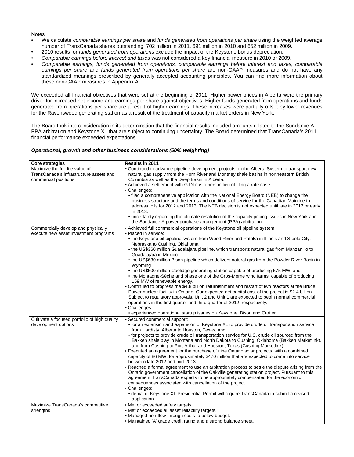#### **Notes**

- We calculate *comparable earnings per share* and *funds generated from operations per share* using the weighted average number of TransCanada shares outstanding: 702 million in 2011, 691 million in 2010 and 652 million in 2009.
- 2010 results for *funds generated from operations* exclude the impact of the Keystone bonus depreciation.
- *Comparable earnings before interest and taxes* was not considered a key financial measure in 2010 or 2009.
- *Comparable earnings, funds generated from operations, comparable earnings before interest and taxes, comparable earnings per share* and *funds generated from operations per share* are non-GAAP measures and do not have any standardized meanings prescribed by generally accepted accounting principles. You can find more information about these non-GAAP measures in Appendix A.

We exceeded all financial objectives that were set at the beginning of 2011. Higher power prices in Alberta were the primary driver for increased net income and earnings per share against objectives. Higher funds generated from operations and funds generated from operations per share are a result of higher earnings. These increases were partially offset by lower revenues for the Ravenswood generating station as a result of the treatment of capacity market orders in New York.

The Board took into consideration in its determination that the financial results included amounts related to the Sundance A PPA arbitration and Keystone XL that are subject to continuing uncertainty. The Board determined that TransCanada's 2011 financial performance exceeded expectations.

#### *Operational, growth and other business considerations (50% weighting)*

| <b>Core strategies</b>                                                       | Results in 2011                                                                                                                                                                                                                                                                                                                                                                                                                                                                                                                                                                                                                                                                                                                                                                                                                                                                                                                                                                                                                                                                                                                                                     |
|------------------------------------------------------------------------------|---------------------------------------------------------------------------------------------------------------------------------------------------------------------------------------------------------------------------------------------------------------------------------------------------------------------------------------------------------------------------------------------------------------------------------------------------------------------------------------------------------------------------------------------------------------------------------------------------------------------------------------------------------------------------------------------------------------------------------------------------------------------------------------------------------------------------------------------------------------------------------------------------------------------------------------------------------------------------------------------------------------------------------------------------------------------------------------------------------------------------------------------------------------------|
| Maximize the full-life value of<br>TransCanada's infrastructure assets and   | • Continued to advance pipeline development projects on the Alberta System to transport new<br>natural gas supply from the Horn River and Montney shale basins in northeastern British                                                                                                                                                                                                                                                                                                                                                                                                                                                                                                                                                                                                                                                                                                                                                                                                                                                                                                                                                                              |
| commercial positions                                                         | Columbia as well as the Deep Basin in Alberta.<br>• Achieved a settlement with GTN customers in lieu of filing a rate case.<br>• Challenges:                                                                                                                                                                                                                                                                                                                                                                                                                                                                                                                                                                                                                                                                                                                                                                                                                                                                                                                                                                                                                        |
|                                                                              | • filed a comprehensive application with the National Energy Board (NEB) to change the<br>business structure and the terms and conditions of service for the Canadian Mainline to<br>address tolls for 2012 and 2013. The NEB decision is not expected until late in 2012 or early<br>in 2013.<br>• uncertainty regarding the ultimate resolution of the capacity pricing issues in New York and                                                                                                                                                                                                                                                                                                                                                                                                                                                                                                                                                                                                                                                                                                                                                                    |
|                                                                              | the Sundance A power purchase arrangement (PPA) arbitration.                                                                                                                                                                                                                                                                                                                                                                                                                                                                                                                                                                                                                                                                                                                                                                                                                                                                                                                                                                                                                                                                                                        |
| Commercially develop and physically<br>execute new asset investment programs | • Achieved full commercial operations of the Keystone oil pipeline system.<br>• Placed in service:<br>• the Keystone oil pipeline system from Wood River and Patoka in Illinois and Steele City,<br>Nebraska to Cushing, Oklahoma                                                                                                                                                                                                                                                                                                                                                                                                                                                                                                                                                                                                                                                                                                                                                                                                                                                                                                                                   |
|                                                                              | • the US\$360 million Guadalajara pipeline, which transports natural gas from Manzanillo to<br>Guadalajara in Mexico<br>. the US\$630 million Bison pipeline which delivers natural gas from the Powder River Basin in                                                                                                                                                                                                                                                                                                                                                                                                                                                                                                                                                                                                                                                                                                                                                                                                                                                                                                                                              |
|                                                                              | Wyoming<br>• the US\$500 million Coolidge generating station capable of producing 575 MW, and<br>• the Montagne-Sèche and phase one of the Gros-Morne wind farms, capable of producing<br>159 MW of renewable energy.                                                                                                                                                                                                                                                                                                                                                                                                                                                                                                                                                                                                                                                                                                                                                                                                                                                                                                                                               |
|                                                                              | . Continued to progress the \$4.8 billion refurbishment and restart of two reactors at the Bruce<br>Power nuclear facility in Ontario. Our expected net capital cost of the project is \$2.4 billion.<br>Subject to regulatory approvals, Unit 2 and Unit 1 are expected to begin normal commercial<br>operations in the first quarter and third quarter of 2012, respectively.<br>• Challenges:                                                                                                                                                                                                                                                                                                                                                                                                                                                                                                                                                                                                                                                                                                                                                                    |
|                                                                              | • experienced operational startup issues on Keystone, Bison and Cartier.                                                                                                                                                                                                                                                                                                                                                                                                                                                                                                                                                                                                                                                                                                                                                                                                                                                                                                                                                                                                                                                                                            |
| Cultivate a focused portfolio of high quality<br>development options         | • Secured commercial support:<br>• for an extension and expansion of Keystone XL to provide crude oil transportation service<br>from Hardisty, Alberta to Houston, Texas, and<br>• for projects to provide crude oil transportation service for U.S. crude oil sourced from the<br>Bakken shale play in Montana and North Dakota to Cushing, Oklahoma (Bakken Marketlink),<br>and from Cushing to Port Arthur and Houston, Texas (Cushing Marketlink).<br>• Executed an agreement for the purchase of nine Ontario solar projects, with a combined<br>capacity of 86 MW, for approximately \$470 million that are expected to come into service<br>between late 2012 and mid-2013.<br>. Reached a formal agreement to use an arbitration process to settle the dispute arising from the<br>Ontario government cancellation of the Oakville generating station project. Pursuant to this<br>agreement TransCanada expects to be appropriately compensated for the economic<br>consequences associated with cancellation of the project.<br>• Challenges:<br>• denial of Keystone XL Presidential Permit will require TransCanada to submit a revised<br>application. |
| Maximize TransCanada's competitive<br>strengths                              | • Met or exceeded safety targets.<br>. Met or exceeded all asset reliability targets.<br>• Managed non-flow through costs to below budget.<br>• Maintained 'A' grade credit rating and a strong balance sheet.                                                                                                                                                                                                                                                                                                                                                                                                                                                                                                                                                                                                                                                                                                                                                                                                                                                                                                                                                      |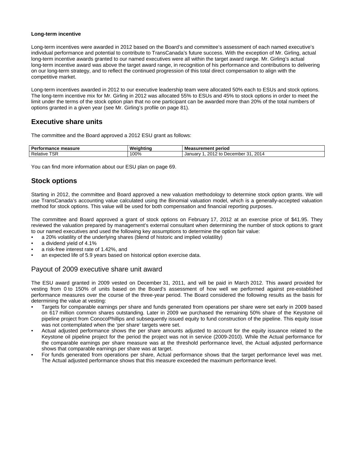#### **Long-term incentive**

Long-term incentives were awarded in 2012 based on the Board's and committee's assessment of each named executive's individual performance and potential to contribute to TransCanada's future success. With the exception of Mr. Girling, actual long-term incentive awards granted to our named executives were all within the target award range. Mr. Girling's actual long-term incentive award was above the target award range, in recognition of his performance and contributions to delivering on our long-term strategy, and to reflect the continued progression of this total direct compensation to align with the competitive market.

Long-term incentives awarded in 2012 to our executive leadership team were allocated 50% each to ESUs and stock options. The long-term incentive mix for Mr. Girling in 2012 was allocated 55% to ESUs and 45% to stock options in order to meet the limit under the terms of the stock option plan that no one participant can be awarded more than 20% of the total numbers of options granted in a given year (see Mr. Girling's profile on page 81).

# **Executive share units**

The committee and the Board approved a 2012 ESU grant as follows:

| Pert<br>emeasure :<br>mance | Weiahtina | <b>Measurement period</b>                                       |
|-----------------------------|-----------|-----------------------------------------------------------------|
| <b>TSR</b><br>Relative      | 100%      | 2014<br>2012<br>- December <sup>م</sup> .<br>∣2 to<br>January 1 |

You can find more information about our ESU plan on page 69.

# **Stock options**

Starting in 2012, the committee and Board approved a new valuation methodology to determine stock option grants. We will use TransCanada's accounting value calculated using the Binomial valuation model, which is a generally-accepted valuation method for stock options. This value will be used for both compensation and financial reporting purposes.

The committee and Board approved a grant of stock options on February 17, 2012 at an exercise price of \$41.95. They reviewed the valuation prepared by management's external consultant when determining the number of stock options to grant to our named executives and used the following key assumptions to determine the option fair value:

- a 20% volatility of the underlying shares (blend of historic and implied volatility)
- a dividend yield of 4.1%
- a risk-free interest rate of 1.42%, and
- an expected life of 5.9 years based on historical option exercise data.

# Payout of 2009 executive share unit award

The ESU award granted in 2009 vested on December 31, 2011, and will be paid in March 2012. This award provided for vesting from 0 to 150% of units based on the Board's assessment of how well we performed against pre-established performance measures over the course of the three-year period. The Board considered the following results as the basis for determining the value at vesting:

- Targets for comparable earnings per share and funds generated from operations per share were set early in 2009 based on 617 million common shares outstanding. Later in 2009 we purchased the remaining 50% share of the Keystone oil pipeline project from ConocoPhillips and subsequently issued equity to fund construction of the pipeline. This equity issue was not contemplated when the 'per share' targets were set.
- Actual adjusted performance shows the per share amounts adjusted to account for the equity issuance related to the Keystone oil pipeline project for the period the project was not in service (2009-2010). While the Actual performance for the comparable earnings per share measure was at the threshold performance level, the Actual adjusted performance shows that comparable earnings per share was at target.
- For funds generated from operations per share, Actual performance shows that the target performance level was met. The Actual adjusted performance shows that this measure exceeded the maximum performance level.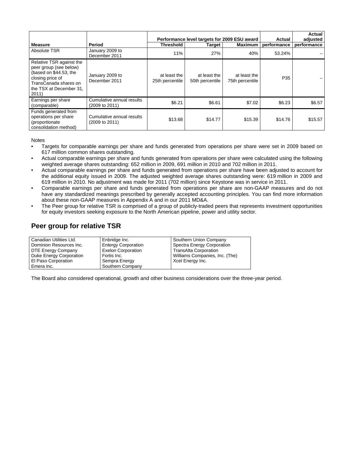|                                                                                                                                                              |                                             |                                 | Performance level targets for 2009 ESU award |                                 | Actual      | Actual<br>adjusted |
|--------------------------------------------------------------------------------------------------------------------------------------------------------------|---------------------------------------------|---------------------------------|----------------------------------------------|---------------------------------|-------------|--------------------|
| <b>Measure</b>                                                                                                                                               | Period                                      | <b>Threshold</b>                | Target                                       | <b>Maximum</b>                  | performance | performance        |
| Absolute TSR                                                                                                                                                 | January 2009 to<br>December 2011            | 11%                             | 27%                                          | 40%                             | 53.24%      |                    |
| Relative TSR against the<br>peer group (see below)<br>(based on \$44.53, the<br>closing price of<br>TransCanada shares on<br>the TSX at December 31,<br>2011 | January 2009 to<br>December 2011            | at least the<br>25th percentile | at least the<br>50th percentile              | at least the<br>75th percentile | P35         |                    |
| Earnings per share<br>(comparable)                                                                                                                           | Cumulative annual results<br>(2009 to 2011) | \$6.21                          | \$6.61                                       | \$7.02                          | \$6.23      | \$6.57             |
| Funds generated from<br>operations per share<br>(proportionate<br>consolidation method)                                                                      | Cumulative annual results<br>(2009 to 2011) | \$13.68                         | \$14.77                                      | \$15.39                         | \$14.76     | \$15.57            |

Notes

- Targets for comparable earnings per share and funds generated from operations per share were set in 2009 based on 617 million common shares outstanding.
- Actual comparable earnings per share and funds generated from operations per share were calculated using the following weighted average shares outstanding: 652 million in 2009, 691 million in 2010 and 702 million in 2011.
- Actual comparable earnings per share and funds generated from operations per share have been adjusted to account for the additional equity issued in 2009. The adjusted weighted average shares outstanding were: 619 million in 2009 and 619 million in 2010. No adjustment was made for 2011 (702 million) since Keystone was in service in 2011.
- Comparable earnings per share and funds generated from operations per share are non-GAAP measures and do not have any standardized meanings prescribed by generally accepted accounting principles. You can find more information about these non-GAAP measures in Appendix A and in our 2011 MD&A.
- The Peer group for relative TSR is comprised of a group of publicly-traded peers that represents investment opportunities for equity investors seeking exposure to the North American pipeline, power and utility sector.

# **Peer group for relative TSR**

| Canadian Utilities Ltd. | Enbridge Inc.              | Southern Union Company         |
|-------------------------|----------------------------|--------------------------------|
| Dominion Resources Inc. | <b>Entergy Corporation</b> | Spectra Energy Corporation     |
| DTE Energy Company      | <b>Exelon Corporation</b>  | <b>TransAlta Corporation</b>   |
| Duke Energy Corporation | Fortis Inc.                | Williams Companies, Inc. (The) |
| El Paso Corporation     | Sempra Energy              | Xcel Energy Inc.               |
| Emera Inc.              | Southern Company           |                                |

The Board also considered operational, growth and other business considerations over the three-year period.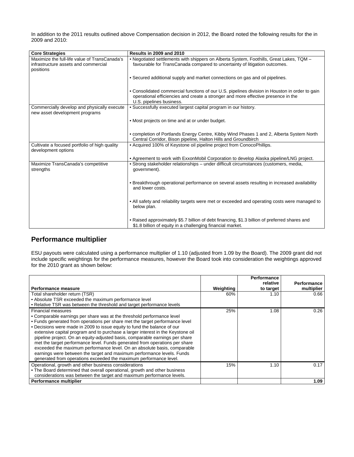In addition to the 2011 results outlined above Compensation decision in 2012, the Board noted the following results for the in 2009 and 2010:

| <b>Core Strategies</b>                                                                             | <b>Results in 2009 and 2010</b>                                                                                                                                                                                 |
|----------------------------------------------------------------------------------------------------|-----------------------------------------------------------------------------------------------------------------------------------------------------------------------------------------------------------------|
| Maximize the full-life value of TransCanada's<br>infrastructure assets and commercial<br>positions | . Negotiated settlements with shippers on Alberta System, Foothills, Great Lakes, TQM -<br>favourable for TransCanada compared to uncertainty of litigation outcomes.                                           |
|                                                                                                    | • Secured additional supply and market connections on gas and oil pipelines.                                                                                                                                    |
|                                                                                                    | • Consolidated commercial functions of our U.S. pipelines division in Houston in order to gain<br>operational efficiencies and create a stronger and more effective presence in the<br>U.S. pipelines business. |
| Commercially develop and physically execute<br>new asset development programs                      | • Successfully executed largest capital program in our history.                                                                                                                                                 |
|                                                                                                    | • Most projects on time and at or under budget.                                                                                                                                                                 |
|                                                                                                    | • completion of Portlands Energy Centre, Kibby Wind Phases 1 and 2, Alberta System North<br>Central Corridor, Bison pipeline, Halton Hills and Groundbirch                                                      |
| Cultivate a focused portfolio of high quality<br>development options                               | • Acquired 100% of Keystone oil pipeline project from ConocoPhillips.                                                                                                                                           |
|                                                                                                    | • Agreement to work with ExxonMobil Corporation to develop Alaska pipeline/LNG project.                                                                                                                         |
| Maximize TransCanada's competitive<br>strengths                                                    | • Strong stakeholder relationships - under difficult circumstances (customers, media,<br>government).                                                                                                           |
|                                                                                                    | • Breakthrough operational performance on several assets resulting in increased availability<br>and lower costs.                                                                                                |
|                                                                                                    | • All safety and reliability targets were met or exceeded and operating costs were managed to<br>below plan.                                                                                                    |
|                                                                                                    | • Raised approximately \$5.7 billion of debt financing, \$1.3 billion of preferred shares and<br>\$1.8 billion of equity in a challenging financial market.                                                     |

# **Performance multiplier**

ESU payouts were calculated using a performance multiplier of 1.10 (adjusted from 1.09 by the Board). The 2009 grant did not include specific weightings for the performance measures, however the Board took into consideration the weightings approved for the 2010 grant as shown below:

|                                                                                 |           | <b>Performance</b><br>relative | <b>Performance</b> |
|---------------------------------------------------------------------------------|-----------|--------------------------------|--------------------|
| Performance measure                                                             | Weighting | to target                      | multiplier         |
| Total shareholder return (TSR)                                                  | 60%       | 1.10                           | 0.66               |
| • Absolute TSR exceeded the maximum performance level                           |           |                                |                    |
| • Relative TSR was between the threshold and target performance levels          |           |                                |                    |
| Financial measures                                                              | 25%       | 1.08                           | 0.26               |
| • Comparable earnings per share was at the threshold performance level          |           |                                |                    |
| . Funds generated from operations per share met the target performance level    |           |                                |                    |
| . Decisions were made in 2009 to issue equity to fund the balance of our        |           |                                |                    |
| extensive capital program and to purchase a larger interest in the Keystone oil |           |                                |                    |
| pipeline project. On an equity-adjusted basis, comparable earnings per share    |           |                                |                    |
| met the target performance level. Funds generated from operations per share     |           |                                |                    |
| exceeded the maximum performance level. On an absolute basis, comparable        |           |                                |                    |
| earnings were between the target and maximum performance levels. Funds          |           |                                |                    |
| generated from operations exceeded the maximum performance level.               |           |                                |                    |
| Operational, growth and other business considerations                           | 15%       | 1.10                           | 0.17               |
| • The Board determined that overall operational, growth and other business      |           |                                |                    |
| considerations was between the target and maximum performance levels.           |           |                                |                    |
| <b>Performance multiplier</b>                                                   |           |                                | 1.09               |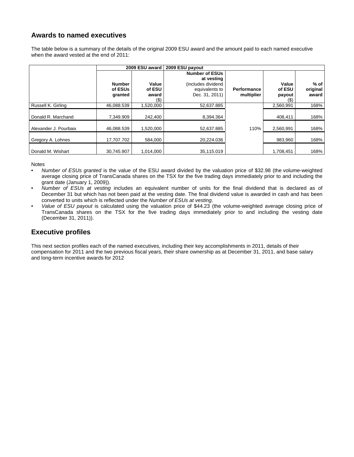# **Awards to named executives**

The table below is a summary of the details of the original 2009 ESU award and the amount paid to each named executive when the award vested at the end of 2011:

|                       |                                     | 2009 ESU award                      | 2009 ESU payout                                                                               |                                  |                                     |                             |
|-----------------------|-------------------------------------|-------------------------------------|-----------------------------------------------------------------------------------------------|----------------------------------|-------------------------------------|-----------------------------|
|                       | <b>Number</b><br>of ESUs<br>granted | Value<br>of ESU<br>award<br>$($ \$) | <b>Number of ESUs</b><br>at vesting<br>(includes dividend<br>equivalents to<br>Dec. 31, 2011) | <b>Performance</b><br>multiplier | Value<br>of ESU<br>payout<br>$(\$)$ | $%$ of<br>original<br>award |
| Russell K. Girling    | 46,088.539                          | 1,520,000                           | 52,637.885                                                                                    |                                  | 2,560,991                           | 168%                        |
| Donald R. Marchand    | 7,349.909                           | 242,400                             | 8,394.364                                                                                     |                                  | 408,411                             | 168%                        |
| Alexander J. Pourbaix | 46,088.539                          | 1,520,000                           | 52.637.885                                                                                    | 110%                             | 2,560,991                           | 168%                        |
| Gregory A. Lohnes     | 17,707.702                          | 584.000                             | 20.224.036                                                                                    |                                  | 983.960                             | 168%                        |
| Donald M. Wishart     | 30.745.907                          | 1.014.000                           | 35.115.019                                                                                    |                                  | 1.708.451                           | 168%                        |

Notes

- *Number of ESUs granted* is the value of the ESU award divided by the valuation price of \$32.98 (the volume-weighted average closing price of TransCanada shares on the TSX for the five trading days immediately prior to and including the grant date (January 1, 2009)).
- *Number of ESUs at vesting* includes an equivalent number of units for the final dividend that is declared as of December 31 but which has not been paid at the vesting date. The final dividend value is awarded in cash and has been converted to units which is reflected under the *Number of ESUs at vesting*.
- *Value of ESU payout* is calculated using the valuation price of \$44.23 (the volume-weighted average closing price of TransCanada shares on the TSX for the five trading days immediately prior to and including the vesting date (December 31, 2011)).

# **Executive profiles**

This next section profiles each of the named executives, including their key accomplishments in 2011, details of their compensation for 2011 and the two previous fiscal years, their share ownership as at December 31, 2011, and base salary and long-term incentive awards for 2012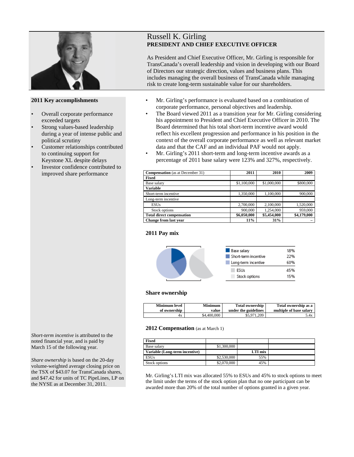

### **2011 Key accomplishments**

- Overall corporate performance exceeded targets
- Strong values-based leadership during a year of intense public and political scrutiny
- Customer relationships contributed to continuing support for Keystone XL despite delays
- Investor confidence contributed to improved share performance

## Russell K. Girling **PRESIDENT AND CHIEF EXECUTIVE OFFICER**

As President and Chief Executive Officer, Mr. Girling is responsible for TransCanada's overall leadership and vision in developing with our Board of Directors our strategic direction, values and business plans. This includes managing the overall business of TransCanada while managing risk to create long-term sustainable value for our shareholders.

- Mr. Girling's performance is evaluated based on a combination of corporate performance, personal objectives and leadership.
- The Board viewed 2011 as a transition year for Mr. Girling considering his appointment to President and Chief Executive Officer in 2010. The Board determined that his total short-term incentive award would reflect his excellent progression and performance in his position in the context of the overall corporate performance as well as relevant market data and that the CAF and an individual PAF would not apply.
- Mr. Girling's 2011 short-term and long-term incentive awards as a percentage of 2011 base salary were 123% and 327%, respectively.

| <b>Compensation</b> (as at December 31) | 2011        | 2010        | 2009        |
|-----------------------------------------|-------------|-------------|-------------|
| Fixed                                   |             |             |             |
| Base salary                             | \$1,100,000 | \$1,000,000 | \$800,000   |
| Variable                                |             |             |             |
| Short-term incentive                    | 1,350,000   | 1,100,000   | 900,000     |
| Long-term incentive                     |             |             |             |
| <b>ESUs</b>                             | 2,700,000   | 2,100,000   | 1,520,000   |
| Stock options                           | 900,000     | 1,254,000   | 959,000     |
| <b>Total direct compensation</b>        | \$6,050,000 | \$5,454,000 | \$4,179,000 |
| <b>Change from last year</b>            | 11%         | 31%         |             |

### **2011 Pay mix**



### **Share ownership**

| <b>Minimum level</b> | <b>Minimum</b> | <b>Total ownership</b> | Total ownership as a    |
|----------------------|----------------|------------------------|-------------------------|
| of ownership         | value          | under the guidelines   | multiple of base salary |
| 4х                   | \$4,400,000    | \$5,971,209            | 5.4x                    |

### 2012 Compensation (as at March 1)

| Fixed                          |             |         |  |
|--------------------------------|-------------|---------|--|
| Base salary                    | \$1,300,000 |         |  |
| Variable (Long-term incentive) |             | LTI mix |  |
| <b>ESUs</b>                    | \$2,530,000 | 55%     |  |
| Stock options                  | \$2,070,000 | 45%     |  |

Mr. Girling's LTI mix was allocated 55% to ESUs and 45% to stock options to meet the limit under the terms of the stock option plan that no one participant can be awarded more than 20% of the total number of options granted in a given year.

*Short-term incentive* is attributed to the noted financial year, and is paid by March 15 of the following year.

*Share ownership* is based on the 20-day volume-weighted average closing price on the TSX of \$43.07 for TransCanada shares, and \$47.42 for units of TC PipeLines, LP on the NYSE as at December 31, 2011.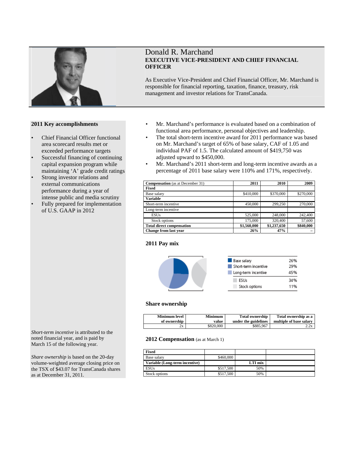

### **2011 Key accomplishments**

- Chief Financial Officer functional area scorecard results met or exceeded performance targets
- Successful financing of continuing capital expansion program while maintaining 'A' grade credit ratings
- Strong investor relations and external communications performance during a year of intense public and media scrutiny
- Fully prepared for implementation of U.S. GAAP in 2012

Donald R. Marchand **EXECUTIVE VICE-PRESIDENT AND CHIEF FINANCIAL OFFICER** 

As Executive Vice-President and Chief Financial Officer, Mr. Marchand is responsible for financial reporting, taxation, finance, treasury, risk management and investor relations for TransCanada.

- Mr. Marchand's performance is evaluated based on a combination of functional area performance, personal objectives and leadership.
- The total short-term incentive award for 2011 performance was based on Mr. Marchand's target of 65% of base salary, CAF of 1.05 and individual PAF of 1.5. The calculated amount of \$419,750 was adjusted upward to \$450,000.
- Mr. Marchand's 2011 short-term and long-term incentive awards as a percentage of 2011 base salary were 110% and 171%, respectively.

| <b>Compensation</b> (as at December 31) | 2011        | 2010        | 2009      |
|-----------------------------------------|-------------|-------------|-----------|
| Fixed                                   |             |             |           |
| Base salary                             | \$410,000   | \$370,000   | \$270,000 |
| <b>Variable</b>                         |             |             |           |
| Short-term incentive                    | 450,000     | 299,250     | 270,000   |
| Long-term incentive                     |             |             |           |
| <b>ESUs</b>                             | 525,000     | 248,000     | 242,400   |
| Stock options                           | 175,000     | 320,400     | 57,600    |
| <b>Total direct compensation</b>        | \$1,560,000 | \$1,237,650 | \$840,000 |
| <b>Change from last year</b>            | 26%         | 47%         |           |

### **2011 Pay mix**



| Base salary          | 26%        |
|----------------------|------------|
| Short-term incentive | 29%<br>45% |
| Long-term incentive  |            |
| FSUs                 | 34%        |
| Stock options        | 11%        |

### **Share ownership**

| Minimum level 1 | Minimum   | <b>Total ownership</b> | Total ownership as a    |
|-----------------|-----------|------------------------|-------------------------|
| of ownership    | value     | under the guidelines   | multiple of base salary |
| 2х              | \$820,000 | \$885,967              | 2.2x                    |

### 2012 Compensation (as at March 1)

| Fixed                          |           |         |  |
|--------------------------------|-----------|---------|--|
| Base salary                    | \$460,000 |         |  |
| Variable (Long-term incentive) |           | LTI mix |  |
| <b>ESUs</b>                    | \$517,500 | 50%     |  |
| Stock options                  | \$517,500 | 50%     |  |

*Short-term incentive* is attributed to the noted financial year, and is paid by March 15 of the following year.

*Share ownership* is based on the 20-day volume-weighted average closing price on the TSX of \$43.07 for TransCanada shares as at December 31, 2011.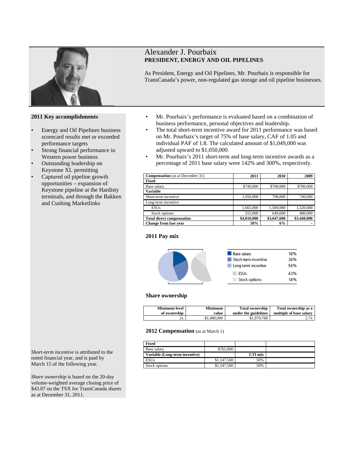

# Alexander J. Pourbaix **PRESIDENT, ENERGY AND OIL PIPELINES**

As President, Energy and Oil Pipelines, Mr. Pourbaix is responsible for TransCanada's power, non-regulated gas storage and oil pipeline businesses.

- **2011 Key accomplishments**
- Energy and Oil Pipelines business scorecard results met or exceeded performance targets
- Strong financial performance in Western power business
- Outstanding leadership on Keystone XL permitting
- Captured oil pipeline growth opportunities – expansion of Keystone pipeline at the Hardisty terminals, and through the Bakken and Cushing Marketlinks
- Mr. Pourbaix's performance is evaluated based on a combination of business performance, personal objectives and leadership.
- The total short-term incentive award for 2011 performance was based on Mr. Pourbaix's target of 75% of base salary, CAF of 1.05 and individual PAF of 1.8. The calculated amount of \$1,049,000 was adjusted upward to \$1,050,000.
- Mr. Pourbaix's 2011 short-term and long-term incentive awards as a percentage of 2011 base salary were 142% and 300%, respectively.

| <b>Compensation</b> (as at December 31) | 2011        | 2010        | 2009        |
|-----------------------------------------|-------------|-------------|-------------|
| Fixed                                   |             |             |             |
| Base salary                             | \$740,000   | \$700,000   | \$700,000   |
| <b>Variable</b>                         |             |             |             |
| Short-term incentive                    | 1,050,000   | 798,000     | 740,000     |
| Long-term incentive                     |             |             |             |
| <b>ESUs</b>                             | 1,665,000   | 1,500,000   | 1,520,000   |
| Stock options                           | 555,000     | 649,600     | 480,000     |
| <b>Total direct compensation</b>        | \$4,010,000 | \$3,647,600 | \$3,440,000 |
| Change from last year                   | 10%         | 6%          |             |

### **2011 Pay mix**



### **Share ownership**

| <b>Minimum level</b> | <b>Minimum</b> | <b>Total ownership</b> | Total ownership as a    |
|----------------------|----------------|------------------------|-------------------------|
| of ownership         | value          | under the guidelines   | multiple of base salary |
| 2x                   | \$1,480,000    | \$1,970,768            | 2.7x                    |

### 2012 Compensation (as at March 1)

| Fixed                          |             |         |  |
|--------------------------------|-------------|---------|--|
| Base salary                    | \$765,000   |         |  |
| Variable (Long-term incentive) |             | LTI mix |  |
| <b>ESUs</b>                    | \$1,147,500 | 50%     |  |
| Stock options                  | \$1,147,500 | 50%     |  |

*Short-term incentive* is attributed to the noted financial year, and is paid by March 15 of the following year.

*Share ownership* is based on the 20-day volume-weighted average closing price of \$43.07 on the TSX for TransCanada shares as at December 31, 2011.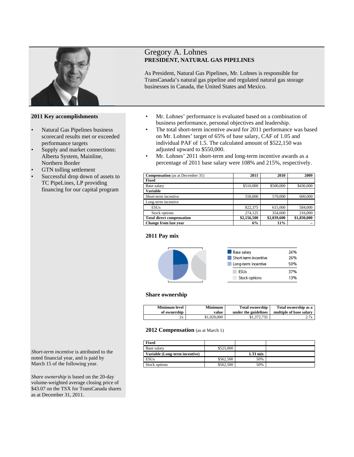

### **2011 Key accomplishments**

- Natural Gas Pipelines business scorecard results met or exceeded performance targets
- Supply and market connections: Alberta System, Mainline, Northern Border
- GTN tolling settlement
- Successful drop down of assets to TC PipeLines, LP providing financing for our capital program

### Gregory A. Lohnes **PRESIDENT, NATURAL GAS PIPELINES**

As President, Natural Gas Pipelines, Mr. Lohnes is responsible for TransCanada's natural gas pipeline and regulated natural gas storage businesses in Canada, the United States and Mexico.

- Mr. Lohnes' performance is evaluated based on a combination of business performance, personal objectives and leadership.
- The total short-term incentive award for 2011 performance was based on Mr. Lohnes' target of 65% of base salary, CAF of 1.05 and individual PAF of 1.5. The calculated amount of \$522,150 was adjusted upward to \$550,000.
- Mr. Lohnes' 2011 short-term and long-term incentive awards as a percentage of 2011 base salary were 108% and 215%, respectively.

| <b>Compensation</b> (as at December 31) | 2011        | 2010        | 2009        |
|-----------------------------------------|-------------|-------------|-------------|
| Fixed                                   |             |             |             |
| Base salary                             | \$510,000   | \$500,000   | \$430,000   |
| <b>Variable</b>                         |             |             |             |
| Short-term incentive                    | 550,000     | 570,000     | 600,000     |
| Long-term incentive                     |             |             |             |
| <b>ESUs</b>                             | 822,375     | 615,000     | 584,000     |
| Stock options                           | 274.125     | 354,600     | 216,000     |
| <b>Total direct compensation</b>        | \$2,156,500 | \$2,039,600 | \$1,830,000 |
| Change from last year                   | 6%          | 11%         |             |

### **2011 Pay mix**



| Base salary          | 24% |
|----------------------|-----|
| Short-term incentive | 26% |
| Long-term incentive  | 50% |
| FSUs                 | 37% |
| Stock options        | 13% |

### **Share ownership**

| Minimum level 1 | <b>Minimum</b> | <b>Total ownership</b> | Total ownership as a 1  |
|-----------------|----------------|------------------------|-------------------------|
| of ownership 1  | value          | under the guidelines   | multiple of base salary |
| 2х              | \$1,020,000    | \$1,372,735            | $2.7x$ 1                |

#### 2012 Compensation (as at March 1)

| Fixed                          |           |         |  |
|--------------------------------|-----------|---------|--|
| Base salary                    | \$525,000 |         |  |
| Variable (Long-term incentive) |           | LTI mix |  |
| <b>ESUs</b>                    | \$562,500 | 50%     |  |
| Stock options                  | \$562,500 | 50%     |  |

*Short-term incentive* is attributed to the noted financial year, and is paid by March 15 of the following year.

*Share ownership* is based on the 20-day volume-weighted average closing price of \$43.07 on the TSX for TransCanada shares as at December 31, 2011.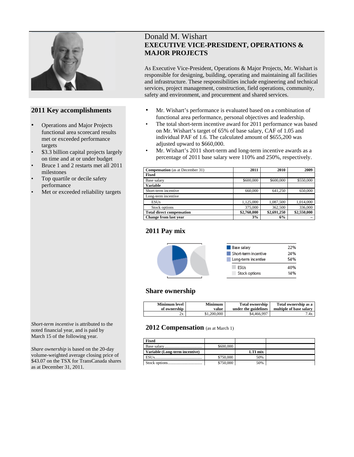

### **2011 Key accomplishments**

- Operations and Major Projects functional area scorecard results met or exceeded performance targets
- \$3.3 billion capital projects largely on time and at or under budget
- Bruce 1 and 2 restarts met all 2011 milestones
- Top quartile or decile safety performance
- Met or exceeded reliability targets

*Short-term incentive* is attributed to the noted financial year, and is paid by March 15 of the following year.

*Share ownership* is based on the 20-day volume-weighted average closing price of \$43.07 on the TSX for TransCanada shares as at December 31, 2011.

# Donald M. Wishart **EXECUTIVE VICE-PRESIDENT, OPERATIONS & MAJOR PROJECTS**

As Executive Vice-President, Operations & Major Projects, Mr. Wishart is responsible for designing, building, operating and maintaining all facilities and infrastructure. These responsibilities include engineering and technical services, project management, construction, field operations, community, safety and environment, and procurement and shared services.

- Mr. Wishart's performance is evaluated based on a combination of functional area performance, personal objectives and leadership.
- The total short-term incentive award for 2011 performance was based on Mr. Wishart's target of 65% of base salary, CAF of 1.05 and individual PAF of 1.6. The calculated amount of \$655,200 was adjusted upward to \$660,000.
- Mr. Wishart's 2011 short-term and long-term incentive awards as a percentage of 2011 base salary were 110% and 250%, respectively.

| <b>Compensation</b> (as at December 31) | 2011        | 2010        | 2009        |
|-----------------------------------------|-------------|-------------|-------------|
| Fixed                                   |             |             |             |
| Base salary                             | \$600,000   | \$600,000   | \$550,000   |
| <b>Variable</b>                         |             |             |             |
| Short-term incentive                    | 660,000     | 641.250     | 650,000     |
| Long-term incentive                     |             |             |             |
| <b>ESUs</b>                             | 1.125,000   | 1,087,500   | 1,014,000   |
| Stock options                           | 375,000     | 362,500     | 336,000     |
| <b>Total direct compensation</b>        | \$2,760,000 | \$2,691,250 | \$2,550,000 |
| Change from last year                   | 3%          | 6%          |             |

### **2011 Pay mix**



### **Share ownership**

| Minimum level 1 | Minimum     | <b>Total ownership</b> | Total ownership as a    |
|-----------------|-------------|------------------------|-------------------------|
| of ownership    | value       | under the guidelines   | multiple of base salary |
| 2x              | \$1,200,000 | \$4,466,997            | 7.4x                    |

### 2012 Compensation (as at March 1)

| Fixed                          |           |         |  |
|--------------------------------|-----------|---------|--|
|                                | \$600,000 |         |  |
| Variable (Long-term incentive) |           | LTI mix |  |
| <b>ESUs</b><br>                | \$750,000 | 50%     |  |
|                                | \$750,000 | 50%     |  |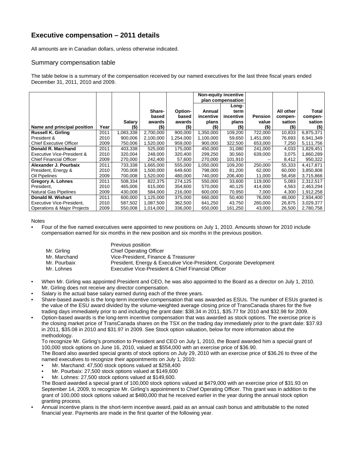# **Executive compensation – 2011 details**

All amounts are in Canadian dollars, unless otherwise indicated.

### Summary compensation table

The table below is a summary of the compensation received by our named executives for the last three fiscal years ended December 31, 2011, 2010 and 2009.

|                                        |      |           |               |           |           | Non-equity incentive |           |           |           |
|----------------------------------------|------|-----------|---------------|-----------|-----------|----------------------|-----------|-----------|-----------|
|                                        |      |           |               |           |           | plan compensation    |           |           |           |
|                                        |      |           |               |           |           | Long-                |           |           |           |
|                                        |      |           | <b>Share-</b> | Option-   | Annual    | term                 |           | All other | Total     |
|                                        |      |           | based         | based     | incentive | incentive            | Pension   | compen-   | compen-   |
|                                        |      | Salary    | awards        | awards    | plans     | plans                | value     | sation    | sation    |
| Name and principal position            | Year | $($ \$)   | (\$)          | (\$)      | (\$)      | $($ \$)              | $($ \$)   | $($ \$    | (\$)      |
| <b>Russell K. Girling</b>              | 2011 | 1,083,338 | 2,700,000     | 900.000   | 1,350,000 | 109,200              | 722,000   | 10,833    | 6,875,371 |
| President &                            | 2010 | 900,006   | 2,100,000     | 1,254,000 | 1,100,000 | 59,650               | 1,451,000 | 76,693    | 6,941,349 |
| <b>Chief Executive Officer</b>         | 2009 | 750,006   | 1,520,000     | 959,000   | 900,000   | 322,500              | 653,000   | 7,250     | 5,111,756 |
| Donald R. Marchand                     | 2011 | 403.338   | 525.000       | 175.000   | 450.000   | 31.080               | 241.000   | 4,033     | 1,829,451 |
| Executive Vice-President &             | 2010 | 320,004   | 248,000       | 320,400   | 299,250   | 30,560               | 639,000   | 3,075     | 1,860,289 |
| <b>Chief Financial Officer</b>         | 2009 | 270,000   | 242,400       | 57,600    | 270,000   | 101,910              |           | 8,412     | 950,322   |
| Alexander J. Pourbaix                  | 2011 | 733.338   | 1,665,000     | 555.000   | 1.050.000 | 109.200              | 250.000   | 55.333    | 4.417.871 |
| President, Energy &                    | 2010 | 700,008   | 1,500,000     | 649,600   | 798,000   | 81,200               | 62,000    | 60,000    | 3,850,808 |
| Oil Pipelines                          | 2009 | 700,008   | 1,520,000     | 480,000   | 740,000   | 206,400              | 11,000    | 58,458    | 3,715,866 |
| <b>Gregory A. Lohnes</b>               | 2011 | 508,334   | 822.375       | 274,125   | 550,000   | 33,600               | 119,000   | 5,083     | 2,312,517 |
| President,                             | 2010 | 465,006   | 615,000       | 354,600   | 570,000   | 40,125               | 414,000   | 4,563     | 2,463,294 |
| <b>Natural Gas Pipelines</b>           | 2009 | 430,008   | 584,000       | 216,000   | 600.000   | 70,950               | 7,000     | 4,300     | 1,912,258 |
| Donald M. Wishart                      | 2011 | 600,000   | 1,125,000     | 375,000   | 660.000   | 50.400               | 76,000    | 48,000    | 2,934,400 |
| Executive Vice-President,              | 2010 | 587,502   | 1,087,500     | 362,500   | 641,250   | 43,750               | 280,000   | 26,875    | 3,029,377 |
| <b>Operations &amp; Major Projects</b> | 2009 | 550,008   | 1,014,000     | 336,000   | 650,000   | 161,250              | 43,000    | 26,500    | 2,780,758 |

**Notes** 

• Four of the five named executives were appointed to new positions on July 1, 2010. Amounts shown for 2010 include compensation earned for six months in the new position and six months in the previous position.

|              | Previous position                                                   |
|--------------|---------------------------------------------------------------------|
| Mr. Girling  | <b>Chief Operating Officer</b>                                      |
| Mr. Marchand | Vice-President. Finance & Treasurer                                 |
| Mr. Pourbaix | President, Energy & Executive Vice-President, Corporate Development |
| Mr. Lohnes   | Executive Vice-President & Chief Financial Officer                  |

- When Mr. Girling was appointed President and CEO, he was also appointed to the Board as a director on July 1, 2010. Mr. Girling does not receive any director compensation.
- Salary is the actual base salary earned during each of the three years.
- Share-based awards is the long-term incentive compensation that was awarded as ESUs. The number of ESUs granted is the value of the ESU award divided by the volume-weighted average closing price of TransCanada shares for the five trading days immediately prior to and including the grant date: \$38.34 in 2011, \$35.77 for 2010 and \$32.98 for 2009.
- Option-based awards is the long-term incentive compensation that was awarded as stock options. The exercise price is the closing market price of TransCanada shares on the TSX on the trading day immediately prior to the grant date: \$37.93 in 2011, \$35.08 in 2010 and \$31.97 in 2009. See Stock option valuation, below for more information about the methodology.

To recognize Mr. Girling's promotion to President and CEO on July 1, 2010, the Board awarded him a special grant of 100,000 stock options on June 16, 2010, valued at \$554,000 with an exercise price of \$36.90.

The Board also awarded special grants of stock options on July 29, 2010 with an exercise price of \$36.26 to three of the named executives to recognize their appointments on July 1, 2010:

- Mr. Marchand: 47,500 stock options valued at \$258,400
- Mr. Pourbaix: 27,500 stock options valued at \$149,600
- Mr. Lohnes: 27,500 stock options valued at \$149,600.

The Board awarded a special grant of 100,000 stock options valued at \$479,000 with an exercise price of \$31.93 on September 14, 2009, to recognize Mr. Girling's appointment to Chief Operating Officer. This grant was in addition to the grant of 100,000 stock options valued at \$480,000 that he received earlier in the year during the annual stock option granting process.

• Annual incentive plans is the short-term incentive award, paid as an annual cash bonus and attributable to the noted financial year. Payments are made in the first quarter of the following year.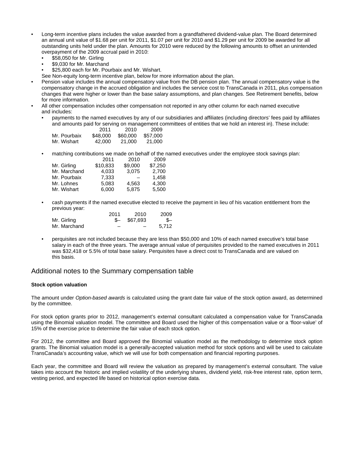- Long-term incentive plans includes the value awarded from a grandfathered dividend-value plan. The Board determined an annual unit value of \$1.68 per unit for 2011, \$1.07 per unit for 2010 and \$1.29 per unit for 2009 be awarded for all outstanding units held under the plan. Amounts for 2010 were reduced by the following amounts to offset an unintended overpayment of the 2009 accrual paid in 2010:
	- \$58,050 for Mr. Girling
	- \$9,030 for Mr. Marchand
	- \$25,800 each for Mr. Pourbaix and Mr. Wishart.
	- See Non-equity long-term incentive plan, below for more information about the plan.
- Pension value includes the annual compensatory value from the DB pension plan. The annual compensatory value is the compensatory change in the accrued obligation and includes the service cost to TransCanada in 2011, plus compensation changes that were higher or lower than the base salary assumptions, and plan changes. See Retirement benefits, below for more information.
- All other compensation includes other compensation not reported in any other column for each named executive and includes:
	- payments to the named executives by any of our subsidiaries and affiliates (including directors' fees paid by affiliates and amounts paid for serving on management committees of entities that we hold an interest in). These include:

|              | 2011     | 2010     | 2009     |
|--------------|----------|----------|----------|
| Mr. Pourbaix | \$48,000 | \$60,000 | \$57,000 |
| Mr. Wishart  | 42,000   | 21,000   | 21,000   |

• matching contributions we made on behalf of the named executives under the employee stock savings plan:

|              | 2011     | 2010    | 2009    |
|--------------|----------|---------|---------|
| Mr. Girling  | \$10.833 | \$9.000 | \$7.250 |
| Mr. Marchand | 4.033    | 3,075   | 2.700   |
| Mr. Pourbaix | 7.333    |         | 1.458   |
| Mr. Lohnes   | 5.083    | 4.563   | 4.300   |
| Mr. Wishart  | 6,000    | 5,875   | 5,500   |

• cash payments if the named executive elected to receive the payment in lieu of his vacation entitlement from the previous year:

|              | 2011 | 2010                     | 2009  |
|--------------|------|--------------------------|-------|
| Mr. Girling  |      | $\frac{15}{2}$ \$67,693  | - \$  |
| Mr. Marchand |      | $\overline{\phantom{0}}$ | 5.712 |

• perquisites are not included because they are less than \$50,000 and 10% of each named executive's total base salary in each of the three years. The average annual value of perquisites provided to the named executives in 2011 was \$32,418 or 5.5% of total base salary. Perquisites have a direct cost to TransCanada and are valued on this basis.

### Additional notes to the Summary compensation table

### **Stock option valuation**

The amount under *Option-based awards* is calculated using the grant date fair value of the stock option award, as determined by the committee.

For stock option grants prior to 2012, management's external consultant calculated a compensation value for TransCanada using the Binomial valuation model. The committee and Board used the higher of this compensation value or a 'floor-value' of 15% of the exercise price to determine the fair value of each stock option.

For 2012, the committee and Board approved the Binomial valuation model as the methodology to determine stock option grants. The Binomial valuation model is a generally-accepted valuation method for stock options and will be used to calculate TransCanada's accounting value, which we will use for both compensation and financial reporting purposes.

Each year, the committee and Board will review the valuation as prepared by management's external consultant. The value takes into account the historic and implied volatility of the underlying shares, dividend yield, risk-free interest rate, option term, vesting period, and expected life based on historical option exercise data.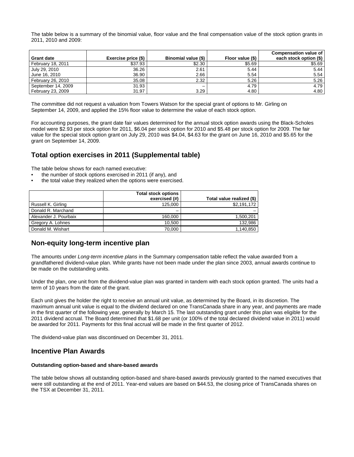The table below is a summary of the binomial value, floor value and the final compensation value of the stock option grants in 2011, 2010 and 2009:

|                    |                     |                     |                  | <b>Compensation value of</b> |
|--------------------|---------------------|---------------------|------------------|------------------------------|
| <b>Grant date</b>  | Exercise price (\$) | Binomial value (\$) | Floor value (\$) | each stock option (\$)       |
| February 18, 2011  | \$37.93             | \$2.30              | \$5.69           | \$5.69                       |
| July 29, 2010      | 36.26               | 2.61                | 5.44             | 5.44                         |
| June 16, 2010      | 36.90               | 2.66                | 5.54             | 5.54                         |
| February 26, 2010  | 35.08               | 2.32                | 5.26             | 5.26                         |
| September 14, 2009 | 31.93               | -                   | 4.79             | 4.79                         |
| February 23, 2009  | 31.97               | 3.29                | 4.80             | 4.80                         |

The committee did not request a valuation from Towers Watson for the special grant of options to Mr. Girling on September 14, 2009, and applied the 15% floor value to determine the value of each stock option.

For accounting purposes, the grant date fair values determined for the annual stock option awards using the Black-Scholes model were \$2.93 per stock option for 2011, \$6.04 per stock option for 2010 and \$5.48 per stock option for 2009. The fair value for the special stock option grant on July 29, 2010 was \$4.04, \$4.63 for the grant on June 16, 2010 and \$5.65 for the grant on September 14, 2009.

## **Total option exercises in 2011 (Supplemental table)**

The table below shows for each named executive:

- the number of stock options exercised in 2011 (if any), and
- the total value they realized when the options were exercised.

|                       | <b>Total stock options</b><br>exercised (#) | Total value realized (\$) |
|-----------------------|---------------------------------------------|---------------------------|
| Russell K. Girling    | 125,000                                     | \$2,191,172               |
| Donald R. Marchand    | -                                           |                           |
| Alexander J. Pourbaix | 160,000                                     | 1,500,201                 |
| Gregory A. Lohnes     | 10,500                                      | 132,986                   |
| Donald M. Wishart     | 70,000                                      | 1,140,850                 |

### **Non-equity long-term incentive plan**

The amounts under *Long-term incentive plans* in the Summary compensation table reflect the value awarded from a grandfathered dividend-value plan. While grants have not been made under the plan since 2003, annual awards continue to be made on the outstanding units.

Under the plan, one unit from the dividend-value plan was granted in tandem with each stock option granted. The units had a term of 10 years from the date of the grant.

Each unit gives the holder the right to receive an annual unit value, as determined by the Board, in its discretion. The maximum annual unit value is equal to the dividend declared on one TransCanada share in any year, and payments are made in the first quarter of the following year, generally by March 15. The last outstanding grant under this plan was eligible for the 2011 dividend accrual. The Board determined that \$1.68 per unit (or 100% of the total declared dividend value in 2011) would be awarded for 2011. Payments for this final accrual will be made in the first quarter of 2012.

The dividend-value plan was discontinued on December 31, 2011.

### **Incentive Plan Awards**

### **Outstanding option-based and share-based awards**

The table below shows all outstanding option-based and share-based awards previously granted to the named executives that were still outstanding at the end of 2011. Year-end values are based on \$44.53, the closing price of TransCanada shares on the TSX at December 31, 2011.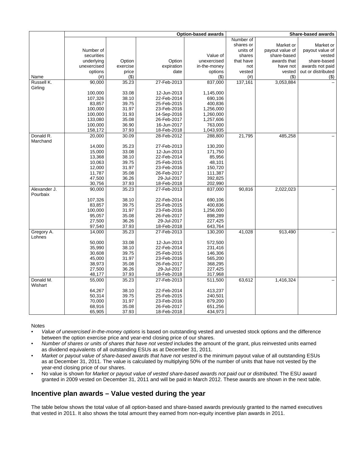|                          |             |          |             | <b>Option-based awards</b> |           |                 | <b>Share-based awards</b> |
|--------------------------|-------------|----------|-------------|----------------------------|-----------|-----------------|---------------------------|
|                          |             |          |             |                            | Number of |                 |                           |
|                          |             |          |             |                            | shares or | Market or       | Market or                 |
|                          | Number of   |          |             |                            | units of  | payout value of | payout value of           |
|                          | securities  |          |             | Value of                   | shares    | share-based     | vested                    |
|                          | underlying  | Option   | Option      | unexercised                | that have | awards that     | share-based               |
|                          | unexercised | exercise | expiration  | in-the-money               | not       | have not        | awards not paid           |
|                          | options     | price    | date        | options                    | vested    | vested          | out or distributed        |
| Name                     | $(\#)$      | (\$)     |             | (\$)                       | $(\#)$    | (3)             | (3)                       |
| Russell K.               | 90,000      | 35.23    | 27-Feb-2013 | 837,000                    | 137,161   | 3,053,884       |                           |
| Girling                  |             |          |             |                            |           |                 |                           |
|                          | 100,000     | 33.08    | 12-Jun-2013 | 1,145,000                  |           |                 |                           |
|                          | 107,326     | 38.10    | 22-Feb-2014 | 690,106                    |           |                 |                           |
|                          | 83,857      | 39.75    | 25-Feb-2015 | 400,836                    |           |                 |                           |
|                          | 100,000     | 31.97    | 23-Feb-2016 | 1,256,000                  |           |                 |                           |
|                          | 100,000     | 31.93    | 14-Sep-2016 | 1,260,000                  |           |                 |                           |
|                          | 133,080     | 35.08    | 26-Feb-2017 | 1,257,606                  |           |                 |                           |
|                          | 100,000     | 36.90    | 16-Jun-2017 | 763,000                    |           |                 |                           |
|                          | 158,172     | 37.93    | 18-Feb-2018 | 1,043,935                  |           |                 |                           |
| Donald R.                | 20,000      | 30.09    | 28-Feb-2012 | 288,800                    | 21,795    | 485,258         |                           |
| Marchand                 |             |          |             |                            |           |                 |                           |
|                          | 14,000      | 35.23    | 27-Feb-2013 | 130,200                    |           |                 |                           |
|                          | 15,000      | 33.08    | 12-Jun-2013 | 171,750                    |           |                 |                           |
|                          | 13,368      | 38.10    | 22-Feb-2014 | 85,956                     |           |                 |                           |
|                          | 10,063      | 39.75    | 25-Feb-2015 | 48,101                     |           |                 |                           |
|                          | 12,000      | 31.97    | 23-Feb-2016 | 150,720                    |           |                 |                           |
|                          | 11,787      | 35.08    | 26-Feb-2017 | 111,387                    |           |                 |                           |
|                          | 47,500      | 36.26    | 29-Jul-2017 | 392,825                    |           |                 |                           |
|                          | 30,756      | 37.93    | 18-Feb-2018 | 202,990                    |           |                 |                           |
| Alexander J.<br>Pourbaix | 90,000      | 35.23    | 27-Feb-2013 | 837,000                    | 90,816    | 2,022,023       |                           |
|                          | 107,326     | 38.10    | 22-Feb-2014 | 690,106                    |           |                 |                           |
|                          | 83,857      | 39.75    | 25-Feb-2015 | 400,836                    |           |                 |                           |
|                          | 100,000     | 31.97    | 23-Feb-2016 | 1,256,000                  |           |                 |                           |
|                          | 95,057      | 35.08    | 26-Feb-2017 | 898,289                    |           |                 |                           |
|                          | 27,500      | 36.26    | 29-Jul-2017 | 227,425                    |           |                 |                           |
|                          | 97,540      | 37.93    | 18-Feb-2018 | 643,764                    |           |                 |                           |
| Gregory A.<br>Lohnes     | 14,000      | 35.23    | 27-Feb-2013 | 130,200                    | 41,028    | 913,490         |                           |
|                          | 50,000      | 33.08    | 12-Jun-2013 | 572,500                    |           |                 |                           |
|                          | 35,990      | 38.10    | 22-Feb-2014 | 231,416                    |           |                 |                           |
|                          | 30,608      | 39.75    | 25-Feb-2015 | 146,306                    |           |                 |                           |
|                          | 45,000      | 31.97    | 23-Feb-2016 | 565,200                    |           |                 |                           |
|                          | 38,973      | 35.08    | 26-Feb-2017 | 368,295                    |           |                 |                           |
|                          | 27,500      | 36.26    | 29-Jul-2017 | 227,425                    |           |                 |                           |
|                          | 48,177      | 37.93    | 18-Feb-2018 | 317,968                    |           |                 |                           |
| Donald M.<br>Wishart     | 55,000      | 35.23    | 27-Feb-2013 | 511,500                    | 63,612    | 1,416,324       |                           |
|                          | 64,267      | 38.10    | 22-Feb-2014 | 413,237                    |           |                 |                           |
|                          | 50,314      | 39.75    | 25-Feb-2015 | 240,501                    |           |                 |                           |
|                          | 70,000      | 31.97    | 23-Feb-2016 | 879,200                    |           |                 |                           |
|                          | 68,916      | 35.08    | 26-Feb-2017 | 651,256                    |           |                 |                           |
|                          | 65,905      | 37.93    | 18-Feb-2018 | 434,973                    |           |                 |                           |

**Notes** 

• *Value of unexercised in-the-money options* is based on outstanding vested and unvested stock options and the difference between the option exercise price and year-end closing price of our shares.

• *Number of shares or units of shares that have not vested* includes the amount of the grant, plus reinvested units earned as dividend equivalents of all outstanding ESUs as at December 31, 2011.

• *Market or payout value of share-based awards that have not vested* is the minimum payout value of all outstanding ESUs as at December 31, 2011. The value is calculated by multiplying 50% of the number of units that have not vested by the year-end closing price of our shares.

• No value is shown for *Market or payout value of vested share-based awards not paid out or distributed*. The ESU award granted in 2009 vested on December 31, 2011 and will be paid in March 2012. These awards are shown in the next table.

# **Incentive plan awards – Value vested during the year**

The table below shows the total value of all option-based and share-based awards previously granted to the named executives that vested in 2011. It also shows the total amount they earned from non-equity incentive plan awards in 2011.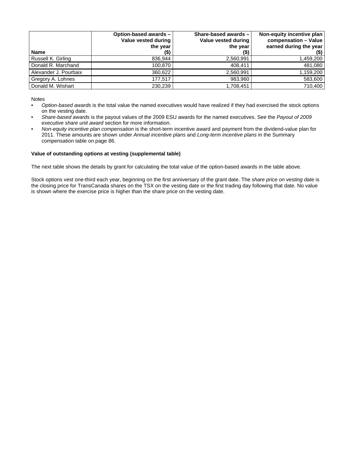| <b>Name</b>           | Option-based awards -<br>Value vested during<br>the year<br>(\$) | Share-based awards -<br>Value vested during<br>the year | Non-equity incentive plan<br>compensation - Value<br>earned during the year<br>(5) |
|-----------------------|------------------------------------------------------------------|---------------------------------------------------------|------------------------------------------------------------------------------------|
| Russell K. Girling    | 836,944                                                          | 2,560,991                                               | 1,459,200                                                                          |
| Donald R. Marchand    | 100,870                                                          | 408.411                                                 | 481,080                                                                            |
| Alexander J. Pourbaix | 360,622                                                          | 2,560,991                                               | 1,159,200                                                                          |
| Gregory A. Lohnes     | 177,517                                                          | 983,960                                                 | 583,600                                                                            |
| Donald M. Wishart     | 230,239                                                          | 1,708,451                                               | 710.400                                                                            |

Notes

- *Option-based awards* is the total value the named executives would have realized if they had exercised the stock options on the vesting date.
- *Share-based awards* is the payout values of the 2009 ESU awards for the named executives. See the *Payout of 2009 executive share unit award* section for more information.
- *Non-equity incentive plan compensation* is the short-term incentive award and payment from the dividend-value plan for 2011. These amounts are shown under *Annual incentive plans* and *Long-term incentive plans* in the Summary compensation table on page 86.

### **Value of outstanding options at vesting (supplemental table)**

The next table shows the details by grant for calculating the total value of the option-based awards in the table above.

Stock options vest one-third each year, beginning on the first anniversary of the grant date. The *share price on vesting date* is the closing price for TransCanada shares on the TSX on the vesting date or the first trading day following that date. No value is shown where the exercise price is higher than the share price on the vesting date.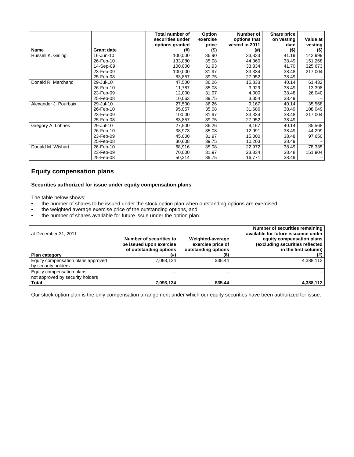|                       |                   | <b>Total number of</b> | Option   | Number of      | Share price |          |
|-----------------------|-------------------|------------------------|----------|----------------|-------------|----------|
|                       |                   | securities under       | exercise | options that   | on vesting  | Value at |
|                       |                   | options granted        | price    | vested in 2011 | date        | vesting  |
| Name                  | <b>Grant date</b> | $($ #)                 | $($ \$)  | (#)            | $($ \$)     | $($ \$)  |
| Russell K. Girling    | 16-Jun-10         | 100,000                | 36.90    | 33,333         | 41.19       | 142,999  |
|                       | 26-Feb-10         | 133,080                | 35.08    | 44,360         | 38.49       | 151,268  |
|                       | 14-Sep-09         | 100,000                | 31.93    | 33,334         | 41.70       | 325,673  |
|                       | 23-Feb-09         | 100,000                | 31.97    | 33,334         | 38.48       | 217,004  |
|                       | 25-Feb-08         | 83,857                 | 39.75    | 27,952         | 38.49       |          |
| Donald R. Marchand    | 29-Jul-10         | 47,500                 | 36.26    | 15,833         | 40.14       | 61,432   |
|                       | 26-Feb-10         | 11,787                 | 35.08    | 3,929          | 38.49       | 13,398   |
|                       | 23-Feb-09         | 12.000                 | 31.97    | 4,000          | 38.48       | 26,040   |
|                       | 25-Feb-08         | 10,063                 | 39.75    | 3,354          | 38.49       |          |
| Alexander J. Pourbaix | 29-Jul-10         | 27,500                 | 36.26    | 9,167          | 40.14       | 35,568   |
|                       | 26-Feb-10         | 95,057                 | 35.08    | 31,686         | 38.49       | 108,049  |
|                       | 23-Feb-09         | 100,00                 | 31.97    | 33,334         | 38.48       | 217,004  |
|                       | 25-Feb-08         | 83,857                 | 39.75    | 27,952         | 38.49       |          |
| Gregory A. Lohnes     | 29-Jul-10         | 27,500                 | 36.26    | 9,167          | 40.14       | 35,568   |
|                       | 26-Feb-10         | 38,973                 | 35.08    | 12,991         | 38.49       | 44,299   |
|                       | 23-Feb-09         | 45,000                 | 31.97    | 15,000         | 38.48       | 97,650   |
|                       | 25-Feb-08         | 30,608                 | 39.75    | 10,203         | 38.49       |          |
| Donald M. Wishart     | 26-Feb-10         | 68,916                 | 35.08    | 22,972         | 38.49       | 78,335   |
|                       | 23-Feb-09         | 70,000                 | 31.97    | 23,334         | 38.48       | 151,904  |
|                       | 25-Feb-08         | 50,314                 | 39.75    | 16,771         | 38.49       |          |

### **Equity compensation plans**

### **Securities authorized for issue under equity compensation plans**

The table below shows:

- the number of shares to be issued under the stock option plan when outstanding options are exercised<br>• the weighted average exercise price of the outstanding options, and
- the weighted average exercise price of the outstanding options, and<br>• the number of shares available for future issue under the option plan
- the number of shares available for future issue under the option plan.

| at December 31, 2011<br><b>Plan category</b>                  | Number of securities to<br>be issued upon exercise<br>of outstanding options<br>(#) | Weighted-average<br>exercise price of<br>outstanding options<br>(\$) | Number of securities remaining<br>available for future issuance under<br>equity compensation plans<br>(excluding securities reflected<br>in the first column)<br>$($ # |
|---------------------------------------------------------------|-------------------------------------------------------------------------------------|----------------------------------------------------------------------|------------------------------------------------------------------------------------------------------------------------------------------------------------------------|
| Equity compensation plans approved<br>by security holders     | 7,093,124                                                                           | \$35.44                                                              | 4,388,112                                                                                                                                                              |
| Equity compensation plans<br>not approved by security holders |                                                                                     |                                                                      |                                                                                                                                                                        |
| <b>Total</b>                                                  | 7,093,124                                                                           | \$35.44                                                              | 4,388,112                                                                                                                                                              |

Our stock option plan is the only compensation arrangement under which our equity securities have been authorized for issue.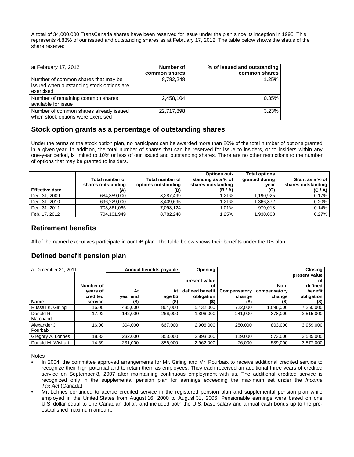A total of 34,000,000 TransCanada shares have been reserved for issue under the plan since its inception in 1995. This represents 4.83% of our issued and outstanding shares as at February 17, 2012. The table below shows the status of the share reserve:

| at February 17, 2012                                                                          | Number of<br>common shares | % of issued and outstanding<br>common shares |
|-----------------------------------------------------------------------------------------------|----------------------------|----------------------------------------------|
| Number of common shares that may be<br>issued when outstanding stock options are<br>exercised | 8,782,248                  | 1.25%                                        |
| Number of remaining common shares<br>available for issue                                      | 2,458,104                  | 0.35%                                        |
| Number of common shares already issued<br>when stock options were exercised                   | 22,717,898                 | 3.23%                                        |

## **Stock option grants as a percentage of outstanding shares**

Under the terms of the stock option plan, no participant can be awarded more than 20% of the total number of options granted in a given year. In addition, the total number of shares that can be reserved for issue to insiders, or to insiders within any one-year period, is limited to 10% or less of our issued and outstanding shares. There are no other restrictions to the number of options that may be granted to insiders.

| <b>Effective date</b> | Total number of<br>shares outstanding<br>(A) | <b>Total number of</b><br>options outstanding<br>(B) | <b>Options out-</b><br>standing as a % of<br>shares outstanding<br>(B / A) | <b>Total options</b><br>granted during<br>vear<br>(C) | Grant as a % of<br>shares outstanding<br>(C / A) |
|-----------------------|----------------------------------------------|------------------------------------------------------|----------------------------------------------------------------------------|-------------------------------------------------------|--------------------------------------------------|
| Dec. 31, 2009         | 684.359.000                                  | 8,287,499                                            | 1.21%                                                                      | 1.190.925                                             | $0.17\%$                                         |
| Dec. 31, 2010         | 696,229,000                                  | 8,409,695                                            | 1.21%                                                                      | 1,366,872                                             | 0.20%                                            |
| Dec. 31, 2011         | 703,861,065                                  | 7,093,124                                            | 1.01%                                                                      | 970.018                                               | 0.14%                                            |
| Feb. 17, 2012         | 704,101,949                                  | 8,782,248                                            | 1.25%                                                                      | 800,008,1                                             | 0.27%                                            |

## **Retirement benefits**

All of the named executives participate in our DB plan. The table below shows their benefits under the DB plan.

# **Defined benefit pension plan**

| at December 31, 2011 |           |          | Annual benefits payable | Opening         |              |              | <b>Closing</b> |
|----------------------|-----------|----------|-------------------------|-----------------|--------------|--------------|----------------|
|                      |           |          |                         |                 |              |              | present value  |
|                      |           |          |                         | present value   |              |              | Οt             |
|                      | Number of |          |                         | Οt              |              | Non-         | defined        |
|                      | years of  | At       | At                      | defined benefit | Compensatory | compensatory | benefit        |
|                      | credited  | year end | age 65                  | obligation      | change       | change       | obligation     |
| <b>Name</b>          | service   | (\$)     | (\$)                    | (\$)            | (\$)         | (\$)         | (\$)           |
| Russell K. Girling   | 16.00     | 435.000  | 864.000                 | 5.432.000       | 722.000      | 1,096,000    | 7,250,000      |
| Donald R.            | 17.92     | 142.000  | 266,000                 | 1,896,000       | 241,000      | 378,000      | 2,515,000      |
| Marchand             |           |          |                         |                 |              |              |                |
| Alexander J.         | 16.00     | 304.000  | 667,000                 | 2,906,000       | 250,000      | 803.000      | 3,959,000      |
| Pourbaix             |           |          |                         |                 |              |              |                |
| Gregory A. Lohnes    | 18.33     | 232,000  | 353,000                 | 2,893,000       | 119,000      | 573,000      | 3,585,000      |
| Donald M. Wishart    | 14.59     | 231,000  | 356.000                 | 2.962.000       | 76.000       | 539.000      | 3,577,000      |

Notes

- In 2004, the committee approved arrangements for Mr. Girling and Mr. Pourbaix to receive additional credited service to recognize their high potential and to retain them as employees. They each received an additional three years of credited service on September 8, 2007 after maintaining continuous employment with us. The additional credited service is recognized only in the supplemental pension plan for earnings exceeding the maximum set under the *Income Tax Act* (Canada).
- Mr. Lohnes continued to accrue credited service in the registered pension plan and supplemental pension plan while employed in the United States from August 16, 2000 to August 31, 2006. Pensionable earnings were based on one U.S. dollar equal to one Canadian dollar, and included both the U.S. base salary and annual cash bonus up to the preestablished maximum amount.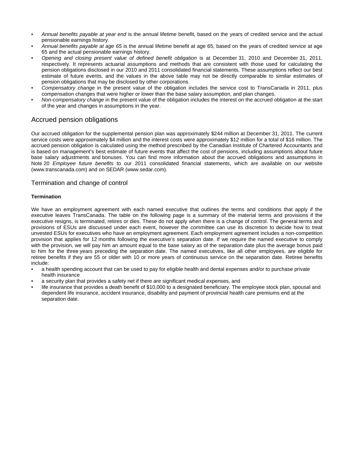- *Annual benefits payable at year end* is the annual lifetime benefit, based on the years of credited service and the actual pensionable earnings history.
- *Annual benefits payable at age 65* is the annual lifetime benefit at age 65, based on the years of credited service at age 65 and the actual pensionable earnings history.
- *Opening and closing present value of defined benefit obligation* is at December 31, 2010 and December 31, 2011, respectively. It represents actuarial assumptions and methods that are consistent with those used for calculating the pension obligations disclosed in our 2010 and 2011 consolidated financial statements. These assumptions reflect our best estimate of future events, and the values in the above table may not be directly comparable to similar estimates of pension obligations that may be disclosed by other corporations.
- *Compensatory change* in the present value of the obligation includes the service cost to TransCanada in 2011, plus compensation changes that were higher or lower than the base salary assumption, and plan changes.
- *Non-compensatory change* in the present value of the obligation includes the interest on the accrued obligation at the start of the year and changes in assumptions in the year.

### Accrued pension obligations

Our accrued obligation for the supplemental pension plan was approximately \$244 million at December 31, 2011. The current service costs were approximately \$4 million and the interest costs were approximately \$12 million for a total of \$16 million. The accrued pension obligation is calculated using the method prescribed by the Canadian Institute of Chartered Accountants and is based on management's best estimate of future events that affect the cost of pensions, including assumptions about future base salary adjustments and bonuses. You can find more information about the accrued obligations and assumptions in Note 20 *Employee future benefits* to our 2011 consolidated financial statements, which are available on our website (www.transcanada.com) and on SEDAR (www.sedar.com).

### Termination and change of control

### **Termination**

We have an employment agreement with each named executive that outlines the terms and conditions that apply if the executive leaves TransCanada. The table on the following page is a summary of the material terms and provisions if the executive resigns, is terminated, retires or dies. These do not apply when there is a change of control. The general terms and provisions of ESUs are discussed under each event, however the committee can use its discretion to decide how to treat unvested ESUs for executives who have an employment agreement. Each employment agreement includes a non-competition provision that applies for 12 months following the executive's separation date. If we require the named executive to comply with the provision, we will pay him an amount equal to the base salary as of the separation date plus the average bonus paid to him for the three years preceding the separation date. The named executives, like all other employees, are eligible for retiree benefits if they are 55 or older with 10 or more years of continuous service on the separation date. Retiree benefits include:

- a health spending account that can be used to pay for eligible health and dental expenses and/or to purchase private health insurance
- a security plan that provides a safety net if there are significant medical expenses, and
- life insurance that provides a death benefit of \$10,000 to a designated beneficiary. The employee stock plan, spousal and dependent life insurance, accident insurance, disability and payment of provincial health care premiums end at the separation date.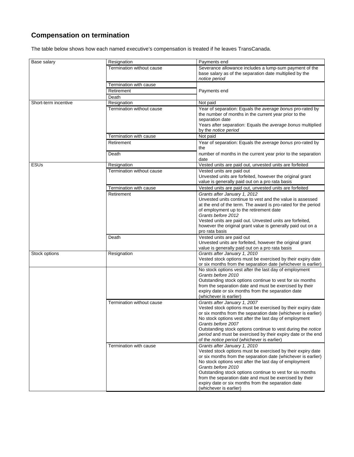# **Compensation on termination**

The table below shows how each named executive's compensation is treated if he leaves TransCanada.

| Base salary          | Resignation               | Payments end                                                  |  |
|----------------------|---------------------------|---------------------------------------------------------------|--|
|                      |                           |                                                               |  |
|                      | Termination without cause | Severance allowance includes a lump-sum payment of the        |  |
|                      |                           | base salary as of the separation date multiplied by the       |  |
|                      |                           | notice period                                                 |  |
|                      | Termination with cause    |                                                               |  |
|                      | Retirement                | Payments end                                                  |  |
|                      | Death                     |                                                               |  |
| Short-term incentive | Resignation               | Not paid                                                      |  |
|                      | Termination without cause | Year of separation: Equals the average bonus pro-rated by     |  |
|                      |                           | the number of months in the current year prior to the         |  |
|                      |                           | separation date                                               |  |
|                      |                           | Years after separation: Equals the average bonus multiplied   |  |
|                      |                           | by the notice period                                          |  |
|                      | Termination with cause    | Not paid                                                      |  |
|                      | Retirement                | Year of separation: Equals the average bonus pro-rated by     |  |
|                      |                           | the                                                           |  |
|                      | Death                     |                                                               |  |
|                      |                           | number of months in the current year prior to the separation  |  |
|                      |                           | date                                                          |  |
| <b>ESUs</b>          | Resignation               | Vested units are paid out, unvested units are forfeited       |  |
|                      | Termination without cause | Vested units are paid out                                     |  |
|                      |                           | Unvested units are forfeited, however the original grant      |  |
|                      |                           | value is generally paid out on a pro rata basis               |  |
|                      | Termination with cause    | Vested units are paid out, unvested units are forfeited       |  |
|                      | Retirement                | Grants after January 1, 2012                                  |  |
|                      |                           | Unvested units continue to vest and the value is assessed     |  |
|                      |                           | at the end of the term. The award is pro-rated for the period |  |
|                      |                           | of employment up to the retirement date                       |  |
|                      |                           | Grants before 2012                                            |  |
|                      |                           | Vested units are paid out. Unvested units are forfeited,      |  |
|                      |                           | however the original grant value is generally paid out on a   |  |
|                      |                           | pro rata basis                                                |  |
|                      | Death                     | Vested units are paid out                                     |  |
|                      |                           | Unvested units are forfeited, however the original grant      |  |
|                      |                           | value is generally paid out on a pro rata basis               |  |
| Stock options        | Resignation               | Grants after January 1, 2010                                  |  |
|                      |                           | Vested stock options must be exercised by their expiry date   |  |
|                      |                           | or six months from the separation date (whichever is earlier) |  |
|                      |                           | No stock options vest after the last day of employment        |  |
|                      |                           | Grants before 2010                                            |  |
|                      |                           | Outstanding stock options continue to vest for six months     |  |
|                      |                           | from the separation date and must be exercised by their       |  |
|                      |                           | expiry date or six months from the separation date            |  |
|                      |                           | (whichever is earlier)                                        |  |
|                      | Termination without cause | Grants after January 1, 2007                                  |  |
|                      |                           | Vested stock options must be exercised by their expiry date   |  |
|                      |                           | or six months from the separation date (whichever is earlier) |  |
|                      |                           | No stock options vest after the last day of employment        |  |
|                      |                           | Grants before 2007                                            |  |
|                      |                           | Outstanding stock options continue to vest during the notice  |  |
|                      |                           | period and must be exercised by their expiry date or the end  |  |
|                      |                           | of the notice period (whichever is earlier)                   |  |
|                      | Termination with cause    | Grants after January 1, 2010                                  |  |
|                      |                           | Vested stock options must be exercised by their expiry date   |  |
|                      |                           | or six months from the separation date (whichever is earlier) |  |
|                      |                           | No stock options vest after the last day of employment        |  |
|                      |                           | Grants before 2010                                            |  |
|                      |                           | Outstanding stock options continue to vest for six months     |  |
|                      |                           | from the separation date and must be exercised by their       |  |
|                      |                           | expiry date or six months from the separation date            |  |
|                      |                           | (whichever is earlier)                                        |  |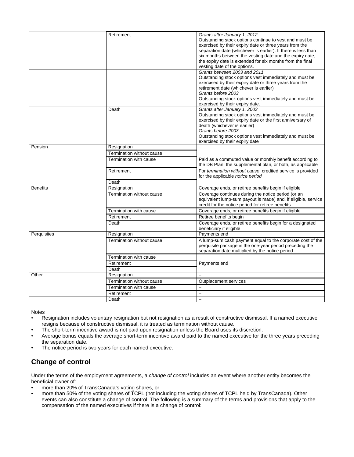|                 | Retirement                | Grants after January 1, 2012                                  |
|-----------------|---------------------------|---------------------------------------------------------------|
|                 |                           | Outstanding stock options continue to vest and must be        |
|                 |                           | exercised by their expiry date or three years from the        |
|                 |                           | separation date (whichever is earlier). If there is less than |
|                 |                           | six months between the vesting date and the expiry date,      |
|                 |                           | the expiry date is extended for six months from the final     |
|                 |                           | vesting date of the options.                                  |
|                 |                           | Grants between 2003 and 2011                                  |
|                 |                           | Outstanding stock options vest immediately and must be        |
|                 |                           | exercised by their expiry date or three years from the        |
|                 |                           | retirement date (whichever is earlier)                        |
|                 |                           | Grants before 2003                                            |
|                 |                           |                                                               |
|                 |                           | Outstanding stock options vest immediately and must be        |
|                 |                           | exercised by their expiry date.                               |
|                 | Death                     | Grants after January 1, 2003                                  |
|                 |                           | Outstanding stock options vest immediately and must be        |
|                 |                           | exercised by their expiry date or the first anniversary of    |
|                 |                           | death (whichever is earlier)                                  |
|                 |                           | Grants before 2003                                            |
|                 |                           | Outstanding stock options vest immediately and must be        |
|                 |                           | exercised by their expiry date                                |
| Pension         | Resignation               |                                                               |
|                 | Termination without cause |                                                               |
|                 | Termination with cause    | Paid as a commuted value or monthly benefit according to      |
|                 |                           | the DB Plan, the supplemental plan, or both, as applicable    |
|                 | Retirement                | For termination without cause, credited service is provided   |
|                 |                           | for the applicable notice period                              |
|                 | Death                     |                                                               |
| <b>Benefits</b> | Resignation               | Coverage ends, or retiree benefits begin if eligible          |
|                 | Termination without cause | Coverage continues during the notice period (or an            |
|                 |                           | equivalent lump-sum payout is made) and, if eligible, service |
|                 |                           |                                                               |
|                 |                           | credit for the notice period for retiree benefits             |
|                 | Termination with cause    | Coverage ends, or retiree benefits begin if eligible          |
|                 | Retirement                | Retiree benefits begin                                        |
|                 | Death                     | Coverage ends, or retiree benefits begin for a designated     |
|                 |                           | beneficiary if eligible                                       |
| Perquisites     | Resignation               | Payments end                                                  |
|                 | Termination without cause | A lump-sum cash payment equal to the corporate cost of the    |
|                 |                           | perquisite package in the one-year period preceding the       |
|                 |                           | separation date multiplied by the notice period               |
|                 | Termination with cause    |                                                               |
|                 | Retirement                | Payments end                                                  |
|                 | Death                     |                                                               |
| Other           | Resignation               | -                                                             |
|                 | Termination without cause | Outplacement services                                         |
|                 | Termination with cause    | $\overline{\phantom{0}}$                                      |
|                 | Retirement                | ÷.                                                            |
|                 |                           |                                                               |
|                 | Death                     | $\overline{\phantom{0}}$                                      |

### Notes

- Resignation includes voluntary resignation but not resignation as a result of constructive dismissal. If a named executive resigns because of constructive dismissal, it is treated as termination without cause.
- The short-term incentive award is not paid upon resignation unless the Board uses its discretion.
- Average bonus equals the average short-term incentive award paid to the named executive for the three years preceding the separation date.
- The notice period is two years for each named executive.

# **Change of control**

Under the terms of the employment agreements, a *change of control* includes an event where another entity becomes the beneficial owner of:

- more than 20% of TransCanada's voting shares, or
- more than 50% of the voting shares of TCPL (not including the voting shares of TCPL held by TransCanada). Other events can also constitute a change of control. The following is a summary of the terms and provisions that apply to the compensation of the named executives if there is a change of control: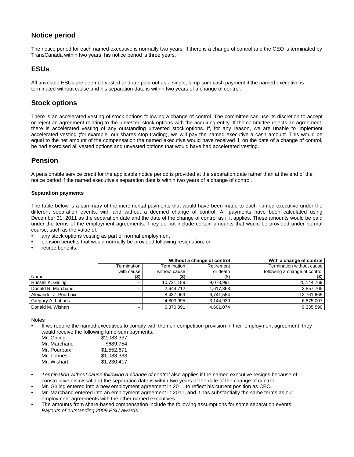# **Notice period**

The notice period for each named executive is normally two years. If there is a change of control and the CEO is terminated by TransCanada within two years, his notice period is three years.

# **ESUs**

All unvested ESUs are deemed vested and are paid out as a single, lump-sum cash payment if the named executive is terminated without cause and his separation date is within two years of a change of control.

### **Stock options**

There is an accelerated vesting of stock options following a change of control. The committee can use its discretion to accept or reject an agreement relating to the unvested stock options with the acquiring entity. If the committee rejects an agreement, there is accelerated vesting of any outstanding unvested stock options. If, for any reason, we are unable to implement accelerated vesting (for example, our shares stop trading), we will pay the named executive a cash amount. This would be equal to the net amount of the compensation the named executive would have received if, on the date of a change of control, he had exercised all vested options and unvested options that would have had accelerated vesting.

## **Pension**

A pensionable service credit for the applicable notice period is provided at the separation date rather than at the end of the notice period if the named executive's separation date is within two years of a change of control.

### **Separation payments**

The table below is a summary of the incremental payments that would have been made to each named executive under the different separation events, with and without a deemed change of control. All payments have been calculated using December 31, 2011 as the separation date and the date of the change of control as if it applies. These amounts would be paid under the terms of the employment agreements. They do not include certain amounts that would be provided under normal course, such as the value of:

- any stock options vesting as part of normal employment
- pension benefits that would normally be provided following resignation, or
- retiree benefits.

|                       | Without a change of control |               |            | With a change of control      |
|-----------------------|-----------------------------|---------------|------------|-------------------------------|
|                       | Termination                 | Termination   | Retirement | Termination without cause     |
|                       | with cause                  | without cause | or death   | following a change of control |
| Name                  | (\$)                        | (\$)          | (\$)       | $($ \$)                       |
| Russell K. Girling    |                             | 10,721,189    | 9.073.991  | 20,144,769                    |
| Donald R. Marchand    |                             | 2,644,712     | 1,617,868  | 3,857,705                     |
| Alexander J. Pourbaix |                             | 8,487,069     | 6,741,554  | 12,761,665                    |
| Gregory A. Lohnes     |                             | 4,803,995     | 3,144,930  | 6,875,007                     |
| Donald M. Wishart     |                             | 6,370,891     | 4,601,074  | 9,335,590                     |

#### Notes

If we require the named executives to comply with the non-competition provision in their employment agreement, they would receive the following lump-sum payments:

| \$2,083,337 |
|-------------|
| \$689.754   |
| \$1.552.671 |
| \$1.083.333 |
| \$1,230,417 |
|             |

- *Termination without cause following a change of control* also applies if the named executive resigns because of constructive dismissal and the separation date is within two years of the date of the change of control.
- Mr. Girling entered into a new employment agreement in 2011 to reflect his current position as CEO.
- Mr. Marchand entered into an employment agreement in 2011, and it has substantially the same terms as our employment agreements with the other named executives.
- The amounts from share-based compensation include the following assumptions for some separation events: *Payouts of outstanding 2009 ESU awards*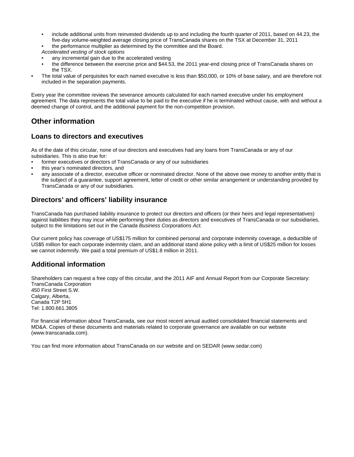- include additional units from reinvested dividends up to and including the fourth quarter of 2011, based on 44.23, the five-day volume-weighted average closing price of TransCanada shares on the TSX at December 31, 2011
- the performance multiplier as determined by the committee and the Board.
- *Accelerated vesting of stock options*
- any incremental gain due to the accelerated vesting
- the difference between the exercise price and \$44.53, the 2011 year-end closing price of TransCanada shares on the TSX.
- The total value of perquisites for each named executive is less than \$50,000, or 10% of base salary, and are therefore not included in the separation payments.

Every year the committee reviews the severance amounts calculated for each named executive under his employment agreement. The data represents the total value to be paid to the executive if he is terminated without cause, with and without a deemed change of control, and the additional payment for the non-competition provision.

# **Other information**

## **Loans to directors and executives**

As of the date of this circular, none of our directors and executives had any loans from TransCanada or any of our subsidiaries. This is also true for:

- former executives or directors of TransCanada or any of our subsidiaries
- this year's nominated directors, and
- any associate of a director, executive officer or nominated director. None of the above owe money to another entity that is the subject of a guarantee, support agreement, letter of credit or other similar arrangement or understanding provided by TransCanada or any of our subsidiaries.

# **Directors' and officers' liability insurance**

TransCanada has purchased liability insurance to protect our directors and officers (or their heirs and legal representatives) against liabilities they may incur while performing their duties as directors and executives of TransCanada or our subsidiaries, subject to the limitations set out in the *Canada Business Corporations Act.* 

Our current policy has coverage of US\$175 million for combined personal and corporate indemnity coverage, a deductible of US\$5 million for each corporate indemnity claim, and an additional stand alone policy with a limit of US\$25 million for losses we cannot indemnify. We paid a total premium of US\$1.8 million in 2011.

# **Additional information**

Shareholders can request a free copy of this circular, and the 2011 AIF and Annual Report from our Corporate Secretary: TransCanada Corporation 450 First Street S.W. Calgary, Alberta, Canada T2P 5H1 Tel: 1.800.661.3805

For financial information about TransCanada, see our most recent annual audited consolidated financial statements and MD&A. Copies of these documents and materials related to corporate governance are available on our website (www.transcanada.com).

You can find more information about TransCanada on our website and on SEDAR (www.sedar.com)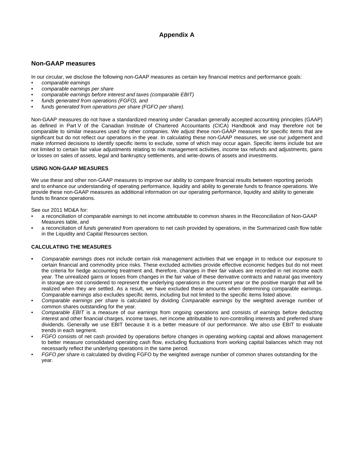### **Appendix A**

### **Non-GAAP measures**

In our circular, we disclose the following non-GAAP measures as certain key financial metrics and performance goals:

- *comparable earnings*
- *comparable earnings per share*
- *comparable earnings before interest and taxes (comparable EBIT)*
- *funds generated from operations (FGFO), and*
- funds generated from operations per share (FGFO per share).

Non-GAAP measures do not have a standardized meaning under Canadian generally accepted accounting principles (GAAP) as defined in Part V of the Canadian Institute of Chartered Accountants (CICA) Handbook and may therefore not be comparable to similar measures used by other companies. We adjust these non-GAAP measures for specific items that are significant but do not reflect our operations in the year. In calculating these non-GAAP measures, we use our judgement and make informed decisions to identify specific items to exclude, some of which may occur again. Specific items include but are not limited to certain fair value adjustments relating to risk management activities, income tax refunds and adjustments, gains or losses on sales of assets, legal and bankruptcy settlements, and write-downs of assets and investments.

### **USING NON-GAAP MEASURES**

We use these and other non-GAAP measures to improve our ability to compare financial results between reporting periods and to enhance our understanding of operating performance, liquidity and ability to generate funds to finance operations. We provide these non-GAAP measures as additional information on our operating performance, liquidity and ability to generate funds to finance operations.

See our 2011 MD&A for:

- a reconciliation of *comparable earnings* to net income attributable to common shares in the Reconciliation of Non-GAAP Measures table, and
- a reconciliation of *funds generated from operations* to net cash provided by operations, in the Summarized cash flow table in the Liquidity and Capital Resources section.

### **CALCULATING THE MEASURES**

- *Comparable earnings* does not include certain risk management activities that we engage in to reduce our exposure to certain financial and commodity price risks. These excluded activities provide effective economic hedges but do not meet the criteria for hedge accounting treatment and, therefore, changes in their fair values are recorded in net income each year. The unrealized gains or losses from changes in the fair value of these derivative contracts and natural gas inventory in storage are not considered to represent the underlying operations in the current year or the positive margin that will be realized when they are settled. As a result, we have excluded these amounts when determining comparable earnings. Comparable earnings also excludes specific items, including but not limited to the specific items listed above.
- *Comparable earnings per share* is calculated by dividing *Comparable earnings* by the weighted average number of common shares outstanding for the year.
- *Comparable EBIT* is a measure of our earnings from ongoing operations and consists of earnings before deducting interest and other financial charges, income taxes, net income attributable to non-controlling interests and preferred share dividends. Generally we use EBIT because it is a better measure of our performance. We also use EBIT to evaluate trends in each segment.
- *FGFO* consists of net cash provided by operations before changes in operating working capital and allows management to better measure consolidated operating cash flow, excluding fluctuations from working capital balances which may not necessarily reflect the underlying operations in the same period.
- *FGFO per share* is calculated by dividing FGFO by the weighted average number of common shares outstanding for the year.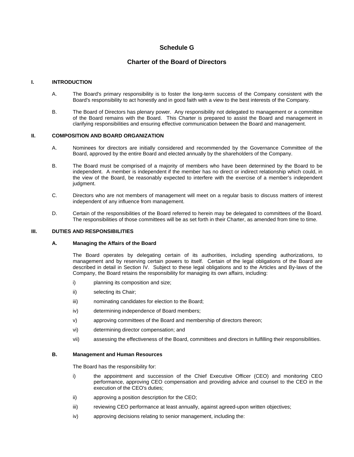### **Schedule G**

### **Charter of the Board of Directors**

### **I. INTRODUCTION**

- A. The Board's primary responsibility is to foster the long-term success of the Company consistent with the Board's responsibility to act honestly and in good faith with a view to the best interests of the Company.
- B. The Board of Directors has plenary power. Any responsibility not delegated to management or a committee of the Board remains with the Board. This Charter is prepared to assist the Board and management in clarifying responsibilities and ensuring effective communication between the Board and management.

### **II. COMPOSITION AND BOARD ORGANIZATION**

- A. Nominees for directors are initially considered and recommended by the Governance Committee of the Board, approved by the entire Board and elected annually by the shareholders of the Company.
- B. The Board must be comprised of a majority of members who have been determined by the Board to be independent. A member is independent if the member has no direct or indirect relationship which could, in the view of the Board, be reasonably expected to interfere with the exercise of a member's independent judgment.
- C. Directors who are not members of management will meet on a regular basis to discuss matters of interest independent of any influence from management.
- D. Certain of the responsibilities of the Board referred to herein may be delegated to committees of the Board. The responsibilities of those committees will be as set forth in their Charter, as amended from time to time.

#### **III. DUTIES AND RESPONSIBILITIES**

### **A. Managing the Affairs of the Board**

 The Board operates by delegating certain of its authorities, including spending authorizations, to management and by reserving certain powers to itself. Certain of the legal obligations of the Board are described in detail in Section IV. Subject to these legal obligations and to the Articles and By-laws of the Company, the Board retains the responsibility for managing its own affairs, including:

- i) planning its composition and size;
- ii) selecting its Chair;
- iii) nominating candidates for election to the Board;
- iv) determining independence of Board members;
- v) approving committees of the Board and membership of directors thereon;
- vi) determining director compensation; and
- vii) assessing the effectiveness of the Board, committees and directors in fulfilling their responsibilities.

#### **B. Management and Human Resources**

The Board has the responsibility for:

- i) the appointment and succession of the Chief Executive Officer (CEO) and monitoring CEO performance, approving CEO compensation and providing advice and counsel to the CEO in the execution of the CEO's duties;
- ii) approving a position description for the CEO;
- iii) reviewing CEO performance at least annually, against agreed-upon written objectives;
- iv) approving decisions relating to senior management, including the: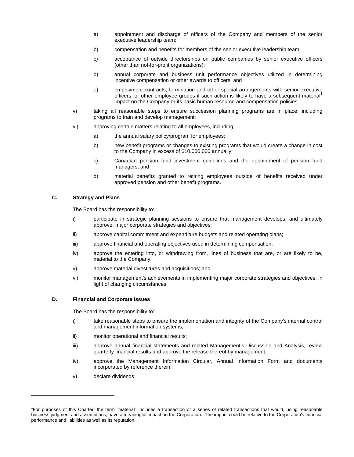- a) appointment and discharge of officers of the Company and members of the senior executive leadership team;
- b) compensation and benefits for members of the senior executive leadership team;
- c) acceptance of outside directorships on public companies by senior executive officers (other than not-for-profit organizations);
- d) annual corporate and business unit performance objectives utilized in determining incentive compensation or other awards to officers; and
- e) employment contracts, termination and other special arrangements with senior executive officers, or other employee groups if such action is likely to have a subsequent material<sup>1</sup> impact on the Company or its basic human resource and compensation policies.
- v) taking all reasonable steps to ensure succession planning programs are in place, including programs to train and develop management;
- vi) approving certain matters relating to all employees, including:
	- a) the annual salary policy/program for employees;
	- b) new benefit programs or changes to existing programs that would create a change in cost to the Company in excess of \$10,000,000 annually;
	- c) Canadian pension fund investment guidelines and the appointment of pension fund managers; and
	- d) material benefits granted to retiring employees outside of benefits received under approved pension and other benefit programs.

#### **C. Strategy and Plans**

The Board has the responsibility to:

- i) participate in strategic planning sessions to ensure that management develops, and ultimately approve, major corporate strategies and objectives;
- ii) approve capital commitment and expenditure budgets and related operating plans;
- iii) approve financial and operating objectives used in determining compensation;
- iv) approve the entering into, or withdrawing from, lines of business that are, or are likely to be, material to the Company;
- v) approve material divestitures and acquisitions; and
- vi) monitor management's achievements in implementing major corporate strategies and objectives, in light of changing circumstances.

#### **D. Financial and Corporate Issues**

The Board has the responsibility to:

- i) take reasonable steps to ensure the implementation and integrity of the Company's internal control and management information systems;
- ii) monitor operational and financial results;
- iii) approve annual financial statements and related Management's Discussion and Analysis, review quarterly financial results and approve the release thereof by management;
- iv) approve the Management Information Circular, Annual Information Form and documents incorporated by reference therein;
- v) declare dividends;

 $\overline{a}$ 

<sup>1</sup> For purposes of this Charter, the term "material" includes a transaction or a series of related transactions that would, using reasonable business judgment and assumptions, have a meaningful impact on the Corporation. The impact could be relative to the Corporation's financial performance and liabilities as well as its reputation.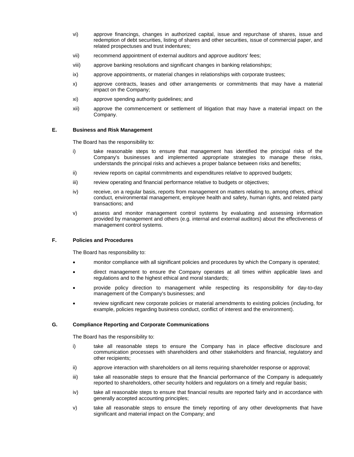- vi) approve financings, changes in authorized capital, issue and repurchase of shares, issue and redemption of debt securities, listing of shares and other securities, issue of commercial paper, and related prospectuses and trust indentures;
- vii) recommend appointment of external auditors and approve auditors' fees;
- viii) approve banking resolutions and significant changes in banking relationships;
- ix) approve appointments, or material changes in relationships with corporate trustees;
- x) approve contracts, leases and other arrangements or commitments that may have a material impact on the Company;
- xi) approve spending authority guidelines; and
- xii) approve the commencement or settlement of litigation that may have a material impact on the Company.

#### **E. Business and Risk Management**

The Board has the responsibility to:

- i) take reasonable steps to ensure that management has identified the principal risks of the Company's businesses and implemented appropriate strategies to manage these risks, understands the principal risks and achieves a proper balance between risks and benefits;
- ii) review reports on capital commitments and expenditures relative to approved budgets;
- iii) review operating and financial performance relative to budgets or objectives;
- iv) receive, on a regular basis, reports from management on matters relating to, among others, ethical conduct, environmental management, employee health and safety, human rights, and related party transactions; and
- v) assess and monitor management control systems by evaluating and assessing information provided by management and others (e.g. internal and external auditors) about the effectiveness of management control systems.

#### **F. Policies and Procedures**

The Board has responsibility to:

- monitor compliance with all significant policies and procedures by which the Company is operated;
- direct management to ensure the Company operates at all times within applicable laws and regulations and to the highest ethical and moral standards;
- provide policy direction to management while respecting its responsibility for day-to-day management of the Company's businesses; and
- review significant new corporate policies or material amendments to existing policies (including, for example, policies regarding business conduct, conflict of interest and the environment).

#### **G. Compliance Reporting and Corporate Communications**

The Board has the responsibility to:

- i) take all reasonable steps to ensure the Company has in place effective disclosure and communication processes with shareholders and other stakeholders and financial, regulatory and other recipients;
- ii) approve interaction with shareholders on all items requiring shareholder response or approval;
- iii) take all reasonable steps to ensure that the financial performance of the Company is adequately reported to shareholders, other security holders and regulators on a timely and regular basis;
- iv) take all reasonable steps to ensure that financial results are reported fairly and in accordance with generally accepted accounting principles;
- v) take all reasonable steps to ensure the timely reporting of any other developments that have significant and material impact on the Company; and